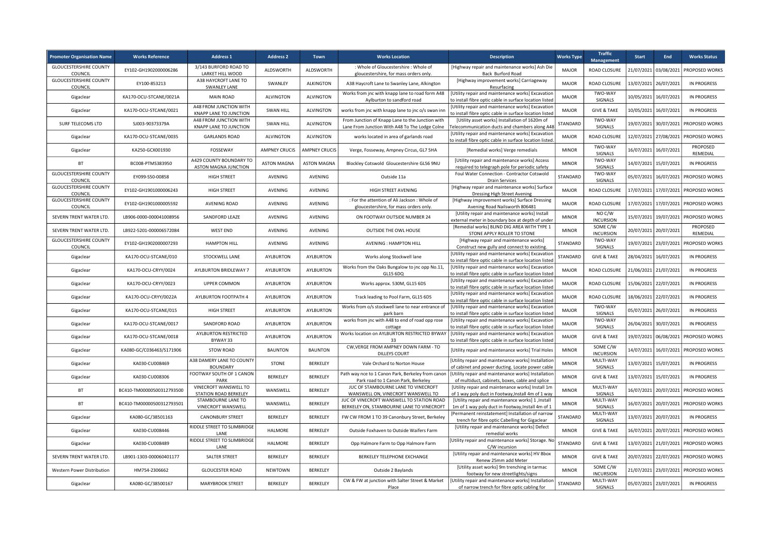| <b>Promoter Organisation Name</b>        | <b>Works Reference</b>    | <b>Address 1</b>                                   | <b>Address 2</b>     | <b>Town</b>          | <b>Works Location</b>                                                                              | <b>Description</b>                                                                                                             | <b>Works Type</b> | <b>Traffic</b><br><b>Management</b> | <b>Start</b> | End                   | <b>Works Status</b>        |
|------------------------------------------|---------------------------|----------------------------------------------------|----------------------|----------------------|----------------------------------------------------------------------------------------------------|--------------------------------------------------------------------------------------------------------------------------------|-------------------|-------------------------------------|--------------|-----------------------|----------------------------|
| <b>GLOUCESTERSHIRE COUNTY</b><br>COUNCIL | EY102-GH1902000006286     | 3/143 BURFORD ROAD TO<br>LARKET HILL WOOD          | ALDSWORTH            | <b>ALDSWORTH</b>     | : Whole of Gloucestershire : Whole of<br>gloucestershire, for mass orders only.                    | [Highway repair and maintenance works] Ash Die<br>Back Burford Road                                                            | <b>MAJOR</b>      | ROAD CLOSURE                        | 21/07/2021   | 03/08/2021            | PROPOSED WORKS             |
| <b>GLOUCESTERSHIRE COUNTY</b><br>COUNCIL | EY100-853213              | A38 HAYCROFT LANE TO<br><b>SWANLEY LANE</b>        | SWANLEY              | <b>ALKINGTON</b>     | A38 Haycroft Lane to Swanley Lane, Alkington                                                       | [Highway improvement works] Carriageway<br>Resurfacing                                                                         | <b>MAJOR</b>      | ROAD CLOSURE                        | 13/07/2021   | 26/07/2021            | IN PROGRESS                |
| Gigaclear                                | KA170-OCU-STCANE/0021A    | <b>MAIN ROAD</b>                                   | <b>ALVINGTON</b>     | <b>ALVINGTON</b>     | Works from jnc with knapp lane to road form A48<br>Aylburton to sandford road                      | [Utility repair and maintenance works] Excavation<br>to install fibre optic cable in surface location listed                   | <b>MAJOR</b>      | TWO-WAY<br>SIGNALS                  | 10/05/2021   | 16/07/2021            | IN PROGRESS                |
| Gigaclear                                | KA170-OCU-STCANE/0021     | A48 FROM JUNCTION WITH<br>KNAPP LANE TO JUNCTION   | <b>SWAN HILL</b>     | <b>ALVINGTON</b>     | works from jnc with knapp lane to jnc o/s swan inn                                                 | [Utility repair and maintenance works] Excavation<br>to install fibre optic cable in surface location listed                   | <b>MAJOR</b>      | <b>GIVE &amp; TAKE</b>              | 10/05/2021   | 16/07/2021            | IN PROGRESS                |
| SURF TELECOMS LTD                        | SJ003-90373379A           | A48 FROM JUNCTION WITH<br>KNAPP LANE TO JUNCTION   | <b>SWAN HILL</b>     | <b>ALVINGTON</b>     | From Junction of Knapp Lane to the Junction with<br>Lane From Junction With A48 To The Lodge Colne | [Utility asset works] Installation of 1620m of<br>elecommunication ducts and chambers along A48                                | STANDARD          | TWO-WAY<br>SIGNALS                  | 19/07/2021   | 30/07/2021            | PROPOSED WORKS             |
| Gigaclear                                | KA170-OCU-STCANE/0035     | <b>GARLANDS ROAD</b>                               | <b>ALVINGTON</b>     | <b>ALVINGTON</b>     | works located in area of garlands road                                                             | [Utility repair and maintenance works] Excavation<br>to install fibre optic cable in surface location listed                   | <b>MAJOR</b>      | ROAD CLOSURE                        |              | 12/07/2021 27/08/2021 | PROPOSED WORKS             |
| Gigaclear                                | KA250-GCX001930           | FOSSEWAY                                           | <b>AMPNEY CRUCIS</b> | <b>AMPNEY CRUCIS</b> | Verge, Fosseway, Ampney Circus, GL7 5HA                                                            | [Remedial works] Verge remedials                                                                                               | <b>MINOR</b>      | TWO-WAY<br>SIGNALS                  | 16/07/2021   | 16/07/2021            | PROPOSED<br>REMEDIAL       |
| BT                                       | BC008-PTMS383950          | A429 COUNTY BOUNDARY TO<br>ASTON MAGNA JUNCTION    | <b>ASTON MAGNA</b>   | <b>ASTON MAGNA</b>   | Blockley Cotswold Gloucestershire GL56 9NU                                                         | [Utility repair and maintenance works] Access<br>required to telegraph pole for periodic safety                                | <b>MINOR</b>      | TWO-WAY<br>SIGNALS                  | 14/07/2021   | 15/07/2021            | IN PROGRESS                |
| <b>GLOUCESTERSHIRE COUNTY</b><br>COUNCIL | EY099-S50-00858           | <b>HIGH STREET</b>                                 | AVENING              | AVENING              | Outside 11a                                                                                        | Foul Water Connection - Contractor Cotswold<br><b>Drain Services</b>                                                           | STANDARD          | TWO-WAY<br>SIGNALS                  | 05/07/2021   | 16/07/2021            | PROPOSED WORKS             |
| <b>GLOUCESTERSHIRE COUNTY</b><br>COUNCIL | EY102-GH1901000006243     | <b>HIGH STREET</b>                                 | AVENING              | AVENING              | HIGH STREET AVENING                                                                                | [Highway repair and maintenance works] Surface<br>Dressing High Street Avening                                                 | <b>MAJOR</b>      | ROAD CLOSURE                        | 17/07/2021   | 17/07/2021            | PROPOSED WORKS             |
| <b>GLOUCESTERSHIRE COUNTY</b><br>COUNCIL | EY102-GH1901000005592     | AVENING ROAD                                       | AVENING              | AVENING              | : For the attention of Ali Jackson : Whole of<br>gloucestershire, for mass orders only.            | [Highway improvement works] Surface Dressing<br>Avening Road Nailsworth 806481                                                 | <b>MAJOR</b>      | ROAD CLOSURE                        | 17/07/2021   | 17/07/2021            | PROPOSED WORKS             |
| SEVERN TRENT WATER LTD.                  | LB906-0000-000041008956   | SANDFORD LEAZE                                     | AVENING              | AVENING              | ON FOOTWAY OUTSIDE NUMBER 24                                                                       | [Utility repair and maintenance works] Install                                                                                 | <b>MINOR</b>      | NO C/W<br><b>INCURSION</b>          | 15/07/2021   | 19/07/2021            | PROPOSED WORKS             |
| SEVERN TRENT WATER LTD.                  | LB922-5201-000006572084   | <b>WEST END</b>                                    | <b>AVENING</b>       | AVENING              | <b>OUTSIDE THE OWL HOUSE</b>                                                                       | external meter in boundary box at depth of under<br>[Remedial works] BLIND DIG AREA WITH TYPE 1<br>STONE APPLY ROLLER TO STONE | <b>MINOR</b>      | SOME C/W                            |              | 20/07/2021 20/07/2021 | PROPOSED                   |
| <b>GLOUCESTERSHIRE COUNTY</b>            | EY102-GH1902000007293     | <b>HAMPTON HILL</b>                                | AVENING              | AVENING              | AVENING : HAMPTON HILL                                                                             | [Highway repair and maintenance works]                                                                                         | STANDARD          | <b>INCURSION</b><br>TWO-WAY         | 19/07/2021   | 23/07/2021            | REMEDIAL<br>PROPOSED WORKS |
| COUNCIL<br>Gigaclear                     | KA170-OCU-STCANE/010      | STOCKWELL LANE                                     | <b>AYLBURTON</b>     | <b>AYLBURTON</b>     | Works along Stockwell lane                                                                         | Construct new gully and connect to existing.<br>[Utility repair and maintenance works] Excavation                              | <b>STANDARD</b>   | SIGNALS<br><b>GIVE &amp; TAKE</b>   | 28/04/2021   | 16/07/2021            | IN PROGRESS                |
| Gigaclear                                | KA170-OCU-CRYY/0024       | AYLBURTON BRIDLEWAY 7                              | AYLBURTON            | <b>AYLBURTON</b>     | Works from the Oaks Bungalow to jnc opp No.11,                                                     | to install fibre optic cable in surface location listed<br>[Utility repair and maintenance works] Excavation                   | <b>MAJOR</b>      | ROAD CLOSURE                        | 21/06/2021   | 21/07/2021            | IN PROGRESS                |
| Gigaclear                                | KA170-OCU-CRYY/0023       | <b>UPPER COMMON</b>                                | AYLBURTON            | <b>AYLBURTON</b>     | GL15 6DQ<br>Works approx. 530M, GL15 6DS                                                           | to install fibre optic cable in surface location listed<br>[Utility repair and maintenance works] Excavation                   | <b>MAJOR</b>      | ROAD CLOSURE                        |              | 15/06/2021 22/07/2021 | IN PROGRESS                |
| Gigaclear                                | KA170-OCU-CRYY/0022A      | AYLBURTON FOOTPATH 4                               | AYLBURTON            | AYLBURTON            | Track leading to Pool Farm, GL15 6DS                                                               | to install fibre optic cable in surface location listed<br>[Utility repair and maintenance works] Excavation                   | <b>MAJOR</b>      | ROAD CLOSURE                        | 18/06/2021   | 22/07/2021            | <b>IN PROGRESS</b>         |
| Gigaclear                                | KA170-OCU-STCANE/015      | <b>HIGH STREET</b>                                 | AYLBURTON            | AYLBURTON            | Works from o/s stockwell lane to near entrance of                                                  | to install fibre optic cable in surface location listed<br>[Utility repair and maintenance works] Excavation                   | <b>MAJOR</b>      | TWO-WAY                             | 05/07/2021   | 26/07/2021            | IN PROGRESS                |
| Gigaclear                                | KA170-OCU-STCANE/0017     | SANDFORD ROAD                                      | <b>AYLBURTON</b>     | AYLBURTON            | park barn<br>works from jnc with A48 to end of road opp rose                                       | to install fibre optic cable in surface location listed<br>[Utility repair and maintenance works] Excavation                   | <b>MAJOR</b>      | SIGNALS<br>TWO-WAY                  | 26/04/2021   | 30/07/2021            | IN PROGRESS                |
| Gigaclear                                | KA170-OCU-STCANE/0018     | AYLBURTON RESTRICTED                               | AYLBURTON            | <b>AYLBURTON</b>     | cottage<br>Works location on AYLBURTON RESTRICTED BYWAY                                            | to install fibre optic cable in surface location listed<br>[Utility repair and maintenance works] Excavation                   | <b>MAJOR</b>      | SIGNALS<br><b>GIVE &amp; TAKE</b>   |              | 19/07/2021 06/08/2021 | PROPOSED WORKS             |
| Gigaclear                                | KA080-GC/C036463/S171906  | BYWAY 33<br><b>STOW ROAD</b>                       | <b>BAUNTON</b>       | <b>BAUNTON</b>       | 33<br>CW, VERGE FROM AMPNEY DOWN FARM - TO                                                         | to install fibre optic cable in surface location listed<br>[Utility repair and maintenance works] Trial Holes                  | <b>MINOR</b>      | SOME C/W                            | 14/07/2021   | 16/07/2021            | PROPOSED WORKS             |
| Gigaclear                                | KA030-CU008469            | A38 DAMERY LANE TO COUNTY                          | <b>STONE</b>         | BERKELEY             | <b>DILLEYS COURT</b><br>Vale Orchard to Norton House                                               | [Utility repair and maintenance works] Installation                                                                            | <b>MINOR</b>      | <b>INCURSION</b><br>MULTI-WAY       | 13/07/2021   | 15/07/2021            | IN PROGRESS                |
| Gigaclear                                | KA030-CU008306            | <b>BOUNDARY</b><br>FOOTWAY SOUTH OF 1 CANON        | BERKELEY             | BERKELEY             | Path way nce to 1 Canon Park, Berkeley from canon                                                  | of cabinet and power ducting. Locate power cable<br>[Utility repair and maintenance works] Installatior                        | <b>MINOR</b>      | SIGNALS<br><b>GIVE &amp; TAKE</b>   | 13/07/2021   | 15/07/2021            | <b>IN PROGRESS</b>         |
| BT                                       | BC410-TM00000500312793500 | PARK<br>VINECROFT WANSWELL TO                      | WANSWELL             | <b>BERKELEY</b>      | Park road to 1 Canon Park, Berkeley<br>JUC OF STAMBOURNE LANE TO VINECROFT                         | of multiduct, cabinets, boxes, cable and splice<br>[Utility repair and maintenance works] Install 1m                           | <b>MINOR</b>      | MULTI-WAY                           | 16/07/2021   | 20/07/2021            | PROPOSED WORKS             |
| <b>BT</b>                                | BC410-TM00000500312793501 | <b>STATION ROAD BERKELEY</b><br>STAMBOURNE LANE TO | WANSWELL             | <b>BERKELEY</b>      | WANSWELL ON. VINECROFT WANSWELL TO<br>JUC OF VINECROFT WANSWELL TO STATION ROAD                    | of 1 way poly duct in Footway, Install 4m of 1 way<br>[Utility repair and maintenance works] 1, Install                        | <b>MINOR</b>      | SIGNALS<br>MULTI-WAY                | 16/07/2021   | 20/07/2021            | PROPOSED WORKS             |
| Gigaclear                                | KA080-GC/38501163         | VINECROFT WANSWELL<br><b>CANONBURY STREET</b>      | BERKELEY             | BERKELEY             | BERKELEY ON, STAMBOURNE LANE TO VINECROFT<br>FW CW FROM 1 TO 39 Canonbury Street, Berkeley         | 1m of 1 way poly duct in Footway, Install 4m of 1<br>Permanent reinstatement] Installation of narrow                           | STANDARD          | SIGNALS<br>MULTI-WAY                | 13/07/2021   | 20/07/2021            | IN PROGRESS                |
|                                          | KA030-CU008446            | RIDDLE STREET TO SLIMBRIDGE                        | HALMORE              | <b>BERKELEY</b>      | Outside Foxhaven to Outside Waifers Farm                                                           | trench for fibre optic Cabelling for Gigaclear<br>[Utility repair and maintenance works] Defect                                | <b>MINOR</b>      | SIGNALS<br><b>GIVE &amp; TAKE</b>   |              | 16/07/2021 20/07/2021 | <b>PROPOSED WORKS</b>      |
| Gigaclear                                | KA030-CU008489            | LANE<br>RIDDLE STREET TO SLIMBRIDGE                | HALMORE              | <b>BERKELEY</b>      | Opp Halmore Farm to Opp Halmore Farm                                                               | remedial works<br>[Utility repair and maintenance works] Storage. No                                                           | STANDARD          | <b>GIVE &amp; TAKE</b>              | 13/07/2021   | 21/07/2021            | PROPOSED WORKS             |
| Gigaclear                                |                           | LANE                                               | <b>BERKELEY</b>      | <b>BERKELEY</b>      |                                                                                                    | C/W incursion<br>[Utility repair and maintenance works] HV Bbox                                                                | <b>MINOR</b>      |                                     |              |                       |                            |
| SEVERN TRENT WATER LTD.                  | LB901-1303-000060401177   | <b>SALTER STREET</b>                               |                      |                      | BERKELEY TELEPHONE EXCHANGE                                                                        | Renew 25mm add Meter<br>[Utility asset works] 9m trenching in tarmac                                                           |                   | <b>GIVE &amp; TAKE</b><br>SOME C/W  | 20/07/2021   | 22/07/2021            | PROPOSED WORKS             |
| Western Power Distribution               | HM754-2306662             | <b>GLOUCESTER ROAD</b>                             | <b>NEWTOWN</b>       | <b>BERKELEY</b>      | Outside 2 Baylands<br>CW & FW at junction with Salter Street & Market                              | footway for new streetlights/signs<br>[Utility repair and maintenance works] Installation                                      | <b>MINOR</b>      | <b>INCURSION</b><br>MULTI-WAY       | 21/07/2021   | 23/07/2021            | PROPOSED WORKS             |
| Gigaclear                                | KA080-GC/38500167         | <b>MARYBROOK STREET</b>                            | BERKELEY             | BERKELEY             | Place                                                                                              | of narrow trench for fibre optic cabling for                                                                                   | STANDARD          | SIGNALS                             |              | 05/07/2021 23/07/2021 | <b>IN PROGRESS</b>         |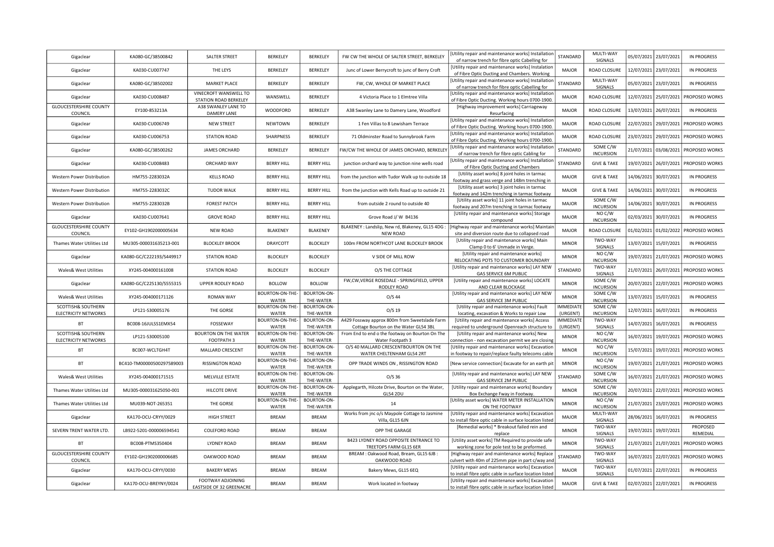| Gigaclear                                             | KA080-GC/38500842         | SALTER STREET                                 | BERKELEY                 | <b>BERKELEY</b>                 | FW CW THE WHOLE OF SALTER STREET, BERKELEY                                               | [Utility repair and maintenance works] Installation<br>of narrow trench for fibre optic Cabelling for        | STANDARD                    | MULTI-WAY<br>SIGNALS             | 05/07/2021 | 23/07/2021 | <b>IN PROGRESS</b> |
|-------------------------------------------------------|---------------------------|-----------------------------------------------|--------------------------|---------------------------------|------------------------------------------------------------------------------------------|--------------------------------------------------------------------------------------------------------------|-----------------------------|----------------------------------|------------|------------|--------------------|
| Gigaclear                                             | KA030-CU007747            | THE LEYS                                      | BERKELEY                 | BERKELEY                        | Junc of Lower Berrycroft to junc of Berry Croft                                          | [Utility repair and maintenance works] Instalation<br>of Fibre Optic Ducting and Chambers. Working           | <b>MAJOR</b>                | ROAD CLOSURE                     | 12/07/2021 | 23/07/2021 | <b>IN PROGRESS</b> |
| Gigaclear                                             | KA080-GC/38502002         | <b>MARKET PLACE</b>                           | BERKELEY                 | BERKELEY                        | FW, CW, WHOLE OF MARKET PLACE                                                            | [Utility repair and maintenance works] Installation                                                          | STANDARD                    | MULTI-WAY                        | 05/07/2021 | 23/07/2021 | <b>IN PROGRESS</b> |
| Gigaclear                                             | KA030-CU008487            | VINECROFT WANSWELL TO                         | WANSWELL                 | <b>BERKELEY</b>                 | 4 Victoria Place to 1 Elmtree Villa                                                      | of narrow trench for fibre optic Cabelling for<br>Utility repair and maintenance works] Installation         | <b>MAJOR</b>                | SIGNALS<br>ROAD CLOSURE          | 12/07/2021 | 25/07/2021 | PROPOSED WORKS     |
| <b>GLOUCESTERSHIRE COUNTY</b>                         | EY100-853213A             | STATION ROAD BERKELEY<br>A38 SWANLEY LANE TO  | WOODFORD                 | BERKELEY                        | A38 Swanley Lane to Damery Lane, Woodford                                                | of Fibre Optic Ducting. Working hours 0700-1900.<br>[Highway improvement works] Carriageway                  | <b>MAJOR</b>                | ROAD CLOSURE                     | 13/07/2021 | 26/07/2021 | IN PROGRESS        |
| COUNCIL                                               |                           | DAMERY LANE                                   |                          |                                 |                                                                                          | Resurfacing<br>[Utility repair and maintenance works] Installation                                           |                             |                                  |            |            |                    |
| Gigaclear                                             | KA030-CU006749            | <b>NEW STREET</b>                             | <b>NEWTOWN</b>           | <b>BERKELEY</b>                 | 1 Fen Villas to 8 Lewisham Terrace                                                       | of Fibre Optic Ducting. Working hours 0700-1900.<br>[Utility repair and maintenance works] Installation      | <b>MAJOR</b>                | ROAD CLOSURE                     | 22/07/2021 | 29/07/2021 | PROPOSED WORKS     |
| Gigaclear                                             | KA030-CU006753            | <b>STATION ROAD</b>                           | SHARPNESS                | <b>BERKELEY</b>                 | 71 Oldminster Road to Sunnybrook Farm                                                    | of Fibre Optic Ducting. Working hours 0700-1900.                                                             | <b>MAJOR</b>                | ROAD CLOSURE                     | 23/07/2021 | 29/07/2021 | PROPOSED WORKS     |
| Gigaclear                                             | KA080-GC/38500262         | <b>JAMES ORCHARD</b>                          | BERKELEY                 | <b>BERKELEY</b>                 | FW/CW THE WHOLE OF JAMES ORCHARD, BERKELEY                                               | [Utility repair and maintenance works] Installation<br>of narrow trench for fibre optic Cabling for          | STANDARD                    | SOME C/W<br><b>INCURSION</b>     | 21/07/2021 | 03/08/2021 | PROPOSED WORKS     |
| Gigaclear                                             | KA030-CU008483            | ORCHARD WAY                                   | <b>BERRY HILL</b>        | <b>BERRY HILL</b>               | junction orchard way to junction nine wells road                                         | [Utility repair and maintenance works] Installation<br>of Fibre Optic Ducting and Chambers                   | STANDARD                    | <b>GIVE &amp; TAKE</b>           | 19/07/2021 | 26/07/2021 | PROPOSED WORKS     |
| Western Power Distribution                            | HM755-2283032A            | <b>KELLS ROAD</b>                             | <b>BERRY HILL</b>        | <b>BERRY HILL</b>               | from the junction with Tudor Walk up to outside 18                                       | [Utility asset works] 8 joint holes in tarmac<br>footway and grass verge and 148m trenching in               | <b>MAJOR</b>                | <b>GIVE &amp; TAKE</b>           | 14/06/2021 | 30/07/2021 | IN PROGRESS        |
| Western Power Distribution                            | HM755-2283032C            | <b>TUDOR WALK</b>                             | <b>BERRY HILL</b>        | <b>BERRY HILL</b>               | from the junction with Kells Road up to outside 21                                       | [Utility asset works] 3 joint holes in tarmac<br>footway and 142m trenching in tarmac footway                | <b>MAJOR</b>                | <b>GIVE &amp; TAKE</b>           | 14/06/2021 | 30/07/2021 | IN PROGRESS        |
| Western Power Distribution                            | HM755-2283032B            | <b>FOREST PATCH</b>                           | <b>BERRY HILL</b>        | <b>BERRY HILL</b>               | from outside 2 round to outside 40                                                       | [Utility asset works] 11 joint holes in tarmac                                                               | <b>MAJOR</b>                | SOME C/W<br><b>INCURSION</b>     | 14/06/2021 | 30/07/2021 | IN PROGRESS        |
| Gigaclear                                             | KA030-CU007641            | <b>GROVE ROAD</b>                             | <b>BERRY HILL</b>        | <b>BERRY HILL</b>               | Grove Road J/ W B4136                                                                    | footway and 207m trenching in tarmac footway<br>[Utility repair and maintenance works] Storage               | <b>MAJOR</b>                | NO C/W                           | 02/03/2021 | 30/07/2021 | IN PROGRESS        |
| <b>GLOUCESTERSHIRE COUNTY</b>                         | EY102-GH1902000005634     | <b>NEW ROAD</b>                               | BLAKENEY                 | <b>BLAKENEY</b>                 | BLAKENEY : Landslip, New rd, Blakeney, GL15 4DG :                                        | compound<br>[Highway repair and maintenance works] Maintain                                                  | MAJOR                       | <b>INCURSION</b><br>ROAD CLOSURE | 01/02/2021 | 01/02/2022 | PROPOSED WORKS     |
| COUNCIL                                               |                           |                                               |                          |                                 | <b>NEW ROAD</b>                                                                          | site and diversion route due to collapsed road<br>[Utility repair and maintenance works] Main                |                             | TWO-WAY                          |            |            |                    |
| Thames Water Utilities Ltd                            | MU305-000031635213-001    | <b>BLOCKLEY BROOK</b>                         | DRAYCOTT                 | <b>BLOCKLEY</b>                 | 100m FROM NORTHCOT LANE BLOCKLEY BROOK                                                   | Clamp 0 to 6' Unmade in Verge.<br>[Utility repair and maintenance works]                                     | <b>MINOR</b>                | SIGNALS<br>NO C/W                | 13/07/2021 | 15/07/2021 | <b>IN PROGRESS</b> |
| Gigaclear                                             | KA080-GC/C222193/S449917  | <b>STATION ROAD</b>                           | <b>BLOCKLEY</b>          | <b>BLOCKLEY</b>                 | V SIDE OF MILL ROW                                                                       | RELOCATING POTS TO CUSTOMER BOUNDARY                                                                         | <b>MINOR</b>                | <b>INCURSION</b>                 | 19/07/2021 | 21/07/2021 | PROPOSED WORKS     |
| Wales& West Utilities                                 | XY245-004000161008        | <b>STATION ROAD</b>                           | <b>BLOCKLEY</b>          | <b>BLOCKLEY</b>                 | O/S THE COTTAGE                                                                          | [Utility repair and maintenance works] LAY NEW<br><b>GAS SERVICE 6M PUBLIC</b>                               | STANDARD                    | TWO-WAY<br>SIGNALS               | 21/07/2021 | 26/07/2021 | PROPOSED WORKS     |
| Gigaclear                                             | KA080-GC/C225130/S555315  | UPPER RODLEY ROAD                             | <b>BOLLOW</b>            | <b>BOLLOW</b>                   | FW,CW,VERGE ROSEDALE - SPRINGFIELD, UPPER<br>RODLEY ROAD                                 | [Utility repair and maintenance works] LOCATE<br>AND CLEAR BLOCKAGE                                          | <b>MINOR</b>                | SOME C/W<br><b>INCURSION</b>     | 20/07/2021 | 22/07/2021 | PROPOSED WORKS     |
| Wales& West Utilities                                 | XY245-004000171126        | <b>ROMAN WAY</b>                              | BOURTON-ON-THE-<br>WATER | BOURTON-ON-<br>THE-WATER        | $O/S$ 44                                                                                 | [Utility repair and maintenance works] LAY NEW<br>GAS SERVICE 3M PUBLIC                                      | <b>MINOR</b>                | SOME C/W<br><b>INCURSION</b>     | 13/07/2021 | 15/07/2021 | IN PROGRESS        |
| <b>SCOTTISH&amp; SOUTHERN</b><br>ELECTRICITY NETWORKS | LP121-S30005176           | THE GORSE                                     | BOURTON-ON-THE-<br>WATER | BOURTON-ON-<br>THE-WATER        | $O/S$ 19                                                                                 | [Utility repair and maintenance works] Fault<br>locating, excavation & Works to repair Low                   | <b>MMEDIATE</b><br>(URGENT) | SOME C/W<br><b>INCURSION</b>     | 12/07/2021 | 16/07/2021 | <b>IN PROGRESS</b> |
| BT                                                    | BC008-16JULSS1EMX54       | FOSSEWAY                                      | BOURTON-ON-THE-          | BOURTON-ON-                     | A429 Fossway approx 800m from Sweetslade Farm                                            | [Utility repair and maintenance works] Access                                                                | <b>IMMEDIATE</b>            | TWO-WAY                          | 14/07/2021 | 16/07/2021 | IN PROGRESS        |
| SCOTTISH& SOUTHERN                                    |                           | <b>BOURTON ON THE WATER</b>                   | WATER<br>BOURTON-ON-THE- | THE-WATER<br><b>BOURTON-ON-</b> | Cottage Bourton on the Water GL54 3BL<br>From End to end o the footway on Bourton On The | required to underground Openreach structure to<br>[Utility repair and maintenance works] New                 | (URGENT)                    | SIGNALS<br>NO C/W                |            |            |                    |
| <b>ELECTRICITY NETWORKS</b>                           | LP121-S30005100           | FOOTPATH 3                                    | <b>WATER</b>             | THE-WATER                       | Water Footpath 3                                                                         | connection - non excavation permit we are closing                                                            | <b>MINOR</b>                | <b>INCURSION</b>                 | 16/07/2021 | 19/07/2021 | PROPOSED WORKS     |
| BT                                                    | BC007-WCLTGH4T            | MALLARD CRESCENT                              | BOURTON-ON-THE-<br>WATER | <b>BOURTON-ON-</b><br>THE-WATER | O/S 40 MALLARD CRESCENTBOURTON ON THE<br>WATER CHELTENHAM GL54 2RT                       | [Utility repair and maintenance works] Excavation<br>in footway to repair/replace faulty telecoms cable      | <b>MINOR</b>                | NO C/W<br><b>INCURSION</b>       | 15/07/2021 | 19/07/2021 | PROPOSED WORKS     |
| BT                                                    | BC410-TM00000500297589003 | <b>RISSINGTON ROAD</b>                        | BOURTON-ON-THE-<br>WATER | <b>BOURTON-ON-</b><br>THE-WATER | OPP TRADE WINDS ON , RISSINGTON ROAD                                                     | [New service connection] Excavate for an earth pit                                                           | <b>MINOR</b>                | NO C/W<br><b>INCURSION</b>       | 19/07/2021 | 21/07/2021 | PROPOSED WORKS     |
| Wales& West Utilities                                 | XY245-004000171515        | MELVILLE ESTATE                               | BOURTON-ON-THE-          | BOURTON-ON-                     | $O/S$ 36                                                                                 | [Utility repair and maintenance works] LAY NEW<br><b>GAS SERVICE 2M PUBLIC</b>                               | STANDARD                    | SOME C/W                         | 16/07/2021 | 21/07/2021 | PROPOSED WORKS     |
| Thames Water Utilities Ltd                            | MU305-000031625050-001    | HILCOTE DRIVE                                 | WATER<br>BOURTON-ON-THE- | THE-WATER<br>BOURTON-ON-        | Applegarth, Hilcote Drive, Bourton on the Water,                                         | [Utility repair and maintenance works] Boundary                                                              | <b>MINOR</b>                | <b>INCURSION</b><br>SOME C/W     | 20/07/2021 | 22/07/2021 | PROPOSED WORKS     |
| Thames Water Utilities Ltd                            | MU039-NOT-265351          | THE GORSE                                     | WATER<br>BOURTON-ON-THE- | THE-WATER<br>BOURTON-ON-        | <b>GL54 2DU</b><br>14                                                                    | Box Exchange Fway in Footway.<br>[Utility asset works] WATER METER INSTALLATION                              | <b>MINOR</b>                | <b>INCURSION</b><br>NO C/W       | 21/07/2021 | 23/07/2021 | PROPOSED WORKS     |
|                                                       |                           | <b>HIGH STREET</b>                            | WATER<br><b>BREAM</b>    | THE-WATER<br><b>BREAM</b>       | Works from jnc o/s Maypole Cottage to Jasmine                                            | ON THE FOOTWAY<br>[Utility repair and maintenance works] Excavation                                          | <b>MAJOR</b>                | <b>INCURSION</b><br>MULTI-WAY    |            |            | <b>IN PROGRESS</b> |
| Gigaclear                                             | KA170-OCU-CRYY/0029       |                                               |                          |                                 | Villa, GL15 6JN                                                                          | to install fibre optic cable in surface location listed<br>[Remedial works] * Breakout failed rein and       |                             | SIGNALS<br>TWO-WAY               | 28/06/2021 | 16/07/2021 | PROPOSED           |
| SEVERN TRENT WATER LTD.                               | LB922-5201-000006594541   | COLEFORD ROAD                                 | <b>BREAM</b>             | <b>BREAM</b>                    | OPP THE GARAGE<br>B423 LYDNEY ROAD OPPOSITE ENTRANCE TO                                  | replace<br>[Utility asset works] TM Required to provide safe                                                 | <b>MINOR</b>                | SIGNALS<br>TWO-WAY               | 19/07/2021 | 19/07/2021 | REMEDIAL           |
| BT                                                    | BC008-PTMS350404          | <b>LYDNEY ROAD</b>                            | <b>BREAM</b>             | <b>BREAM</b>                    | TREETOPS FARM GL15 6ER                                                                   | working zone for pole test to be preformed.                                                                  | <b>MINOR</b>                | SIGNALS                          | 21/07/2021 | 21/07/2021 | PROPOSED WORKS     |
| <b>GLOUCESTERSHIRE COUNTY</b><br>COUNCIL              | EY102-GH1902000006685     | OAKWOOD ROAD                                  | <b>BREAM</b>             | <b>BREAM</b>                    | BREAM : Oakwood Road, Bream, GL15 6JB :<br>OAKWOOD ROAD                                  | [Highway repair and maintenance works] Replace<br>culvert with 40m of 225mm pipe in part c/way and           | STANDARD                    | TWO-WAY<br>SIGNALS               | 16/07/2021 | 22/07/2021 | PROPOSED WORKS     |
| Gigaclear                                             | KA170-OCU-CRYY/0030       | <b>BAKERY MEWS</b>                            | <b>BREAM</b>             | <b>BREAM</b>                    | Bakery Mews, GL15 6EQ                                                                    | [Utility repair and maintenance works] Excavation<br>to install fibre optic cable in surface location listed | <b>MAJOR</b>                | TWO-WAY<br>SIGNALS               | 01/07/2021 | 22/07/2021 | <b>IN PROGRESS</b> |
| Gigaclear                                             | KA170-OCU-BREYNY/0024     | FOOTWAY ADJOINING<br>EASTSIDE OF 32 GREENACRE | <b>BREAM</b>             | <b>BREAM</b>                    | Work located in footway                                                                  | [Utility repair and maintenance works] Excavation<br>to install fibre optic cable in surface location listed | <b>MAJOR</b>                | <b>GIVE &amp; TAKE</b>           | 02/07/2021 | 22/07/2021 | IN PROGRESS        |
|                                                       |                           |                                               |                          |                                 |                                                                                          |                                                                                                              |                             |                                  |            |            |                    |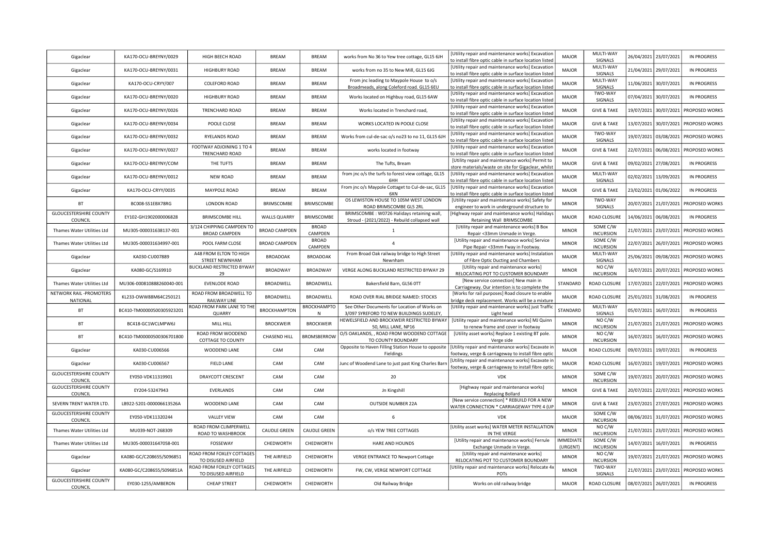| Gigaclear                                | KA170-OCU-BREYNY/0029     | HIGH BEECH ROAD                                   | <b>BREAM</b>         | <b>BREAM</b>               | works from No 36 to Yew tree cottage, GL15 6JH                                       | [Utility repair and maintenance works] Excavatior<br>to install fibre optic cable in surface location listed | <b>MAJOR</b>                 | MULTI-WAY<br><b>SIGNALS</b>       |            | 26/04/2021 23/07/2021 | <b>IN PROGRESS</b> |
|------------------------------------------|---------------------------|---------------------------------------------------|----------------------|----------------------------|--------------------------------------------------------------------------------------|--------------------------------------------------------------------------------------------------------------|------------------------------|-----------------------------------|------------|-----------------------|--------------------|
| Gigaclear                                | KA170-OCU-BREYNY/0031     | HIGHBURY ROAD                                     | <b>BREAM</b>         | <b>BREAM</b>               | works from no 35 to New Mill, GL15 6JG                                               | [Utility repair and maintenance works] Excavation<br>to install fibre optic cable in surface location listed | <b>MAJOR</b>                 | MULTI-WAY<br>SIGNALS              |            | 21/04/2021 29/07/2021 | <b>IN PROGRESS</b> |
| Gigaclear                                | KA170-OCU-CRYY/007        | COLEFORD ROAD                                     | BREAM                | <b>BREAM</b>               | From jnc leading to Maypole House to o/s                                             | [Utility repair and maintenance works] Excavation                                                            | <b>MAJOR</b>                 | MULTI-WAY                         | 11/06/2021 | 30/07/2021            | <b>IN PROGRESS</b> |
| Gigaclear                                | KA170-OCU-BREYNY/0020     | HIGHBURY ROAD                                     | <b>BREAM</b>         | <b>BREAM</b>               | Broadmeads, along Coleford road. GL15 6EU<br>Works located on Highbuy road, GL15 6AW | to install fibre optic cable in surface location listed<br>[Utility repair and maintenance works] Excavation | <b>MAJOR</b>                 | SIGNALS<br>TWO-WAY                |            | 07/04/2021 30/07/2021 | IN PROGRESS        |
| Gigaclear                                | KA170-OCU-BREYNY/0026     | TRENCHARD ROAD                                    | BREAM                | <b>BREAM</b>               | Works located in Trenchard road,                                                     | to install fibre optic cable in surface location listed<br>[Utility repair and maintenance works] Excavation | <b>MAJOR</b>                 | SIGNALS<br><b>GIVE &amp; TAKE</b> |            | 19/07/2021 30/07/2021 | PROPOSED WORKS     |
|                                          |                           |                                                   |                      |                            |                                                                                      | to install fibre optic cable in surface location listed<br>[Utility repair and maintenance works] Excavation |                              |                                   |            |                       |                    |
| Gigaclear                                | KA170-OCU-BREYNY/0034     | POOLE CLOSE                                       | <b>BREAM</b>         | <b>BREAM</b>               | WORKS LOCATED IN POOLE CLOSE                                                         | to install fibre optic cable in surface location listed<br>[Utility repair and maintenance works] Excavation | <b>MAJOR</b>                 | <b>GIVE &amp; TAKE</b><br>TWO-WAY |            | 13/07/2021 30/07/2021 | PROPOSED WORKS     |
| Gigaclear                                | KA170-OCU-BREYNY/0032     | RYELANDS ROAD                                     | <b>BREAM</b>         | <b>BREAM</b>               | Works from cul-de-sac o/s no23 to no 11, GL15 6JH                                    | o install fibre optic cable in surface location listed                                                       | <b>MAJOR</b>                 | SIGNALS                           | 19/07/2021 | 03/08/2021            | PROPOSED WORKS     |
| Gigaclear                                | KA170-OCU-BREYNY/0027     | FOOTWAY ADJOINING 1 TO 4<br>TRENCHARD ROAD        | <b>BREAM</b>         | <b>BREAM</b>               | works located in footway                                                             | [Utility repair and maintenance works] Excavation<br>to install fibre optic cable in surface location listed | <b>MAJOR</b>                 | <b>GIVE &amp; TAKE</b>            |            | 22/07/2021 06/08/2021 | PROPOSED WORKS     |
| Gigaclear                                | KA170-OCU-BREYNY/COM      | THE TUFTS                                         | BREAM                | <b>BREAM</b>               | The Tufts, Bream                                                                     | [Utility repair and maintenance works] Permit to<br>store materials/waste on site for Gigaclear, whilst      | <b>MAJOR</b>                 | <b>GIVE &amp; TAKE</b>            |            | 09/02/2021 27/08/2021 | <b>IN PROGRESS</b> |
| Gigaclear                                | KA170-OCU-BREYNY/0012     | <b>NEW ROAD</b>                                   | <b>BREAM</b>         | <b>BREAM</b>               | from jnc o/s the turfs to forest view cottage, GL15<br>6H <sub>F</sub>               | [Utility repair and maintenance works] Excavation<br>to install fibre optic cable in surface location listed | <b>MAJOR</b>                 | MULTI-WAY<br>SIGNALS              | 02/02/2021 | 13/09/2021            | <b>IN PROGRESS</b> |
| Gigaclear                                | KA170-OCU-CRYY/0035       | MAYPOLE ROAD                                      | BREAM                | <b>BREAM</b>               | From jnc o/s Maypole Cottaget to Cul-de-sac, GL15<br>6XN                             | [Utility repair and maintenance works] Excavation<br>o install fibre optic cable in surface location listed  | <b>MAJOR</b>                 | <b>GIVE &amp; TAKE</b>            | 23/02/2021 | 01/06/2022            | <b>IN PROGRESS</b> |
| <b>BT</b>                                | BC008-SS1EBX78RG          | <b>LONDON ROAD</b>                                | <b>BRIMSCOMBE</b>    | BRIMSCOMBE                 | OS LEWISTON HOUSE TO 105M WEST LONDON                                                | [Utility repair and maintenance works] Safety for                                                            | <b>MINOR</b>                 | TWO-WAY                           | 20/07/2021 | 21/07/2021            | PROPOSED WORKS     |
| <b>GLOUCESTERSHIRE COUNTY</b>            |                           |                                                   |                      |                            | ROAD BRIMSCOMBE GL5 2RL<br>BRIMSCOMBE: W0726 Halidays retaining wall,                | engineer to work in underground structure to<br>Highway repair and maintenance works] Haliday                |                              | SIGNALS                           |            |                       |                    |
| COUNCIL                                  | EY102-GH1902000006828     | <b>BRIMSCOMBE HILL</b>                            | <b>WALLS QUARRY</b>  | BRIMSCOMBE<br><b>BROAD</b> | Stroud - (2021/2022) - Rebuild collapsed wall                                        | Retaining Wall BRIMSCOMBE                                                                                    | <b>MAJOR</b>                 | ROAD CLOSURE                      |            | 14/06/2021 06/08/2021 | IN PROGRESS        |
| Thames Water Utilities Ltd               | MU305-000031638137-001    | 3/124 CHIPPING CAMPDEN TO<br><b>BROAD CAMPDEN</b> | <b>BROAD CAMPDEN</b> | CAMPDEN                    | $\mathbf{1}$                                                                         | [Utility repair and maintenance works] B Box<br>Repair <33mm Unmade in Verge.                                | <b>MINOR</b>                 | SOME C/W<br><b>INCURSION</b>      |            | 21/07/2021 23/07/2021 | PROPOSED WORKS     |
| Thames Water Utilities Ltd               | MU305-000031634997-001    | POOL FARM CLOSE                                   | <b>BROAD CAMPDEN</b> | <b>BROAD</b><br>CAMPDEN    | $\overline{4}$                                                                       | [Utility repair and maintenance works] Service<br>Pipe Repair <33mm Fway in Footway.                         | <b>MINOR</b>                 | SOME C/W<br><b>INCURSION</b>      | 22/07/2021 | 26/07/2021            | PROPOSED WORKS     |
| Gigaclear                                | KA030-CU007889            | A48 FROM ELTON TO HIGH<br>STREET NEWNHAM          | <b>BROADOAK</b>      | <b>BROADOAK</b>            | From Broad Oak railway bridge to High Street<br>Newnham                              | [Utility repair and maintenance works] Instalation<br>of Fibre Optic Ducting and Chambers                    | <b>MAJOR</b>                 | MULTI-WAY<br>SIGNALS              | 25/06/2021 | 09/08/2021            | PROPOSED WORKS     |
| Gigaclear                                | KA080-GC/S169910          | <b>BUCKLAND RESTRICTED BYWAY</b>                  | <b>BROADWAY</b>      | BROADWAY                   | VERGE ALONG BUCKLAND RESTRICTED BYWAY 29                                             | [Utility repair and maintenance works]                                                                       | <b>MINOR</b>                 | NOC/W                             |            | 16/07/2021 20/07/2021 | PROPOSED WORKS     |
| Thames Water Utilities Ltd               | MU306-000810888260040-001 | 29<br>EVENLODE ROAD                               | BROADWELL            | BROADWELL                  | Bakersfield Barn, GL56 0TT                                                           | RELOCATING POT TO CUSTOMER BOUNDARY<br>[New service connection] New main in                                  | STANDARD                     | <b>INCURSION</b><br>ROAD CLOSURE  |            | 17/07/2021 22/07/2021 | PROPOSED WORKS     |
| NETWORK RAIL - PROMOTERS                 | KL233-OWW88M64C250121     | ROAD FROM BROADWELL TO                            | <b>BROADWELL</b>     | <b>BROADWELL</b>           | ROAD OVER RIAL BRIDGE NAMED: STOCKS                                                  | Carriageway. Our intention is to complete the<br>[Works for rail purposes] Road closure to enable            | <b>MAJOR</b>                 | ROAD CLOSURE                      |            | 25/01/2021 31/08/2021 | <b>IN PROGRESS</b> |
| NATIONAL                                 |                           | RAILWAY LINE<br>ROAD FROM PARK LANE TO THE        |                      | <b>BROCKHAMPTO</b>         | See Other Documents for Location of Works on                                         | bridge deck replacement. Works will be a mixture<br>[Utility repair and maintenance works] just Traffic      |                              | MULTI-WAY                         |            |                       |                    |
| BT                                       | BC410-TM00000500305923201 | QUARRY                                            | <b>BROCKHAMPTON</b>  | N                          | 3/097 SYREFORD TO NEW BUILDINGS SUDELEY                                              | Light head                                                                                                   | STANDARD                     | SIGNALS                           | 05/07/2021 | 16/07/2021            | IN PROGRESS        |
| <b>BT</b>                                | BC418-GC1WCLMPW6J         | MILL HILL                                         | <b>BROCKWEIR</b>     | <b>BROCKWEIR</b>           | <b>IEWELSFIELD AND BROCKWEIR RESTRICTED BYWAY</b><br>50, MILL LANE, NP16             | [Utility repair and maintenance works] MJ Quinn<br>to renew frame and cover in footway                       | <b>MINOR</b>                 | NOC/W<br><b>INCURSION</b>         |            | 21/07/2021 21/07/2021 | PROPOSED WORKS     |
| BT                                       | BC410-TM00000500306701800 | ROAD FROM WOODEND<br>COTTAGE TO COUNTY            | <b>CHASEND HILL</b>  | <b>BROMSBERRO</b>          | O/S OAKLANDS, , ROAD FROM WOODEND COTTAGE<br>TO COUNTY BOUNDARY                      | [Utility asset works] Replace 1 existing BT pole.<br>Verge side                                              | <b>MINOR</b>                 | NO C/W<br><b>INCURSION</b>        | 16/07/2021 | 16/07/2021            | PROPOSED WORKS     |
| Gigaclear                                | KA030-CU006566            | WOODEND LANE                                      | CAM                  | CAM                        | Opposite to Haven Filling Station House to opposite<br>Fieldings                     | [Utility repair and maintenance works] Excavate in<br>footway, verge & carriageway to install fibre optic    | <b>MAJOR</b>                 | ROAD CLOSURE                      | 09/07/2021 | 19/07/2021            | <b>IN PROGRESS</b> |
| Gigaclear                                | KA030-CU006567            | <b>FIELD LANE</b>                                 | CAM                  | CAM                        | Junc of Woodend Lane to just past King Charles Barr                                  | Utility repair and maintenance works] Excavate ir                                                            | <b>MAJOR</b>                 | ROAD CLOSURE                      | 16/07/2021 | 19/07/2021            | PROPOSED WORKS     |
| <b>GLOUCESTERSHIRE COUNTY</b>            | EY050-VDK11319901         | <b>DRAYCOTT CRESCENT</b>                          | CAM                  | CAM                        | 20                                                                                   | footway, verge & carriageway to install fibre optic<br><b>VDK</b>                                            | <b>MINOR</b>                 | SOME C/W                          |            | 19/07/2021 20/07/2021 | PROPOSED WORKS     |
| COUNCIL<br><b>GLOUCESTERSHIRE COUNTY</b> |                           |                                                   |                      |                            |                                                                                      | [Highway repair and maintenance works]                                                                       |                              | <b>INCURSION</b>                  |            |                       |                    |
| COUNCIL                                  | EY204-53247943            | <b>EVERLANDS</b>                                  | CAM                  | CAM                        | Jn Kingshill                                                                         | <b>Replacing Bollard</b><br>[New service connection] * REBUILD FOR A NEW                                     | <b>MINOR</b>                 | <b>GIVE &amp; TAKE</b>            |            | 20/07/2021 22/07/2021 | PROPOSED WORKS     |
| SEVERN TRENT WATER LTD.                  | LB922-5201-000006613526A  | WOODEND LANE                                      | CAM                  | CAM                        | <b>OUTSIDE NUMBER 22A</b>                                                            | WATER CONNECTION * CARRIAGEWAY TYPE 4 (UP                                                                    | <b>MINOR</b>                 | <b>GIVE &amp; TAKE</b>            |            | 23/07/2021 27/07/2021 | PROPOSED WORKS     |
| <b>GLOUCESTERSHIRE COUNTY</b><br>COUNCIL | EY050-VDK11320244         | <b>VALLEY VIEW</b>                                | CAM                  | CAM                        | 6                                                                                    | <b>VDK</b>                                                                                                   | <b>MAJOR</b>                 | SOME C/W<br><b>INCURSION</b>      | 08/06/2021 | 31/07/2021            | PROPOSED WORKS     |
| Thames Water Utilities Ltd               | MU039-NOT-268309          | ROAD FROM CLIMPERWELL<br>ROAD TO WASHBROOK        | <b>CAUDLE GREEN</b>  | <b>CAUDLE GREEN</b>        | o/s YEW TREE COTTAGES                                                                | [Utility asset works] WATER METER INSTALLATION<br>IN THE VERGE                                               | <b>MINOR</b>                 | NO C/W<br><b>INCURSION</b>        |            | 21/07/2021 23/07/2021 | PROPOSED WORKS     |
| Thames Water Utilities Ltd               | MU305-000031647058-001    | FOSSEWAY                                          | CHEDWORTH            | CHEDWORTH                  | HARE AND HOUNDS                                                                      | [Utility repair and maintenance works] Ferrule<br>Exchange Unmade in Verge.                                  | <b>IMMEDIATE</b><br>(URGENT) | SOME C/W<br><b>INCURSION</b>      |            | 14/07/2021 16/07/2021 | IN PROGRESS        |
| Gigaclear                                | KA080-GC/C208655/S096851  | ROAD FROM FOXLEY COTTAGES                         | THE AIRFIELD         | CHEDWORTH                  | <b>VERGE ENTRANCE TO Newport Cottage</b>                                             | [Utility repair and maintenance works]                                                                       | <b>MINOR</b>                 | NO C/W                            |            | 19/07/2021 21/07/2021 | PROPOSED WORKS     |
| Gigaclear                                | KA080-GC/C208655/S096851A | TO DISUSED AIRFIELD<br>ROAD FROM FOXLEY COTTAGES  | THE AIRFIELD         | CHEDWORTH                  | FW, CW, VERGE NEWPORT COTTAGE                                                        | RELOCATING POT TO CUSTOMER BOUNDARY<br>[Utility repair and maintenance works] Relocate 4x                    | <b>MINOR</b>                 | <b>INCURSION</b><br>TWO-WAY       | 21/07/2021 | 23/07/2021            | PROPOSED WORKS     |
| <b>GLOUCESTERSHIRE COUNTY</b>            | EY030-1255/AMBERON        | TO DISUSED AIRFIELD<br>CHEAP STREET               | CHEDWORTH            | CHEDWORTH                  | Old Railway Bridge                                                                   | POTs<br>Works on old railway bridge                                                                          | <b>MAJOR</b>                 | SIGNALS<br>ROAD CLOSURE           |            | 08/07/2021 26/07/2021 | <b>IN PROGRESS</b> |
| COUNCIL                                  |                           |                                                   |                      |                            |                                                                                      |                                                                                                              |                              |                                   |            |                       |                    |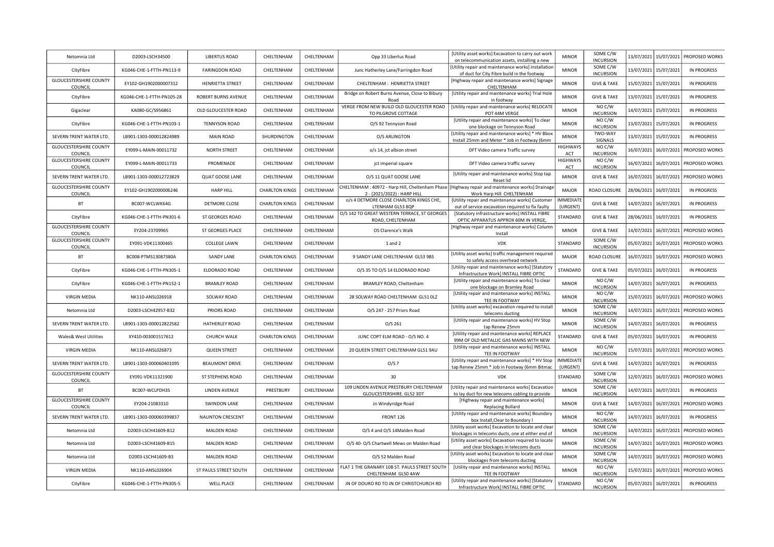| Netomnia Ltd                             | D2003-LSCH34500           | <b>LIBERTUS ROAD</b>    | CHELTENHAM            | CHELTENHAM | Opp 33 Libertus Road                                                           | [Utility asset works] Excavation to carry out work<br>on telecommunication assets, installing a new       | <b>MINOR</b>                 | SOME C/W<br><b>INCURSION</b> | 13/07/2021 | 15/07/2021            | PROPOSED WORKS        |
|------------------------------------------|---------------------------|-------------------------|-----------------------|------------|--------------------------------------------------------------------------------|-----------------------------------------------------------------------------------------------------------|------------------------------|------------------------------|------------|-----------------------|-----------------------|
| CityFibre                                | KG046-CHE-1-FTTH-PN113-9  | <b>FARINGDON ROAD</b>   | CHELTENHAM            | CHELTENHAM | Junc Hatherley Lane/Farringdon Road                                            | [Utility repair and maintenance works] installation<br>of duct for City Fibre build in the footway        | <b>MINOR</b>                 | SOME C/W<br><b>INCURSION</b> | 13/07/2021 | 15/07/2021            | <b>IN PROGRESS</b>    |
| <b>GLOUCESTERSHIRE COUNTY</b><br>COUNCIL | EY102-GH1902000007312     | <b>HENRIETTA STREET</b> | CHELTENHAM            | CHELTENHAM | CHELTENHAM: HENRIETTA STREET                                                   | [Highway repair and maintenance works] Signage<br>CHELTENHAM                                              | <b>MINOR</b>                 | <b>GIVE &amp; TAKE</b>       | 15/07/2021 | 15/07/2021            | <b>IN PROGRESS</b>    |
| CityFibre                                | KG046-CHE-1-FTTH-PN105-28 | ROBERT BURNS AVENUE     | CHELTENHAM            | CHELTENHAM | Bridge on Robert Burns Avenue, Close to Bibury<br>Road                         | [Utility repair and maintenance works] Trial Hole<br>in footway                                           | <b>MINOR</b>                 | <b>GIVE &amp; TAKE</b>       | 13/07/2021 | 15/07/2021            | <b>IN PROGRESS</b>    |
| Gigaclear                                | KA080-GC/S956861          | OLD GLOUCESTER ROAD     | CHELTENHAM            | CHELTENHAM | VERGE FROM NEW BUILD OLD GLOUCESTER ROAD<br>TO PILGROVE COTTAGE                | [Utility repair and maintenance works] RELOCATE<br>POT 44M VERGE                                          | <b>MINOR</b>                 | NO C/W<br><b>INCURSION</b>   | 14/07/2021 | 15/07/2021            | <b>IN PROGRESS</b>    |
| CityFibre                                | KG046-CHE-1-FTTH-PN103-1  | <b>TENNYSON ROAD</b>    | CHELTENHAM            | CHELTENHAM | O/S 92 Tennyson Road                                                           | [Utility repair and maintenance works] To clear<br>one blockage on Tennyson Road                          | <b>MINOR</b>                 | NO C/W<br><b>INCURSION</b>   |            | 13/07/2021 15/07/2021 | <b>IN PROGRESS</b>    |
| SEVERN TRENT WATER LTD.                  | LB901-1303-000012824989   | MAIN ROAD               | SHURDINGTON           | CHELTENHAM | O/S ARLINGTON                                                                  | [Utility repair and maintenance works] * HV Bbox<br>Install 25mm and Meter * Job in Footway (6mm          | <b>MINOR</b>                 | TWO-WAY<br>SIGNALS           | 13/07/2021 | 15/07/2021            | <b>IN PROGRESS</b>    |
| <b>GLOUCESTERSHIRE COUNTY</b><br>COUNCIL | EY099-L-MAIN-00011732     | <b>NORTH STREET</b>     | CHELTENHAM            | CHELTENHAM | o/s 14, jct albion street                                                      | DFT Video camera Traffic survey                                                                           | HIGHWAYS<br>ACT              | NO C/W<br><b>INCURSION</b>   | 16/07/2021 | 16/07/2021            | PROPOSED WORKS        |
| <b>GLOUCESTERSHIRE COUNTY</b><br>COUNCIL | EY099-L-MAIN-00011733     | PROMENADE               | CHELTENHAM            | CHELTENHAM | jct imperial square                                                            | DFT Video camera traffic survey                                                                           | HIGHWAYS<br>ACT              | NO C/W<br><b>INCURSION</b>   | 16/07/2021 | 16/07/2021            | PROPOSED WORKS        |
| SEVERN TRENT WATER LTD.                  | LB901-1303-000012723829   | <b>QUAT GOOSE LANE</b>  | CHELTENHAM            | CHELTENHAM | O/S 11 QUAT GOOSE LANE                                                         | [Utility repair and maintenance works] Stop tap<br>Reset lid                                              | <b>MINOR</b>                 | <b>GIVE &amp; TAKE</b>       |            | 16/07/2021 16/07/2021 | <b>PROPOSED WORKS</b> |
| <b>GLOUCESTERSHIRE COUNTY</b><br>COUNCIL | EY102-GH1902000006246     | <b>HARP HILL</b>        | <b>CHARLTON KINGS</b> | CHELTENHAM | CHELTENHAM: 40972 - Harp Hill, Cheltenham Phase<br>2 - (2021/2022) : HARP HILI | [Highway repair and maintenance works] Drainage<br>Work Harp Hill CHELTENHAM                              | <b>MAJOR</b>                 | ROAD CLOSURE                 | 28/06/2021 | 16/07/2021            | <b>IN PROGRESS</b>    |
| BT                                       | BC007-WCLWK64G            | DETMORE CLOSE           | <b>CHARLTON KINGS</b> | CHELTENHAM | o/s 4 DETMORE CLOSE CHARLTON KINGS CHE,<br>LTENHAM GL53 8QP                    | [Utility repair and maintenance works] Customer<br>out of service excavation required to fix faulty       | <b>IMMEDIATE</b><br>(URGENT) | <b>GIVE &amp; TAKE</b>       | 14/07/2021 | 16/07/2021            | IN PROGRESS           |
| CityFibre                                | KG046-CHE-1-FTTH-PN301-6  | ST GEORGES ROAD         | CHELTENHAM            | CHELTENHAM | O/S 142 TO GREAT WESTERN TERRACE, ST GEORGES<br>ROAD, CHELTENHAM               | [Statutory infrastructure works] INSTALL FIBRE<br>OPTIC APPARATUS APPROX 60M IN VERGE                     | STANDARD                     | <b>GIVE &amp; TAKE</b>       |            | 28/06/2021 16/07/2021 | IN PROGRESS           |
| <b>GLOUCESTERSHIRE COUNTY</b><br>COUNCIL | EY204-23709965            | <b>ST GEORGES PLACE</b> | CHELTENHAM            | CHELTENHAM | OS Clarence's Walk                                                             | Highway repair and maintenance works] Column<br>Install                                                   | <b>MINOR</b>                 | <b>GIVE &amp; TAKE</b>       |            | 14/07/2021 16/07/2021 | <b>PROPOSED WORKS</b> |
| <b>GLOUCESTERSHIRE COUNTY</b><br>COUNCIL | EY091-VDK11300465         | <b>COLLEGE LAWN</b>     | CHELTENHAM            | CHELTENHAM | 1 and 2                                                                        | <b>VDK</b>                                                                                                | STANDARD                     | SOME C/W<br><b>INCURSION</b> | 05/07/2021 | 16/07/2021            | PROPOSED WORKS        |
| BT                                       | BC008-PTMS13087380A       | SANDY LANE              | <b>CHARLTON KINGS</b> | CHELTENHAM | 9 SANDY LANE CHELTENHAM GL53 9BS                                               | [Utility asset works] traffic management required<br>to safely access overhead network                    | MAJOR                        | ROAD CLOSURE                 |            | 16/07/2021 16/07/2021 | PROPOSED WORKS        |
| CityFibre                                | KG046-CHE-1-FTTH-PN305-1  | ELDORADO ROAD           | CHELTENHAM            | CHELTENHAM | O/S 35 TO O/S 14 ELDORADO ROAD                                                 | [Utility repair and maintenance works] [Statutory<br>Infrastructure Work] INSTALL FIBRE OPTIC             | STANDARD                     | <b>GIVE &amp; TAKE</b>       |            | 05/07/2021 16/07/2021 | <b>IN PROGRESS</b>    |
| CityFibre                                | KG046-CHE-1-FTTH-PN152-1  | <b>BRAMLEY ROAD</b>     | CHELTENHAM            | CHELTENHAM | BRAMLEY ROAD, Cheltenham                                                       | [Utility repair and maintenance works] To clear<br>one blockage on Bramley Road                           | <b>MINOR</b>                 | NO C/W<br><b>INCURSION</b>   |            | 14/07/2021 16/07/2021 | <b>IN PROGRESS</b>    |
| VIRGIN MEDIA                             | NK110-ANSL026918          | SOLWAY ROAD             | CHELTENHAM            | CHELTENHAM | 28 SOLWAY ROAD CHELTENHAM GL51 OLZ                                             | [Utility repair and maintenance works] INSTALL<br>TEE IN FOOTWAY                                          | <b>MINOR</b>                 | NO C/W<br><b>INCURSION</b>   | 15/07/2021 | 16/07/2021            | PROPOSED WORKS        |
| Netomnia Ltd                             | D2003-LSCH42957-B32       | PRIORS ROAD             | CHELTENHAM            | CHELTENHAM | O/S 247 - 257 Priors Road                                                      | [Utility asset works] excavation required to install<br>telecoms ducting                                  | <b>MINOR</b>                 | SOME C/W<br><b>INCURSION</b> | 14/07/2021 | 16/07/2021            | PROPOSED WORKS        |
| SEVERN TRENT WATER LTD.                  | LB901-1303-000012822582   | HATHERLEY ROAD          | CHELTENHAM            | CHELTENHAM | O/S 261                                                                        | [Utility repair and maintenance works] HV Stop<br>tap Renew 25mm                                          | <b>MINOR</b>                 | SOME C/W<br><b>INCURSION</b> |            | 14/07/2021 16/07/2021 | <b>IN PROGRESS</b>    |
| Wales& West Utilities                    | XY410-003001517612        | <b>CHURCH WALK</b>      | <b>CHARLTON KINGS</b> | CHELTENHAM | JUNC COPT ELM ROAD - O/S NO. 4                                                 | [Utility repair and maintenance works] REPLACE<br>99M OF OLD METALLIC GAS MAINS WITH NEW                  | STANDARD                     | <b>GIVE &amp; TAKE</b>       |            | 05/07/2021 16/07/2021 | <b>IN PROGRESS</b>    |
| <b>VIRGIN MEDIA</b>                      | NK110-ANSL026873          | <b>QUEEN STREET</b>     | CHELTENHAM            | CHELTENHAM | 20 QUEEN STREET CHELTENHAM GL51 9AU                                            | [Utility repair and maintenance works] INSTALL<br>TEE IN FOOTWAY                                          | <b>MINOR</b>                 | NO C/W<br><b>INCURSION</b>   | 15/07/2021 | 16/07/2021            | PROPOSED WORKS        |
| SEVERN TRENT WATER LTD.                  | LB901-1303-000060401095   | <b>BEAUMONT DRIVE</b>   | CHELTENHAM            | CHELTENHAM | O/S 7                                                                          | [Utility repair and maintenance works] * HV Stop<br>tap Renew 25mm * Job in Footway (6mm Bitmac           | <b>IMMEDIATE</b><br>(URGENT) | <b>GIVE &amp; TAKE</b>       |            | 14/07/2021 16/07/2021 | <b>IN PROGRESS</b>    |
| <b>GLOUCESTERSHIRE COUNTY</b><br>COUNCIL | EY091-VDK11321900         | ST STEPHENS ROAD        | CHELTENHAM            | CHELTENHAM | 30                                                                             | VDK                                                                                                       | STANDARD                     | SOME C/W<br><b>INCURSION</b> |            | 12/07/2021 16/07/2021 | <b>PROPOSED WORKS</b> |
| <b>BT</b>                                | BC007-WCLPDH3S            | LINDEN AVENUE           | PRESTBURY             | CHELTENHAM | 109 LINDEN AVENUE PRESTBURY CHELTENHAM<br>GLOUCESTERSHIRE. GL52 3DT            | [Utility repair and maintenance works] Excavation<br>to lay duct for new telecoms cabling to provide      | <b>MINOR</b>                 | SOME C/W<br><b>INCURSION</b> |            | 14/07/2021 16/07/2021 | <b>IN PROGRESS</b>    |
| <b>GLOUCESTERSHIRE COUNTY</b><br>COUNCIL | EY204-21083310            | SWINDON LANE            | CHELTENHAM            | CHELTENHAM | Jn Windyridge Road                                                             | [Highway repair and maintenance works]<br><b>Replacing Bollard</b>                                        | <b>MINOR</b>                 | <b>GIVE &amp; TAKE</b>       | 14/07/2021 | 16/07/2021            | <b>PROPOSED WORKS</b> |
| SEVERN TRENT WATER LTD.                  | LB901-1303-000060399837   | <b>NAUNTON CRESCENT</b> | CHELTENHAM            | CHELTENHAM | FRONT <sub>126</sub>                                                           | [Utility repair and maintenance works] Boundary<br>box Install, Clear to Boundary I                       | <b>MINOR</b>                 | NO C/W<br><b>INCURSION</b>   | 14/07/2021 | 16/07/2021            | <b>IN PROGRESS</b>    |
| Netomnia Ltd                             | D2003-LSCH41609-B12       | <b>MALDEN ROAD</b>      | CHELTENHAM            | CHELTENHAM | O/S 4 and O/S 14Malden Road                                                    | [Utility asset works] Excavation to locate and clear<br>blockages in telecoms ducts, one at either end of | <b>MINOR</b>                 | SOME C/W<br><b>INCURSION</b> |            | 14/07/2021 16/07/2021 | PROPOSED WORKS        |
| Netomnia Ltd                             | D2003-LSCH41609-B15       | <b>MALDEN ROAD</b>      | CHELTENHAM            | CHELTENHAM | O/S 40- O/S Chartwell Mews on Malden Road                                      | [Utility asset works] Excavation required to locate<br>and clear blockages in telecoms ducts              | <b>MINOR</b>                 | SOME C/W<br><b>INCURSION</b> |            | 14/07/2021 16/07/2021 | PROPOSED WORKS        |
| Netomnia Ltd                             | D2003-LSCH41609-B3        | MALDEN ROAD             | CHELTENHAM            | CHELTENHAM | O/S 52 Malden Road                                                             | [Utility asset works] Excavation to locate and clear<br>blockages from telecoms ducting                   | <b>MINOR</b>                 | SOME C/W<br><b>INCURSION</b> | 14/07/2021 | 16/07/2021            | <b>PROPOSED WORKS</b> |
| <b>VIRGIN MEDIA</b>                      | NK110-ANSL026904          | ST PAULS STREET SOUTH   | CHELTENHAM            | CHELTENHAM | FLAT 1 THE GRANARY 10B ST. PAULS STREET SOUTH<br>CHELTENHAM GL50 4AW           | [Utility repair and maintenance works] INSTALL<br>TEE IN FOOTWAY                                          | <b>MINOR</b>                 | NO C/W<br><b>INCURSION</b>   | 15/07/2021 | 16/07/2021            | PROPOSED WORKS        |
| CityFibre                                | KG046-CHE-1-FTTH-PN305-5  | <b>WELL PLACE</b>       | CHELTENHAM            | CHELTENHAM | JN OF DOURO RD TO JN OF CHRISTCHURCH RD                                        | [Utility repair and maintenance works] [Statutory<br>Infrastructure Work] INSTALL FIBRE OPTIC             | STANDARD                     | NO C/W<br><b>INCURSION</b>   |            | 05/07/2021 16/07/2021 | <b>IN PROGRESS</b>    |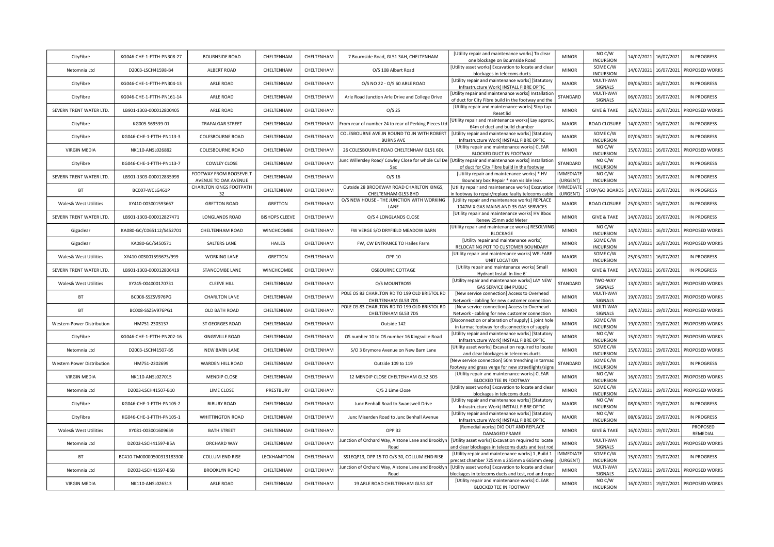| CityFibre                         | KG046-CHE-1-FTTH-PN308-27 | <b>BOURNSIDE ROAD</b>                          | CHELTENHAM            | CHELTENHAM | 7 Bournside Road, GL51 3AH, CHELTENHAM                              | [Utility repair and maintenance works] To clear<br>one blockage on Bournside Road                          | <b>MINOR</b>                 | NO C/W<br><b>INCURSION</b>                       | 14/07/2021 | 16/07/2021 | <b>IN PROGRESS</b>         |
|-----------------------------------|---------------------------|------------------------------------------------|-----------------------|------------|---------------------------------------------------------------------|------------------------------------------------------------------------------------------------------------|------------------------------|--------------------------------------------------|------------|------------|----------------------------|
| Netomnia Ltd                      | D2003-LSCH41598-B4        | ALBERT ROAD                                    | CHELTENHAM            | CHELTENHAM | O/S 108 Albert Road                                                 | [Utility asset works] Excavation to locate and clear<br>blockages in telecoms ducts                        | <b>MINOR</b>                 | SOME C/W<br><b>INCURSION</b>                     | 14/07/2021 | 16/07/2021 | PROPOSED WORKS             |
| CityFibre                         | KG046-CHE-1-FTTH-PN304-13 | ARLE ROAD                                      | CHELTENHAM            | CHELTENHAM | O/S NO 22 - O/S 60 ARLE ROAD                                        | [Utility repair and maintenance works] [Statutory<br>Infrastructure Work] INSTALL FIBRE OPTIC              | <b>MAJOR</b>                 | MULTI-WAY<br>SIGNALS                             | 09/06/2021 | 16/07/2021 | <b>IN PROGRESS</b>         |
| CityFibre                         | KG046-CHE-1-FTTH-PN161-14 | ARLE ROAD                                      | CHELTENHAM            | CHELTENHAM | Arle Road Junction Arle Drive and College Drive                     | [Utility repair and maintenance works] Installatior<br>of duct for City Fibre build in the footway and the | STANDARD                     | MULTI-WAY<br>SIGNALS                             | 06/07/2021 | 16/07/2021 | <b>IN PROGRESS</b>         |
| SEVERN TRENT WATER LTD.           | LB901-1303-000012800405   | ARLE ROAD                                      | CHELTENHAM            | CHELTENHAM | $O/S$ 25                                                            | [Utility repair and maintenance works] Stop tap<br>Reset lid                                               | <b>MINOR</b>                 | <b>GIVE &amp; TAKE</b>                           | 16/07/2021 | 16/07/2021 | PROPOSED WORKS             |
| CityFibre                         | KG005-S69539-01           | <b>TRAFALGAR STREET</b>                        | CHELTENHAM            | CHELTENHAM | From rear of number 24 to rear of Perking Pieces Ltd                | [Utility repair and maintenance works] Lay approx<br>64m of duct and build chamber                         | <b>MAJOR</b>                 | ROAD CLOSURE                                     | 14/07/2021 | 16/07/2021 | <b>IN PROGRESS</b>         |
| CityFibre                         | KG046-CHE-1-FTTH-PN113-3  | <b>COLESBOURNE ROAD</b>                        | CHELTENHAM            | CHELTENHAM | COLESBOURNE AVE JN ROUND TO JN WITH ROBERT<br><b>BURNS AVE</b>      | [Utility repair and maintenance works] [Statutory<br>Infrastructure Work] INSTALL FIBRE OPTIC              | <b>MAJOR</b>                 | SOME C/W<br><b>INCURSION</b>                     | 07/06/2021 | 16/07/2021 | <b>IN PROGRESS</b>         |
| <b>VIRGIN MEDIA</b>               | NK110-ANSL026882          | COLESBOURNE ROAD                               | CHELTENHAM            | CHELTENHAM | 26 COLESBOURNE ROAD CHELTENHAM GL51 6DL                             | [Utility repair and maintenance works] CLEAR<br>BLOCKED DUCT IN FOOTWAY                                    | <b>MINOR</b>                 | NO C/W<br><b>INCURSION</b>                       | 15/07/2021 | 16/07/2021 | PROPOSED WORKS             |
| CityFibre                         | KG046-CHE-1-FTTH-PN113-7  | <b>COWLEY CLOSE</b>                            | CHELTENHAM            | CHELTENHAM | lunc Willersley Road/ Cowley Close for whole Cul De<br>Sac          | [Utility repair and maintenance works] installation<br>of duct for City Fibre build in the footway         | STANDARD                     | NO C/W<br><b>INCURSION</b>                       | 30/06/2021 | 16/07/2021 | <b>IN PROGRESS</b>         |
| SEVERN TRENT WATER LTD.           | LB901-1303-000012835999   | FOOTWAY FROM ROOSEVELT<br>AVENUE TO OAK AVENUE | CHELTENHAM            | CHELTENHAM | $O/S$ 16                                                            | [Utility repair and maintenance works] * HV<br>Boundary box Repair * non visible leak                      | <b>IMMEDIATE</b><br>(URGENT) | NO C/W<br><b>INCURSION</b>                       | 14/07/2021 | 16/07/2021 | <b>IN PROGRESS</b>         |
| BT                                | BC007-WCLG461P            | <b>CHARLTON KINGS FOOTPATH</b><br>32           | CHELTENHAM            | CHELTENHAM | Outside 28 BROOKWAY ROAD CHARLTON KINGS,<br>CHELTENHAM GL53 8HD     | [Utility repair and maintenance works] Excavation<br>in footway to repair/replace faulty telecoms cable    | <b>IMMEDIATE</b><br>(URGENT) | STOP/GO BOARDS                                   | 14/07/2021 | 16/07/2021 | <b>IN PROGRESS</b>         |
| <b>Wales&amp; West Utilities</b>  | XY410-003001593667        | <b>GRETTON ROAD</b>                            | <b>GRETTON</b>        | CHELTENHAM | O/S NEW HOUSE - THE JUNCTION WITH WORKING<br>LANE                   | [Utility repair and maintenance works] REPLACE<br>1047M X GAS MAINS AND 35 GAS SERVICES                    | <b>MAJOR</b>                 | ROAD CLOSURE                                     | 25/03/2021 | 16/07/2021 | <b>IN PROGRESS</b>         |
| SEVERN TRENT WATER LTD.           | LB901-1303-000012827471   | LONGLANDS ROAD                                 | <b>BISHOPS CLEEVE</b> | CHELTENHAM | O/S 4 LONGLANDS CLOSE                                               | [Utility repair and maintenance works] HV Bbox<br>Renew 25mm add Meter                                     | <b>MINOR</b>                 | <b>GIVE &amp; TAKE</b>                           | 14/07/2021 | 16/07/2021 | <b>IN PROGRESS</b>         |
| Gigaclear                         | KA080-GC/C065112/S452701  | CHELTENHAM ROAD                                | WINCHCOMBE            | CHELTENHAM | FW VERGE S/O DRYFIELD MEADOW BARN                                   | [Utility repair and maintenance works] RESOLVING<br><b>BLOCKAGE</b>                                        | <b>MINOR</b>                 | NO C/W<br><b>INCURSION</b>                       | 14/07/2021 | 16/07/2021 | PROPOSED WORKS             |
| Gigaclear                         | KA080-GC/S450571          | SALTERS LANE                                   | <b>HAILES</b>         | CHELTENHAM | FW, CW ENTRANCE TO Hailes Farm                                      | [Utility repair and maintenance works]<br>RELOCATING POT TO CUSTOMER BOUNDARY                              | <b>MINOR</b>                 | SOME C/W<br><b>INCURSION</b>                     | 14/07/2021 | 16/07/2021 | PROPOSED WORKS             |
| <b>Wales&amp; West Utilities</b>  | XY410-003001593673/999    | <b>WORKING LANE</b>                            | GRETTON               | CHELTENHAM | OPP 10                                                              | [Utility repair and maintenance works] WELFARE<br>UNIT LOCATION                                            | <b>MAJOR</b>                 | SOME C/W<br><b>INCURSION</b>                     | 25/03/2021 | 16/07/2021 | <b>IN PROGRESS</b>         |
| SEVERN TRENT WATER LTD.           | LB901-1303-000012806419   | STANCOMBE LANE                                 | WINCHCOMBE            | CHELTENHAM | OSBOURNE COTTAGE                                                    | [Utility repair and maintenance works] Small<br>Hydrant Install In-line 6'                                 | <b>MINOR</b>                 | <b>GIVE &amp; TAKE</b>                           | 14/07/2021 | 16/07/2021 | <b>IN PROGRESS</b>         |
| <b>Wales&amp; West Utilities</b>  | XY245-004000170731        | <b>CLEEVE HILL</b>                             | CHELTENHAM            | CHELTENHAM | O/S MOUNTROSS                                                       | [Utility repair and maintenance works] LAY NEW<br><b>GAS SERVICE 8M PUBLIC</b>                             | STANDARD                     | TWO-WAY<br>SIGNALS                               | 13/07/2021 | 16/07/2021 | PROPOSED WORKS             |
| BT                                | BC008-SSZSV976PG          | <b>CHARLTON LANE</b>                           | CHELTENHAM            | CHELTENHAM | POLE OS 83 CHARLTON RD TO 199 OLD BRISTOL RD<br>CHELTENHAM GL53 7DS | [New service connection] Access to Overhead<br>Network - cabling for new customer connection               | <b>MINOR</b>                 | MULTI-WAY<br>SIGNALS                             | 19/07/2021 | 19/07/2021 | PROPOSED WORKS             |
| <b>BT</b>                         | BC008-SSZSV976PG1         | OLD BATH ROAD                                  | CHELTENHAM            | CHELTENHAM | POLE OS 83 CHARLTON RD TO 199 OLD BRISTOL RD<br>CHELTENHAM GL53 7DS | [New service connection] Access to Overhead                                                                | <b>MINOR</b>                 | MULTI-WAY<br>SIGNALS                             | 19/07/2021 | 19/07/2021 | <b>PROPOSED WORKS</b>      |
| Western Power Distribution        | HM751-2303137             | ST GEORGES ROAD                                | CHELTENHAM            | CHELTENHAM | Outside 142                                                         | Network - cabling for new customer connection<br>[Disconnection or alteration of supply] 1 joint hole      | <b>MINOR</b>                 | SOME C/W<br><b>INCURSION</b>                     | 19/07/2021 | 19/07/2021 | PROPOSED WORKS             |
| CityFibre                         | KG046-CHE-1-FTTH-PN202-16 | KINGSVILLE ROAD                                | CHELTENHAM            | CHELTENHAM | OS number 10 to OS number 16 Kingsville Road                        | in tarmac footway for disconnection of supply<br>[Utility repair and maintenance works] [Statutory         | <b>MINOR</b>                 | NOC/W                                            | 15/07/2021 | 19/07/2021 | PROPOSED WORKS             |
| Netomnia Ltd                      | D2003-LSCH41507-B5        | NEW BARN LANE                                  | CHELTENHAM            | CHELTENHAM | S/O 3 Brymore Avenue on New Barn Lane                               | Infrastructure Work] INSTALL FIBRE OPTIC<br>[Utility asset works] Excavation required to locate            | <b>MINOR</b>                 | <b>INCURSION</b><br>SOME C/W<br><b>INCURSION</b> | 15/07/2021 | 19/07/2021 | PROPOSED WORKS             |
| <b>Western Power Distribution</b> | HM751-2302699             | WARDEN HILL ROAD                               | CHELTENHAM            | CHELTENHAM | Outside 109 to 119                                                  | and clear blockages in telecoms ducts<br>[New service connection] 50m trenching in tarmac                  | STANDARD                     | SOME C/W                                         | 12/07/2021 | 19/07/2021 | IN PROGRESS                |
| <b>VIRGIN MEDIA</b>               | NK110-ANSL027015          | <b>MENDIP CLOSE</b>                            | CHELTENHAM            | CHELTENHAM | 12 MENDIP CLOSE CHELTENHAM GL52 5DS                                 | footway and grass verge for new streetlights/signs<br>[Utility repair and maintenance works] CLEAR         | <b>MINOR</b>                 | <b>INCURSION</b><br>NO C/W                       | 16/07/2021 | 19/07/2021 | PROPOSED WORKS             |
| Netomnia Ltd                      | D2003-LSCH41507-B10       | LIME CLOSE                                     | PRESTBURY             | CHELTENHAM | O/S 2 Lime Close                                                    | BLOCKED TEE IN FOOTWAY<br>[Utility asset works] Excavation to locate and clear                             | <b>MINOR</b>                 | <b>INCURSION</b><br>SOME C/W                     | 15/07/2021 | 19/07/2021 | PROPOSED WORKS             |
| CityFibre                         | KG046-CHE-1-FTTH-PN105-2  | <b>BIBURY ROAD</b>                             | CHELTENHAM            | CHELTENHAM | Junc Benhall Road to Swanswell Drive                                | blockages in telecoms ducts<br>[Utility repair and maintenance works] [Statutory                           | <b>MAJOR</b>                 | <b>INCURSION</b><br>NO C/W                       | 08/06/2021 | 19/07/2021 | <b>IN PROGRESS</b>         |
| CityFibre                         | KG046-CHE-1-FTTH-PN105-1  | <b>WHITTINGTON ROAD</b>                        | CHELTENHAM            | CHELTENHAM | Junc Miserden Road to Junc Benhall Avenue                           | Infrastructure Work] INSTALL FIBRE OPTIC<br>[Utility repair and maintenance works] [Statutory              | <b>MAJOR</b>                 | <b>INCURSION</b><br>NO C/W                       | 08/06/2021 | 19/07/2021 | <b>IN PROGRESS</b>         |
| <b>Wales&amp; West Utilities</b>  | XY081-003001609659        | <b>BATH STREET</b>                             | CHELTENHAM            | CHELTENHAM | <b>OPP 32</b>                                                       | Infrastructure Work] INSTALL FIBRE OPTIC<br>[Remedial works] DIG OUT AND REPLACE                           | <b>MINOR</b>                 | <b>INCURSION</b><br><b>GIVE &amp; TAKE</b>       | 16/07/2021 | 19/07/2021 | PROPOSED                   |
| Netomnia Ltd                      | D2003-LSCH41597-B5A       | ORCHARD WAY                                    | CHELTENHAM            | CHELTENHAM | lunction of Orchard Way, Alstone Lane and Brooklyn                  | DAMAGED FRAME<br>[Utility asset works] Excavation required to locate                                       | <b>MINOR</b>                 | MULTI-WAY                                        | 15/07/2021 | 19/07/2021 | REMEDIAL<br>PROPOSED WORKS |
| BT                                | BC410-TM00000500313183300 | COLLUM END RISE                                | LECKHAMPTON           | CHELTENHAM | Road<br>SS1EQP13, OPP 15 TO O/S 30, COLLUM END RISE                 | and clear blockages in telecoms ducts and test rod<br>[Utility repair and maintenance works] 1, Build 1    | <b>IMMEDIATE</b>             | SIGNALS<br>SOME C/W                              | 15/07/2021 | 19/07/2021 | <b>IN PROGRESS</b>         |
| Netomnia Ltd                      | D2003-LSCH41597-B5B       | <b>BROOKLYN ROAD</b>                           | CHELTENHAM            | CHELTENHAM | Junction of Orchard Way, Alstone Lane and Brooklyn                  | precast chamber 725mm x 255mm x 665mm deep<br>[Utility asset works] Excavation to locate and clear         | (URGENT)<br><b>MINOR</b>     | <b>INCURSION</b><br>MULTI-WAY                    | 15/07/2021 | 19/07/2021 | PROPOSED WORKS             |
| <b>VIRGIN MEDIA</b>               | NK110-ANSL026313          | <b>ARLE ROAD</b>                               | CHELTENHAM            | CHELTENHAM | Road<br>19 ARLE ROAD CHELTENHAM GL51 8JT                            | blockages in telecoms ducts and test, rod and rope<br>[Utility repair and maintenance works] CLEAR         | <b>MINOR</b>                 | SIGNALS<br>NO C/W                                | 16/07/2021 |            | 19/07/2021 PROPOSED WORKS  |
|                                   |                           |                                                |                       |            |                                                                     | BLOCKED TEE IN FOOTWAY                                                                                     |                              | <b>INCURSION</b>                                 |            |            |                            |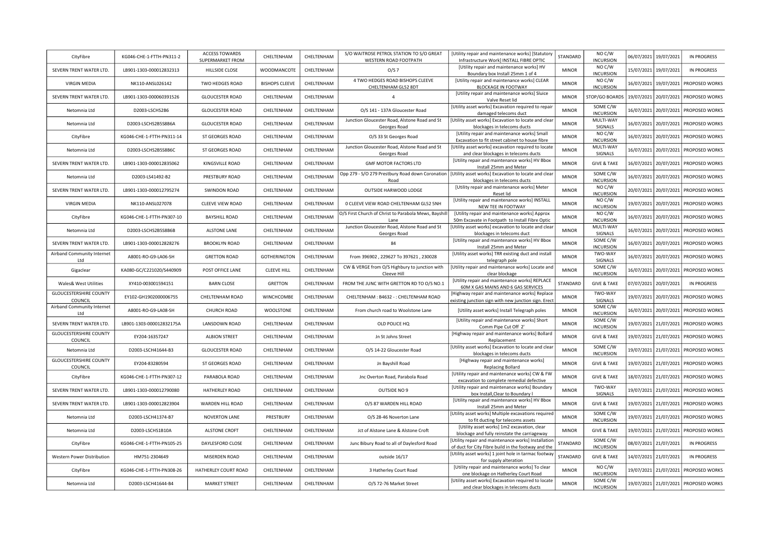| CityFibre                                | KG046-CHE-1-FTTH-PN311-2  | <b>ACCESS TOWARDS</b><br>SUPERMARKET FROM | CHELTENHAM            | CHELTENHAM | S/O WAITROSE PETROL STATION TO S/O GREAT<br>WESTERN ROAD FOOTPATH | [Utility repair and maintenance works] [Statutory<br>Infrastructure Work] INSTALL FIBRE OPTIC             | STANDARD     | NO C/W<br><b>INCURSION</b>         |            | 06/07/2021 19/07/2021 | <b>IN PROGRESS</b>                   |
|------------------------------------------|---------------------------|-------------------------------------------|-----------------------|------------|-------------------------------------------------------------------|-----------------------------------------------------------------------------------------------------------|--------------|------------------------------------|------------|-----------------------|--------------------------------------|
| SEVERN TRENT WATER LTD.                  | LB901-1303-000012832313   | HILLSIDE CLOSE                            | WOODMANCOTE           | CHELTENHAM | O/S 7                                                             | [Utility repair and maintenance works] HV                                                                 | <b>MINOR</b> | NO C/W<br><b>INCURSION</b>         |            | 15/07/2021 19/07/2021 | <b>IN PROGRESS</b>                   |
| <b>VIRGIN MEDIA</b>                      | NK110-ANSL026142          | TWO HEDGES ROAD                           | <b>BISHOPS CLEEVE</b> | CHELTENHAM | 4 TWO HEDGES ROAD BISHOPS CLEEVE                                  | Boundary box Install 25mm 1 of 4<br>[Utility repair and maintenance works] CLEAR                          | <b>MINOR</b> | NO C/W                             |            | 16/07/2021 19/07/2021 | PROPOSED WORKS                       |
| SEVERN TRENT WATER LTD.                  | LB901-1303-000060391526   | <b>GLOUCESTER ROAD</b>                    | CHELTENHAM            | CHELTENHAM | CHELTENHAM GL52 8DT<br>$\overline{a}$                             | <b>BLOCKAGE IN FOOTWAY</b><br>[Utility repair and maintenance works] Sluice                               | <b>MINOR</b> | <b>INCURSION</b><br>STOP/GO BOARDS |            | 19/07/2021 20/07/2021 | PROPOSED WORKS                       |
| Netomnia Ltd                             | D2003-LSCHS2B6            | <b>GLOUCESTER ROAD</b>                    | CHELTENHAM            | CHELTENHAM | O/S 141 - 137A Gloucester Road                                    | Valve Reset lid<br>[Utility asset works] Excavation required to repair                                    | <b>MINOR</b> | SOME C/W                           |            |                       | 16/07/2021 20/07/2021 PROPOSED WORKS |
|                                          |                           |                                           |                       |            | Junction Gloucester Road, Alstone Road and St                     | damaged telecoms duct<br>[Utility asset works] Excavation to locate and clear                             | <b>MINOR</b> | <b>INCURSION</b><br>MULTI-WAY      |            |                       |                                      |
| Netomnia Ltd                             | D2003-LSCHS2B5S8B6A       | <b>GLOUCESTER ROAD</b>                    | CHELTENHAM            | CHELTENHAM | Georges Road                                                      | blockages in telecoms ducts<br>[Utility repair and maintenance works] Small                               |              | SIGNALS<br>NO C/W                  |            |                       | 16/07/2021 20/07/2021 PROPOSED WORKS |
| CityFibre                                | KG046-CHE-1-FTTH-PN311-14 | ST GEORGES ROAD                           | CHELTENHAM            | CHELTENHAM | O/S 33 St Georges Road                                            | Excavation to fit street cabinet to house fibre                                                           | <b>MINOR</b> | <b>INCURSION</b>                   |            |                       | 16/07/2021 20/07/2021 PROPOSED WORKS |
| Netomnia Ltd                             | D2003-LSCHS2B5S8B6C       | ST GEORGES ROAD                           | CHELTENHAM            | CHELTENHAM | Junction Gloucester Road, Alstone Road and St<br>Georges Road     | [Utility asset works] excavation required to locate<br>and clear blockages in telecoms ducts              | <b>MINOR</b> | MULTI-WAY<br>SIGNALS               | 16/07/2021 | 20/07/2021            | PROPOSED WORKS                       |
| SEVERN TRENT WATER LTD.                  | LB901-1303-000012835062   | KINGSVILLE ROAD                           | CHELTENHAM            | CHELTENHAM | <b>GMF MOTOR FACTORS LTD</b>                                      | [Utility repair and maintenance works] HV Bbox<br>Install 25mm and Meter                                  | <b>MINOR</b> | <b>GIVE &amp; TAKE</b>             |            |                       | 16/07/2021 20/07/2021 PROPOSED WORKS |
| Netomnia Ltd                             | D2003-LS41492-B2          | PRESTBURY ROAD                            | CHELTENHAM            | CHELTENHAM | Opp 279 - S/O 279 Prestbury Road down Coronation<br>Road          | [Utility asset works] Excavation to locate and clear<br>blockages in telecoms ducts                       | <b>MINOR</b> | SOME C/W<br><b>INCURSION</b>       |            | 16/07/2021 20/07/2021 | PROPOSED WORKS                       |
| SEVERN TRENT WATER LTD.                  | LB901-1303-000012795274   | SWINDON ROAD                              | CHELTENHAM            | CHELTENHAM | OUTSIDE HARWOOD LODGE                                             | [Utility repair and maintenance works] Meter<br>Reset lid                                                 | <b>MINOR</b> | NO C/W<br><b>INCURSION</b>         |            | 20/07/2021 20/07/2021 | PROPOSED WORKS                       |
| <b>VIRGIN MEDIA</b>                      | NK110-ANSL027078          | <b>CLEEVE VIEW ROAD</b>                   | CHELTENHAM            | CHELTENHAM | O CLEEVE VIEW ROAD CHELTENHAM GL52 5NH                            | [Utility repair and maintenance works] INSTALL                                                            | <b>MINOR</b> | NO C/W                             | 19/07/2021 | 20/07/2021            | PROPOSED WORKS                       |
| CityFibre                                | KG046-CHE-1-FTTH-PN307-10 | <b>BAYSHILL ROAD</b>                      | CHELTENHAM            | CHELTENHAM | O/S First Church of Christ to Parabola Mews, Bayshill             | NEW TEE IN FOOTWAY<br>[Utility repair and maintenance works] Approx                                       | <b>MINOR</b> | <b>INCURSION</b><br>NO C/W         |            |                       | 16/07/2021 20/07/2021 PROPOSED WORKS |
|                                          |                           |                                           |                       |            | Lane<br>Junction Gloucester Road, Alstone Road and St             | 50m Excavate in Footpath to Install Fibre Optic<br>[Utility asset works] excavation to locate and clear   |              | <b>INCURSION</b><br>MULTI-WAY      |            |                       |                                      |
| Netomnia Ltd                             | D2003-LSCHS2B5S8B6B       | <b>ALSTONE LANE</b>                       | CHELTENHAM            | CHELTENHAM | Georges Road                                                      | blockages in telecoms duct<br>[Utility repair and maintenance works] HV Bbox                              | <b>MINOR</b> | SIGNALS<br>SOME C/W                |            | 16/07/2021 20/07/2021 | PROPOSED WORKS                       |
| SEVERN TRENT WATER LTD.                  | LB901-1303-000012828276   | <b>BROOKLYN ROAD</b>                      | CHELTENHAM            | CHELTENHAM | 84                                                                | Install 25mm and Meter                                                                                    | <b>MINOR</b> | <b>INCURSION</b>                   |            | 16/07/2021 20/07/2021 | PROPOSED WORKS                       |
| Airband Community Internet<br>Ltd        | A8001-RO-G9-LA06-SH       | <b>GRETTON ROAD</b>                       | <b>GOTHERINGTON</b>   | CHELTENHAM | From 396902, 229627 To 397621, 230028                             | [Utility asset works] TRR existing duct and install<br>telegraph pole                                     | <b>MINOR</b> | TWO-WAY<br>SIGNALS                 |            | 16/07/2021 20/07/2021 | PROPOSED WORKS                       |
| Gigaclear                                | KA080-GC/C221020/S440909  | POST OFFICE LANE                          | <b>CLEEVE HILL</b>    | CHELTENHAM | CW & VERGE from O/S Highbury to junction with<br>Cleeve Hill      | [Utility repair and maintenance works] Locate and<br>clear blockage                                       | <b>MINOR</b> | SOME C/W<br><b>INCURSION</b>       |            | 16/07/2021 20/07/2021 | PROPOSED WORKS                       |
| <b>Wales&amp; West Utilities</b>         | XY410-003001594151        | <b>BARN CLOSE</b>                         | GRETTON               | CHELTENHAM | FROM THE JUNC WITH GRETTON RD TO O/S NO.1                         | [Utility repair and maintenance works] REPLACE<br>60M X GAS MAINS AND 6 GAS SERVICES                      | STANDARD     | <b>GIVE &amp; TAKE</b>             |            | 07/07/2021 20/07/2021 | IN PROGRESS                          |
| <b>GLOUCESTERSHIRE COUNTY</b><br>COUNCIL | EY102-GH1902000006755     | CHELTENHAM ROAD                           | WINCHCOMBE            | CHELTENHAM | CHELTENHAM: B4632 -: CHELTENHAM ROAD                              | [Highway repair and maintenance works] Replace<br>existing junction sign with new junction sign. Erect    | <b>MINOR</b> | TWO-WAY<br>SIGNALS                 |            | 19/07/2021 20/07/2021 | PROPOSED WORKS                       |
| Airband Community Internet<br>Ltd        | A8001-RO-G9-LA08-SH       | CHURCH ROAD                               | WOOLSTONE             | CHELTENHAM | From church road to Woolstone Lane                                | [Utility asset works] Install Telegraph poles                                                             | <b>MINOR</b> | SOME C/W<br><b>INCURSION</b>       |            | 16/07/2021 20/07/2021 | PROPOSED WORKS                       |
| SEVERN TRENT WATER LTD.                  | LB901-1303-000012832175A  | <b>LANSDOWN ROAD</b>                      | CHELTENHAM            | CHELTENHAM | OLD POLICE HQ                                                     | [Utility repair and maintenance works] Short<br>Comm Pipe Cut Off 2'                                      | <b>MINOR</b> | SOME C/W<br><b>INCURSION</b>       |            |                       | 19/07/2021 21/07/2021 PROPOSED WORKS |
| <b>GLOUCESTERSHIRE COUNTY</b><br>COUNCIL | EY204-16357247            | <b>ALBION STREET</b>                      | CHELTENHAM            | CHELTENHAM | Jn St Johns Street                                                | [Highway repair and maintenance works] Bollard<br>Replacement                                             | <b>MINOR</b> | <b>GIVE &amp; TAKE</b>             |            | 19/07/2021 21/07/2021 | PROPOSED WORKS                       |
| Netomnia Ltd                             | D2003-LSCH41644-B3        | <b>GLOUCESTER ROAD</b>                    | CHELTENHAM            | CHELTENHAM | O/S 14-22 Gloucester Road                                         | [Utility asset works] Excavation to locate and clear<br>blockages in telecoms ducts                       | <b>MINOR</b> | SOME C/W<br><b>INCURSION</b>       |            |                       | 19/07/2021 21/07/2021 PROPOSED WORKS |
| <b>GLOUCESTERSHIRE COUNTY</b>            | EY204-83280594            | ST GEORGES ROAD                           | CHELTENHAM            | CHELTENHAM | Jn Bayshill Road                                                  | [Highway repair and maintenance works]                                                                    | <b>MINOR</b> | <b>GIVE &amp; TAKE</b>             |            | 19/07/2021 21/07/2021 | PROPOSED WORKS                       |
| COUNCIL<br>CityFibre                     | KG046-CHE-1-FTTH-PN307-12 | PARABOLA ROAD                             | CHELTENHAM            | CHELTENHAM | Jnc Overton Road, Parabola Road                                   | Replacing Bollard<br>[Utility repair and maintenance works] CW & FW                                       | <b>MINOR</b> | <b>GIVE &amp; TAKE</b>             |            | 18/07/2021 21/07/2021 | PROPOSED WORKS                       |
| SEVERN TRENT WATER LTD.                  | LB901-1303-000012790080   | HATHERLEY ROAD                            | CHELTENHAM            | CHELTENHAM | OUTSIDE NO 9                                                      | excavation to complete remedial defective<br>[Utility repair and maintenance works] Boundary              | <b>MINOR</b> | TWO-WAY                            |            | 19/07/2021 21/07/2021 | PROPOSED WORKS                       |
| SEVERN TRENT WATER LTD.                  | LB901-1303-000012823904   | <b>WARDEN HILL ROAD</b>                   | CHELTENHAM            | CHELTENHAM | O/S 87 WARDEN HILL ROAD                                           | box Install, Clear to Boundary I<br>[Utility repair and maintenance works] HV Bbox                        | <b>MINOR</b> | SIGNALS<br><b>GIVE &amp; TAKE</b>  |            | 19/07/2021 21/07/2021 | PROPOSED WORKS                       |
|                                          |                           |                                           |                       |            |                                                                   | Install 25mm and Meter<br>[Utility asset works] Multiple excavations required                             |              | SOME C/W                           |            |                       |                                      |
| Netomnia Ltd                             | D2003-LSCH41374-B7        | <b>NOVERTON LANE</b>                      | PRESTBURY             | CHELTENHAM | O/S 28-46 Noverton Lane                                           | to fit ducting for telecoms assets<br>[Utility asset works] 1m2 excavation, clear                         | <b>MINOR</b> | <b>INCURSION</b>                   |            | 19/07/2021 21/07/2021 | PROPOSED WORKS                       |
| Netomnia Ltd                             | D2003-LSCHS1B10A          | ALSTONE CROFT                             | CHELTENHAM            | CHELTENHAM | Jct of Alstone Lane & Alstone Croft                               | blockage and fully reinstate the carriageway                                                              | <b>MINOR</b> | <b>GIVE &amp; TAKE</b>             |            | 19/07/2021 21/07/2021 | PROPOSED WORKS                       |
| CityFibre                                | KG046-CHE-1-FTTH-PN105-25 | DAYLESFORD CLOSE                          | CHELTENHAM            | CHELTENHAM | Junc Bibury Road to all of Daylesford Road                        | Utility repair and maintenance works] Installatior<br>of duct for City Fibre build in the footway and the | STANDARD     | SOME C/W<br><b>INCURSION</b>       |            | 08/07/2021 21/07/2021 | <b>IN PROGRESS</b>                   |
| Western Power Distribution               | HM751-2304649             | MISERDEN ROAD                             | CHELTENHAM            | CHELTENHAM | outside 16/17                                                     | [Utility asset works] 1 joint hole in tarmac footway<br>for supply alteration                             | STANDARD     | <b>GIVE &amp; TAKE</b>             |            | 14/07/2021 21/07/2021 | IN PROGRESS                          |
| CityFibre                                | KG046-CHE-1-FTTH-PN308-26 | HATHERLEY COURT ROAD                      | CHELTENHAM            | CHELTENHAM | 3 Hatherley Court Road                                            | [Utility repair and maintenance works] To clear<br>one blockage on Hatherley Court Road                   | <b>MINOR</b> | NO C/W<br><b>INCURSION</b>         |            | 19/07/2021 21/07/2021 | PROPOSED WORKS                       |
| Netomnia Ltd                             | D2003-LSCH41644-B4        | <b>MARKET STREET</b>                      | CHELTENHAM            | CHELTENHAM | O/S 72-76 Market Street                                           | [Utility asset works] Excavation required to locate<br>and clear blockages in telecoms ducts              | <b>MINOR</b> | SOME C/W<br><b>INCURSION</b>       |            |                       | 19/07/2021 21/07/2021 PROPOSED WORKS |
|                                          |                           |                                           |                       |            |                                                                   |                                                                                                           |              |                                    |            |                       |                                      |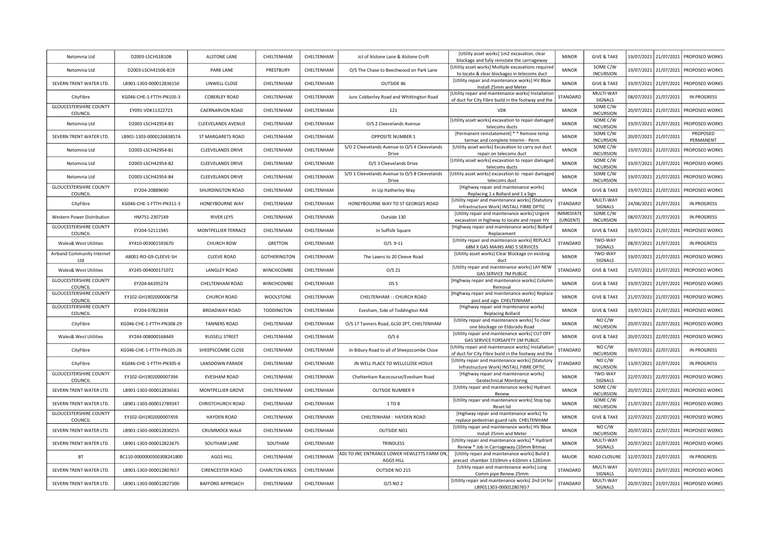| Netomnia Ltd                                           | D2003-LSCHS1B10B          | <b>ALSTONE LANE</b>       | CHELTENHAM            | CHELTENHAM | Jct of Alstone Lane & Alstone Croft                    | [Utility asset works] 1m2 excavation, clear<br>blockage and fully reinstate the carriageway                | <b>MINOR</b>             | <b>GIVE &amp; TAKE</b>                     | 19/07/2021<br>21/07/2021 | <b>PROPOSED WORKS</b>       |
|--------------------------------------------------------|---------------------------|---------------------------|-----------------------|------------|--------------------------------------------------------|------------------------------------------------------------------------------------------------------------|--------------------------|--------------------------------------------|--------------------------|-----------------------------|
| Netomnia Ltd                                           | D2003-LSCH41506-B19       | <b>PARK LANE</b>          | PRESTBURY             | CHELTENHAM | O/S The Chase to Beechwood on Park Lane                | [Utility asset works] Multiple excavations required<br>to locate & clear blockages in telecoms duct        | <b>MINOR</b>             | SOME C/W<br><b>INCURSION</b>               | 19/07/2021               | 21/07/2021   PROPOSED WORKS |
| SEVERN TRENT WATER LTD.                                | LB901-1303-000012836150   | LINWELL CLOSE             | CHELTENHAM            | CHELTENHAM | OUTSIDE 46                                             | [Utility repair and maintenance works] HV Bbox<br>Install 25mm and Meter                                   | <b>MINOR</b>             | <b>GIVE &amp; TAKE</b>                     | 19/07/2021<br>21/07/2021 | <b>PROPOSED WORKS</b>       |
| CityFibre                                              | KG046-CHE-1-FTTH-PN105-3  | <b>COBERLEY ROAD</b>      | CHELTENHAM            | CHELTENHAM | Junc Cobberley Road and Whittington Road               | [Utility repair and maintenance works] Installation<br>of duct for City Fibre build in the footway and the | STANDARD                 | MULTI-WAY<br>SIGNALS                       | 08/07/2021<br>21/07/2021 | <b>IN PROGRESS</b>          |
| <b>GLOUCESTERSHIRE COUNTY</b><br>COUNCIL               | EY091-VDK11322723         | CAERNARVON ROAD           | CHELTENHAM            | CHELTENHAM | 121                                                    | <b>VDK</b>                                                                                                 | <b>MINOR</b>             | SOME C/W<br><b>INCURSION</b>               | 20/07/2021<br>21/07/2021 | PROPOSED WORKS              |
| Netomnia Ltd                                           | D2003-LSCH42954-B3        | <b>CLEEVELANDS AVENUE</b> | CHELTENHAM            | CHELTENHAM | O/S 2 Cleevelands Avenue                               | [Utility asset works] excavation to repair damaged<br>telecoms ducts                                       | <b>MINOR</b>             | SOME C/W<br><b>INCURSION</b>               | 19/07/2021               | 21/07/2021 PROPOSED WORKS   |
| SEVERN TRENT WATER LTD.                                | LB901-1303-000012683857A  | ST MARGARETS ROAD         | CHELTENHAM            | CHELTENHAM | OPPOSITE NUMBER 1                                      | [Permanent reinstatement] * * Remove temp<br>tarmac and complete Interim - Perm                            | <b>MINOR</b>             | SOME C/W<br><b>INCURSION</b>               | 20/07/2021<br>21/07/2021 | PROPOSED<br>PERMANENT       |
| Netomnia Ltd                                           | D2003-LSCH42954-B1        | <b>CLEEVELANDS DRIVE</b>  | CHELTENHAM            | CHELTENHAM | S/O 2 Cleevelands Avenue to O/S 4 Cleevelands<br>Drive | [Utility asset works] Excavation to carry out duct<br>repair on telecoms duct                              | <b>MINOR</b>             | SOME C/W<br><b>INCURSION</b>               | 19/07/2021<br>21/07/2021 | <b>PROPOSED WORKS</b>       |
| Netomnia Ltd                                           | D2003-LSCH42954-B2        | <b>CLEEVELANDS DRIVE</b>  | CHELTENHAM            | CHELTENHAM | O/S 3 Cleevelands Drive                                | [Utility asset works] excavation to repair damaged                                                         | <b>MINOR</b>             | SOME C/W<br><b>INCURSION</b>               | 19/07/2021<br>21/07/2021 | <b>PROPOSED WORKS</b>       |
| Netomnia Ltd                                           | D2003-LSCH42954-B4        | <b>CLEEVELANDS DRIVE</b>  | CHELTENHAM            | CHELTENHAM | S/O 1 Cleevelands Avenue to O/S 8 Cleevelands          | telecoms ducts<br>[Utility asset works] excavation to repair damaged                                       | <b>MINOR</b>             | SOME C/W                                   | 19/07/2021               | 21/07/2021   PROPOSED WORKS |
| <b>GLOUCESTERSHIRE COUNTY</b>                          | EY204-20889690            | SHURDINGTON ROAD          | CHELTENHAM            | CHELTENHAM | Drive<br>Jn Up Hatherley Way                           | telecoms duct<br>[Highway repair and maintenance works]                                                    | <b>MINOR</b>             | <b>INCURSION</b><br><b>GIVE &amp; TAKE</b> | 19/07/2021<br>21/07/2021 | <b>PROPOSED WORKS</b>       |
| COUNCIL<br>CityFibre                                   | KG046-CHE-1-FTTH-PN311-3  | HONEYBOURNE WAY           | CHELTENHAM            | CHELTENHAM | HONEYBOURNE WAY TO ST GEORGES ROAD                     | Replacing 1 x Bollard and 1 x Sign<br>[Utility repair and maintenance works] [Statutory                    | STANDARD                 | MULTI-WAY                                  | 24/06/2021<br>21/07/2021 | IN PROGRESS                 |
| Western Power Distribution                             | HM751-2307149             | <b>RIVER LEYS</b>         | CHELTENHAM            | CHELTENHAM | Outside 130                                            | Infrastructure Work] INSTALL FIBRE OPTIC<br>[Utility repair and maintenance works] Urgent                  | <b>IMMEDIATE</b>         | SIGNALS<br>SOME C/W                        | 21/07/2021<br>08/07/2021 | <b>IN PROGRESS</b>          |
| <b>GLOUCESTERSHIRE COUNTY</b>                          | EY204-52111945            | MONTPELLIER TERRACE       | CHELTENHAM            | CHELTENHAM | Jn Suffolk Square                                      | excavation in highway to locate and repair HV<br>[Highway repair and maintenance works] Bollard            | (URGENT)<br><b>MINOR</b> | <b>INCURSION</b><br><b>GIVE &amp; TAKE</b> | 21/07/2021               | <b>PROPOSED WORKS</b>       |
| COUNCIL                                                |                           |                           |                       |            |                                                        | Replacement<br>[Utility repair and maintenance works] REPLACE                                              |                          | TWO-WAY                                    | 19/07/2021               |                             |
| Wales& West Utilities<br>Airband Community Internet    | XY410-003001593670        | <b>CHURCH ROW</b>         | <b>GRETTON</b>        | CHELTENHAM | $O/S$ 9-11                                             | 68M X GAS MAINS AND 5 SERVICES<br>[Utility asset works] Clear Blockage on existing                         | STANDARD                 | SIGNALS<br>TWO-WAY                         | 08/07/2021<br>21/07/2021 | IN PROGRESS                 |
| Ltd                                                    | A8001-RO-G9-CLEEVE-SH     | <b>CLEEVE ROAD</b>        | <b>GOTHERINGTON</b>   | CHELTENHAM | The Lawns to 20 Cleeve Road                            | duct<br>[Utility repair and maintenance works] LAY NEW                                                     | <b>MINOR</b>             | SIGNALS                                    | 19/07/2021<br>21/07/2021 | PROPOSED WORKS              |
| Wales& West Utilities<br><b>GLOUCESTERSHIRE COUNTY</b> | XY245-004000171072        | <b>LANGLEY ROAD</b>       | WINCHCOMBE            | CHELTENHAM | $O/S$ 21                                               | GAS SERVICE 7M PUBLIC<br>[Highway repair and maintenance works] Column                                     | STANDARD                 | <b>GIVE &amp; TAKE</b>                     | 15/07/2021<br>21/07/2021 | <b>PROPOSED WORKS</b>       |
| COUNCIL                                                | EY204-66395274            | CHELTENHAM ROAD           | WINCHCOMBE            | CHELTENHAM | OS <sub>5</sub>                                        | Removal                                                                                                    | <b>MINOR</b>             | <b>GIVE &amp; TAKE</b>                     | 19/07/2021               | 21/07/2021 PROPOSED WORKS   |
| GLOUCESTERSHIRE COUNTY<br>COUNCIL                      | EY102-GH1902000006758     | CHURCH ROAD               | WOOLSTONE             | CHELTENHAM | CHELTENHAM :: CHURCH ROAD                              | [Highway repair and maintenance works] Replace<br>post and sign CHELTENHAM :                               | <b>MINOR</b>             | <b>GIVE &amp; TAKE</b>                     | 21/07/2021               | 21/07/2021   PROPOSED WORKS |
| <b>GLOUCESTERSHIRE COUNTY</b><br>COUNCIL               | EY204-07823934            | <b>BROADWAY ROAD</b>      | <b>TODDINGTON</b>     | CHELTENHAM | Evesham, Side of Toddington RAB                        | [Highway repair and maintenance works]<br>Replacing Bollard                                                | <b>MINOR</b>             | <b>GIVE &amp; TAKE</b>                     | 19/07/2021<br>21/07/2021 | <b>PROPOSED WORKS</b>       |
| CityFibre                                              | KG046-CHE-1-FTTH-PN308-29 | <b>TANNERS ROAD</b>       | CHELTENHAM            | CHELTENHAM | O/S 17 Tanners Road, GL50 2PT, CHELTENHAM              | [Utility repair and maintenance works] To clear<br>one blockage on Eldorado Road                           | <b>MINOR</b>             | NO C/W<br><b>INCURSION</b>                 | 20/07/2021               | 22/07/2021 PROPOSED WORKS   |
| Wales& West Utilities                                  | XY244-008000168449        | RUSSELL STREET            | CHELTENHAM            | CHELTENHAM | O/S <sub>6</sub>                                       | [Utility repair and maintenance works] CUT OFF<br>GAS SERVICE FORSAFETY 1M PUBLIC                          | <b>MINOR</b>             | <b>GIVE &amp; TAKE</b>                     | 20/07/2021               | 22/07/2021 PROPOSED WORKS   |
| CityFibre                                              | KG046-CHE-1-FTTH-PN105-26 | SHEEPSCOMBE CLOSE         | CHELTENHAM            | CHELTENHAM | Jn Bibury Road to all of Sheepscombe Close             | [Utility repair and maintenance works] Installation<br>of duct for City Fibre build in the footway and the | STANDARD                 | NO C/W<br><b>INCURSION</b>                 | 09/07/2021<br>22/07/2021 | <b>IN PROGRESS</b>          |
| CityFibre                                              | KG046-CHE-1-FTTH-PN305-6  | LANSDOWN PARADE           | CHELTENHAM            | CHELTENHAM | JN WELL PLACE TO WELLCLOSE HOSUE                       | [Utility repair and maintenance works] [Statutory<br>Infrastructure Work] INSTALL FIBRE OPTIC              | STANDARD                 | NO C/W<br><b>INCURSION</b>                 | 13/07/2021<br>22/07/2021 | IN PROGRESS                 |
| <b>GLOUCESTERSHIRE COUNTY</b><br>COUNCIL               | EY102-GH1902000007394     | <b>EVESHAM ROAD</b>       | CHELTENHAM            | CHELTENHAM | Cheltenham Racecourse/Evesham Road                     | [Highway repair and maintenance works]<br><b>Geotechnical Monitoring</b>                                   | <b>MINOR</b>             | TWO-WAY<br>SIGNALS                         | 22/07/2021               | 22/07/2021 PROPOSED WORKS   |
| SEVERN TRENT WATER LTD.                                | LB901-1303-000012836561   | <b>MONTPELLIER GROVE</b>  | CHELTENHAM            | CHELTENHAM | <b>OUTSIDE NUMBER 9</b>                                | [Utility repair and maintenance works] Hydrant<br>Renew                                                    | <b>MINOR</b>             | SOME C/W<br><b>INCURSION</b>               | 20/07/2021               | 22/07/2021   PROPOSED WORKS |
| SEVERN TRENT WATER LTD.                                | LB901-1303-000012789347   | CHRISTCHURCH ROAD         | CHELTENHAM            | CHELTENHAM | 1 TO 8                                                 | [Utility repair and maintenance works] Stop tap                                                            | <b>MINOR</b>             | SOME C/W<br><b>INCURSION</b>               | 21/07/2021<br>22/07/2021 | <b>PROPOSED WORKS</b>       |
| <b>GLOUCESTERSHIRE COUNTY</b>                          | EY102-GH1902000007459     | <b>HAYDEN ROAD</b>        | CHELTENHAM            | CHELTENHAM | CHELTENHAM: HAYDEN ROAD                                | Reset lid<br>[Highway repair and maintenance works] To                                                     | <b>MINOR</b>             | <b>GIVE &amp; TAKE</b>                     | 22/07/2021<br>22/07/2021 | PROPOSED WORKS              |
| COUNCIL<br>SEVERN TRENT WATER LTD.                     | LB901-1303-000012830255   | CRUMMOCK WALK             | CHELTENHAM            | CHELTENHAM | OUTSIDE NO1                                            | replace pedestrian guard rails CHELTENHAM<br>[Utility repair and maintenance works] HV Bbox                | <b>MINOR</b>             | NO C/W                                     | 20/07/2021               | 22/07/2021 PROPOSED WORKS   |
| SEVERN TRENT WATER LTD.                                | LB901-1303-000012822675   | SOUTHAM LANE              | SOUTHAM               | CHELTENHAM | TRINDLESS                                              | Install 25mm and Meter<br>[Utility repair and maintenance works] * Hydrant                                 | <b>MINOR</b>             | <b>INCURSION</b><br>MULTI-WAY              | 20/07/2021<br>22/07/2021 | <b>PROPOSED WORKS</b>       |
| BT                                                     | BC110-0000000500308241800 | <b>AGGS HILL</b>          | CHELTENHAM            | CHELTENHAM | ADJ TO JNC ENTRANCE LOWER HEWLETTS FARM ON,            | Renew * Job in Carriageway (10mm Bitmac<br>[Utility repair and maintenance works] Build 1                  | <b>MAJOR</b>             | SIGNALS<br>ROAD CLOSURE                    | 12/07/2021<br>23/07/2021 | <b>IN PROGRESS</b>          |
| SEVERN TRENT WATER LTD.                                | LB901-1303-000012807657   | <b>CIRENCESTER ROAD</b>   | <b>CHARLTON KINGS</b> | CHELTENHAM | <b>AGGS HILL</b><br>OUTSIDE NO 215                     | precast chamber 1310mm x 610mm x 1265mm<br>[Utility repair and maintenance works] Long                     | STANDARD                 | MULTI-WAY                                  | 20/07/2021<br>23/07/2021 | PROPOSED WORKS              |
|                                                        |                           |                           |                       |            |                                                        | Comm pipe Renew 25mm<br>[Utility repair and maintenance works] 2nd LH for                                  |                          | SIGNALS<br>MULTI-WAY                       |                          |                             |
| SEVERN TRENT WATER LTD.                                | LB901-1303-000012827300   | <b>BAFFORD APPROACH</b>   | CHELTENHAM            | CHELTENHAM | 0/S NO 2                                               | LB9011303-000012807657                                                                                     | STANDARD                 | SIGNALS                                    | 20/07/2021               | 23/07/2021   PROPOSED WORKS |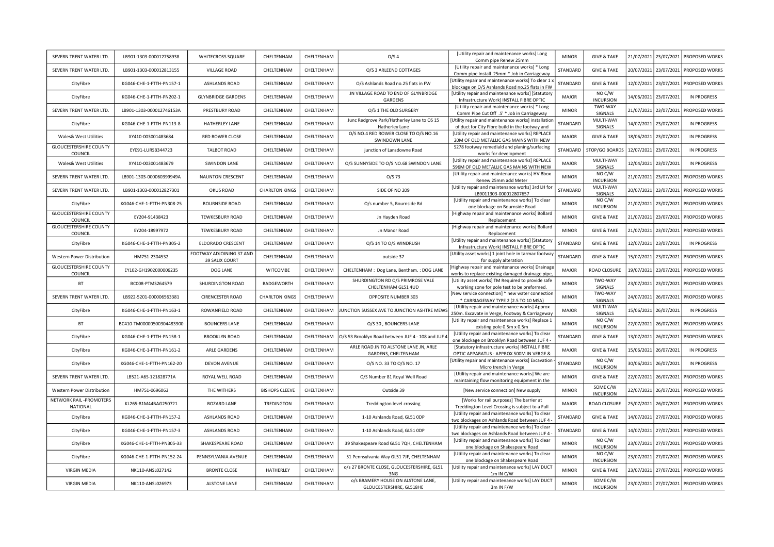| SEVERN TRENT WATER LTD.                               | LB901-1303-000012758938   | WHITECROSS SQUARE          | CHELTENHAM            | CHELTENHAM | O/S <sub>4</sub>                                               | [Utility repair and maintenance works] Long<br>Comm pipe Renew 25mm                                                | <b>MINOR</b> | <b>GIVE &amp; TAKE</b>                     |            |                       | 21/07/2021 23/07/2021 PROPOSED WORKS |
|-------------------------------------------------------|---------------------------|----------------------------|-----------------------|------------|----------------------------------------------------------------|--------------------------------------------------------------------------------------------------------------------|--------------|--------------------------------------------|------------|-----------------------|--------------------------------------|
| SEVERN TRENT WATER LTD.                               | LB901-1303-000012813155   | VILLAGE ROAD               | CHELTENHAM            | CHELTENHAM | O/S 3 ARLEEND COTTAGES                                         | [Utility repair and maintenance works] * Long<br>Comm pipe Install 25mm * Job in Carriageway                       | STANDARD     | <b>GIVE &amp; TAKE</b>                     |            | 20/07/2021 23/07/2021 | PROPOSED WORKS                       |
| CityFibre                                             | KG046-CHE-1-FTTH-PN157-1  | ASHLANDS ROAD              | CHELTENHAM            | CHELTENHAM | O/S Ashlands Road no.25 flats in FW                            | (Utility repair and maintenance works] To clear 1 ><br>blockage on O/S Ashlands Road no.25 flats in FW             | STANDARD     | <b>GIVE &amp; TAKE</b>                     | 12/07/2021 | 23/07/2021            | PROPOSED WORKS                       |
| CityFibre                                             | KG046-CHE-1-FTTH-PN202-1  | <b>GLYNBRIDGE GARDENS</b>  | CHELTENHAM            | CHELTENHAM | JN VILLAGE ROAD TO END OF GLYNBRIDGE<br><b>GARDENS</b>         | [Utility repair and maintenance works] [Statutory<br>Infrastructure Work] INSTALL FIBRE OPTIC                      | <b>MAJOR</b> | NO C/W<br><b>INCURSION</b>                 |            | 14/06/2021 23/07/2021 | IN PROGRESS                          |
| SEVERN TRENT WATER LTD.                               | LB901-1303-000012746153A  | PRESTBURY ROAD             | CHELTENHAM            | CHELTENHAM | O/S 1 THE OLD SURGERY                                          | [Utility repair and maintenance works] * Long<br>Comm Pipe Cut Off .5' * Job in Carriageway                        | <b>MINOR</b> | TWO-WAY<br>SIGNALS                         |            | 21/07/2021 23/07/2021 | PROPOSED WORKS                       |
| CityFibre                                             | KG046-CHE-1-FTTH-PN113-8  | HATHERLEY LANE             | CHELTENHAM            | CHELTENHAM | Junc Redgrove Park/Hatherley Lane to OS 15<br>Hatherley Lane   | [Utility repair and maintenance works] installatior<br>of duct for City Fibre build in the footway and             | STANDARD     | MULTI-WAY<br>SIGNALS                       |            | 14/07/2021 23/07/2021 | <b>IN PROGRESS</b>                   |
| Wales& West Utilities                                 | XY410-003001483684        | <b>RED ROWER CLOSE</b>     | CHELTENHAM            | CHELTENHAM | O/S NO.4 RED ROWER CLOSE TO O/S NO.16<br>SWINDOWN LANE         | [Utility repair and maintenance works] REPLACE<br>20M OF OLD METALLIC GAS MAINS WITH NEW                           | <b>MAJOR</b> | <b>GIVE &amp; TAKE</b>                     | 18/06/2021 | 23/07/2021            | IN PROGRESS                          |
| <b>GLOUCESTERSHIRE COUNTY</b><br>COUNCIL              | EY091-LURSB344723         | <b>TALBOT ROAD</b>         | CHELTENHAM            | CHELTENHAM | junction of Lansdowne Road                                     | S278 footway remediald and planing/surfacing                                                                       | STANDARD     | STOP/GO BOARDS                             |            | 12/07/2021 23/07/2021 | <b>IN PROGRESS</b>                   |
| Wales& West Utilities                                 | XY410-003001483679        | SWINDON LANE               | CHELTENHAM            | CHELTENHAM | O/S SUNNYSIDE TO O/S NO.68 SWINDON LANE                        | works for development<br>[Utility repair and maintenance works] REPLACE<br>596M OF OLD METALLIC GAS MAINS WITH NEW | <b>MAJOR</b> | MULTI-WAY<br>SIGNALS                       |            | 12/04/2021 23/07/2021 | <b>IN PROGRESS</b>                   |
| SEVERN TRENT WATER LTD.                               | LB901-1303-000060399949A  | <b>NAUNTON CRESCENT</b>    | CHELTENHAM            | CHELTENHAM | $O/S$ 73                                                       | [Utility repair and maintenance works] HV Bbox<br>Renew 25mm add Meter                                             | <b>MINOR</b> | NO C/W<br><b>INCURSION</b>                 |            | 21/07/2021 23/07/2021 | PROPOSED WORKS                       |
| SEVERN TRENT WATER LTD.                               | LB901-1303-000012827301   | OKUS ROAD                  | <b>CHARLTON KINGS</b> | CHELTENHAM | SIDE OF NO 209                                                 | [Utility repair and maintenance works] 3rd LH for                                                                  | STANDARD     | MULTI-WAY                                  | 20/07/2021 | 23/07/2021            | PROPOSED WORKS                       |
| CityFibre                                             | KG046-CHE-1-FTTH-PN308-25 | <b>BOURNSIDE ROAD</b>      | CHELTENHAM            | CHELTENHAM | O/s number 5, Bournside Rd                                     | LB9011303-000012807657<br>[Utility repair and maintenance works] To clear                                          | <b>MINOR</b> | SIGNALS<br>NO C/W                          | 21/07/2021 | 23/07/2021            | PROPOSED WORKS                       |
| <b>GLOUCESTERSHIRE COUNTY</b>                         | EY204-91438423            | TEWKESBURY ROAD            | CHELTENHAM            | CHELTENHAM | Jn Hayden Road                                                 | one blockage on Bournside Road<br>[Highway repair and maintenance works] Bollard                                   | <b>MINOR</b> | <b>INCURSION</b><br><b>GIVE &amp; TAKE</b> |            |                       | 21/07/2021 23/07/2021 PROPOSED WORKS |
| COUNCIL<br><b>GLOUCESTERSHIRE COUNTY</b>              | EY204-18997972            | TEWKESBURY ROAD            | CHELTENHAM            | CHELTENHAM | Jn Manor Road                                                  | Replacement<br>[Highway repair and maintenance works] Bollard                                                      | <b>MINOR</b> | <b>GIVE &amp; TAKE</b>                     |            | 21/07/2021 23/07/2021 | PROPOSED WORKS                       |
| COUNCIL<br>CityFibre                                  | KG046-CHE-1-FTTH-PN305-2  | ELDORADO CRESCENT          | CHELTENHAM            | CHELTENHAM | O/S 14 TO O/S WINDRUSH                                         | Replacement<br>[Utility repair and maintenance works] [Statutory                                                   | STANDARD     | <b>GIVE &amp; TAKE</b>                     |            | 12/07/2021 23/07/2021 | IN PROGRESS                          |
| Western Power Distribution                            | HM751-2304532             | FOOTWAY ADJOINING 37 AND   | CHELTENHAM            | CHELTENHAM | outside 37                                                     | Infrastructure Work] INSTALL FIBRE OPTIC<br>[Utility asset works] 1 joint hole in tarmac footway                   | STANDARD     | <b>GIVE &amp; TAKE</b>                     | 15/07/2021 | 23/07/2021            | PROPOSED WORKS                       |
| <b>GLOUCESTERSHIRE COUNTY</b>                         | EY102-GH1902000006235     | 39 SALIX COURT<br>DOG LANE | <b>WITCOMBE</b>       | CHELTENHAM | CHELTENHAM : Dog Lane, Bentham. : DOG LANE                     | for supply alteration<br>[Highway repair and maintenance works] Drainage                                           | <b>MAJOR</b> | ROAD CLOSURE                               |            |                       | 19/07/2021 23/07/2021 PROPOSED WORKS |
| COUNCIL<br>BT                                         | BC008-PTMS264579          | SHURDINGTON ROAD           | BADGEWORTH            | CHELTENHAM | SHURDINGTON RD O/S PRIMROSE VALE                               | works to replace existing damaged drainage pipe<br>[Utility asset works] TM Required to provide safe               | <b>MINOR</b> | TWO-WAY                                    |            | 23/07/2021 23/07/2021 | PROPOSED WORKS                       |
| SEVERN TRENT WATER LTD.                               | LB922-5201-000006563381   | <b>CIRENCESTER ROAD</b>    | <b>CHARLTON KINGS</b> | CHELTENHAM | CHELTENHAM GL51 4UD<br>OPPOSITE NUMBER 303                     | working zone for pole test to be preformed.<br>[New service connection] * new water connection                     | <b>MINOR</b> | <b>SIGNALS</b><br>TWO-WAY                  |            | 24/07/2021 26/07/2021 | PROPOSED WORKS                       |
| CityFibre                                             | KG046-CHE-1-FTTH-PN163-1  | ROWANFIELD ROAD            | CHELTENHAM            | CHELTENHAM | JUNCTION SUSSEX AVE TO JUNCTION ASHTRE MEWS                    | * CARRIAGEWAY TYPE 2 (2.5 TO 10 MSA)<br>[Utility repair and maintenance works] Approx                              | <b>MAJOR</b> | SIGNALS<br>MULTI-WAY                       | 15/06/2021 | 26/07/2021            | IN PROGRESS                          |
| <b>BT</b>                                             | BC410-TM00000500304483900 | <b>BOUNCERS LANE</b>       | CHELTENHAM            | CHELTENHAM | O/S 30, BOUNCERS LANE                                          | 250m. Excavate in Verge, Footway & Carriageway<br>[Utility repair and maintenance works] Replace 1                 | <b>MINOR</b> | SIGNALS<br>NO C/W                          |            | 22/07/2021 26/07/2021 | PROPOSED WORKS                       |
| CityFibre                                             | KG046-CHE-1-FTTH-PN158-1  | <b>BROOKLYN ROAD</b>       | CHELTENHAM            | CHELTENHAM | O/S 53 Brooklyn Road between JUF 4 - 108 and JUF               | existing pole 0.5m x 0.5m<br>[Utility repair and maintenance works] To clear                                       | STANDARD     | <b>INCURSION</b><br><b>GIVE &amp; TAKE</b> |            | 13/07/2021 26/07/2021 | PROPOSED WORKS                       |
| CityFibre                                             | KG046-CHE-1-FTTH-PN161-2  | ARLE GARDENS               | CHELTENHAM            | CHELTENHAM | ARLE ROAD JN TO ALSTONE LANE JN. ARLE                          | one blockage on Brooklyn Road between JUF 4<br>[Statutory infrastructure works] INSTALL FIBRE                      | <b>MAJOR</b> | <b>GIVE &amp; TAKE</b>                     |            | 15/06/2021 26/07/2021 | <b>IN PROGRESS</b>                   |
|                                                       | KG046-CHE-1-FTTH-PN162-20 | DEVON AVENUE               | CHELTENHAM            | CHELTENHAM | GARDENS, CHELTENHAM<br>O/S NO. 33 TO O/S NO. 17                | OPTIC APPARATUS - APPROX 500M IN VERGE &<br>[Utility repair and maintenance works] Excavation                      | STANDARD     | NO C/W                                     | 30/06/2021 | 26/07/2021            | IN PROGRESS                          |
| CityFibre<br>SEVERN TRENT WATER LTD.                  | LB521-A6S-121828771A      | ROYAL WELL ROAD            | CHELTENHAM            | CHELTENHAM |                                                                | Micro trench in Verge<br>[Utility repair and maintenance works] We are                                             | <b>MINOR</b> | <b>INCURSION</b><br><b>GIVE &amp; TAKE</b> |            | 22/07/2021 26/07/2021 | PROPOSED WORKS                       |
|                                                       |                           |                            |                       |            | O/S Number 81 Royal Well Road                                  | maintaining flow monitoring equipment in the                                                                       |              | SOME C/W                                   |            |                       |                                      |
| Western Power Distribution<br>NETWORK RAIL -PROMOTERS | HM751-0696063             | THE WITHERS                | <b>BISHOPS CLEEVE</b> | CHELTENHAM | Outside 39                                                     | [New service connection] New supply<br>[Works for rail purposes] The barrier at                                    | <b>MINOR</b> | <b>INCURSION</b>                           |            | 22/07/2021 26/07/2021 | PROPOSED WORKS                       |
| NATIONAL                                              | KL265-81M44BAG250721      | <b>BOZARD LANE</b>         | <b>TREDINGTON</b>     | CHELTENHAM | Treddington level crossing                                     | Treddington Level Crossing is subject to a Full<br>[Utility repair and maintenance works] To clear                 | <b>MAJOR</b> | ROAD CLOSURE                               |            |                       | 25/07/2021 26/07/2021 PROPOSED WORKS |
| CityFibre                                             | KG046-CHE-1-FTTH-PN157-2  | ASHLANDS ROAD              | CHELTENHAM            | CHELTENHAM | 1-10 Ashlands Road, GL51 ODP                                   | two blockages on Ashlands Road between JUF 4<br>[Utility repair and maintenance works] To clear                    | STANDARD     | <b>GIVE &amp; TAKE</b>                     |            | 14/07/2021 27/07/2021 | PROPOSED WORKS                       |
| CityFibre                                             | KG046-CHE-1-FTTH-PN157-3  | ASHLANDS ROAD              | CHELTENHAM            | CHELTENHAM | 1-10 Ashlands Road, GL51 ODP                                   | two blockages on Ashlands Road between JUF 4                                                                       | STANDARD     | <b>GIVE &amp; TAKE</b><br>NO C/W           |            |                       | 14/07/2021 27/07/2021 PROPOSED WORKS |
| CityFibre                                             | KG046-CHE-1-FTTH-PN305-33 | SHAKESPEARE ROAD           | CHELTENHAM            | CHELTENHAM | 39 Shakespeare Road GL51 7QH, CHELTENHAM                       | [Utility repair and maintenance works] To clear<br>one blockage on Shakespeare Road                                | <b>MINOR</b> | <b>INCURSION</b>                           |            |                       | 23/07/2021 27/07/2021 PROPOSED WORKS |
| CityFibre                                             | KG046-CHE-1-FTTH-PN152-24 | PENNSYLVANIA AVENUE        | CHELTENHAM            | CHELTENHAM | 51 Pennsylvania Way GL51 7JF, CHELTENHAM                       | [Utility repair and maintenance works] To clear<br>one blockage on Shakespeare Road                                | <b>MINOR</b> | NO C/W<br><b>INCURSION</b>                 |            |                       | 23/07/2021 27/07/2021 PROPOSED WORKS |
| <b>VIRGIN MEDIA</b>                                   | NK110-ANSL027142          | <b>BRONTE CLOSE</b>        | HATHERLEY             | CHELTENHAM | o/s 27 BRONTE CLOSE, GLOUCESTERSHIRE, GL51<br>3NG              | [Utility repair and maintenance works] LAY DUCT<br>1m IN C/W                                                       | <b>MINOR</b> | <b>GIVE &amp; TAKE</b>                     | 23/07/2021 | 27/07/2021            | PROPOSED WORKS                       |
| <b>VIRGIN MEDIA</b>                                   | NK110-ANSL026973          | <b>ALSTONE LANE</b>        | CHELTENHAM            | CHELTENHAM | o/s BRAMERY HOUSE ON ALSTONE LANE,<br>GLOUCESTERSHIRE, GL518HE | [Utility repair and maintenance works] LAY DUCT<br>3m IN F/W                                                       | <b>MINOR</b> | SOME C/W<br><b>INCURSION</b>               |            |                       | 23/07/2021 27/07/2021 PROPOSED WORKS |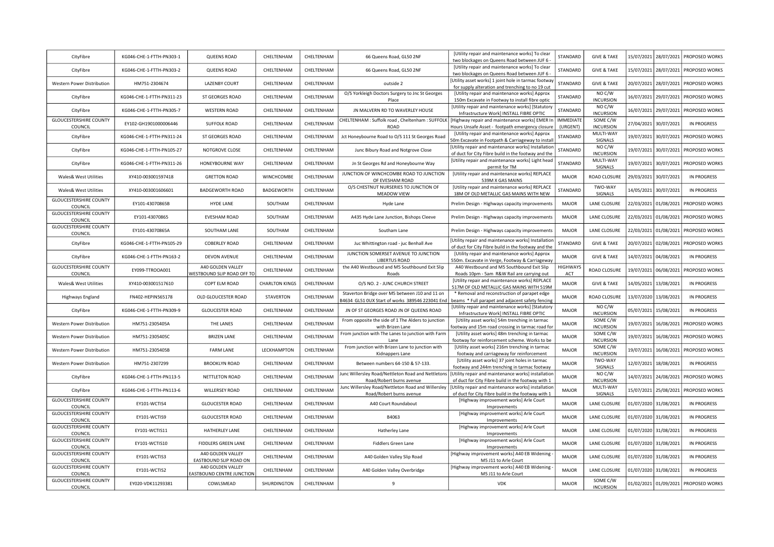| CityFibre                                | KG046-CHE-1-FTTH-PN303-1  | <b>QUEENS ROAD</b>                              | CHELTENHAM            | CHELTENHAM | 66 Queens Road, GL50 2NF                                                                          | [Utility repair and maintenance works] To clear<br>two blockages on Queens Road between JUF 6             | STANDARD                     | <b>GIVE &amp; TAKE</b>        |            | 15/07/2021 28/07/2021   | PROPOSED WORKS                       |
|------------------------------------------|---------------------------|-------------------------------------------------|-----------------------|------------|---------------------------------------------------------------------------------------------------|-----------------------------------------------------------------------------------------------------------|------------------------------|-------------------------------|------------|-------------------------|--------------------------------------|
| CityFibre                                | KG046-CHE-1-FTTH-PN303-2  | QUEENS ROAD                                     | CHELTENHAM            | CHELTENHAM | 66 Queens Road, GL50 2NF                                                                          | [Utility repair and maintenance works] To clear<br>two blockages on Queens Road between JUF 6 -           | STANDARD                     | <b>GIVE &amp; TAKE</b>        |            | 15/07/2021 28/07/2021   | PROPOSED WORKS                       |
| Western Power Distribution               | HM751-2304674             | <b>LAZENBY COURT</b>                            | CHELTENHAM            | CHELTENHAM | outside 2                                                                                         | [Utility asset works] 1 joint hole in tarmac footway<br>for supply alteration and trenching to no 19 cut  | STANDARD                     | <b>GIVE &amp; TAKE</b>        | 20/07/2021 | 28/07/2021              | PROPOSED WORKS                       |
| CityFibre                                | KG046-CHE-1-FTTH-PN311-23 | ST GEORGES ROAD                                 | CHELTENHAM            | CHELTENHAM | O/S Yorkleigh Doctors Surgery to Jnc St Georges<br>Place                                          | [Utility repair and maintenance works] Approx<br>150m Excavate in Footway to install fibre optic          | STANDARD                     | NOC/W<br><b>INCURSION</b>     |            | 16/07/2021 29/07/2021   | PROPOSED WORKS                       |
| CityFibre                                | KG046-CHE-1-FTTH-PN305-7  | <b>WESTERN ROAD</b>                             | CHELTENHAM            | CHELTENHAM | JN MALVERN RD TO WAVERLEY HOUSE                                                                   | [Utility repair and maintenance works] [Statutory<br>Infrastructure Work] INSTALL FIBRE OPTIC             | STANDARD                     | NO C/W<br><b>INCURSION</b>    |            | 16/07/2021   29/07/2021 | PROPOSED WORKS                       |
| <b>GLOUCESTERSHIRE COUNTY</b>            | EY102-GH1901000006446     | <b>SUFFOLK ROAD</b>                             | CHELTENHAM            | CHELTENHAM | CHELTENHAM : Suffolk road, Cheltenham : SUFFOLK                                                   | [Highway repair and maintenance works] EMER In                                                            | <b>IMMEDIATE</b><br>(URGENT) | SOME C/W<br><b>INCURSION</b>  |            | 27/04/2021 30/07/2021   | IN PROGRESS                          |
| COUNCIL<br>CityFibre                     | KG046-CHE-1-FTTH-PN311-24 | ST GEORGES ROAD                                 | CHELTENHAM            | CHELTENHAM | ROAD<br>Jct Honeybourne Road to O/S 111 St Georges Road                                           | Hours Unsafe Asset - footpath emergency closure<br>[Utility repair and maintenance works] Approx          | STANDARD                     | MULTI-WAY                     | 19/07/2021 | 30/07/2021              | PROPOSED WORKS                       |
| CityFibre                                | KG046-CHE-1-FTTH-PN105-27 | NOTGROVE CLOSE                                  | CHELTENHAM            | CHELTENHAM | Junc Bibury Road and Notgrove Close                                                               | 50m Excavate in Footpath & Carriageway to instal<br>Utility repair and maintenance works] Installatior    | STANDARD                     | SIGNALS<br>NOC/W              |            | 19/07/2021 30/07/2021   | PROPOSED WORKS                       |
| CityFibre                                | KG046-CHE-1-FTTH-PN311-26 | HONEYBOURNE WAY                                 | CHELTENHAM            | CHELTENHAM | Jn St Georges Rd and Honeybourne Way                                                              | of duct for City Fibre build in the footway and the<br>[Utility repair and maintenance works] Light head  | STANDARD                     | <b>INCURSION</b><br>MULTI-WAY |            | 19/07/2021 30/07/2021   | PROPOSED WORKS                       |
| Wales& West Utilities                    | XY410-003001597418        | <b>GRETTON ROAD</b>                             | WINCHCOMBE            | CHELTENHAM | JUNCTION OF WINCHCOMBE ROAD TO JUNCTION                                                           | permit for TM<br>[Utility repair and maintenance works] REPLACE                                           | <b>MAJOR</b>                 | SIGNALS<br>ROAD CLOSURE       |            | 29/03/2021 30/07/2021   | <b>IN PROGRESS</b>                   |
| Wales& West Utilities                    | XY410-003001606601        | <b>BADGEWORTH ROAD</b>                          | BADGEWORTH            | CHELTENHAM | OF EVESHAM ROAD<br>O/S CHESTNUT NURSERIES TO JUNCTION OF                                          | 539M X GAS MAINS<br>[Utility repair and maintenance works] REPLACE                                        | STANDARD                     | TWO-WAY                       |            | 14/05/2021 30/07/2021   | IN PROGRESS                          |
| <b>GLOUCESTERSHIRE COUNTY</b>            | EY101-43070865B           | <b>HYDE LANE</b>                                | SOUTHAM               | CHELTENHAM | MEADOW VIEW                                                                                       | 18M OF OLD METALLIC GAS MAINS WITH NEW                                                                    | <b>MAJOR</b>                 | SIGNALS<br>LANE CLOSURE       | 22/03/2021 | 01/08/2021              | PROPOSED WORKS                       |
| COUNCIL<br><b>GLOUCESTERSHIRE COUNTY</b> |                           |                                                 |                       |            | Hyde Lane                                                                                         | Prelim Design - Highways capacity improvements                                                            |                              |                               |            |                         |                                      |
| COUNCIL<br><b>GLOUCESTERSHIRE COUNTY</b> | EY101-43070865            | <b>EVESHAM ROAD</b>                             | SOUTHAM               | CHELTENHAM | A435 Hyde Lane Junction, Bishops Cleeve                                                           | Prelim Design - Highways capacity improvements                                                            | <b>MAJOR</b>                 | LANE CLOSURE                  |            | 22/03/2021 01/08/2021   | PROPOSED WORKS                       |
| COUNCIL                                  | EY101-43070865A           | SOUTHAM LANE                                    | SOUTHAM               | CHELTENHAM | Southam Lane                                                                                      | Prelim Design - Highways capacity improvements<br>[Utility repair and maintenance works] Installation     | <b>MAJOR</b>                 | LANE CLOSURE                  |            | 22/03/2021 01/08/2021   | PROPOSED WORKS                       |
| CityFibre                                | KG046-CHE-1-FTTH-PN105-29 | <b>COBERLEY ROAD</b>                            | CHELTENHAM            | CHELTENHAM | Juc Whittington road - juc Benhall Ave<br>JUNCTION SOMERSET AVENUE TO JUNCTION                    | of duct for City Fibre build in the footway and the<br>[Utility repair and maintenance works] Approx      | STANDARD                     | <b>GIVE &amp; TAKE</b>        |            | 20/07/2021 02/08/2021   | PROPOSED WORKS                       |
| CityFibre                                | KG046-CHE-1-FTTH-PN163-2  | DEVON AVENUE                                    | CHELTENHAM            | CHELTENHAM | LIBERTUS ROAD                                                                                     | 550m. Excavate in Verge, Footway & Carriageway                                                            | <b>MAJOR</b>                 | <b>GIVE &amp; TAKE</b>        | 14/07/2021 | 04/08/2021              | IN PROGRESS                          |
| <b>GLOUCESTERSHIRE COUNTY</b><br>COUNCIL | EY099-TTROOA001           | A40 GOLDEN VALLEY<br>WESTBOUND SLIP ROAD OFF TO | CHELTENHAM            | CHELTENHAM | the A40 Westbound and M5 Southbound Exit Slip<br>Roads                                            | A40 Westbound and M5 Southbound Exit Slip<br>Roads 10pm - 5am R&W Rail are carrying out                   | HIGHWAY!<br>ACT              | ROAD CLOSURE                  |            | 19/07/2021 06/08/2021   | PROPOSED WORKS                       |
| Wales& West Utilities                    | XY410-003001517610        | COPT ELM ROAD                                   | <b>CHARLTON KINGS</b> | CHELTENHAM | O/S NO. 2 - JUNC CHURCH STREET                                                                    | [Utility repair and maintenance works] REPLACE<br>517M OF OLD METALLIC GAS MAINS WITH 519M                | <b>MAJOR</b>                 | <b>GIVE &amp; TAKE</b>        | 14/05/2021 | 13/08/2021              | <b>IN PROGRESS</b>                   |
| <b>Highways England</b>                  | FN402-HEPIN565178         | OLD GLOUCESTER ROAD                             | <b>STAVERTON</b>      | CHELTENHAM | Staverton Bridge over M5 between J10 and 11 on<br>34634 GL51 0UX Start of works 389546 223041 End | * Removal and reconstruction of parapet edge<br>beams * Full parapet and adjacent safety fencing          | <b>MAJOR</b>                 | ROAD CLOSURE                  | 13/07/2020 | 13/08/2021              | <b>IN PROGRESS</b>                   |
| CityFibre                                | KG046-CHE-1-FTTH-PN309-9  | <b>GLOUCESTER ROAD</b>                          | CHELTENHAM            | CHELTENHAM | JN OF ST GEORGES ROAD JN OF QUEENS ROAD                                                           | Utility repair and maintenance works] [Statutory<br>Infrastructure Work] INSTALL FIBRE OPTIC              | <b>MAJOR</b>                 | NO C/W<br><b>INCURSION</b>    | 05/07/2021 | 15/08/2021              | IN PROGRESS                          |
| Western Power Distribution               | HM751-2305405A            | THE LANES                                       | CHELTENHAM            | CHELTENHAM | From opposite the side of 1 The Alders to junction<br>with Brizen Lane                            | [Utility asset works] 54m trenching in tarmac<br>footway and 15m road crossing in tarmac road for         | <b>MAJOR</b>                 | SOME C/W<br><b>INCURSION</b>  |            | 19/07/2021 16/08/2021   | PROPOSED WORKS                       |
| Western Power Distribution               | HM751-2305405C            | <b>BRIZEN LANE</b>                              | CHELTENHAM            | CHELTENHAM | From junction with The Lanes to junction with Farm<br>Lane                                        | [Utility asset works] 48m trenching in tarmac<br>footway for reinforcement scheme. Works to be            | <b>MAJOR</b>                 | SOME C/W<br><b>INCURSION</b>  | 19/07/2021 | 16/08/2021              | PROPOSED WORKS                       |
| Western Power Distribution               | HM751-2305405B            | <b>FARM LANE</b>                                | LECKHAMPTON           | CHELTENHAM | From junction with Brizen Lane to junction with<br>Kidnappers Lane                                | [Utility asset works] 216m trenching in tarmac<br>footway and carriageway for reinforcement               | <b>MAJOR</b>                 | SOME C/W<br><b>INCURSION</b>  | 19/07/2021 | 16/08/2021              | PROPOSED WORKS                       |
| Western Power Distribution               | HM751-2307299             | <b>BROOKLYN ROAD</b>                            | CHELTENHAM            | CHELTENHAM | Between numbers 64-150 & 57-133.                                                                  | [Utility asset works] 37 joint holes in tarmac<br>footway and 244m trenching in tarmac footway            | <b>MAJOR</b>                 | TWO-WAY<br>SIGNALS            | 12/07/2021 | 18/08/2021              | IN PROGRESS                          |
| CityFibre                                | KG046-CHE-1-FTTH-PN113-5  | NETTLETON ROAD                                  | CHELTENHAM            | CHELTENHAM | Junc Willersley Road/Nettleton Road and Nettletons<br>Road/Robert burns avenue                    | [Utility repair and maintenance works] installation<br>of duct for City Fibre build in the footway with 1 | <b>MAJOR</b>                 | NOC/W<br><b>INCURSION</b>     |            | 14/07/2021 24/08/2021   | PROPOSED WORKS                       |
| CityFibre                                | KG046-CHE-1-FTTH-PN113-6  | WILLERSEY ROAD                                  | CHELTENHAM            | CHELTENHAM | Junc Willersley Road/Nettleton Road and Willersley                                                | [Utility repair and maintenance works] installation                                                       | <b>MAJOR</b>                 | MULTI-WAY                     |            | 15/07/2021 25/08/2021   | PROPOSED WORKS                       |
| <b>GLOUCESTERSHIRE COUNTY</b><br>COUNCIL | EY101-WCTIS4              | <b>GLOUCESTER ROAD</b>                          | CHELTENHAM            | CHELTENHAM | Road/Robert burns avenue<br>A40 Court Roundabout                                                  | of duct for City Fibre build in the footway with 1<br>[Highway improvement works] Arle Court              | <b>MAJOR</b>                 | SIGNALS<br>LANE CLOSURE       |            | 01/07/2020 31/08/2021   | <b>IN PROGRESS</b>                   |
| <b>GLOUCESTERSHIRE COUNTY</b>            | EY101-WCTIS9              | <b>GLOUCESTER ROAD</b>                          | CHELTENHAM            | CHELTENHAM | B4063                                                                                             | Improvements<br>[Highway improvement works] Arle Court                                                    | <b>MAJOR</b>                 | LANE CLOSURE                  |            | 01/07/2020 31/08/2021   | IN PROGRESS                          |
| COUNCIL<br><b>GLOUCESTERSHIRE COUNTY</b> | EY101-WCTIS11             | HATHERLEY LANE                                  | CHELTENHAM            | CHELTENHAM | Hatherley Lane                                                                                    | Improvements<br>[Highway improvement works] Arle Court                                                    | <b>MAJOR</b>                 | LANE CLOSURE                  |            | 01/07/2020 31/08/2021   | <b>IN PROGRESS</b>                   |
| COUNCIL<br><b>GLOUCESTERSHIRE COUNTY</b> | EY101-WCTIS10             | FIDDLERS GREEN LANE                             | CHELTENHAM            | CHELTENHAM | <b>Fiddlers Green Lane</b>                                                                        | Improvements<br>[Highway improvement works] Arle Court                                                    | <b>MAJOR</b>                 | LANE CLOSURE                  |            | 01/07/2020 31/08/2021   | <b>IN PROGRESS</b>                   |
| COUNCIL<br><b>GLOUCESTERSHIRE COUNTY</b> | EY101-WCTIS3              | A40 GOLDEN VALLEY                               | CHELTENHAM            | CHELTENHAM | A40 Golden Valley Slip Road                                                                       | Improvements<br>[Highway improvement works] A40 EB Widening                                               | <b>MAJOR</b>                 | LANE CLOSURE                  |            | 01/07/2020 31/08/2021   | <b>IN PROGRESS</b>                   |
| COUNCIL<br><b>GLOUCESTERSHIRE COUNTY</b> |                           | EASTBOUND SLIP ROAD ON<br>A40 GOLDEN VALLEY     | CHELTENHAM            |            |                                                                                                   | M5 J11 to Arle Court<br>[Highway improvement works] A40 EB Widening                                       | <b>MAJOR</b>                 | LANE CLOSURE                  |            |                         | <b>IN PROGRESS</b>                   |
| COUNCIL<br><b>GLOUCESTERSHIRE COUNTY</b> | EY101-WCTIS2              | EASTBOUND CENTRE JUNCTION                       |                       | CHELTENHAM | A40 Golden Valley Overbridge                                                                      | M5 J11 to Arle Court                                                                                      |                              | SOME C/W                      |            | 01/07/2020 31/08/2021   |                                      |
| COUNCIL                                  | EY020-VDK11293381         | COWLSMEAD                                       | SHURDINGTON           | CHELTENHAM | $\mathbf{q}$                                                                                      | <b>VDK</b>                                                                                                | <b>MAJOR</b>                 | <b>INCURSION</b>              |            |                         | 01/02/2021 01/09/2021 PROPOSED WORKS |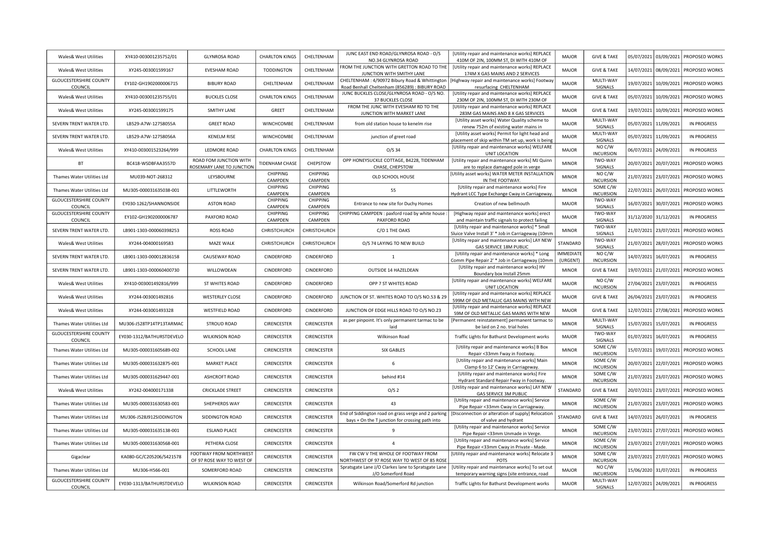| <b>Wales&amp; West Utilities</b>                | XY410-003001235752/01     | <b>GLYNROSA ROAD</b>                                | <b>CHARLTON KINGS</b>      | CHELTENHAM                 | JUNC EAST END ROAD/GLYNROSA ROAD - O/S<br>NO.34 GLYNROSA ROAD                                          | [Utility repair and maintenance works] REPLACE<br>410M OF 2IN, 100MM ST, DI WITH 410M OF            | <b>MAJOR</b>          | <b>GIVE &amp; TAKE</b>            | 05/07/2021 | 03/09/2021 | <b>PROPOSED WORKS</b> |
|-------------------------------------------------|---------------------------|-----------------------------------------------------|----------------------------|----------------------------|--------------------------------------------------------------------------------------------------------|-----------------------------------------------------------------------------------------------------|-----------------------|-----------------------------------|------------|------------|-----------------------|
| <b>Wales&amp; West Utilities</b>                | XY245-003001599167        | EVESHAM ROAD                                        | <b>TODDINGTON</b>          | CHELTENHAM                 | FROM THE JUNCTION WITH GRETTON ROAD TO THE<br>JUNCTION WITH SMITHY LANE                                | [Utility repair and maintenance works] REPLACE<br>174M X GAS MAINS AND 2 SERVICES                   | <b>MAJOR</b>          | <b>GIVE &amp; TAKE</b>            | 14/07/2021 | 08/09/2021 | PROPOSED WORKS        |
| <b>GLOUCESTERSHIRE COUNTY</b>                   | EY102-GH1902000006715     | <b>BIBURY ROAD</b>                                  | CHELTENHAM                 | CHELTENHAM                 | CHELTENHAM: 4/90972 Bibury Road & Whittington                                                          | [Highway repair and maintenance works] Footway                                                      | <b>MAJOR</b>          | MULTI-WAY                         | 19/07/2021 | 10/09/2021 | PROPOSED WORKS        |
| COUNCIL<br>Wales& West Utilities                | XY410-003001235755/01     | <b>BUCKLES CLOSE</b>                                | <b>CHARLTON KINGS</b>      | CHELTENHAM                 | Road Benhall Cheltenham (856289) : BIBURY ROAD<br>JUNC BUCKLES CLOSE/GLYNROSA ROAD - O/S NO.           | resurfacing CHELTENHAM<br>[Utility repair and maintenance works] REPLACE                            | <b>MAJOR</b>          | SIGNALS<br><b>GIVE &amp; TAKE</b> | 05/07/2021 | 10/09/2021 | PROPOSED WORKS        |
| <b>Wales&amp; West Utilities</b>                | XY245-003001599175        | SMITHY LANE                                         | GREET                      | CHELTENHAM                 | 37 BUCKLES CLOSE<br>FROM THE JUNC WITH EVESHAM RD TO THE                                               | 230M OF 2IN, 100MM ST, DI WITH 230M OF<br>[Utility repair and maintenance works] REPLACE            | <b>MAJOR</b>          | <b>GIVE &amp; TAKE</b>            | 19/07/2021 | 10/09/2021 | PROPOSED WORKS        |
| SEVERN TRENT WATER LTD                          | LB529-A7W-12758055A       | <b>GREET ROAD</b>                                   | WINCHCOMBE                 | CHELTENHAM                 | JUNCTION WITH MARKET LANE<br>from old station house to kenelm rise                                     | 283M GAS MAINS AND 8 X GAS SERVICES<br>[Utility asset works] Water Quality scheme to                | <b>MAJOR</b>          | MULTI-WAY                         | 05/07/2021 | 11/09/2021 | IN PROGRESS           |
|                                                 |                           |                                                     |                            |                            |                                                                                                        | renew 752m of existing water mains in<br>[Utility asset works] Permit for light head and            |                       | SIGNALS<br>MULTI-WAY              |            |            |                       |
| SEVERN TRENT WATER LTD.                         | LB529-A7W-12758056A       | <b>KENELM RISE</b>                                  | WINCHCOMBE                 | CHELTENHAM                 | junction of greet road                                                                                 | placement of skip within TM set up, work is being<br>[Utility repair and maintenance works] WELFARE | MAJOR                 | SIGNALS<br>NO C/W                 | 05/07/2021 | 11/09/2021 | IN PROGRESS           |
| <b>Wales&amp; West Utilities</b>                | XY410-003001523264/999    | LEDMORE ROAD                                        | <b>CHARLTON KINGS</b>      | CHELTENHAM                 | $O/S$ 34                                                                                               | UNIT LOCATION                                                                                       | <b>MAJOR</b>          | <b>INCURSION</b>                  | 06/07/2021 | 24/09/2021 | <b>IN PROGRESS</b>    |
| <b>BT</b>                                       | BC418-WSDBFAA3557D        | ROAD FOM JUNCTION WITH<br>ROSEMARY LANE TO JUNCTION | <b>TIDENHAM CHASE</b>      | CHEPSTOW                   | OPP HONEYSUCKLE COTTAGE, B4228, TIDENHAM<br>CHASE, CHEPSTOW                                            | [Utility repair and maintenance works] MJ Quinn<br>are to replace damaged pole in verge             | <b>MINOR</b>          | TWO-WAY<br>SIGNALS                | 20/07/2021 | 20/07/2021 | PROPOSED WORKS        |
| Thames Water Utilities Ltd                      | MU039-NOT-268312          | LEYSBOURNE                                          | <b>CHIPPING</b><br>CAMPDEN | CHIPPING<br>CAMPDEN        | OLD SCHOOL HOUSE                                                                                       | [Utility asset works] WATER METER INSTALLATION<br>IN THE FOOTWAY.                                   | <b>MINOR</b>          | NO C/W<br><b>INCURSION</b>        | 21/07/2021 | 23/07/2021 | PROPOSED WORKS        |
| Thames Water Utilities Ltd                      | MU305-000031635038-001    | LITTLEWORTH                                         | CHIPPING                   | CHIPPING                   | 55                                                                                                     | [Utility repair and maintenance works] Fire                                                         | <b>MINOR</b>          | SOME C/W                          | 22/07/2021 | 26/07/2021 | PROPOSED WORKS        |
|                                                 |                           |                                                     | CAMPDEN                    | CAMPDEN                    |                                                                                                        | Hydrant LCC Type Exchange Cway in Carriageway                                                       |                       | <b>INCURSION</b>                  |            |            |                       |
| <b>GLOUCESTERSHIRE COUNTY</b><br><b>COUNCIL</b> | EY030-1262/SHANNONSIDE    | <b>ASTON ROAD</b>                                   | <b>CHIPPING</b><br>CAMPDEN | <b>CHIPPING</b><br>CAMPDEN | Entrance to new site for Duchy Homes                                                                   | Creation of new bellmouth                                                                           | MAJOR                 | TWO-WAY<br>SIGNALS                | 16/07/2021 | 30/07/2021 | PROPOSED WORKS        |
| <b>GLOUCESTERSHIRE COUNTY</b>                   |                           |                                                     | CHIPPING                   | CHIPPING                   | CHIPPING CAMPDEN : paxford road by white house :                                                       | [Highway repair and maintenance works] erect                                                        |                       | TWO-WAY                           |            |            |                       |
| COUNCIL                                         | EY102-GH1902000006787     | PAXFORD ROAD                                        | CAMPDEN                    | CAMPDEN                    | PAXFORD ROAD                                                                                           | and maintain traffic signals to protect failing                                                     | MAJOR                 | <b>SIGNALS</b>                    | 31/12/2020 | 31/12/2021 | <b>IN PROGRESS</b>    |
| SEVERN TRENT WATER LTD.                         | LB901-1303-000060398253   | <b>ROSS ROAD</b>                                    | CHRISTCHURCH               | CHRISTCHURCH               | C/O 1 THE OAKS                                                                                         | [Utility repair and maintenance works] * Small                                                      | <b>MINOR</b>          | TWO-WAY                           | 21/07/2021 | 23/07/2021 | PROPOSED WORKS        |
|                                                 |                           |                                                     |                            |                            |                                                                                                        | Sluice Valve Install 3' * Job in Carriageway (10mm                                                  |                       | SIGNALS                           |            |            |                       |
| <b>Wales&amp; West Utilities</b>                | XY244-004000169583        | MAZE WALK                                           | CHRISTCHURCH               | CHRISTCHURCH               | O/S 74 LAYING TO NEW BUILD                                                                             | [Utility repair and maintenance works] LAY NEW<br>GAS SERVICE 18M PUBLIC                            | STANDARD              | TWO-WAY<br>SIGNALS                | 21/07/2021 | 28/07/2021 | PROPOSED WORKS        |
| SEVERN TRENT WATER LTD                          | LB901-1303-000012836158   | CAUSEWAY ROAD                                       | CINDERFORD                 | CINDERFORD                 | $\mathbf{1}$                                                                                           | [Utility repair and maintenance works] * Long<br>Comm Pipe Repair 2' * Job in Carriageway (10mm     | IMMEDIATE<br>(URGENT) | NO C/W<br><b>INCURSION</b>        | 14/07/2021 | 16/07/2021 | <b>IN PROGRESS</b>    |
| SEVERN TRENT WATER LTD                          | LB901-1303-000060400730   | WILLOWDEAN                                          | CINDERFORD                 | CINDERFORD                 | OUTSIDE 14 HAZELDEAN                                                                                   | [Utility repair and maintenance works] HV<br>Boundary box Install 25mm                              | <b>MINOR</b>          | <b>GIVE &amp; TAKE</b>            | 19/07/2021 | 21/07/2021 | PROPOSED WORKS        |
| <b>Wales&amp; West Utilities</b>                | XY410-003001492816/999    | ST WHITES ROAD                                      | CINDERFORD                 | CINDERFORD                 | OPP 7 ST WHITES ROAD                                                                                   | [Utility repair and maintenance works] WELFARE<br>UNIT LOCATION                                     | <b>MAJOR</b>          | NOC/W<br><b>INCURSION</b>         | 27/04/2021 | 23/07/2021 | <b>IN PROGRESS</b>    |
| <b>Wales&amp; West Utilities</b>                | XY244-003001492816        | <b>WESTERLEY CLOSE</b>                              | CINDERFORD                 | CINDERFORD                 | JUNCTION OF ST. WHITES ROAD TO O/S NO.53 & 29                                                          | [Utility repair and maintenance works] REPLACE<br>599M OF OLD METALLIC GAS MAINS WITH NEW           | <b>MAJOR</b>          | <b>GIVE &amp; TAKE</b>            | 26/04/2021 | 23/07/2021 | IN PROGRESS           |
| Wales& West Utilities                           | XY244-003001493328        | <b>WESTFIELD ROAD</b>                               | CINDERFORD                 | CINDERFORD                 | JUNCTION OF EDGE HILLS ROAD TO O/S NO.23                                                               | [Utility repair and maintenance works] REPLACE<br>59M OF OLD METALLIC GAS MAINS WITH NEW            | <b>MAJOR</b>          | <b>GIVE &amp; TAKE</b>            | 12/07/2021 | 27/08/2021 | PROPOSED WORKS        |
| Thames Water Utilities Ltd                      | MU306-J528TP14TP13TARMAC  | STROUD ROAD                                         | CIRENCESTER                | CIRENCESTER                | as per pinpoint. It's only permanent tarmac to be                                                      | [Permanent reinstatement] permanent tarmac to                                                       | <b>MINOR</b>          | MULTI-WAY                         | 15/07/2021 | 15/07/2021 | IN PROGRESS           |
| <b>GLOUCESTERSHIRE COUNTY</b>                   | EY030-1312/BATHURSTDEVELO | <b>WILKINSON ROAD</b>                               | CIRENCESTER                | CIRENCESTER                | laid<br>Wilkinson Road                                                                                 | be laid on 2 no. trial holes                                                                        | <b>MAJOR</b>          | SIGNALS<br>TWO-WAY                | 01/07/2021 | 16/07/2021 | IN PROGRESS           |
| COUNCIL                                         |                           |                                                     |                            |                            |                                                                                                        | Traffic Lights for Bathurst Development works                                                       |                       | SIGNALS                           |            |            |                       |
| Thames Water Utilities Ltd                      | MU305-000031605689-002    | SCHOOL LANE                                         | CIRENCESTER                | CIRENCESTER                | <b>SIX GABLES</b>                                                                                      | [Utility repair and maintenance works] B Box<br>Repair <33mm Fway in Footway.                       | <b>MINOR</b>          | SOME C/W<br><b>INCURSION</b>      | 15/07/2021 | 19/07/2021 | PROPOSED WORKS        |
| Thames Water Utilities Ltd                      | MU305-000031632875-001    | <b>MARKET PLACE</b>                                 | CIRENCESTER                | <b>CIRENCESTER</b>         | 6                                                                                                      | [Utility repair and maintenance works] Main<br>Clamp 6 to 12' Cway in Carriageway.                  | <b>MINOR</b>          | SOME C/W<br><b>INCURSION</b>      | 20/07/2021 | 22/07/2021 | PROPOSED WORKS        |
| Thames Water Utilities Ltd                      | MU305-000031629447-001    | ASHCROFT ROAD                                       | CIRENCESTER                | CIRENCESTER                | behind #14                                                                                             | [Utility repair and maintenance works] Fire<br>Hydrant Standard Repair Fway in Footway.             | <b>MINOR</b>          | SOME C/W<br><b>INCURSION</b>      | 21/07/2021 | 23/07/2021 | PROPOSED WORKS        |
| <b>Wales&amp; West Utilities</b>                | XY242-004000171338        | <b>CRICKLADE STREET</b>                             | CIRENCESTER                | CIRENCESTER                | O/S <sub>2</sub>                                                                                       | [Utility repair and maintenance works] LAY NEW<br>GAS SERVICE 3M PUBLIC                             | STANDARD              | <b>GIVE &amp; TAKE</b>            | 20/07/2021 | 23/07/2021 | PROPOSED WORKS        |
| Thames Water Utilities Ltd                      | MU305-000031630583-001    | SHEPHERDS WAY                                       | CIRENCESTER                | CIRENCESTER                | 43                                                                                                     | [Utility repair and maintenance works] Service<br>Pipe Repair <33mm Cway in Carriageway.            | <b>MINOR</b>          | SOME C/W<br><b>INCURSION</b>      | 21/07/2021 | 23/07/2021 | PROPOSED WORKS        |
| Thames Water Utilities Ltd                      | MU306-J528J912SIDDINGTON  | SIDDINGTON ROAD                                     | CIRENCESTER                | CIRENCESTER                | End of Siddington road on grass verge and 2 parking<br>bays + On the T junction for crossing path into | [Disconnection or alteration of supply] Relocation<br>of valve and hydrant                          | STANDARD              | <b>GIVE &amp; TAKE</b>            | 14/07/2021 | 26/07/2021 | <b>IN PROGRESS</b>    |
| Thames Water Utilities Ltd                      | MU305-000031635138-001    | <b>ESLAND PLACE</b>                                 | CIRENCESTER                | CIRENCESTER                | ٩                                                                                                      | [Utility repair and maintenance works] Service                                                      | <b>MINOR</b>          | SOME C/W<br><b>INCURSION</b>      | 23/07/2021 | 27/07/2021 | PROPOSED WORKS        |
| Thames Water Utilities Ltd                      | MU305-000031630568-001    | PETHERA CLOSE                                       | CIRENCESTER                | CIRENCESTER                | $\Delta$                                                                                               | Pipe Repair <33mm Unmade in Verge.<br>[Utility repair and maintenance works] Service                | <b>MINOR</b>          | SOME C/W                          | 23/07/2021 | 27/07/2021 | PROPOSED WORKS        |
|                                                 |                           | FOOTWAY FROM NORTHWEST                              |                            |                            | FW CW V THE WHOLE OF FOOTWAY FROM                                                                      | Pipe Repair <33mm Cway in Private - Made<br>[Utility repair and maintenance works] Relocate 3       |                       | <b>INCURSION</b><br>SOME C/W      |            |            |                       |
| Gigaclear                                       | KA080-GC/C205206/S421578  | OF 97 ROSE WAY TO WEST OF                           | CIRENCESTER                | <b>CIRENCESTER</b>         | NORTHWEST OF 97 ROSE WAY TO WEST OF 85 ROSE                                                            | <b>POTS</b>                                                                                         | <b>MINOR</b>          | <b>INCURSION</b>                  | 23/07/2021 | 27/07/2021 | PROPOSED WORKS        |
| Thames Water Utilities Ltd                      | MU306-H566-001            | SOMERFORD ROAD                                      | CIRENCESTER                | <b>CIRENCESTER</b>         | Spratsgate Lane J/O Clarkes lane to Spratsgate Lane<br>J/O Somerford Road                              | [Utility repair and maintenance works] To set out<br>temporary warning signs (site entrance, road   | <b>MAJOR</b>          | NO C/W<br><b>INCURSION</b>        | 15/06/2020 | 31/07/2021 | <b>IN PROGRESS</b>    |
| <b>GLOUCESTERSHIRE COUNTY</b><br>COUNCIL        | EY030-1313/BATHURSTDEVELO | <b>WILKINSON ROAD</b>                               | CIRENCESTER                | CIRENCESTER                | Wilkinson Road/Somerford Rd junction                                                                   | Traffic Lights for Bathurst Development works                                                       | <b>MAJOR</b>          | MULTI-WAY<br>SIGNALS              | 12/07/2021 | 24/09/2021 | <b>IN PROGRESS</b>    |
|                                                 |                           |                                                     |                            |                            |                                                                                                        |                                                                                                     |                       |                                   |            |            |                       |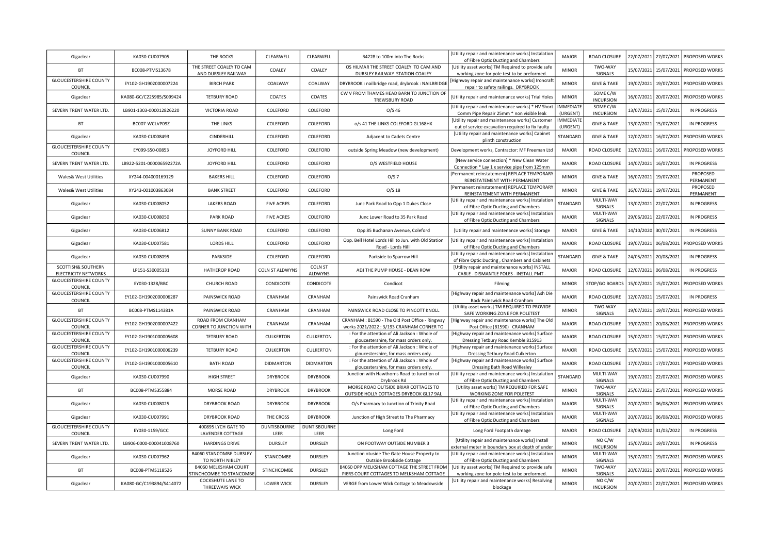| Gigaclear                                                    | KA030-CU007905           | THE ROCKS                                        | CLEARWELL              | CLEARWELL              | B4228 to 100m into The Rocks                                                                | [Utility repair and maintenance works] Instalation<br>of Fibre Optic Ducting and Chambers              | <b>MAJOR</b>                 | ROAD CLOSURE                  |            | 22/07/2021 27/07/2021 | PROPOSED WORKS                       |
|--------------------------------------------------------------|--------------------------|--------------------------------------------------|------------------------|------------------------|---------------------------------------------------------------------------------------------|--------------------------------------------------------------------------------------------------------|------------------------------|-------------------------------|------------|-----------------------|--------------------------------------|
| <b>BT</b>                                                    | BC008-PTMS13678          | THE STREET COALEY TO CAM<br>AND DURSLEY RAILWAY  | COALEY                 | COALEY                 | OS HILMAR THE STREET COALEY TO CAM AND<br>DURSLEY RAILWAY STATION COALEY                    | [Utility asset works] TM Required to provide safe<br>working zone for pole test to be preformed.       | <b>MINOR</b>                 | TWO-WAY<br>SIGNALS            |            | 15/07/2021 15/07/2021 | PROPOSED WORKS                       |
| <b>GLOUCESTERSHIRE COUNTY</b><br>COUNCIL                     | EY102-GH1902000007224    | <b>BIRCH PARK</b>                                | COALWAY                | COALWAY                | DRYBROOK: nailbridge road, drybrook: NAILBRIDGE                                             | Highway repair and maintenance works] Ironcraft<br>repair to safety railings. DRYBROOK                 | <b>MINOR</b>                 | <b>GIVE &amp; TAKE</b>        | 19/07/2021 | 19/07/2021            | PROPOSED WORKS                       |
| Gigaclear                                                    | KA080-GC/C225985/S099424 | <b>TETBURY ROAD</b>                              | COATES                 | COATES                 | CW V FROM THAMES HEAD BARN TO JUNCTION OF<br>TREWSBURY ROAD                                 | [Utility repair and maintenance works] Trial Holes                                                     | <b>MINOR</b>                 | SOME C/W<br><b>INCURSION</b>  |            | 16/07/2021 20/07/2021 | PROPOSED WORKS                       |
| SEVERN TRENT WATER LTD.                                      | LB901-1303-000012826220  | VICTORIA ROAD                                    | COLEFORD               | COLEFORD               | $O/S$ 46                                                                                    | [Utility repair and maintenance works] * HV Short<br>Comm Pipe Repair 25mm * non visible leak          | <b>IMMEDIATI</b><br>(URGENT) | SOME C/W<br><b>INCURSION</b>  |            | 13/07/2021 15/07/2021 | <b>IN PROGRESS</b>                   |
| BT                                                           | BC007-WCLVP09Z           | THE LINKS                                        | COLEFORD               | COLEFORD               | o/s 41 THE LINKS COLEFORD GL168HX                                                           | [Utility repair and maintenance works] Customer                                                        | <b>MMEDIATE</b>              | <b>GIVE &amp; TAKE</b>        | 13/07/2021 | 15/07/2021            | <b>IN PROGRESS</b>                   |
| Gigaclear                                                    | KA030-CU008493           | CINDERHILL                                       | COLEFORD               | COLEFORD               | Adjacent to Cadets Centre                                                                   | out of service excavation required to fix faulty<br>[Utility repair and maintenance works] Cabinet     | (URGENT)<br>STANDARD         | <b>GIVE &amp; TAKE</b>        | 12/07/2021 | 16/07/2021            | PROPOSED WORKS                       |
| <b>GLOUCESTERSHIRE COUNTY</b>                                | EY099-S50-00853          | JOYFORD HILL                                     | COLEFORD               | COLEFORD               | outside Spring Meadow (new development)                                                     | plinth construction<br>Development works, Contractor: MF Freeman Ltd                                   | <b>MAJOR</b>                 | ROAD CLOSURE                  | 12/07/2021 | 16/07/2021            | PROPOSED WORKS                       |
| COUNCIL<br>SEVERN TRENT WATER LTD.                           | LB922-5201-000006592272A | JOYFORD HILL                                     | COLEFORD               | COLEFORD               | O/S WESTFIELD HOUSE                                                                         | [New service connection] * New Clean Water                                                             | <b>MAJOR</b>                 | ROAD CLOSURE                  |            | 14/07/2021 16/07/2021 | <b>IN PROGRESS</b>                   |
| <b>Wales&amp; West Utilities</b>                             | XY244-004000169129       | <b>BAKERS HILL</b>                               | COLEFORD               | COLEFORD               | O/S 7                                                                                       | Connection * Lay 1 x service pipe from 125mm<br>[Permanent reinstatement] REPLACE TEMPORARY            | <b>MINOR</b>                 | <b>GIVE &amp; TAKE</b>        |            | 16/07/2021 19/07/2021 | PROPOSED                             |
|                                                              | XY243-001003863084       | <b>BANK STREET</b>                               | COLEFORD               |                        | $O/S$ 18                                                                                    | REINSTATEMENT WITH PERMANENT<br>[Permanent reinstatement] REPLACE TEMPORARY                            | <b>MINOR</b>                 | <b>GIVE &amp; TAKE</b>        | 16/07/2021 |                       | PERMANENT<br>PROPOSED                |
| <b>Wales&amp; West Utilities</b>                             |                          |                                                  |                        | COLEFORD               |                                                                                             | REINSTATEMENT WITH PERMANENT<br>[Utility repair and maintenance works] Instalation                     |                              | MULTI-WAY                     |            | 19/07/2021            | PERMANENT                            |
| Gigaclear                                                    | KA030-CU008052           | <b>LAKERS ROAD</b>                               | <b>FIVE ACRES</b>      | COLEFORD               | Junc Park Road to Opp 1 Dukes Close                                                         | of Fibre Optic Ducting and Chambers<br>[Utility repair and maintenance works] Instalation              | STANDARD                     | SIGNALS<br>MULTI-WAY          |            | 13/07/2021 22/07/2021 | <b>IN PROGRESS</b>                   |
| Gigaclear                                                    | KA030-CU008050           | <b>PARK ROAD</b>                                 | <b>FIVE ACRES</b>      | COLEFORD               | Junc Lower Road to 35 Park Road                                                             | of Fibre Optic Ducting and Chambers                                                                    | <b>MAJOR</b>                 | SIGNALS                       |            | 29/06/2021 22/07/2021 | <b>IN PROGRESS</b>                   |
| Gigaclear                                                    | KA030-CU006812           | <b>SUNNY BANK ROAD</b>                           | COLEFORD               | COLEFORD               | Opp 85 Buchanan Avenue, Coleford<br>Opp. Bell Hotel Lords Hill to Jun. with Old Station     | [Utility repair and maintenance works] Storage<br>[Utility repair and maintenance works] Instalatior   | MAJOR                        | <b>GIVE &amp; TAKE</b>        |            | 14/10/2020 30/07/2021 | <b>IN PROGRESS</b>                   |
| Gigaclear                                                    | KA030-CU007581           | <b>LORDS HILL</b>                                | COLEFORD               | COLEFORD               | Road - Lords Hilll                                                                          | of Fibre Optic Ducting and Chambers                                                                    | <b>MAJOR</b>                 | ROAD CLOSURE                  |            | 19/07/2021 06/08/2021 | PROPOSED WORKS                       |
| Gigaclear                                                    | KA030-CU008095           | PARKSIDE                                         | COLEFORD               | COLEFORD               | Parkside to Sparrow Hill                                                                    | [Utility repair and maintenance works] Instalation<br>of Fibre Optic Ducting, Chambers and Cabinets    | STANDARD                     | <b>GIVE &amp; TAKE</b>        |            | 24/05/2021 20/08/2021 | IN PROGRESS                          |
| <b>SCOTTISH&amp; SOUTHERN</b><br><b>ELECTRICITY NETWORKS</b> | LP151-S30005131          | HATHEROP ROAD                                    | <b>COLN ST ALDWYNS</b> | COLN ST<br>ALDWYNS     | ADJ THE PUMP HOUSE - DEAN ROW                                                               | [Utility repair and maintenance works] INSTALL<br>CABLE - DISMANTLE POLES - INSTALL PMT -              | <b>MAJOR</b>                 | ROAD CLOSURE                  |            | 12/07/2021 06/08/2021 | <b>IN PROGRESS</b>                   |
| <b>GLOUCESTERSHIRE COUNTY</b><br>COUNCIL                     | EY030-1328/BBC           | CHURCH ROAD                                      | CONDICOTE              | CONDICOTE              | Condicot                                                                                    | Filming                                                                                                | <b>MINOR</b>                 | STOP/GO BOARDS                | 15/07/2021 | 15/07/2021            | PROPOSED WORKS                       |
| <b>GLOUCESTERSHIRE COUNTY</b><br>COUNCIL                     | EY102-GH1902000006287    | PAINSWICK ROAD                                   | CRANHAM                | CRANHAM                | Painswick Road Cranham                                                                      | [Highway repair and maintenance works] Ash Die<br>Back Painswick Road Cranham                          | <b>MAJOR</b>                 | ROAD CLOSURE                  |            | 12/07/2021 15/07/2021 | <b>IN PROGRESS</b>                   |
| <b>BT</b>                                                    | BC008-PTMS114381A        | PAINSWICK ROAD                                   | CRANHAM                | CRANHAM                | PAINSWICK ROAD CLOSE TO PINCOTT KNOLL                                                       | [Utility asset works] TM REQUIRED TO PROVIDE<br>SAFE WORKING ZONE FOR POLETEST                         | <b>MINOR</b>                 | TWO-WAY<br>SIGNALS            | 19/07/2021 | 19/07/2021            | PROPOSED WORKS                       |
| <b>GLOUCESTERSHIRE COUNTY</b><br>COUNCIL                     | EY102-GH1902000007422    | ROAD FROM CRANHAM<br>CORNER TO JUNCTION WITH     | CRANHAM                | CRANHAM                | CRANHAM: B1590 - The Old Post Office - Ringway<br>works 2021/2022 : 3/193 CRANHAM CORNER TO | [Highway repair and maintenance works] The Old<br>Post Office (B1590) CRANHAM                          | <b>MAJOR</b>                 | ROAD CLOSURE                  |            |                       | 19/07/2021 20/08/2021 PROPOSED WORKS |
| <b>GLOUCESTERSHIRE COUNTY</b><br>COUNCIL                     | EY102-GH1901000005608    | <b>TETBURY ROAD</b>                              | <b>CULKERTON</b>       | CULKERTON              | : For the attention of Ali Jackson : Whole of<br>gloucestershire, for mass orders only.     | [Highway repair and maintenance works] Surface<br>Dressing Tetbury Road Kemble 815913                  | <b>MAJOR</b>                 | ROAD CLOSURE                  |            | 15/07/2021 15/07/2021 | PROPOSED WORKS                       |
| <b>GLOUCESTERSHIRE COUNTY</b><br>COUNCIL                     | EY102-GH1901000006239    | <b>TETBURY ROAD</b>                              | <b>CULKERTON</b>       | CULKERTON              | : For the attention of Ali Jackson : Whole of<br>gloucestershire, for mass orders only.     | [Highway repair and maintenance works] Surface<br>Dressing Tetbury Road Culkerton                      | <b>MAJOR</b>                 | ROAD CLOSURE                  | 15/07/2021 |                       | 15/07/2021 PROPOSED WORKS            |
| <b>GLOUCESTERSHIRE COUNTY</b><br>COUNCIL                     | EY102-GH1901000005610    | <b>BATH ROAD</b>                                 | <b>DIDMARTON</b>       | <b>DIDMARTON</b>       | : For the attention of Ali Jackson : Whole of<br>gloucestershire, for mass orders only.     | [Highway repair and maintenance works] Surface<br>Dressing Bath Road Willesley                         | <b>MAJOR</b>                 | ROAD CLOSURE                  | 17/07/2021 | 17/07/2021            | PROPOSED WORKS                       |
| Gigaclear                                                    | KA030-CU007990           | <b>HIGH STREET</b>                               | <b>DRYBROOK</b>        | <b>DRYBROOK</b>        | Junction with Hawthorns Road to Junction of<br>Drybrook Rd                                  | [Utility repair and maintenance works] Instalatior<br>of Fibre Optic Ducting and Chambers              | STANDARD                     | MULTI-WAY<br>SIGNALS          |            | 19/07/2021 22/07/2021 | PROPOSED WORKS                       |
| <b>BT</b>                                                    | BC008-PTMS355884         | <b>MORSE ROAD</b>                                | <b>DRYBROOK</b>        | <b>DRYBROOK</b>        | MORSE ROAD OUTSIDE BRIAR COTTAGES TO                                                        | [Utility asset works] TM REQUIRED FOR SAFE                                                             | <b>MINOR</b>                 | TWO-WAY                       |            | 25/07/2021 25/07/2021 | PROPOSED WORKS                       |
| Gigaclear                                                    | KA030-CU008025           | DRYBROOK ROAD                                    | <b>DRYBROOK</b>        | <b>DRYBROOK</b>        | OUTSIDE HOLLY COTTAGES DRYBOOK GL17 9AL<br>O/s Pharmacy to Junction of Trinity Road         | WORKING ZONE FOR POLETEST<br>[Utility repair and maintenance works] Instalatior                        | <b>MAJOR</b>                 | SIGNALS<br>MULTI-WAY          |            | 20/07/2021 06/08/2021 | PROPOSED WORKS                       |
| Gigaclear                                                    | KA030-CU007991           | DRYBROOK ROAD                                    | THE CROSS              | <b>DRYBROOK</b>        | Junction of High Street to The Pharmacy                                                     | of Fibre Optic Ducting and Chambers<br>[Utility repair and maintenance works] Instalation              | <b>MAJOR</b>                 | SIGNALS<br>MULTI-WAY          | 20/07/2021 | 06/08/2021            | PROPOSED WORKS                       |
| <b>GLOUCESTERSHIRE COUNTY</b>                                | EY030-1159/GCC           | 400895 LYCH GATE TO                              | <b>DUNTISBOURNE</b>    | <b>DUNTISBOURNE</b>    | Long Ford                                                                                   | of Fibre Optic Ducting and Chambers<br>Long Ford Footpath damage                                       | <b>MAJOR</b>                 | SIGNALS<br>ROAD CLOSURE       |            | 23/09/2020 31/03/2022 | <b>IN PROGRESS</b>                   |
| COUNCIL<br>SEVERN TRENT WATER LTD.                           | LB906-0000-000041008760  | <b>LAVENDER COTTAGE</b><br><b>HARDINGS DRIVE</b> | LEER<br><b>DURSLEY</b> | LEER<br><b>DURSLEY</b> | ON FOOTWAY OUTSIDE NUMBER 3                                                                 | [Utility repair and maintenance works] Install                                                         | <b>MINOR</b>                 | NO C/W                        |            | 15/07/2021 19/07/2021 | <b>IN PROGRESS</b>                   |
|                                                              |                          | <b>B4060 STANCOMBE DURSLEY</b>                   |                        |                        | Junction otuside The Gate House Property to                                                 | external meter in boundary box at depth of under<br>[Utility repair and maintenance works] Instalation | <b>MINOR</b>                 | <b>INCURSION</b><br>MULTI-WAY |            |                       |                                      |
| Gigaclear                                                    | KA030-CU007962           | TO NORTH NIBLEY<br><b>B4060 MELKSHAM COURT</b>   | STANCOMBE              | <b>DURSLEY</b>         | Outside Brookside Cottage<br>B4060 OPP MELKSHAM COTTAGE THE STREET FROM                     | of Fibre Optic Ducting and Chambers<br>[Utility asset works] TM Required to provide safe               |                              | SIGNALS<br>TWO-WAY            |            | 15/07/2021 19/07/2021 | PROPOSED WORKS                       |
| <b>BT</b>                                                    | BC008-PTMS118526         | STINCHCOMBE TO STANCOMBE<br>COCKSHUTE LANE TO    | STINCHCOMBE            | DURSLEY                | PIERS COURT COTTAGES TO MELKSHAM COTTAGE                                                    | working zone for pole test to be preformed.<br>[Utility repair and maintenance works] Resolving        | <b>MINOR</b>                 | SIGNALS<br>NO C/W             |            | 20/07/2021 20/07/2021 | PROPOSED WORKS                       |
| Gigaclear                                                    | KA080-GC/C193894/S414072 | <b>THREEWAYS WICK</b>                            | <b>LOWER WICK</b>      | <b>DURSLEY</b>         | VERGE from Lower Wick Cottage to Meadowside                                                 | blockage                                                                                               | <b>MINOR</b>                 | <b>INCURSION</b>              |            |                       | 20/07/2021 22/07/2021 PROPOSED WORKS |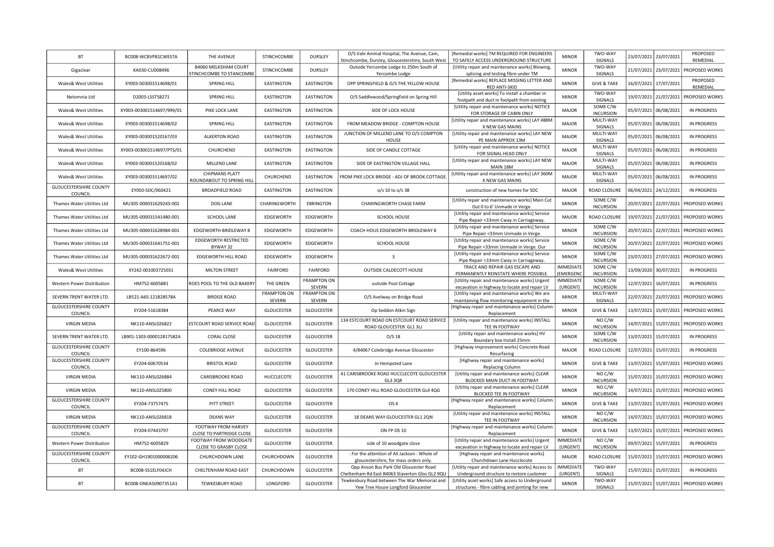| BT                                       | BC008-WC8VP81CWESTA       | THE AVENUE                                             | STINCHCOMBE                  | DURSLEY                      | O/S Vale Animal Hospital, The Avenue, Cam,<br>Stinchcombe, Dursley, Gloucestershire, South West | [Remedial works] TM REQUIRED FOR ENGINEERS<br>TO SAFELY ACCESS UNDERGROUND STRUCTURE                                      | <b>MINOR</b>                        | TWO-WAY<br>SIGNALS              | 23/07/2021 | 23/07/2021            | PROPOSED<br>REMEDIAL                 |
|------------------------------------------|---------------------------|--------------------------------------------------------|------------------------------|------------------------------|-------------------------------------------------------------------------------------------------|---------------------------------------------------------------------------------------------------------------------------|-------------------------------------|---------------------------------|------------|-----------------------|--------------------------------------|
| Gigaclear                                | KA030-CU008496            | <b>B4060 MELKSHAM COURT</b>                            | STINCHCOMBE                  | <b>DURSLEY</b>               | Outside Yercombe Lodge to 250m South of                                                         | [Utility repair and maintenance works] Blowing,                                                                           | <b>MINOR</b>                        | TWO-WAY<br>SIGNALS              | 21/07/2021 | 23/07/2021            | PROPOSED WORKS                       |
| Wales& West Utilities                    | XY003-003001514698/01     | STINCHCOMBE TO STANCOMBE<br>SPRING HILL                | <b>EASTINGTON</b>            | EASTINGTON                   | Yercombe Lodge<br>OPP SPRINGFIELD & O/S THE YELLOW HOUSE                                        | splicing and testing fibre under TM<br>[Remedial works] REPLACE MISSING LETTER AND                                        | <b>MINOR</b>                        | <b>GIVE &amp; TAKE</b>          |            | 16/07/2021 17/07/2021 | PROPOSED                             |
| Netomnia Ltd                             | D2003-LSST58271           | <b>SPRING HILL</b>                                     | <b>EASTINGTON</b>            | EASTINGTON                   | O/S Saddlewood/Springfield on Spring Hill                                                       | RED ANTI-SKID<br>[Utility asset works] To install a chamber in                                                            | <b>MINOR</b>                        | TWO-WAY<br>SIGNALS              | 19/07/2021 | 21/07/2021            | REMEDIAL<br>PROPOSED WORKS           |
| Wales& West Utilities                    | XY003-003001514697/999/01 | PIKE LOCK LANE                                         | <b>EASTINGTON</b>            | EASTINGTON                   | SIDE OF LOCK HOUSE                                                                              | footpath and duct in footpath from existing<br>[Utility repair and maintenance works] NOTICE<br>FOR STORAGE OF CABIN ONLY | MAJOR                               | SOME C/W<br><b>INCURSION</b>    | 05/07/2021 | 06/08/2021            | <b>IN PROGRESS</b>                   |
| <b>Wales&amp; West Utilities</b>         | XY003-003001514698/02     | <b>SPRING HILL</b>                                     | <b>EASTINGTON</b>            | <b>EASTINGTON</b>            | FROM MEADOW BRIDGE - COMPTON HOUSE                                                              | [Utility repair and maintenance works] LAY 488M                                                                           | <b>MAJOR</b>                        | MULTI-WAY                       | 05/07/2021 | 06/08/2021            | <b>IN PROGRESS</b>                   |
| <b>Wales&amp; West Utilities</b>         | XY003-003001520167/03     | <b>ALKERTON ROAD</b>                                   | <b>EASTINGTON</b>            | EASTINGTON                   | JUNCTION OF MILLEND LANE TO O/S COMPTON                                                         | X NEW GAS MAINS<br>[Utility repair and maintenance works] LAY NEW                                                         | <b>MAJOR</b>                        | SIGNALS<br>MULTI-WAY            | 05/07/2021 | 06/08/2021            | <b>IN PROGRESS</b>                   |
| <b>Wales&amp; West Utilities</b>         | XY003-003001514697/PTS/01 | CHURCHEND                                              | <b>EASTINGTON</b>            | EASTINGTON                   | HOUSE<br>SIDE OF CANDLE COTTAGE                                                                 | PE MAIN APPROX 13M<br>[Utility repair and maintenance works] NOTICE<br>FOR SIGNAL HEAD ONLY                               | <b>MAJOR</b>                        | SIGNALS<br>MULTI-WAY<br>SIGNALS | 05/07/2021 | 06/08/2021            | <b>IN PROGRESS</b>                   |
| <b>Wales&amp; West Utilities</b>         | XY003-003001520168/02     | MILLEND LANE                                           | <b>EASTINGTON</b>            | <b>EASTINGTON</b>            | SIDE OF EASTINGTON VILLAGE HALL                                                                 | [Utility repair and maintenance works] LAY NEW<br>MAIN 18M                                                                | MAJOR                               | MULTI-WAY<br>SIGNALS            | 05/07/2021 | 06/08/2021            | <b>IN PROGRESS</b>                   |
| Wales& West Utilities                    | XY003-003001514697/02     | <b>CHIPMANS PLATT</b><br>ROUNDABOUT TO SPRING HILL     | CHURCHEND                    | EASTINGTON                   | FROM PIKE LOCK BRIDGE - ADJ OF BROOK COTTAGE                                                    | [Utility repair and maintenance works] LAY 360M<br>X NEW GAS MAINS                                                        | MAJOR                               | MULTI-WAY<br>SIGNALS            | 05/07/2021 | 06/08/2021            | <b>IN PROGRESS</b>                   |
| GLOUCESTERSHIRE COUNTY<br>COUNCIL        | EY050-SDC/060421          | <b>BROADFIELD ROAD</b>                                 | <b>EASTINGTON</b>            | EASTINGTON                   | o/s 10 to o/s 38                                                                                | construction of new homes for SDC                                                                                         | <b>MAJOR</b>                        | ROAD CLOSURE                    | 06/04/2021 | 24/12/2021            | <b>IN PROGRESS</b>                   |
| Thames Water Utilities Ltd               | MU305-000031629243-002    | DOG LANE                                               | CHARINGWORTH                 | <b>EBRINGTON</b>             | CHARINGWORTH CHASE FARM                                                                         | [Utility repair and maintenance works] Main Cut<br>Out 0 to 6' Unmade in Verge.                                           | <b>MINOR</b>                        | SOME C/W<br><b>INCURSION</b>    | 20/07/2021 | 22/07/2021            | PROPOSED WORKS                       |
| Thames Water Utilities Ltd               | MU305-000031541480-001    | <b>SCHOOL LANE</b>                                     | EDGEWORTH                    | EDGEWORTH                    | SCHOOL HOUSE                                                                                    | [Utility repair and maintenance works] Service<br>Pipe Repair <33mm Cway in Carriageway.                                  | MAJOR                               | ROAD CLOSURE                    | 19/07/2021 | 21/07/2021            | PROPOSED WORKS                       |
| Thames Water Utilities Ltd               | MU305-000031628984-001    | EDGEWORTH BRIDLEWAY 8                                  | EDGEWORTH                    | EDGEWORTH                    | COACH HOUS EDGEWORTH BRIDLEWAY 8                                                                | [Utility repair and maintenance works] Service<br>Pipe Repair <33mm Unmade in Verge.                                      | <b>MINOR</b>                        | SOME C/W<br><b>INCURSION</b>    | 20/07/2021 | 22/07/2021            | <b>PROPOSED WORKS</b>                |
| <b>Thames Water Utilities Ltd</b>        | MU305-000031641751-001    | EDGEWORTH RESTRICTED<br>BYWAY 32                       | EDGEWORTH                    | EDGEWORTH                    | SCHOOL HOUSE                                                                                    | [Utility repair and maintenance works] Service<br>Pipe Repair <33mm Unmade in Verge. Our                                  | <b>MINOR</b>                        | SOME C/W<br><b>INCURSION</b>    | 20/07/2021 | 22/07/2021            | PROPOSED WORKS                       |
| Thames Water Utilities Ltd               | MU305-000031622672-001    | EDGEWORTH HILL ROAD                                    | EDGEWORTH                    | EDGEWORTH                    | $\overline{\mathbf{3}}$                                                                         | [Utility repair and maintenance works] Service<br>Pipe Repair <33mm Cway in Carriageway.                                  | <b>MINOR</b>                        | SOME C/W<br><b>INCURSION</b>    | 23/07/2021 | 27/07/2021            | PROPOSED WORKS                       |
| <b>Wales&amp; West Utilities</b>         | XY242-001003725031        | <b>MILTON STREET</b>                                   | <b>FAIRFORD</b>              | FAIRFORD                     | OUTSIDE CALDECOTT HOUSE                                                                         | TRACE AND REPAIR GAS ESCAPE AND<br>PERMANENTLY REINSTATE WHERE POSSIBLE.                                                  | <b>IMMEDIATE</b><br><b>EMERGENO</b> | SOME C/W<br><b>INCURSION</b>    | 13/09/2020 | 30/07/2021            | <b>IN PROGRESS</b>                   |
| Western Power Distribution               | HM752-6005881             | ROES POOL TO THE OLD BAKERY                            | THE GREEN                    | <b>FRAMPTON ON</b><br>SEVERN | outside Pool Cottage                                                                            | [Utility repair and maintenance works] Urgent<br>excavation in highway to locate and repair LV                            | <b>IMMEDIATE</b><br>(URGENT)        | SOME C/W<br><b>INCURSION</b>    | 12/07/2021 | 16/07/2021            | <b>IN PROGRESS</b>                   |
| SEVERN TRENT WATER LTD.                  | LB521-A6S-121828578A      | <b>BRIDGE ROAD</b>                                     | <b>FRAMPTON ON</b><br>SEVERN | <b>FRAMPTON ON</b><br>SEVERN | O/S Avelway on Bridge Road                                                                      | [Utility repair and maintenance works] We are<br>maintaining flow monitoring equipment in the                             | <b>MINOR</b>                        | MULTI-WAY<br>SIGNALS            | 22/07/2021 | 23/07/2021            | PROPOSED WORKS                       |
| GLOUCESTERSHIRE COUNTY<br>COUNCIL        | EY204-51618384            | PEARCE WAY                                             | <b>GLOUCESTER</b>            | <b>GLOUCESTER</b>            | Op Seddon Atkin Sign                                                                            | [Highway repair and maintenance works] Column<br>Replacement                                                              | <b>MINOR</b>                        | <b>GIVE &amp; TAKE</b>          | 13/07/2021 | 15/07/2021            | PROPOSED WORKS                       |
| <b>VIRGIN MEDIA</b>                      | NK110-ANSL026822          | ESTCOURT ROAD SERVICE ROAD                             | <b>GLOUCESTER</b>            | <b>GLOUCESTER</b>            | 134 ESTCOURT ROAD ON ESTCOURT ROAD SERVICE<br>ROAD GLOUCESTER GL1 3LJ                           | [Utility repair and maintenance works] INSTALL<br>TEE IN FOOTWAY                                                          | <b>MINOR</b>                        | NOC/W<br><b>INCURSION</b>       | 14/07/2021 | 15/07/2021            | PROPOSED WORKS                       |
| SEVERN TRENT WATER LTD.                  | LB901-1303-000012817582A  | <b>CORAL CLOSE</b>                                     | <b>GLOUCESTER</b>            | <b>GLOUCESTER</b>            | O/S <sub>18</sub>                                                                               | [Utility repair and maintenance works] HV<br>Boundary box Install 25mm                                                    | <b>MINOR</b>                        | SOME C/W<br><b>INCURSION</b>    | 13/07/2021 | 15/07/2021            | <b>IN PROGRESS</b>                   |
| <b>GLOUCESTERSHIRE COUNTY</b><br>COUNCIL | EY100-864596              | <b>COLEBRIDGE AVENUE</b>                               | <b>GLOUCESTER</b>            | <b>GLOUCESTER</b>            | 4/84067 Colebridge Avenue Gloucester                                                            | [Highway improvement works] Concrete Road<br>Resurfacing                                                                  | <b>MAJOR</b>                        | ROAD CLOSURE                    | 12/07/2021 | 15/07/2021            | <b>IN PROGRESS</b>                   |
| <b>GLOUCESTERSHIRE COUNTY</b><br>COUNCIL | EY204-60670534            | <b>BRISTOL ROAD</b>                                    | <b>GLOUCESTER</b>            | <b>GLOUCESTER</b>            | Jn Hempsted Lane                                                                                | [Highway repair and maintenance works]<br>Replacing Column                                                                | <b>MINOR</b>                        | <b>GIVE &amp; TAKE</b>          | 13/07/2021 | 15/07/2021            | PROPOSED WORKS                       |
| <b>VIRGIN MEDIA</b>                      | NK110-ANSL026884          | CARISBROOKE ROAD                                       | HUCCLECOTE                   | <b>GLOUCESTER</b>            | 41 CARISBROOKE ROAD HUCCLECOTE GLOUCESTER<br>GL3 3QR                                            | [Utility repair and maintenance works] CLEAR<br>BLOCKED MAIN DUCT IN FOOTWAY                                              | <b>MINOR</b>                        | NO C/W<br><b>INCURSION</b>      | 15/07/2021 | 15/07/2021            | PROPOSED WORKS                       |
| VIRGIN MEDIA                             | NK110-ANSL025800          | CONEY HILL ROAD                                        | <b>GLOUCESTER</b>            | <b>GLOUCESTER</b>            | 170 CONEY HILL ROAD GLOUCESTER GL4 4QG                                                          | [Utility repair and maintenance works] CLEAR<br>BLOCKED TEE IN FOOTWAY                                                    | <b>MINOR</b>                        | NO C/W<br><b>INCURSION</b>      | 14/07/2021 | 15/07/2021            | <b>PROPOSED WORKS</b>                |
| <b>GLOUCESTERSHIRE COUNTY</b><br>COUNCIL | EY204-73757475            | PITT STREET                                            | <b>GLOUCESTER</b>            | <b>GLOUCESTER</b>            | OS <sub>4</sub>                                                                                 | [Highway repair and maintenance works] Column<br>Replacement                                                              | <b>MINOR</b>                        | <b>GIVE &amp; TAKE</b>          | 13/07/2021 | 15/07/2021            | PROPOSED WORKS                       |
| <b>VIRGIN MEDIA</b>                      | NK110-ANSL026818          | <b>DEANS WAY</b>                                       | <b>GLOUCESTER</b>            | <b>GLOUCESTER</b>            | 18 DEANS WAY GLOUCESTER GL1 2QN                                                                 | [Utility repair and maintenance works] INSTALL<br>TEE IN FOOTWAY                                                          | <b>MINOR</b>                        | NO C/W<br><b>INCURSION</b>      | 14/07/2021 | 15/07/2021            | PROPOSED WORKS                       |
| <b>GLOUCESTERSHIRE COUNTY</b><br>COUNCIL | EY204-07443797            | FOOTWAY FROM HARVEY<br><b>CLOSE TO PARTRIDGE CLOSE</b> | <b>GLOUCESTER</b>            | <b>GLOUCESTER</b>            | ON FP OS 10                                                                                     | [Highway repair and maintenance works] Column<br>Replacement                                                              | <b>MINOR</b>                        | <b>GIVE &amp; TAKE</b>          |            | 13/07/2021 15/07/2021 | PROPOSED WORKS                       |
| Western Power Distribution               | HM752-6005829             | FOOTWAY FROM WOODGATE<br>CLOSE TO GRASBY CLOSE         | GLOUCESTER                   | <b>GLOUCESTER</b>            | side of 10 woodgate close                                                                       | [Utility repair and maintenance works] Urgent<br>excavation in highway to locate and repair LV                            | <b>IMMEDIATE</b><br>(URGENT)        | NO C/W<br><b>INCURSION</b>      | 09/07/2021 | 15/07/2021            | <b>IN PROGRESS</b>                   |
| <b>GLOUCESTERSHIRE COUNTY</b><br>COUNCIL | EY102-GH1901000006206     | CHURCHDOWN LANE                                        | CHURCHDOWN                   | <b>GLOUCESTER</b>            | : For the attention of Ali Jackson : Whole of<br>gloucestershire, for mass orders only.         | [Highway repair and maintenance works]<br>Churchdown Lane Hucclecote                                                      | MAJOR                               | ROAD CLOSURE                    | 15/07/2021 | 15/07/2021            | PROPOSED WORKS                       |
| BT                                       | BC008-SS1ELF04JCH         | CHELTENHAM ROAD EAST                                   | CHURCHDOWN                   | <b>GLOUCESTER</b>            | Opp Anson Bus Park Old Gloucester Road<br>Cheltenham Rd East B4063 Staverton Glos GL2 9QU       | [Utility repair and maintenance works] Access to<br>Underground structure to restore customer                             | IMMEDIATE<br>(URGENT)               | TWO-WAY<br>SIGNALS              | 15/07/2021 | 15/07/2021            | <b>IN PROGRESS</b>                   |
| BT                                       | BC008-ONEA50907351A1      | <b>TEWKESBURY ROAD</b>                                 | LONGFORD                     | <b>GLOUCESTER</b>            | Tewkesbury Road between The War Memorial and<br>Yew Tree House Longford Gloucester              | [Utility asset works] Safe access to Underground<br>structures - fibre cabling and jointing for new                       | <b>MINOR</b>                        | TWO-WAY<br>SIGNALS              |            |                       | 15/07/2021 15/07/2021 PROPOSED WORKS |
|                                          |                           |                                                        |                              |                              |                                                                                                 |                                                                                                                           |                                     |                                 |            |                       |                                      |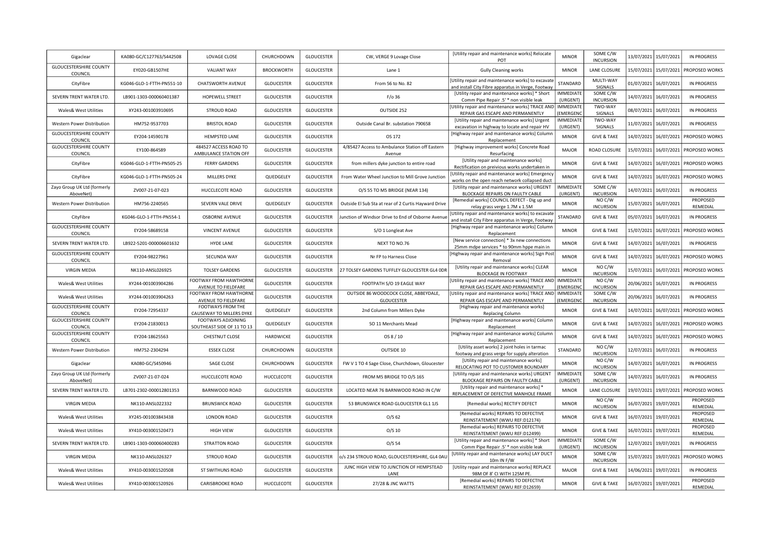| Gigaclear                                | KA080-GC/C127763/S442508  | LOVAGE CLOSE                                     | CHURCHDOWN        | <b>GLOUCESTER</b> | CW, VERGE 9 Lovage Close                                   | [Utility repair and maintenance works] Relocate<br>POT                                                   | <b>MINOR</b>                        | SOME C/W<br><b>INCURSION</b> | 13/07/2021 | 15/07/2021            | <b>IN PROGRESS</b>    |
|------------------------------------------|---------------------------|--------------------------------------------------|-------------------|-------------------|------------------------------------------------------------|----------------------------------------------------------------------------------------------------------|-------------------------------------|------------------------------|------------|-----------------------|-----------------------|
| <b>GLOUCESTERSHIRE COUNTY</b><br>COUNCIL | EY020-GB1507HE            | <b>VALIANT WAY</b>                               | <b>BROCKWORTH</b> | <b>GLOUCESTER</b> | Lane 1                                                     | <b>Gully Cleaning works</b>                                                                              | <b>MINOR</b>                        | LANE CLOSURE                 | 15/07/2021 | 15/07/2021            | PROPOSED WORKS        |
| CityFibre                                | KG046-GLO-1-FTTH-PN551-10 | CHATSWORTH AVENUE                                | <b>GLOUCESTER</b> | <b>GLOUCESTER</b> | From 56 to No. 82                                          | [Utility repair and maintenance works] to excavate<br>and install City Fibre apparatus in Verge, Footway | STANDARD                            | MULTI-WAY<br>SIGNALS         | 01/07/2021 | 16/07/2021            | <b>IN PROGRESS</b>    |
| SEVERN TRENT WATER LTD                   | LB901-1303-000060401387   | HOPEWELL STREET                                  | <b>GLOUCESTER</b> | <b>GLOUCESTER</b> | $F$ / $O$ 36                                               | [Utility repair and maintenance works] * Short<br>Comm Pipe Repair .5' * non visible leak                | <b>IMMEDIATE</b><br>(URGENT)        | SOME C/W<br><b>INCURSION</b> | 14/07/2021 | 16/07/2021            | <b>IN PROGRESS</b>    |
| Wales& West Utilities                    | XY243-001003910695        | <b>STROUD ROAD</b>                               | <b>GLOUCESTER</b> | <b>GLOUCESTER</b> | OUTSIDE 252                                                | [Utility repair and maintenance works] TRACE AND<br>REPAIR GAS ESCAPE AND PERMANENTLY                    | <b>IMMEDIATE</b><br><b>EMERGENO</b> | TWO-WAY<br>SIGNALS           | 08/07/2021 | 16/07/2021            | <b>IN PROGRESS</b>    |
| Western Power Distribution               | HM752-9537703             | <b>BRISTOL ROAD</b>                              | <b>GLOUCESTER</b> | <b>GLOUCESTER</b> | Outside Canal Br. substation 790658                        | [Utility repair and maintenance works] Urgent<br>excavation in highway to locate and repair HV           | <b>IMMEDIATE</b><br>(URGENT)        | TWO-WAY<br>SIGNALS           | 11/07/2021 | 16/07/2021            | <b>IN PROGRESS</b>    |
| <b>GLOUCESTERSHIRE COUNTY</b><br>COUNCIL | EY204-14590178            | <b>HEMPSTED LANE</b>                             | <b>GLOUCESTER</b> | <b>GLOUCESTER</b> | OS 172                                                     | [Highway repair and maintenance works] Column<br>Replacement                                             | <b>MINOR</b>                        | <b>GIVE &amp; TAKE</b>       | 14/07/2021 | 16/07/2021            | PROPOSED WORKS        |
| GLOUCESTERSHIRE COUNTY<br>COUNCIL        | EY100-864589              | 484527 ACCESS ROAD TO<br>AMBULANCE STATION OFF   | <b>GLOUCESTER</b> | <b>GLOUCESTER</b> | 4/85427 Access to Ambulance Station off Eastern<br>Avenue  | [Highway improvement works] Concrete Road<br>Resurfacing                                                 | <b>MAJOR</b>                        | ROAD CLOSURE                 | 15/07/2021 | 16/07/2021            | PROPOSED WORKS        |
| CityFibre                                | KG046-GLO-1-FTTH-PN505-25 | <b>FERRY GARDENS</b>                             | <b>GLOUCESTER</b> | <b>GLOUCESTER</b> | from millers dyke junction to entire road                  | [Utility repair and maintenance works]<br>Rectification on preivious works undertaken in                 | <b>MINOR</b>                        | <b>GIVE &amp; TAKE</b>       | 14/07/2021 | 16/07/2021            | PROPOSED WORKS        |
| CityFibre                                | KG046-GLO-1-FTTH-PN505-24 | MILLERS DYKE                                     | QUEDGELEY         | <b>GLOUCESTER</b> | From Water Wheel Junction to Mill Grove Junction           | [Utility repair and maintenance works] Emergency<br>works on the open reach network collapsed duct       | <b>MINOR</b>                        | <b>GIVE &amp; TAKE</b>       | 14/07/2021 | 16/07/2021            | <b>PROPOSED WORKS</b> |
| Zayo Group UK Ltd (formerly<br>AboveNet) | ZV007-21-07-023           | HUCCLECOTE ROAD                                  | <b>GLOUCESTER</b> | <b>GLOUCESTER</b> | O/S 55 TO M5 BRIDGE (NEAR 134)                             | [Utility repair and maintenance works] URGENT<br>BLOCKAGE REPAIRS ON FAULTY CABLE                        | <b>IMMEDIATE</b><br>(URGENT)        | SOME C/W<br><b>INCURSION</b> | 14/07/2021 | 16/07/2021            | <b>IN PROGRESS</b>    |
| Western Power Distribution               | HM756-2240565             | SEVERN VALE DRIVE                                | QUEDGELEY         | <b>GLOUCESTER</b> | Outside El Sub Sta at rear of 2 Curtis Hayward Drive       | [Remedial works] COUNCIL DEFECT - Dig up and<br>relay grass verge 1.7M x 1.5M                            | <b>MINOR</b>                        | NO C/W<br><b>INCURSION</b>   | 15/07/2021 | 16/07/2021            | PROPOSED<br>REMEDIAL  |
| CityFibre                                | KG046-GLO-1-FTTH-PN554-1  | <b>OSBORNE AVENUE</b>                            | <b>GLOUCESTER</b> | <b>GLOUCESTER</b> | unction of Windsor Drive to End of Osborne Avenu           | [Utility repair and maintenance works] to excavate<br>and install City Fibre apparatus in Verge, Footway | STANDARD                            | <b>GIVE &amp; TAKE</b>       | 05/07/2021 | 16/07/2021            | <b>IN PROGRESS</b>    |
| <b>GLOUCESTERSHIRE COUNTY</b><br>COUNCIL | EY204-58689158            | VINCENT AVENUE                                   | <b>GLOUCESTER</b> | <b>GLOUCESTER</b> | S/O 1 Longleat Ave                                         | [Highway repair and maintenance works] Column<br>Replacement                                             | <b>MINOR</b>                        | <b>GIVE &amp; TAKE</b>       | 15/07/2021 | 16/07/2021            | PROPOSED WORKS        |
| SEVERN TRENT WATER LTD.                  | LB922-5201-000006601632   | <b>HYDE LANE</b>                                 | <b>GLOUCESTER</b> | <b>GLOUCESTER</b> | NEXT TO NO.76                                              | [New service connection] * 3x new connections<br>25mm mdpe services * to 90mm hppe main in               | <b>MINOR</b>                        | <b>GIVE &amp; TAKE</b>       | 14/07/2021 | 16/07/2021            | IN PROGRESS           |
| <b>GLOUCESTERSHIRE COUNTY</b><br>COUNCIL | EY204-98227961            | SECUNDA WAY                                      | <b>GLOUCESTER</b> | <b>GLOUCESTER</b> | Nr FP to Harness Close                                     | [Highway repair and maintenance works] Sign Post<br>Removal                                              | <b>MINOR</b>                        | <b>GIVE &amp; TAKE</b>       | 14/07/2021 | 16/07/2021            | PROPOSED WORKS        |
| <b>VIRGIN MEDIA</b>                      | NK110-ANSL026925          | <b>TOLSEY GARDENS</b>                            | <b>GLOUCESTER</b> | <b>GLOUCESTER</b> | 27 TOLSEY GARDENS TUFFLEY GLOUCESTER GL4 ODR               | [Utility repair and maintenance works] CLEAR<br><b>BLOCKAGE IN FOOTWAY</b>                               | <b>MINOR</b>                        | NOC/W<br><b>INCURSION</b>    | 15/07/2021 | 16/07/2021            | PROPOSED WORKS        |
| Wales& West Utilities                    | XY244-001003904286        | FOOTWAY FROM HAWTHORNE<br>AVENUE TO FIELDFARE    | <b>GLOUCESTER</b> | <b>GLOUCESTER</b> | FOOTPATH S/O 19 EAGLE WAY                                  | [Utility repair and maintenance works] TRACE AND<br>REPAIR GAS ESCAPE AND PERMANENTLY                    | <b>IMMEDIATE</b><br><b>EMERGENC</b> | NO C/W<br><b>INCURSION</b>   | 20/06/2021 | 16/07/2021            | IN PROGRESS           |
| Wales& West Utilities                    | XY244-001003904263        | FOOTWAY FROM HAWTHORNE<br>AVENUE TO FIELDFARE    | <b>GLOUCESTER</b> | <b>GLOUCESTER</b> | OUTSIDE 86 WOODCOCK CLOSE, ABBEYDALE,<br><b>GLOUCESTER</b> | [Utility repair and maintenance works] TRACE AND<br>REPAIR GAS ESCAPE AND PERMANENTLY                    | IMMEDIATE<br>(EMERGEN)              | SOME C/W<br><b>INCURSION</b> | 20/06/2021 | 16/07/2021            | <b>IN PROGRESS</b>    |
| <b>GLOUCESTERSHIRE COUNTY</b><br>COUNCIL | EY204-72954337            | FOOTWAYS FROM THE<br>CAUSEWAY TO MILLERS DYKE    | QUEDGELEY         | <b>GLOUCESTER</b> | 2nd Column from Millers Dyke                               | [Highway repair and maintenance works]<br><b>Replacing Column</b>                                        | <b>MINOR</b>                        | <b>GIVE &amp; TAKE</b>       | 14/07/2021 | 16/07/2021            | PROPOSED WORKS        |
| GLOUCESTERSHIRE COUNTY<br>COUNCIL        | EY204-21830013            | FOOTWAYS ADJOINING<br>SOUTHEAST SIDE OF 11 TO 13 | QUEDGELEY         | <b>GLOUCESTER</b> | SO 11 Merchants Mead                                       | [Highway repair and maintenance works] Column<br>Replacement                                             | <b>MINOR</b>                        | <b>GIVE &amp; TAKE</b>       | 14/07/2021 | 16/07/2021            | PROPOSED WORKS        |
| <b>GLOUCESTERSHIRE COUNTY</b><br>COUNCIL | EY204-18625563            | CHESTNUT CLOSE                                   | HARDWICKE         | <b>GLOUCESTER</b> | OS 8 / 10                                                  | [Highway repair and maintenance works] Column<br>Replacement                                             | <b>MINOR</b>                        | <b>GIVE &amp; TAKE</b>       | 14/07/2021 | 16/07/2021            | PROPOSED WORKS        |
| Western Power Distribution               | HM752-2304294             | <b>ESSEX CLOSE</b>                               | CHURCHDOWN        | <b>GLOUCESTER</b> | OUTSIDE 10                                                 | [Utility asset works] 2 joint holes in tarmac<br>footway and grass verge for supply alteration           | STANDARD                            | NO C/W<br><b>INCURSION</b>   | 12/07/2021 | 16/07/2021            | <b>IN PROGRESS</b>    |
| Gigaclear                                | KA080-GC/S450946          | <b>SAGE CLOSE</b>                                | CHURCHDOWN        | <b>GLOUCESTER</b> | FW V 1 TO 4 Sage Close, Churchdown, Gloucester             | [Utility repair and maintenance works]<br>RELOCATING POT TO CUSTOMER BOUNDARY                            | <b>MINOR</b>                        | NO C/W<br><b>INCURSION</b>   | 14/07/2021 | 16/07/2021            | <b>IN PROGRESS</b>    |
| Zayo Group UK Ltd (formerly<br>AboveNet) | ZV007-21-07-024           | HUCCLECOTE ROAD                                  | HUCCLECOTE        | <b>GLOUCESTER</b> | FROM M5 BRIDGE TO O/S 165                                  | [Utility repair and maintenance works] URGENT<br>BLOCKAGE REPAIRS ON FAULTY CABLE                        | <b>IMMEDIATE</b><br>(URGENT)        | SOME C/W<br><b>INCURSION</b> | 14/07/2021 | 16/07/2021            | <b>IN PROGRESS</b>    |
| SEVERN TRENT WATER LTD.                  | LB701-2302-000012801353   | BARNWOOD ROAD                                    | <b>GLOUCESTER</b> | <b>GLOUCESTER</b> | LOCATED NEAR 76 BARNWOOD ROAD IN C/W                       | [Utility repair and maintenance works] *<br>REPLACEMENT OF DEFECTIVE MANHOLE FRAME                       | <b>MINOR</b>                        | LANE CLOSURE                 | 19/07/2021 | 19/07/2021            | PROPOSED WORKS        |
| <b>VIRGIN MEDIA</b>                      | NK110-ANSL022332          | <b>BRUNSWICK ROAD</b>                            | <b>GLOUCESTER</b> | <b>GLOUCESTER</b> | 53 BRUNSWICK ROAD GLOUCESTER GL1 1JS                       | [Remedial works] RECTIFY DEFECT                                                                          | <b>MINOR</b>                        | NO C/W<br><b>INCURSION</b>   |            | 16/07/2021 19/07/2021 | PROPOSED<br>REMEDIAL  |
| <b>Wales&amp; West Utilities</b>         | XY245-001003843438        | LONDON ROAD                                      | <b>GLOUCESTER</b> | <b>GLOUCESTER</b> | $O/S$ 62                                                   | [Remedial works] REPAIRS TO DEFECTIVE<br>REINSTATEMENT (WWU REF:D12174)                                  | <b>MINOR</b>                        | <b>GIVE &amp; TAKE</b>       | 16/07/2021 | 19/07/2021            | PROPOSED<br>REMEDIAL  |
| Wales& West Utilities                    | XY410-003001520473        | <b>HIGH VIEW</b>                                 | <b>GLOUCESTER</b> | <b>GLOUCESTER</b> | $O/S$ 10                                                   | [Remedial works] REPAIRS TO DEFECTIVE<br>REINSTATEMENT (WWU REF:D12499)                                  | <b>MINOR</b>                        | <b>GIVE &amp; TAKE</b>       |            | 16/07/2021 19/07/2021 | PROPOSED<br>REMEDIAL  |
| SEVERN TRENT WATER LTD.                  | LB901-1303-000060400283   | STRATTON ROAD                                    | <b>GLOUCESTER</b> | <b>GLOUCESTER</b> | O/S 54                                                     | [Utility repair and maintenance works] * Short<br>Comm Pipe Repair .5' * non visible leak                | <b>IMMEDIATE</b><br>(URGENT)        | SOME C/W<br><b>INCURSION</b> | 12/07/2021 | 19/07/2021            | <b>IN PROGRESS</b>    |
| <b>VIRGIN MEDIA</b>                      | NK110-ANSL026327          | STROUD ROAD                                      | <b>GLOUCESTER</b> | <b>GLOUCESTER</b> | o/s 234 STROUD ROAD, GLOUCESTERSHIRE, GL4 0AU              | [Utility repair and maintenance works] LAY DUCT<br>10m IN F/W                                            | <b>MINOR</b>                        | SOME C/W<br><b>INCURSION</b> | 15/07/2021 | 19/07/2021            | PROPOSED WORKS        |
| <b>Wales&amp; West Utilities</b>         | XY410-003001520508        | <b>ST SWITHUNS ROAD</b>                          | <b>GLOUCESTER</b> | <b>GLOUCESTER</b> | JUNC HIGH VIEW TO JUNCTION OF HEMPSTEAD<br>LANE            | [Utility repair and maintenance works] REPLACE<br>98M OF 8' CI WITH 125M PE.                             | <b>MAJOR</b>                        | <b>GIVE &amp; TAKE</b>       | 14/06/2021 | 19/07/2021            | <b>IN PROGRESS</b>    |
| Wales& West Utilities                    | XY410-003001520926        | CARISBROOKE ROAD                                 | HUCCLECOTE        | <b>GLOUCESTER</b> | 27/28 & JNC WATTS                                          | [Remedial works] REPAIRS TO DEFECTIVE<br>REINSTATEMENT (WWU REF:D12659)                                  | <b>MINOR</b>                        | <b>GIVE &amp; TAKE</b>       |            | 16/07/2021 19/07/2021 | PROPOSED<br>REMEDIAL  |
|                                          |                           |                                                  |                   |                   |                                                            |                                                                                                          |                                     |                              |            |                       |                       |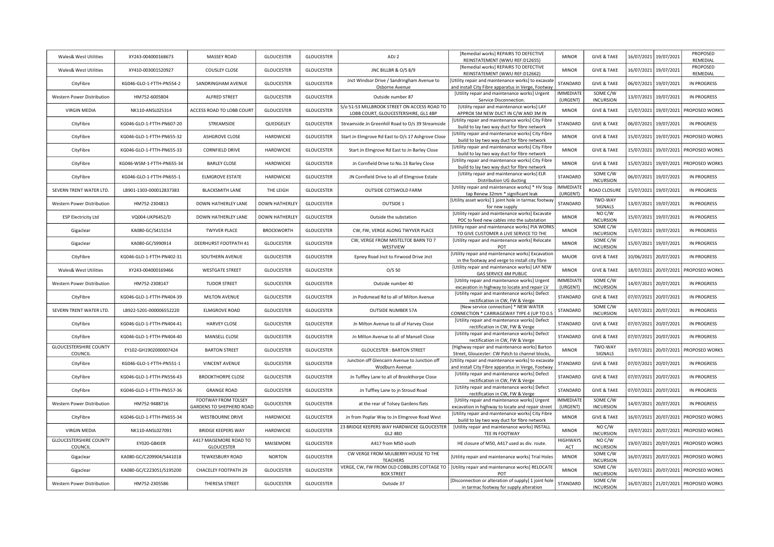| [Remedial works] REPAIRS TO DEFECTIVE<br>16/07/2021 19/07/2021<br><b>Wales&amp; West Utilities</b><br>XY243-004000168673<br>MASSEY ROAD<br><b>GLOUCESTER</b><br><b>GLOUCESTER</b><br>ADJ <sub>2</sub><br><b>MINOR</b><br><b>GIVE &amp; TAKE</b><br>REINSTATEMENT (WWU REF:D12655)<br>[Remedial works] REPAIRS TO DEFECTIVE<br><b>COUSLEY CLOSE</b><br><b>GLOUCESTER</b><br><b>GLOUCESTER</b><br>JNC BILLBR & O/S 8/9<br><b>MINOR</b><br><b>GIVE &amp; TAKE</b><br>16/07/2021 19/07/2021<br>Wales& West Utilities<br>XY410-003001520927<br>REINSTATEMENT (WWU REF:D12662)<br>Jnct Windsor Drive / Sandringham Avenue to<br>[Utility repair and maintenance works] to excavate<br>KG046-GLO-1-FTTH-PN554-2<br><b>GLOUCESTER</b><br><b>GLOUCESTER</b><br>STANDARD<br><b>GIVE &amp; TAKE</b><br>06/07/2021 19/07/2021<br>SANDRINGHAM AVENUE<br>CityFibre<br>Osborne Avenue<br>and install City Fibre apparatus in Verge, Footway<br>[Utility repair and maintenance works] Urgent<br><b>IMMEDIATE</b><br>SOME C/W<br><b>GLOUCESTER</b><br><b>Western Power Distribution</b><br>HM752-6005804<br>ALFRED STREET<br><b>GLOUCESTER</b><br>Outside number 87<br>13/07/2021<br>(URGENT)<br><b>INCURSION</b><br>Service Disconnection.<br>S/o 51-53 MILLBROOK STREET ON ACCESS ROAD TO<br>[Utility repair and maintenance works] LAY<br><b>VIRGIN MEDIA</b><br>NK110-ANSL025314<br>ACCESS ROAD TO LOBB COURT<br><b>GLOUCESTER</b><br><b>GLOUCESTER</b><br><b>MINOR</b><br><b>GIVE &amp; TAKE</b><br>LOBB COURT, GLOUCESTERSHIRE, GL1 4BP<br>APPROX 5M NEW DUCT IN C/W AND 3M IN<br>[Utility repair and maintenance works] City Fibre<br>KG046-GLO-1-FTTH-PN607-20<br>STREAMSIDE<br>QUEDGELEY<br><b>GLOUCESTER</b><br>STANDARD<br><b>GIVE &amp; TAKE</b><br>06/07/2021 19/07/2021<br>CityFibre<br>Streamside Jn Greenhill Road to O/s 39 Streamside<br>build to lay two way duct for fibre network<br>[Utility repair and maintenance works] City Fibre<br>KG046-GLO-1-FTTH-PN655-32<br>HARDWICKE<br><b>GLOUCESTER</b><br><b>GIVE &amp; TAKE</b><br><b>ASHGROVE CLOSE</b><br>Start Jn Elmgrove Rd East to O/s 17 Ashgrove Close<br><b>MINOR</b><br>CityFibre<br>build to lay two way duct for fibre network<br>[Utility repair and maintenance works] City Fibre<br><b>GLOUCESTER</b><br>KG046-GLO-1-FTTH-PN655-33<br><b>CORNFIELD DRIVE</b><br>HARDWICKE<br>Start Jn Elmgrove Rd East to Jn Barley Close<br><b>MINOR</b><br><b>GIVE &amp; TAKE</b><br>CityFibre<br>build to lay two way duct for fibre network<br>[Utility repair and maintenance works] City Fibre | 19/07/2021 | PROPOSED<br>REMEDIAL<br>PROPOSED<br>REMEDIAL<br>IN PROGRESS<br><b>IN PROGRESS</b><br>15/07/2021 19/07/2021 PROPOSED WORKS |
|----------------------------------------------------------------------------------------------------------------------------------------------------------------------------------------------------------------------------------------------------------------------------------------------------------------------------------------------------------------------------------------------------------------------------------------------------------------------------------------------------------------------------------------------------------------------------------------------------------------------------------------------------------------------------------------------------------------------------------------------------------------------------------------------------------------------------------------------------------------------------------------------------------------------------------------------------------------------------------------------------------------------------------------------------------------------------------------------------------------------------------------------------------------------------------------------------------------------------------------------------------------------------------------------------------------------------------------------------------------------------------------------------------------------------------------------------------------------------------------------------------------------------------------------------------------------------------------------------------------------------------------------------------------------------------------------------------------------------------------------------------------------------------------------------------------------------------------------------------------------------------------------------------------------------------------------------------------------------------------------------------------------------------------------------------------------------------------------------------------------------------------------------------------------------------------------------------------------------------------------------------------------------------------------------------------------------------------------------------------------------------------------------------------------------------------------------------------------------------------------------------------------------------------------------------|------------|---------------------------------------------------------------------------------------------------------------------------|
|                                                                                                                                                                                                                                                                                                                                                                                                                                                                                                                                                                                                                                                                                                                                                                                                                                                                                                                                                                                                                                                                                                                                                                                                                                                                                                                                                                                                                                                                                                                                                                                                                                                                                                                                                                                                                                                                                                                                                                                                                                                                                                                                                                                                                                                                                                                                                                                                                                                                                                                                                          |            |                                                                                                                           |
|                                                                                                                                                                                                                                                                                                                                                                                                                                                                                                                                                                                                                                                                                                                                                                                                                                                                                                                                                                                                                                                                                                                                                                                                                                                                                                                                                                                                                                                                                                                                                                                                                                                                                                                                                                                                                                                                                                                                                                                                                                                                                                                                                                                                                                                                                                                                                                                                                                                                                                                                                          |            |                                                                                                                           |
|                                                                                                                                                                                                                                                                                                                                                                                                                                                                                                                                                                                                                                                                                                                                                                                                                                                                                                                                                                                                                                                                                                                                                                                                                                                                                                                                                                                                                                                                                                                                                                                                                                                                                                                                                                                                                                                                                                                                                                                                                                                                                                                                                                                                                                                                                                                                                                                                                                                                                                                                                          |            |                                                                                                                           |
|                                                                                                                                                                                                                                                                                                                                                                                                                                                                                                                                                                                                                                                                                                                                                                                                                                                                                                                                                                                                                                                                                                                                                                                                                                                                                                                                                                                                                                                                                                                                                                                                                                                                                                                                                                                                                                                                                                                                                                                                                                                                                                                                                                                                                                                                                                                                                                                                                                                                                                                                                          |            |                                                                                                                           |
|                                                                                                                                                                                                                                                                                                                                                                                                                                                                                                                                                                                                                                                                                                                                                                                                                                                                                                                                                                                                                                                                                                                                                                                                                                                                                                                                                                                                                                                                                                                                                                                                                                                                                                                                                                                                                                                                                                                                                                                                                                                                                                                                                                                                                                                                                                                                                                                                                                                                                                                                                          |            |                                                                                                                           |
|                                                                                                                                                                                                                                                                                                                                                                                                                                                                                                                                                                                                                                                                                                                                                                                                                                                                                                                                                                                                                                                                                                                                                                                                                                                                                                                                                                                                                                                                                                                                                                                                                                                                                                                                                                                                                                                                                                                                                                                                                                                                                                                                                                                                                                                                                                                                                                                                                                                                                                                                                          |            | IN PROGRESS                                                                                                               |
|                                                                                                                                                                                                                                                                                                                                                                                                                                                                                                                                                                                                                                                                                                                                                                                                                                                                                                                                                                                                                                                                                                                                                                                                                                                                                                                                                                                                                                                                                                                                                                                                                                                                                                                                                                                                                                                                                                                                                                                                                                                                                                                                                                                                                                                                                                                                                                                                                                                                                                                                                          |            | 15/07/2021 19/07/2021 PROPOSED WORKS                                                                                      |
|                                                                                                                                                                                                                                                                                                                                                                                                                                                                                                                                                                                                                                                                                                                                                                                                                                                                                                                                                                                                                                                                                                                                                                                                                                                                                                                                                                                                                                                                                                                                                                                                                                                                                                                                                                                                                                                                                                                                                                                                                                                                                                                                                                                                                                                                                                                                                                                                                                                                                                                                                          |            | 15/07/2021 19/07/2021 PROPOSED WORKS                                                                                      |
| KG046-WSM-1-FTTH-PN655-34<br><b>BARLEY CLOSE</b><br>HARDWICKE<br><b>GLOUCESTER</b><br>Jn Cornfield Drive to No.13 Barley Close<br><b>MINOR</b><br><b>GIVE &amp; TAKE</b><br>CityFibre<br>build to lay two way duct for fibre network                                                                                                                                                                                                                                                                                                                                                                                                                                                                                                                                                                                                                                                                                                                                                                                                                                                                                                                                                                                                                                                                                                                                                                                                                                                                                                                                                                                                                                                                                                                                                                                                                                                                                                                                                                                                                                                                                                                                                                                                                                                                                                                                                                                                                                                                                                                     |            | 15/07/2021 19/07/2021 PROPOSED WORKS                                                                                      |
| SOME C/W<br>[Utility repair and maintenance works] ELR<br>HARDWICKE<br><b>GLOUCESTER</b><br>STANDARD<br>06/07/2021 19/07/2021<br>KG046-GLO-1-FTTH-PN655-1<br><b>ELMGROVE ESTATE</b><br>JN Cornfield Drive to all of Elmgrove Estate<br>CityFibre<br><b>INCURSION</b><br>Distribution UG ducting                                                                                                                                                                                                                                                                                                                                                                                                                                                                                                                                                                                                                                                                                                                                                                                                                                                                                                                                                                                                                                                                                                                                                                                                                                                                                                                                                                                                                                                                                                                                                                                                                                                                                                                                                                                                                                                                                                                                                                                                                                                                                                                                                                                                                                                          |            | <b>IN PROGRESS</b>                                                                                                        |
| [Utility repair and maintenance works] * HV Stop<br><b>IMMEDIATE</b><br><b>GLOUCESTER</b><br>15/07/2021 19/07/2021<br>SEVERN TRENT WATER LTD.<br>LB901-1303-000012837383<br><b>BLACKSMITH LANE</b><br>THE LEIGH<br>OUTSIDE COTSWOLD FARM<br>ROAD CLOSURE<br>tap Renew 32mm * significant leak<br>(URGENT)                                                                                                                                                                                                                                                                                                                                                                                                                                                                                                                                                                                                                                                                                                                                                                                                                                                                                                                                                                                                                                                                                                                                                                                                                                                                                                                                                                                                                                                                                                                                                                                                                                                                                                                                                                                                                                                                                                                                                                                                                                                                                                                                                                                                                                                |            | IN PROGRESS                                                                                                               |
| [Utility asset works] 1 joint hole in tarmac footway<br>TWO-WAY<br>Western Power Distribution<br>HM752-2304813<br>DOWN HATHERLEY LANE<br><b>DOWN HATHERLEY</b><br><b>GLOUCESTER</b><br><b>OUTSIDE 1</b><br>STANDARD<br>13/07/2021<br>SIGNALS<br>for new supply                                                                                                                                                                                                                                                                                                                                                                                                                                                                                                                                                                                                                                                                                                                                                                                                                                                                                                                                                                                                                                                                                                                                                                                                                                                                                                                                                                                                                                                                                                                                                                                                                                                                                                                                                                                                                                                                                                                                                                                                                                                                                                                                                                                                                                                                                           | 19/07/2021 | IN PROGRESS                                                                                                               |
| [Utility repair and maintenance works] Excavate<br>NO C/W<br>VQ004-UKP6452/D<br>DOWN HATHERLEY LANE<br><b>DOWN HATHERLEY</b><br><b>GLOUCESTER</b><br><b>MINOR</b><br>15/07/2021 19/07/2021<br><b>ESP Electricity Ltd</b><br>Outside the substation<br><b>INCURSION</b><br>POC to feed new cables into the substation                                                                                                                                                                                                                                                                                                                                                                                                                                                                                                                                                                                                                                                                                                                                                                                                                                                                                                                                                                                                                                                                                                                                                                                                                                                                                                                                                                                                                                                                                                                                                                                                                                                                                                                                                                                                                                                                                                                                                                                                                                                                                                                                                                                                                                     |            | IN PROGRESS                                                                                                               |
| SOME C/W<br>Utility repair and maintenance works] PIA WORKS<br><b>BROCKWORTH</b><br><b>GLOUCESTER</b><br>CW, FW, VERGE ALONG TWYVER PLACE<br><b>MINOR</b><br>15/07/2021 19/07/2021<br>KA080-GC/S415154<br><b>TWYVER PLACE</b><br>Gigaclear<br>TO GIVE CUSTOMER A LIVE SERVICE TO THE<br><b>INCURSION</b>                                                                                                                                                                                                                                                                                                                                                                                                                                                                                                                                                                                                                                                                                                                                                                                                                                                                                                                                                                                                                                                                                                                                                                                                                                                                                                                                                                                                                                                                                                                                                                                                                                                                                                                                                                                                                                                                                                                                                                                                                                                                                                                                                                                                                                                 |            | <b>IN PROGRESS</b>                                                                                                        |
| CW, VERGE FROM MISTELTOE BARN TO 7<br>[Utility repair and maintenance works] Relocate<br>SOME C/W<br>DEERHURST FOOTPATH 41<br><b>GLOUCESTER</b><br><b>GLOUCESTER</b><br>15/07/2021 19/07/2021<br>KA080-GC/S990914<br><b>MINOR</b><br>Gigaclear<br><b>INCURSION</b><br>WESTVIEW<br>POT                                                                                                                                                                                                                                                                                                                                                                                                                                                                                                                                                                                                                                                                                                                                                                                                                                                                                                                                                                                                                                                                                                                                                                                                                                                                                                                                                                                                                                                                                                                                                                                                                                                                                                                                                                                                                                                                                                                                                                                                                                                                                                                                                                                                                                                                    |            | IN PROGRESS                                                                                                               |
| [Utility repair and maintenance works] Excavation<br><b>GLOUCESTER</b><br>10/06/2021 20/07/2021<br>KG046-GLO-1-FTTH-PN402-31<br>SOUTHERN AVENUE<br><b>GLOUCESTER</b><br>Epney Road Jnct to Firwood Drive Jnct<br>MAJOR<br><b>GIVE &amp; TAKE</b><br>CityFibre<br>in the footway and verge to install city fibre                                                                                                                                                                                                                                                                                                                                                                                                                                                                                                                                                                                                                                                                                                                                                                                                                                                                                                                                                                                                                                                                                                                                                                                                                                                                                                                                                                                                                                                                                                                                                                                                                                                                                                                                                                                                                                                                                                                                                                                                                                                                                                                                                                                                                                          |            | IN PROGRESS                                                                                                               |
| [Utility repair and maintenance works] LAY NEW<br>XY243-004000169466<br><b>WESTGATE STREET</b><br><b>GLOUCESTER</b><br><b>GLOUCESTER</b><br>O/S 50<br><b>MINOR</b><br><b>GIVE &amp; TAKE</b><br>Wales& West Utilities<br>GAS SERVICE 4M PUBLIC                                                                                                                                                                                                                                                                                                                                                                                                                                                                                                                                                                                                                                                                                                                                                                                                                                                                                                                                                                                                                                                                                                                                                                                                                                                                                                                                                                                                                                                                                                                                                                                                                                                                                                                                                                                                                                                                                                                                                                                                                                                                                                                                                                                                                                                                                                           |            | 18/07/2021 20/07/2021 PROPOSED WORKS                                                                                      |
| <b>IMMEDIATE</b><br>SOME C/W<br>[Utility repair and maintenance works] Urgent<br><b>GLOUCESTER</b><br>14/07/2021 20/07/2021<br>HM752-2308147<br><b>TUDOR STREET</b><br><b>GLOUCESTER</b><br>Outside number 40<br>Western Power Distribution<br><b>INCURSION</b><br>excavation in highway to locate and repair LV<br>(URGENT)                                                                                                                                                                                                                                                                                                                                                                                                                                                                                                                                                                                                                                                                                                                                                                                                                                                                                                                                                                                                                                                                                                                                                                                                                                                                                                                                                                                                                                                                                                                                                                                                                                                                                                                                                                                                                                                                                                                                                                                                                                                                                                                                                                                                                             |            | <b>IN PROGRESS</b>                                                                                                        |
| [Utility repair and maintenance works] Defect<br>KG046-GLO-1-FTTH-PN404-39<br><b>MILTON AVENUE</b><br><b>GLOUCESTER</b><br><b>GLOUCESTER</b><br>Jn Podsmead Rd to all of Milton Avenue<br>STANDARD<br><b>GIVE &amp; TAKE</b><br>07/07/2021 20/07/2021<br>CityFibre<br>rectification in CW, FW & Verge                                                                                                                                                                                                                                                                                                                                                                                                                                                                                                                                                                                                                                                                                                                                                                                                                                                                                                                                                                                                                                                                                                                                                                                                                                                                                                                                                                                                                                                                                                                                                                                                                                                                                                                                                                                                                                                                                                                                                                                                                                                                                                                                                                                                                                                    |            | IN PROGRESS                                                                                                               |
| [New service connection] * NEW WATER<br>SOME C/W<br>SEVERN TRENT WATER LTD.<br>LB922-5201-000006552220<br><b>ELMGROVE ROAD</b><br><b>GLOUCESTER</b><br><b>GLOUCESTER</b><br><b>OUTSIDE NUMBER 57A</b><br>STANDARD<br>14/07/2021 20/07/2021<br>CONNECTION * CARRIAGEWAY TYPE 4 (UP TO 0.5<br><b>INCURSION</b>                                                                                                                                                                                                                                                                                                                                                                                                                                                                                                                                                                                                                                                                                                                                                                                                                                                                                                                                                                                                                                                                                                                                                                                                                                                                                                                                                                                                                                                                                                                                                                                                                                                                                                                                                                                                                                                                                                                                                                                                                                                                                                                                                                                                                                             |            | IN PROGRESS                                                                                                               |
| [Utility repair and maintenance works] Defect<br>KG046-GLO-1-FTTH-PN404-41<br><b>HARVEY CLOSE</b><br><b>GLOUCESTER</b><br><b>GLOUCESTER</b><br>STANDARD<br><b>GIVE &amp; TAKE</b><br>07/07/2021 20/07/2021<br>CityFibre<br>Jn Milton Avenue to all of Harvey Close<br>rectification in CW, FW & Verge                                                                                                                                                                                                                                                                                                                                                                                                                                                                                                                                                                                                                                                                                                                                                                                                                                                                                                                                                                                                                                                                                                                                                                                                                                                                                                                                                                                                                                                                                                                                                                                                                                                                                                                                                                                                                                                                                                                                                                                                                                                                                                                                                                                                                                                    |            | IN PROGRESS                                                                                                               |
| [Utility repair and maintenance works] Defect<br><b>GLOUCESTER</b><br><b>GLOUCESTER</b><br>STANDARD<br>07/07/2021 20/07/2021<br>KG046-GLO-1-FTTH-PN404-40<br>MANSELL CLOSE<br>Jn Milton Avenue to all of Mansell Close<br><b>GIVE &amp; TAKE</b><br>CityFibre<br>rectification in CW, FW & Verge                                                                                                                                                                                                                                                                                                                                                                                                                                                                                                                                                                                                                                                                                                                                                                                                                                                                                                                                                                                                                                                                                                                                                                                                                                                                                                                                                                                                                                                                                                                                                                                                                                                                                                                                                                                                                                                                                                                                                                                                                                                                                                                                                                                                                                                         |            | IN PROGRESS                                                                                                               |
| <b>GLOUCESTERSHIRE COUNTY</b><br>[Highway repair and maintenance works] Barton<br>TWO-WAY<br>EY102-GH1902000007424<br><b>BARTON STREET</b><br><b>GLOUCESTER</b><br><b>GLOUCESTER</b><br><b>GLOUCESTER: BARTON STREET</b><br><b>MINOR</b><br>COUNCIL<br>Street, Gloucester: CW Patch to channel blocks<br>SIGNALS                                                                                                                                                                                                                                                                                                                                                                                                                                                                                                                                                                                                                                                                                                                                                                                                                                                                                                                                                                                                                                                                                                                                                                                                                                                                                                                                                                                                                                                                                                                                                                                                                                                                                                                                                                                                                                                                                                                                                                                                                                                                                                                                                                                                                                         |            | 19/07/2021 20/07/2021 PROPOSED WORKS                                                                                      |
| Junction off Glencairn Avenue to Junction off<br>[Utility repair and maintenance works] to excavate<br>07/07/2021 20/07/2021<br>KG046-GLO-1-FTTH-PN551-1<br><b>VINCENT AVENUE</b><br><b>GLOUCESTER</b><br><b>GLOUCESTER</b><br>STANDARD<br><b>GIVE &amp; TAKE</b><br>CityFibre<br>and install City Fibre apparatus in Verge, Footway<br>Wodburn Avenue                                                                                                                                                                                                                                                                                                                                                                                                                                                                                                                                                                                                                                                                                                                                                                                                                                                                                                                                                                                                                                                                                                                                                                                                                                                                                                                                                                                                                                                                                                                                                                                                                                                                                                                                                                                                                                                                                                                                                                                                                                                                                                                                                                                                   |            | IN PROGRESS                                                                                                               |
| [Utility repair and maintenance works] Defect<br>KG046-GLO-1-FTTH-PN556-43<br><b>BROOKTHORPE CLOSE</b><br><b>GLOUCESTER</b><br><b>GLOUCESTER</b><br>STANDARD<br><b>GIVE &amp; TAKE</b><br>07/07/2021 20/07/2021<br>CityFibre<br>Jn Tuffley Lane to all of Brookthorpe Close<br>rectification in CW, FW & Verge                                                                                                                                                                                                                                                                                                                                                                                                                                                                                                                                                                                                                                                                                                                                                                                                                                                                                                                                                                                                                                                                                                                                                                                                                                                                                                                                                                                                                                                                                                                                                                                                                                                                                                                                                                                                                                                                                                                                                                                                                                                                                                                                                                                                                                           |            | IN PROGRESS                                                                                                               |
| [Utility repair and maintenance works] Defect<br><b>GLOUCESTER</b><br>STANDARD<br>07/07/2021 20/07/2021<br>KG046-GLO-1-FTTH-PN557-36<br><b>GRANGE ROAD</b><br><b>GLOUCESTER</b><br><b>GIVE &amp; TAKE</b><br>CityFibre<br>Jn Tuffley Lane to jn Stroud Road<br>rectification in CW, FW & Verge                                                                                                                                                                                                                                                                                                                                                                                                                                                                                                                                                                                                                                                                                                                                                                                                                                                                                                                                                                                                                                                                                                                                                                                                                                                                                                                                                                                                                                                                                                                                                                                                                                                                                                                                                                                                                                                                                                                                                                                                                                                                                                                                                                                                                                                           |            | <b>IN PROGRESS</b>                                                                                                        |
| <b>FOOTWAY FROM TOLSEY</b><br>[Utility repair and maintenance works] Urgent<br><b>MMEDIATE</b><br>SOME C/W<br>Western Power Distribution<br>HM752-9488716<br><b>GLOUCESTER</b><br><b>GLOUCESTER</b><br>at the rear of Tolsey Gardens flats<br>14/07/2021 20/07/2021<br>GARDENS TO SHEPHERD ROAD<br><b>INCURSION</b><br>excavation in highway to locate and repair street<br>(URGENT)                                                                                                                                                                                                                                                                                                                                                                                                                                                                                                                                                                                                                                                                                                                                                                                                                                                                                                                                                                                                                                                                                                                                                                                                                                                                                                                                                                                                                                                                                                                                                                                                                                                                                                                                                                                                                                                                                                                                                                                                                                                                                                                                                                     |            | IN PROGRESS                                                                                                               |
| [Utility repair and maintenance works] City Fibre<br>KG046-GLO-1-FTTH-PN655-34<br>WESTBOURNE DRIVE<br>HARDWICKE<br><b>GLOUCESTER</b><br><b>MINOR</b><br><b>GIVE &amp; TAKE</b><br>CityFibre<br>Jn from Poplar Way to Jn Elmgrove Road West<br>build to lay two way duct for fibre network                                                                                                                                                                                                                                                                                                                                                                                                                                                                                                                                                                                                                                                                                                                                                                                                                                                                                                                                                                                                                                                                                                                                                                                                                                                                                                                                                                                                                                                                                                                                                                                                                                                                                                                                                                                                                                                                                                                                                                                                                                                                                                                                                                                                                                                                |            | 16/07/2021 20/07/2021 PROPOSED WORKS                                                                                      |
| 23 BRIDGE KEEPERS WAY HARDWICKE GLOUCESTER<br>NO C/W<br>[Utility repair and maintenance works] INSTALL<br><b>VIRGIN MEDIA</b><br><b>BRIDGE KEEPERS WAY</b><br>HARDWICKE<br><b>GLOUCESTER</b><br><b>MINOR</b><br>NK110-ANSL027091<br><b>INCURSION</b><br>GL2 4BD<br>TEE IN FOOTWAY                                                                                                                                                                                                                                                                                                                                                                                                                                                                                                                                                                                                                                                                                                                                                                                                                                                                                                                                                                                                                                                                                                                                                                                                                                                                                                                                                                                                                                                                                                                                                                                                                                                                                                                                                                                                                                                                                                                                                                                                                                                                                                                                                                                                                                                                        |            | 19/07/2021 20/07/2021 PROPOSED WORKS                                                                                      |
| <b>GLOUCESTERSHIRE COUNTY</b><br>A417 MAISEMORE ROAD TO<br><b>HIGHWAYS</b><br>NO C/W<br>MAISEMORE<br><b>GLOUCESTER</b><br>EY020-GBKIER<br>A417 from M50 south<br>HE closure of M50, A417 used as div. route.<br><b>INCURSION</b><br>COUNCIL<br><b>GLOUCESTER</b><br><b>ACT</b>                                                                                                                                                                                                                                                                                                                                                                                                                                                                                                                                                                                                                                                                                                                                                                                                                                                                                                                                                                                                                                                                                                                                                                                                                                                                                                                                                                                                                                                                                                                                                                                                                                                                                                                                                                                                                                                                                                                                                                                                                                                                                                                                                                                                                                                                           |            | 19/07/2021 20/07/2021 PROPOSED WORKS                                                                                      |
| CW VERGE FROM MULBERRY HOUSE TO THE<br>SOME C/W<br>KA080-GC/C209904/S441018<br><b>TEWKESBURY ROAD</b><br><b>NORTON</b><br><b>GLOUCESTER</b><br>[Utility repair and maintenance works] Trial Holes<br><b>MINOR</b><br>Gigaclear<br><b>INCURSION</b><br><b>TEACHERS</b>                                                                                                                                                                                                                                                                                                                                                                                                                                                                                                                                                                                                                                                                                                                                                                                                                                                                                                                                                                                                                                                                                                                                                                                                                                                                                                                                                                                                                                                                                                                                                                                                                                                                                                                                                                                                                                                                                                                                                                                                                                                                                                                                                                                                                                                                                    |            | 16/07/2021 20/07/2021 PROPOSED WORKS                                                                                      |
| VERGE, CW, FW FROM OLD COBBLERS COTTAGE TO<br>SOME C/W<br>[Utility repair and maintenance works] RELOCATE<br>KA080-GC/C223051/S195200<br>CHACELEY FOOTPATH 29<br><b>GLOUCESTER</b><br><b>GLOUCESTER</b><br><b>MINOR</b>                                                                                                                                                                                                                                                                                                                                                                                                                                                                                                                                                                                                                                                                                                                                                                                                                                                                                                                                                                                                                                                                                                                                                                                                                                                                                                                                                                                                                                                                                                                                                                                                                                                                                                                                                                                                                                                                                                                                                                                                                                                                                                                                                                                                                                                                                                                                  |            | 16/07/2021 20/07/2021 PROPOSED WORKS                                                                                      |
| Gigaclear<br><b>BOX STREET</b><br><b>INCURSION</b><br>POT                                                                                                                                                                                                                                                                                                                                                                                                                                                                                                                                                                                                                                                                                                                                                                                                                                                                                                                                                                                                                                                                                                                                                                                                                                                                                                                                                                                                                                                                                                                                                                                                                                                                                                                                                                                                                                                                                                                                                                                                                                                                                                                                                                                                                                                                                                                                                                                                                                                                                                |            |                                                                                                                           |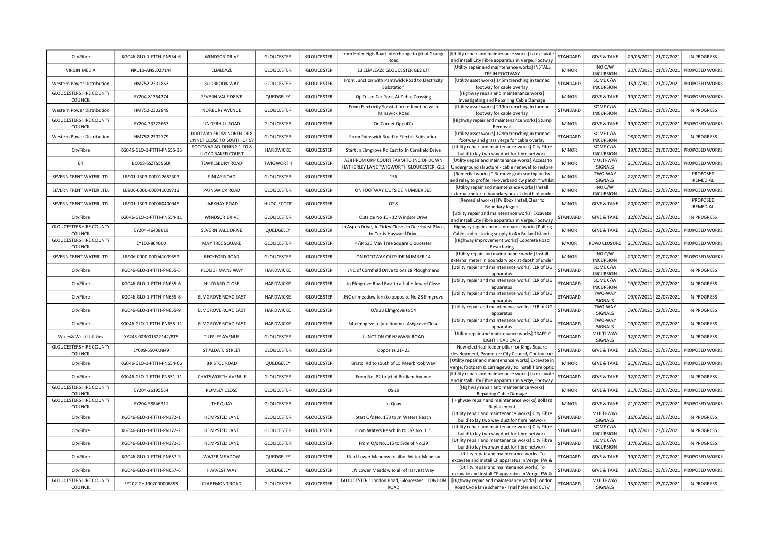| CityFibre                                  | KG046-GLO-1-FTTH-PN554-6  | <b>WINDSOR DRIVE</b>                                    | <b>GLOUCESTER</b> | <b>GLOUCESTER</b> | from Holmleigh Road interchange to jct of Grange<br>Road                                 | [Utility repair and maintenance works] to excavate<br>and install City Fibre apparatus in Verge, Footway   | STANDARD     | <b>GIVE &amp; TAKE</b>                     | 29/06/2021 | 21/07/2021 | <b>IN PROGRESS</b>         |
|--------------------------------------------|---------------------------|---------------------------------------------------------|-------------------|-------------------|------------------------------------------------------------------------------------------|------------------------------------------------------------------------------------------------------------|--------------|--------------------------------------------|------------|------------|----------------------------|
| <b>VIRGIN MEDIA</b>                        | NK110-ANSL027144          | ELMLEAZE                                                | <b>GLOUCESTER</b> | <b>GLOUCESTER</b> | 13 ELMLEAZE GLOUCESTER GL2 OJT                                                           | [Utility repair and maintenance works] INSTALL<br>TEE IN FOOTWAY                                           | <b>MINOR</b> | NO C/W<br><b>INCURSION</b>                 | 20/07/2021 | 21/07/2021 | PROPOSED WORKS             |
| Western Power Distribution                 | HM752-2302853             | SUDBROOK WAY                                            | <b>GLOUCESTER</b> | <b>GLOUCESTER</b> | From Junction with Painswick Road to Electricity<br>Substation                           | [Utility asset works] 145m trenching in tarmac<br>footway for cable overlay                                | STANDARD     | SOME C/W<br><b>INCURSION</b>               | 15/07/2021 | 21/07/2021 | PROPOSED WORKS             |
| <b>GLOUCESTERSHIRE COUNTY</b><br>COUNCIL   | EY204-81364274            | SEVERN VALE DRIVE                                       | QUEDGELEY         | <b>GLOUCESTER</b> | Op Tesco Car Park, At Zebra Crossing                                                     | [Highway repair and maintenance works]<br>Investigating and Repairing Cable Damage                         | <b>MINOR</b> | <b>GIVE &amp; TAKE</b>                     | 19/07/2021 | 21/07/2021 | PROPOSED WORKS             |
| Western Power Distribution                 | HM752-2302849             | NORBURY AVENUE                                          | <b>GLOUCESTER</b> | <b>GLOUCESTER</b> | From Electricity Substation to Junction with                                             | [Utility asset works] 219m trenching in tarmac                                                             | STANDARD     | SOME C/W                                   | 12/07/2021 | 21/07/2021 | <b>IN PROGRESS</b>         |
| <b>GLOUCESTERSHIRE COUNTY</b>              | EY204-33722667            | UNDERHILL ROAD                                          | <b>GLOUCESTER</b> | <b>GLOUCESTER</b> | Painswick Road<br>On Corner Opp 47a                                                      | footway for cable overlay<br>[Highway repair and maintenance works] Stump                                  | <b>MINOR</b> | <b>INCURSION</b><br><b>GIVE &amp; TAKE</b> | 19/07/2021 | 21/07/2021 | PROPOSED WORKS             |
| COUNCIL<br>Western Power Distribution      | HM752-2302779             | FOOTWAY FROM NORTH OF 8                                 | <b>GLOUCESTER</b> | <b>GLOUCESTER</b> | From Painswick Road to Electric Substation                                               | Removal<br>[Utility asset works] 128m trenching in tarmac                                                  | STANDARD     | SOME C/W                                   | 08/07/2021 | 21/07/2021 | <b>IN PROGRESS</b>         |
| CityFibre                                  | KG046-GLO-1-FTTH-PN655-35 | LINNET CLOSE TO SOUTH OF 57<br>FOOTWAY ADJOINING 1 TO 8 | HARDWICKE         | <b>GLOUCESTER</b> | Start Jn Elmgrove Rd East to Jn Cornfield Drive                                          | footway and grass verge for cable overlay<br>[Utility repair and maintenance works] City Fibre             | <b>MINOR</b> | <b>INCURSION</b><br>SOME C/W               | 19/07/2021 | 21/07/2021 | PROPOSED WORKS             |
|                                            |                           | LLOYD BAKER COURT                                       |                   |                   | A38 FROM OPP COURT FARM TO JNC OF DOWN                                                   | build to lay two way duct for fibre network<br>[Utility repair and maintenance works] Access to            |              | <b>INCURSION</b><br>MULTI-WAY              |            |            |                            |
| <b>BT</b>                                  | BC008-SSZTS596LK          | TEWKESBURY ROAD                                         | TWIGWORTH         | <b>GLOUCESTER</b> | HATHERLEY LANE TWIGWORTH GLOUCESTER GL2                                                  | Underground structure - cable renewal to restore<br>[Remedial works] * Remove grab scaring on fw           | <b>MINOR</b> | SIGNALS<br>TWO-WAY                         | 21/07/2021 | 21/07/2021 | PROPOSED WORKS<br>PROPOSED |
| SEVERN TRENT WATER LTD.                    | LB901-1303-000012652303   | <b>FINLAY ROAD</b>                                      | <b>GLOUCESTER</b> | <b>GLOUCESTER</b> | 156                                                                                      | and relay to profile, re-overband cw patch * whilst                                                        | <b>MINOR</b> | SIGNALS                                    | 22/07/2021 | 22/07/2021 | REMEDIAL                   |
| SEVERN TRENT WATER LTD.                    | LB906-0000-000041009712   | PAINSWICK ROAD                                          | <b>GLOUCESTER</b> | <b>GLOUCESTER</b> | ON FOOTWAY OUTSIDE NUMBER 365                                                            | [Utility repair and maintenance works] Install                                                             | <b>MINOR</b> | NO C/W                                     | 20/07/2021 | 22/07/2021 | PROPOSED WORKS             |
| SEVERN TRENT WATER LTD.                    | LB901-1303-000060400949   | <b>LARKHAY ROAD</b>                                     | HUCCLECOTE        | <b>GLOUCESTER</b> | OS <sub>8</sub>                                                                          | external meter in boundary box at depth of under<br>[Remedial works] HV Bbox Install, Clear to             | <b>MINOR</b> | <b>INCURSION</b><br><b>GIVE &amp; TAKE</b> | 20/07/2021 | 22/07/2021 | PROPOSED                   |
|                                            |                           |                                                         |                   |                   |                                                                                          | Boundary logger<br>[Utility repair and maintenance works] Excavate                                         |              |                                            |            |            | REMEDIAL                   |
| CityFibre<br><b>GLOUCESTERSHIRE COUNTY</b> | KG046-GLO-1-FTTH-PN554-11 | WINDSOR DRIVE                                           | <b>GLOUCESTER</b> | <b>GLOUCESTER</b> | Outside No 10 - 12 Windsor Drive<br>Jn Aspen Drive, Jn Tirley Close, Jn Deerhurst Place, | and install City Fibre apparatus in Verge, Footway<br>[Highway repair and maintenance works] Pulling       | STANDARD     | <b>GIVE &amp; TAKE</b>                     | 12/07/2021 | 22/07/2021 | IN PROGRESS                |
| COUNCIL                                    | EY204-46438619            | SEVERN VALE DRIVE                                       | QUEDGELEY         | <b>GLOUCESTER</b> | <b>Jn Curtis Hayward Drive</b>                                                           | Cable and restoring supply to 4 x Bollard Islands                                                          | <b>MINOR</b> | <b>GIVE &amp; TAKE</b>                     | 20/07/2021 | 22/07/2021 | PROPOSED WORKS             |
| <b>GLOUCESTERSHIRE COUNTY</b><br>COUNCIL   | EY100-864600              | MAY TREE SQUARE                                         | <b>GLOUCESTER</b> | <b>GLOUCESTER</b> | 4/84535 May Tree Square Gloucester                                                       | [Highway improvement works] Concrete Road<br>Resurfacing                                                   | <b>MAJOR</b> | ROAD CLOSURE                               | 21/07/2021 | 22/07/2021 | PROPOSED WORKS             |
| SEVERN TRENT WATER LTD.                    | LB906-0000-000041009552   | <b>BECKFORD ROAD</b>                                    | <b>GLOUCESTER</b> | <b>GLOUCESTER</b> | ON FOOTWAY OUTSIDE NUMBER 14                                                             | [Utility repair and maintenance works] Install<br>external meter in boundary box at depth of under         | <b>MINOR</b> | NO C/W<br><b>INCURSION</b>                 | 20/07/2021 | 22/07/2021 | PROPOSED WORKS             |
| CityFibre                                  | KG046-GLO-1-FTTH-PN655-5  | PLOUGHMANS WAY                                          | HARDWICKE         | <b>GLOUCESTER</b> | JNC of Cornfield Drive to o/s 18 Ploughmans                                              | [Utility repair and maintenance works] ELR of UG<br>apparatus                                              | STANDARD     | SOME C/W<br><b>INCURSION</b>               | 09/07/2021 | 22/07/2021 | <b>IN PROGRESS</b>         |
| CityFibre                                  | KG046-GLO-1-FTTH-PN655-6  | HILDYARD CLOSE                                          | HARDWICKE         | <b>GLOUCESTER</b> | Jn Elmgrove Road East to all of Hildyard Close                                           | [Utility repair and maintenance works] ELR of UG<br>apparatus                                              | STANDARD     | SOME C/W<br><b>INCURSION</b>               | 09/07/2021 | 22/07/2021 | <b>IN PROGRESS</b>         |
| CityFibre                                  | KG046-GLO-1-FTTH-PN655-8  | ELMGROVE ROAD EAST                                      | HARDWICKE         | <b>GLOUCESTER</b> | JNC of meadow fern to opposite No 28 Elmgrove                                            | [Utility repair and maintenance works] ELR of UG<br>apparatus                                              | STANDARD     | TWO-WAY<br>SIGNALS                         | 09/07/2021 | 22/07/2021 | <b>IN PROGRESS</b>         |
| CityFibre                                  | KG046-GLO-1-FTTH-PN655-9  | ELMGROVE ROAD EAST                                      | HARDWICKE         | <b>GLOUCESTER</b> | O/s 28 Elmgrove to 54                                                                    | [Utility repair and maintenance works] ELR of UG                                                           | STANDARD     | TWO-WAY                                    | 09/07/2021 | 22/07/2021 | <b>IN PROGRESS</b>         |
| CityFibre                                  | KG046-GLO-1-FTTH-PN655-11 | ELMGROVE ROAD EAST                                      | HARDWICKE         | <b>GLOUCESTER</b> | 54 elmogrve to junctionmof Ashgrove Close                                                | apparatus<br>[Utility repair and maintenance works] ELR of UG                                              | STANDARD     | SIGNALS<br>TWO-WAY                         | 09/07/2021 | 22/07/2021 | IN PROGRESS                |
|                                            |                           |                                                         |                   |                   |                                                                                          | apparatus<br>[Utility repair and maintenance works] TRAFFIC                                                |              | SIGNALS<br>MULTI-WAY                       |            |            |                            |
| Wales& West Utilities                      | XY243-003001522142/PTS    | TUFFLEY AVENUE                                          | <b>GLOUCESTER</b> | <b>GLOUCESTER</b> | JUNCTION OF NEWARK ROAD                                                                  | LIGHT HEAD ONLY                                                                                            | STANDARD     | SIGNALS                                    | 12/07/2021 | 23/07/2021 | IN PROGRESS                |
| <b>GLOUCESTERSHIRE COUNTY</b><br>COUNCIL   | FY099-S50-00849           | ST ALDATE STREET                                        | <b>GLOUCESTER</b> | <b>GLOUCESTER</b> | Opposite 21-23                                                                           | New electrical feeder pillar for Kings Square<br>development, Promoter: City Council, Contractor:          | STANDARD     | <b>GIVE &amp; TAKE</b>                     | 15/07/2021 | 23/07/2021 | PROPOSED WORKS             |
| CityFibre                                  | KG046-GLO-1-FTTH-PN654-06 | <b>BRISTOL ROAD</b>                                     | QUEDGELEY         | <b>GLOUCESTER</b> | Bristol Rd to south of 15 Meerbrook Way                                                  | [Utility repair and maintenance works] Excavate in<br>verge, footpath & carriageway to install fibre optic | <b>MINOR</b> | <b>GIVE &amp; TAKE</b>                     | 21/07/2021 | 23/07/2021 | PROPOSED WORKS             |
| CityFibre                                  | KG046-GLO-1-FTTH-PN551-11 | CHATSWORTH AVENUE                                       | <b>GLOUCESTER</b> | <b>GLOUCESTER</b> | From No. 82 to jct of Bodiam Avenue                                                      | [Utility repair and maintenance works] to excavate<br>and install City Fibre apparatus in Verge, Footway   | STANDARD     | <b>GIVE &amp; TAKE</b>                     | 12/07/2021 | 23/07/2021 | IN PROGRESS                |
| <b>GLOUCESTERSHIRE COUNTY</b><br>COUNCIL   | EY204-26195554            | <b>RUMSEY CLOSE</b>                                     | <b>GLOUCESTER</b> | <b>GLOUCESTER</b> | OS 29                                                                                    | [Highway repair and maintenance works]<br>Repairing Cable Damage                                           | <b>MINOR</b> | <b>GIVE &amp; TAKE</b>                     | 21/07/2021 | 23/07/2021 | PROPOSED WORKS             |
| <b>GLOUCESTERSHIRE COUNTY</b><br>COUNCIL   | EY204-58846311            | THE QUAY                                                | GLOUCESTER        | <b>GLOUCESTER</b> | Jn Quay                                                                                  | [Highway repair and maintenance works] Bollard<br>Replacement                                              | <b>MINOR</b> | <b>GIVE &amp; TAKE</b>                     | 21/07/2021 | 23/07/2021 | PROPOSED WORKS             |
| CityFibre                                  | KG046-GLO-1-FTTH-PN172-1  | HEMPSTED LANE                                           | <b>GLOUCESTER</b> | <b>GLOUCESTER</b> | Start O/s No. 153 to Jn Waters Reach                                                     | [Utility repair and maintenance works] City Fibre                                                          | STANDARD     | MULTI-WAY                                  | 16/06/2021 | 23/07/2021 | <b>IN PROGRESS</b>         |
| CityFibre                                  | KG046-GLO-1-FTTH-PN172-2  | <b>HEMPSTED LANE</b>                                    | <b>GLOUCESTER</b> | <b>GLOUCESTER</b> | From Waters Reach Jn to O/s No. 115                                                      | build to lay two way duct for fibre network<br>[Utility repair and maintenance works] City Fibre           | STANDARD     | SIGNALS<br>SOME C/W                        | 14/07/2021 | 23/07/2021 | IN PROGRESS                |
| CityFibre                                  | KG046-GLO-1-FTTH-PN172-3  | <b>HEMPSTED LANE</b>                                    | <b>GLOUCESTER</b> | <b>GLOUCESTER</b> | From O/s No.115 to Side of No.39                                                         | build to lay two way duct for fibre network<br>[Utility repair and maintenance works] City Fibre           | STANDARD     | <b>INCURSION</b><br>SOME C/W               | 17/06/2021 | 23/07/2021 | <b>IN PROGRESS</b>         |
| CityFibre                                  | KG046-GLO-1-FTTH-PN657-3  | <b>WATER MEADOW</b>                                     | QUEDGELEY         | <b>GLOUCESTER</b> | JN of Lower Meadow to all of Water Meadow                                                | build to lay two way duct for fibre network<br>[Utility repair and maintenance works] To                   | STANDARD     | <b>INCURSION</b><br><b>GIVE &amp; TAKE</b> | 19/07/2021 | 23/07/2021 | PROPOSED WORKS             |
|                                            | KG046-GLO-1-FTTH-PN657-6  | <b>HARVEST WAY</b>                                      | QUEDGELEY         | <b>GLOUCESTER</b> | JN Lower Meadow to all of Harvest Way                                                    | excavate and install CF apparatus in Verge, FW &<br>[Utility repair and maintenance works] To              | STANDARD     | <b>GIVE &amp; TAKE</b>                     | 19/07/2021 | 23/07/2021 | PROPOSED WORKS             |
| CityFibre<br><b>GLOUCESTERSHIRE COUNTY</b> |                           |                                                         |                   |                   | GLOUCESTER : London Road, Gloucester. : LONDON                                           | excavate and install CF apparatus in Verge, FW &<br>[Highway repair and maintenance works] London          |              | MULTI-WAY                                  |            |            |                            |
| COUNCIL                                    | EY102-GH1902000006853     | <b>CLAREMONT ROAD</b>                                   | <b>GLOUCESTER</b> | <b>GLOUCESTER</b> | ROAD                                                                                     | Road Cycle lane scheme - Trial holes and CCTV                                                              | STANDARD     | SIGNALS                                    | 15/07/2021 | 23/07/2021 | IN PROGRESS                |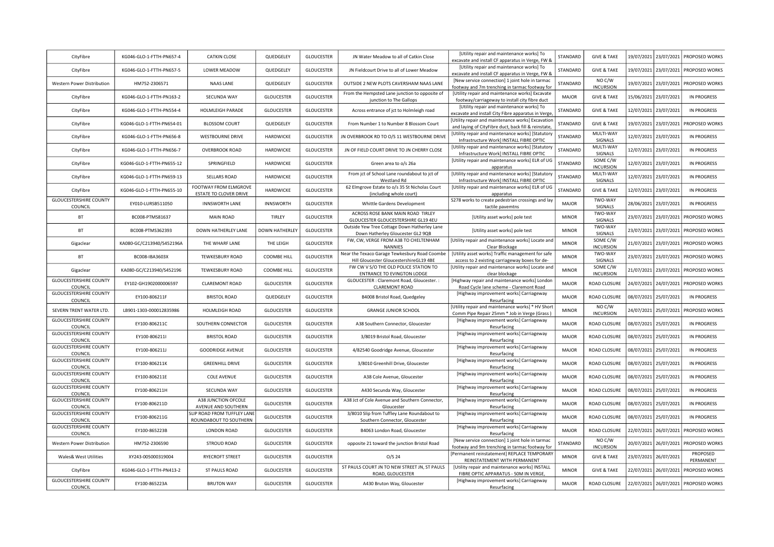| CityFibre                                | KG046-GLO-1-FTTH-PN657-4  | <b>CATKIN CLOSE</b>                                   | QUEDGELEY          | <b>GLOUCESTER</b> | JN Water Meadow to all of Catkin Close                                              | [Utility repair and maintenance works] To<br>excavate and install CF apparatus in Verge, FW &             | STANDARD     | <b>GIVE &amp; TAKE</b>                     |            | 19/07/2021 23/07/2021 | PROPOSED WORKS                       |
|------------------------------------------|---------------------------|-------------------------------------------------------|--------------------|-------------------|-------------------------------------------------------------------------------------|-----------------------------------------------------------------------------------------------------------|--------------|--------------------------------------------|------------|-----------------------|--------------------------------------|
| CityFibre                                | KG046-GLO-1-FTTH-PN657-5  | LOWER MEADOW                                          | QUEDGELEY          | <b>GLOUCESTER</b> | JN Fieldcourt Drive to all of Lower Meadow                                          | [Utility repair and maintenance works] To<br>excavate and install CF apparatus in Verge, FW &             | STANDARD     | <b>GIVE &amp; TAKE</b>                     |            | 19/07/2021 23/07/2021 | PROPOSED WORKS                       |
| Western Power Distribution               | HM752-2306571             | NAAS LANE                                             | QUEDGELEY          | <b>GLOUCESTER</b> | OUTSIDE 2 NEW PLOTS CAVERSHAM NAAS LANE                                             | [New service connection] 1 joint hole in tarmac<br>footway and 7m trenching in tarmac footway for         | STANDARD     | NO C/W<br><b>INCURSION</b>                 |            | 19/07/2021 23/07/2021 | PROPOSED WORKS                       |
| CityFibre                                | KG046-GLO-1-FTTH-PN163-2  | SECUNDA WAY                                           | <b>GLOUCESTER</b>  | <b>GLOUCESTER</b> | From the Hempsted Lane junction to opposite of<br>junction to The Gallops           | [Utility repair and maintenance works] Excavate<br>footway/carriageway to install city fibre duct         | <b>MAJOR</b> | <b>GIVE &amp; TAKE</b>                     |            | 15/06/2021 23/07/2021 | IN PROGRESS                          |
| CityFibre                                | KG046-GLO-1-FTTH-PN554-4  | HOLMLEIGH PARADE                                      | <b>GLOUCESTER</b>  | <b>GLOUCESTER</b> | Across entrance of jct to Holmleigh road                                            | [Utility repair and maintenance works] To<br>excavate and install City Fibre apparatus in Verge           | STANDARD     | <b>GIVE &amp; TAKE</b>                     |            | 12/07/2021 23/07/2021 | IN PROGRESS                          |
| CityFibre                                | KG046-GLO-1-FTTH-PN654-01 | <b>BLOSSOM COURT</b>                                  | QUEDGELEY          | <b>GLOUCESTER</b> | From Number 1 to Number 8 Blossom Court                                             | [Utility repair and maintenance works] Excavation                                                         | STANDARD     | <b>GIVE &amp; TAKE</b>                     |            | 19/07/2021 23/07/2021 | PROPOSED WORKS                       |
| CityFibre                                | KG046-GLO-1-FTTH-PN656-8  | <b>WESTBOURNE DRIVE</b>                               | HARDWICKE          | <b>GLOUCESTER</b> | IN OVERBROOK RD TO O/S 11 WESTBOURNE DRIVE                                          | and laying of CityFibre duct, back fill & reinstate,<br>[Utility repair and maintenance works] [Statutory | STANDARD     | MULTI-WAY                                  | 12/07/2021 | 23/07/2021            | <b>IN PROGRESS</b>                   |
| CityFibre                                | KG046-GLO-1-FTTH-PN656-7  | <b>OVERBROOK ROAD</b>                                 | HARDWICKE          | <b>GLOUCESTER</b> | JN OF FIELD COURT DRIVE TO JN CHERRY CLOSE                                          | Infrastructure Work] INSTALL FIBRE OPTIC<br>[Utility repair and maintenance works] [Statutory             | STANDARD     | SIGNALS<br>MULTI-WAY                       |            | 12/07/2021 23/07/2021 | <b>IN PROGRESS</b>                   |
| CityFibre                                | KG046-GLO-1-FTTH-PN655-12 | SPRINGFIELD                                           | HARDWICKE          | <b>GLOUCESTER</b> | Green area to o/s 26a                                                               | Infrastructure Work] INSTALL FIBRE OPTIC<br>[Utility repair and maintenance works] ELR of UG              | STANDARD     | SIGNALS<br>SOME C/W                        |            | 12/07/2021 23/07/2021 | <b>IN PROGRESS</b>                   |
| CityFibre                                | KG046-GLO-1-FTTH-PN659-13 | <b>SELLARS ROAD</b>                                   | HARDWICKE          | <b>GLOUCESTER</b> | From jct of School Lane roundabout to jct of                                        | apparatus<br>[Utility repair and maintenance works] [Statutory                                            | STANDARD     | <b>INCURSION</b><br>MULTI-WAY              |            | 12/07/2021 23/07/2021 | <b>IN PROGRESS</b>                   |
| CityFibre                                | KG046-GLO-1-FTTH-PN655-10 | FOOTWAY FROM ELMGROVE                                 | HARDWICKE          | <b>GLOUCESTER</b> | Westland Rd<br>62 Elmgrove Estate to o/s 35 St Nicholas Court                       | Infrastructure Work] INSTALL FIBRE OPTIC<br>[Utility repair and maintenance works] ELR of UG              | STANDARD     | SIGNALS<br><b>GIVE &amp; TAKE</b>          | 12/07/2021 | 23/07/2021            | IN PROGRESS                          |
| <b>GLOUCESTERSHIRE COUNTY</b>            |                           | ESTATE TO CLOVER DRIVE                                | INNSWORTH          | <b>GLOUCESTER</b> | (including whole court)                                                             | apparatus<br>S278 works to create pedestrian crossings and lay                                            | <b>MAJOR</b> | TWO-WAY                                    |            | 28/06/2021 23/07/2021 | IN PROGRESS                          |
| COUNCIL                                  | EY010-LURSB511050         | <b>INNSWORTH LANE</b>                                 |                    |                   | Whittle Gardens Development<br>ACROSS ROSE BANK MAIN ROAD TIRLEY                    | tactile pavemtns                                                                                          |              | SIGNALS<br>TWO-WAY                         |            |                       |                                      |
| BT                                       | BC008-PTMS81637           | <b>MAIN ROAD</b>                                      | TIRLEY             | <b>GLOUCESTER</b> | GLOUCESTER GLOUCESTERSHIRE GL19 4EU<br>Outside Yew Tree Cottage Down Hatherley Lane | [Utility asset works] pole test                                                                           | <b>MINOR</b> | SIGNALS<br>TWO-WAY                         |            | 23/07/2021 23/07/2021 | PROPOSED WORKS                       |
| BT                                       | BC008-PTMS362393          | DOWN HATHERLEY LANE                                   | DOWN HATHERLEY     | <b>GLOUCESTER</b> | Down Hatherley Gloucester GL2 9QB<br>FW, CW, VERGE FROM A38 TO CHELTENHAM           | [Utility asset works] pole test<br>[Utility repair and maintenance works] Locate and                      | <b>MINOR</b> | SIGNALS<br>SOME C/W                        |            | 23/07/2021 23/07/2021 | PROPOSED WORKS                       |
| Gigaclear                                | KA080-GC/C213940/S452196A | THE WHARF LANE                                        | THE LEIGH          | <b>GLOUCESTER</b> | <b>NANNIES</b><br>Near the Texaco Garage Tewkesbury Road Coombe                     | Clear Blockage<br>[Utility asset works] Traffic management for safe                                       | <b>MINOR</b> | <b>INCURSION</b><br>TWO-WAY                | 21/07/2021 | 23/07/2021            | PROPOSED WORKS                       |
| BT                                       | BC008-IBA3603X            | TEWKESBURY ROAD                                       | COOMBE HILL        | <b>GLOUCESTER</b> | Hill Gloucester GloucestershireGL19 4BE<br>FW CW V S/O THE OLD POLICE STATION TO    | access to 2 existing carriageway boxes for de-<br>[Utility repair and maintenance works] Locate and       | <b>MINOR</b> | SIGNALS<br>SOME C/W                        |            | 23/07/2021 23/07/2021 | PROPOSED WORKS                       |
| Gigaclear                                | KA080-GC/C213940/S452196  | <b>TEWKESBURY ROAD</b>                                | <b>COOMBE HILL</b> | <b>GLOUCESTER</b> | ENTRANCE TO EVINGTON LODGE                                                          | clear blockage                                                                                            | <b>MINOR</b> | <b>INCURSION</b>                           |            | 21/07/2021 23/07/2021 | PROPOSED WORKS                       |
| <b>GLOUCESTERSHIRE COUNTY</b><br>COUNCIL | EY102-GH1902000006597     | <b>CLAREMONT ROAD</b>                                 | <b>GLOUCESTER</b>  | <b>GLOUCESTER</b> | GLOUCESTER : Claremont Road, Gloucester. :<br><b>CLAREMONT ROAD</b>                 | [Highway repair and maintenance works] London<br>Road Cycle lane scheme - Claremont Road                  | <b>MAJOR</b> | ROAD CLOSURE                               |            | 24/07/2021 24/07/2021 | PROPOSED WORKS                       |
| <b>GLOUCESTERSHIRE COUNTY</b><br>COUNCIL | EY100-806211F             | <b>BRISTOL ROAD</b>                                   | QUEDGELEY          | <b>GLOUCESTER</b> | B4008 Bristol Road, Quedgeley                                                       | [Highway improvement works] Carriageway<br>Resurfacing                                                    | <b>MAJOR</b> | ROAD CLOSURE                               |            | 08/07/2021 25/07/2021 | IN PROGRESS                          |
| SEVERN TRENT WATER LTD.                  | LB901-1303-000012835986   | HOLMLEIGH ROAD                                        | <b>GLOUCESTER</b>  | <b>GLOUCESTER</b> | <b>GRANGE JUNIOR SCHOOL</b>                                                         | [Utility repair and maintenance works] * HV Short<br>Comm Pipe Repair 25mm * Job in Verge (Grass)         | <b>MINOR</b> | NO C/W<br><b>INCURSION</b>                 |            | 24/07/2021 25/07/2021 | PROPOSED WORKS                       |
| <b>GLOUCESTERSHIRE COUNTY</b><br>COUNCIL | EY100-806211C             | SOUTHERN CONNECTOR                                    | <b>GLOUCESTER</b>  | <b>GLOUCESTER</b> | A38 Southern Connector, Gloucester                                                  | [Highway improvement works] Carriageway<br>Resurfacing                                                    | <b>MAJOR</b> | ROAD CLOSURE                               |            | 08/07/2021 25/07/2021 | <b>IN PROGRESS</b>                   |
| <b>GLOUCESTERSHIRE COUNTY</b><br>COUNCIL | EY100-806211I             | <b>BRISTOL ROAD</b>                                   | <b>GLOUCESTER</b>  | <b>GLOUCESTER</b> | 3/8019 Bristol Road, Gloucester                                                     | [Highway improvement works] Carriageway<br>Resurfacing                                                    | <b>MAJOR</b> | ROAD CLOSURE                               |            | 08/07/2021 25/07/2021 | <b>IN PROGRESS</b>                   |
| <b>GLOUCESTERSHIRE COUNTY</b><br>COUNCIL | EY100-806211J             | <b>GOODRIDGE AVENUE</b>                               | <b>GLOUCESTER</b>  | <b>GLOUCESTER</b> | 4/82540 Goodridge Avenue, Gloucester                                                | [Highway improvement works] Carriageway<br>Resurfacing                                                    | <b>MAJOR</b> | ROAD CLOSURE                               |            | 08/07/2021 25/07/2021 | IN PROGRESS                          |
| <b>GLOUCESTERSHIRE COUNTY</b><br>COUNCIL | EY100-806211K             | <b>GREENHILL DRIVE</b>                                | <b>GLOUCESTER</b>  | <b>GLOUCESTER</b> | 3/8010 Greenhill Drive, Gloucester                                                  | [Highway improvement works] Carriageway<br>Resurfacing                                                    | <b>MAJOR</b> | ROAD CLOSURE                               |            | 08/07/2021 25/07/2021 | <b>IN PROGRESS</b>                   |
| <b>GLOUCESTERSHIRE COUNTY</b><br>COUNCIL | EY100-806211E             | <b>COLE AVENUE</b>                                    | <b>GLOUCESTER</b>  | <b>GLOUCESTER</b> | A38 Cole Avenue, Gloucester                                                         | [Highway improvement works] Carriageway<br>Resurfacing                                                    | <b>MAJOR</b> | ROAD CLOSURE                               |            | 08/07/2021 25/07/2021 | <b>IN PROGRESS</b>                   |
| <b>GLOUCESTERSHIRE COUNTY</b><br>COUNCIL | EY100-806211H             | SECUNDA WAY                                           | <b>GLOUCESTER</b>  | <b>GLOUCESTER</b> | A430 Secunda Way, Gloucester                                                        | [Highway improvement works] Carriageway<br>Resurfacing                                                    | <b>MAJOR</b> | ROAD CLOSURE                               |            | 08/07/2021 25/07/2021 | <b>IN PROGRESS</b>                   |
| <b>GLOUCESTERSHIRE COUNTY</b><br>COUNCIL | EY100-806211D             | A38 JUNCTION OFCOLE<br>AVENUE AND SOUTHERN            | <b>GLOUCESTER</b>  | <b>GLOUCESTER</b> | A38 Jct of Cole Avenue and Southern Connector,<br>Gloucester                        | [Highway improvement works] Carriageway<br>Resurfacing                                                    | <b>MAJOR</b> | ROAD CLOSURE                               |            | 08/07/2021 25/07/2021 | IN PROGRESS                          |
| <b>GLOUCESTERSHIRE COUNTY</b><br>COUNCIL | EY100-806211G             | SLIP ROAD FROM TUFFLEY LANE<br>ROUNDABOUT TO SOUTHERN | <b>GLOUCESTER</b>  | <b>GLOUCESTER</b> | 3/8010 Slip from Tuffley Lane Roundabout to<br>Southern Connector, Gloucester       | [Highway improvement works] Carriageway<br>Resurfacing                                                    | <b>MAJOR</b> | ROAD CLOSURE                               |            | 08/07/2021 25/07/2021 | IN PROGRESS                          |
| <b>GLOUCESTERSHIRE COUNTY</b>            | EY100-865223B             | LONDON ROAD                                           | <b>GLOUCESTER</b>  | <b>GLOUCESTER</b> | B4063 London Road, Gloucester                                                       | [Highway improvement works] Carriageway                                                                   | <b>MAJOR</b> | ROAD CLOSURE                               |            | 22/07/2021 26/07/2021 | PROPOSED WORKS                       |
| COUNCIL<br>Western Power Distribution    | HM752-2306590             | <b>STROUD ROAD</b>                                    | <b>GLOUCESTER</b>  | <b>GLOUCESTER</b> | opposite 21 toward the junction Bristol Road                                        | Resurfacing<br>[New service connection] 1 joint hole in tarmac                                            | STANDARD     | NO C/W                                     |            | 20/07/2021 26/07/2021 | PROPOSED WORKS                       |
| <b>Wales&amp; West Utilities</b>         | XY243-005000319004        | RYECROFT STREET                                       | <b>GLOUCESTER</b>  | <b>GLOUCESTER</b> | $O/S$ 24                                                                            | footway and 9m trenching in tarmac footway for<br>[Permanent reinstatement] REPLACE TEMPORARY             | <b>MINOR</b> | <b>INCURSION</b><br><b>GIVE &amp; TAKE</b> |            | 23/07/2021 26/07/2021 | PROPOSED                             |
| CityFibre                                | KG046-GLO-1-FTTH-PN413-2  | ST PAULS ROAD                                         | <b>GLOUCESTER</b>  | <b>GLOUCESTER</b> | ST PAULS COURT JN TO NEW STREET JN, ST PAULS                                        | REINSTATEMENT WITH PERMANENT<br>[Utility repair and maintenance works] INSTALL                            | <b>MINOR</b> | <b>GIVE &amp; TAKE</b>                     |            | 22/07/2021 26/07/2021 | PERMANENT<br>PROPOSED WORKS          |
| <b>GLOUCESTERSHIRE COUNTY</b>            | EY100-865223A             | <b>BRUTON WAY</b>                                     | <b>GLOUCESTER</b>  | <b>GLOUCESTER</b> | ROAD, GLOUCESTER<br>A430 Bruton Way, Gloucester                                     | FIBRE OPTIC APPARATUS - 50M IN VERGE,<br>[Highway improvement works] Carriageway                          | <b>MAJOR</b> | ROAD CLOSURE                               |            |                       | 22/07/2021 26/07/2021 PROPOSED WORKS |
| COUNCIL                                  |                           |                                                       |                    |                   |                                                                                     | Resurfacing                                                                                               |              |                                            |            |                       |                                      |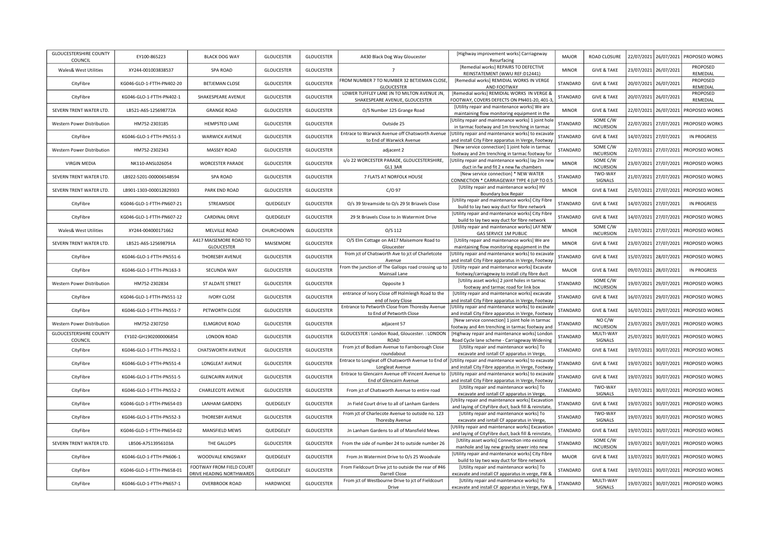| <b>GLOUCESTERSHIRE COUNTY</b><br>COUNCIL | EY100-865223              | <b>BLACK DOG WAY</b>                                 | <b>GLOUCESTER</b> | <b>GLOUCESTER</b> | A430 Black Dog Way Gloucester                                                | [Highway improvement works] Carriageway<br>Resurfacing                                                   | <b>MAJOR</b> | ROAD CLOSURE                 |            | 22/07/2021 26/07/2021 | PROPOSED WORKS                       |
|------------------------------------------|---------------------------|------------------------------------------------------|-------------------|-------------------|------------------------------------------------------------------------------|----------------------------------------------------------------------------------------------------------|--------------|------------------------------|------------|-----------------------|--------------------------------------|
| Wales& West Utilities                    | XY244-001003838537        | <b>SPA ROAD</b>                                      | <b>GLOUCESTER</b> | <b>GLOUCESTER</b> | $\overline{7}$                                                               | [Remedial works] REPAIRS TO DEFECTIVE<br>REINSTATEMENT (WWU REF:D12441)                                  | <b>MINOR</b> | <b>GIVE &amp; TAKE</b>       |            | 23/07/2021 26/07/2021 | PROPOSED<br>REMEDIAL                 |
| CityFibre                                | KG046-GLO-1-FTTH-PN402-20 | <b>BETJEMAN CLOSE</b>                                | <b>GLOUCESTER</b> | <b>GLOUCESTER</b> | FROM NUMBER 7 TO NUMBER 32 BETJEMAN CLOSE,<br><b>GLOUCESTER</b>              | [Remedial works] REMIDIAL WORKS IN VERGE<br>AND FOOTWAY                                                  | STANDARD     | <b>GIVE &amp; TAKE</b>       |            | 20/07/2021 26/07/2021 | PROPOSED<br>REMEDIAL                 |
| CityFibre                                | KG046-GLO-1-FTTH-PN402-1  | SHAKESPEARE AVENUE                                   | <b>GLOUCESTER</b> | <b>GLOUCESTER</b> | LOWER TUFFLEY LANE JN TO MILTON AVENUE JN,<br>SHAKESPEARE AVENUE, GLOUCESTER | [Remedial works] REMIDIAL WORKS IN VERGE &<br>FOOTWAY, COVERS DEFECTS ON PN401-20, 401-3                 | STANDARD     | <b>GIVE &amp; TAKE</b>       |            | 20/07/2021 26/07/2021 | PROPOSED<br>REMEDIAL                 |
| SEVERN TRENT WATER LTD.                  | LB521-A6S-125698772A      | <b>GRANGE ROAD</b>                                   | <b>GLOUCESTER</b> | <b>GLOUCESTER</b> | O/S Number 125 Grange Road                                                   | [Utility repair and maintenance works] We are<br>maintaining flow monitoring equipment in the            | <b>MINOR</b> | <b>GIVE &amp; TAKE</b>       |            | 22/07/2021 26/07/2021 | PROPOSED WORKS                       |
| Western Power Distribution               | HM752-2303185             | <b>HEMPSTED LANE</b>                                 | <b>GLOUCESTER</b> | <b>GLOUCESTER</b> | Outside 25                                                                   | [Utility repair and maintenance works] 1 joint hole<br>in tarmac footway and 1m trenching in tarmac      | STANDARD     | SOME C/W<br><b>INCURSION</b> |            | 22/07/2021 27/07/2021 | PROPOSED WORKS                       |
| CityFibre                                | KG046-GLO-1-FTTH-PN551-3  | <b>WARWICK AVENUE</b>                                | <b>GLOUCESTER</b> | <b>GLOUCESTER</b> | Entrace to Warwick Avenue off Chatsworth Avenue<br>to End of Warwick Avenue  | [Utility repair and maintenance works] to excavate<br>and install City Fibre apparatus in Verge, Footway | STANDARD     | <b>GIVE &amp; TAKE</b>       |            | 14/07/2021 27/07/2021 | IN PROGRESS                          |
| Western Power Distribution               | HM752-2302343             | MASSEY ROAD                                          | <b>GLOUCESTER</b> | <b>GLOUCESTER</b> | adjacent 2                                                                   | [New service connection] 1 joint hole in tarmac<br>footway and 2m trenching in tarmac footway for        | STANDARD     | SOME C/W<br><b>INCURSION</b> |            | 22/07/2021 27/07/2021 | PROPOSED WORKS                       |
| <b>VIRGIN MEDIA</b>                      | NK110-ANSL026054          | <b>WORCESTER PARADE</b>                              | <b>GLOUCESTER</b> | <b>GLOUCESTER</b> | s/o 22 WORCESTER PARADE, GLOUCESTERSHIRE,<br>GL1 3AR                         | [Utility repair and maintenance works] lay 2m nev<br>duct in fw and fit 2 x new fw chambers              | <b>MINOR</b> | SOME C/W<br><b>INCURSION</b> |            | 23/07/2021 27/07/2021 | PROPOSED WORKS                       |
| SEVERN TRENT WATER LTD.                  | LB922-5201-000006548594   | <b>SPA ROAD</b>                                      | <b>GLOUCESTER</b> | <b>GLOUCESTER</b> | 7 FLATS AT NORFOLK HOUSE                                                     | [New service connection] * NEW WATER<br>CONNECTION * CARRIAGEWAY TYPE 4 (UP TO 0.5                       | STANDARD     | TWO-WAY<br>SIGNALS           |            | 21/07/2021 27/07/2021 | PROPOSED WORKS                       |
| SEVERN TRENT WATER LTD.                  | LB901-1303-000012829303   | PARK END ROAD                                        | <b>GLOUCESTER</b> | <b>GLOUCESTER</b> | $C/O$ 97                                                                     | [Utility repair and maintenance works] HV<br>Boundary box Repair                                         | <b>MINOR</b> | <b>GIVE &amp; TAKE</b>       |            | 25/07/2021 27/07/2021 | PROPOSED WORKS                       |
| CityFibre                                | KG046-GLO-1-FTTH-PN607-21 | STREAMSIDE                                           | QUEDGELEY         | <b>GLOUCESTER</b> | O/s 39 Streamside to O/s 29 St Briavels Close                                | [Utility repair and maintenance works] City Fibre<br>build to lay two way duct for fibre network         | STANDARD     | <b>GIVE &amp; TAKE</b>       |            | 14/07/2021 27/07/2021 | IN PROGRESS                          |
| CityFibre                                | KG046-GLO-1-FTTH-PN607-22 | <b>CARDINAL DRIVE</b>                                | QUEDGELEY         | <b>GLOUCESTER</b> | 29 St Briavels Close to Jn Watermint Drive                                   | [Utility repair and maintenance works] City Fibre<br>build to lay two way duct for fibre network         | STANDARD     | <b>GIVE &amp; TAKE</b>       |            | 14/07/2021 27/07/2021 | PROPOSED WORKS                       |
| <b>Wales&amp; West Utilities</b>         | XY244-004000171662        | MELVILLE ROAD                                        | CHURCHDOWN        | <b>GLOUCESTER</b> | $O/S$ 112                                                                    | [Utility repair and maintenance works] LAY NEW<br><b>GAS SERVICE 1M PUBLIC</b>                           | <b>MINOR</b> | SOME C/W<br><b>INCURSION</b> |            | 23/07/2021 27/07/2021 | PROPOSED WORKS                       |
| SEVERN TRENT WATER LTD.                  | LB521-A6S-125698791A      | A417 MAISEMORE ROAD TO<br><b>GLOUCESTER</b>          | MAISEMORE         | <b>GLOUCESTER</b> | O/S Elm Cottage on A417 Maisemore Road to<br>Gloucester                      | [Utility repair and maintenance works] We are<br>maintaining flow monitoring equipment in the            | <b>MINOR</b> | <b>GIVE &amp; TAKE</b>       |            | 23/07/2021 27/07/2021 | PROPOSED WORKS                       |
| CityFibre                                | KG046-GLO-1-FTTH-PN551-6  | THORESBY AVENUE                                      | <b>GLOUCESTER</b> | <b>GLOUCESTER</b> | from jct of Chatsworth Ave to jct of Charletcote<br>Avenue                   | Utility repair and maintenance works] to excavate<br>and install City Fibre apparatus in Verge, Footway  | STANDARD     | <b>GIVE &amp; TAKE</b>       |            | 15/07/2021 28/07/2021 | PROPOSED WORKS                       |
| CityFibre                                | KG046-GLO-1-FTTH-PN163-3  | SECUNDA WAY                                          | <b>GLOUCESTER</b> | <b>GLOUCESTER</b> | From the junction of The Gallops road crossing up to<br>Mainsail Lane        | [Utility repair and maintenance works] Excavate<br>footway/carriageway to install city fibre duct        | <b>MAJOR</b> | <b>GIVE &amp; TAKE</b>       |            | 09/07/2021 28/07/2021 | <b>IN PROGRESS</b>                   |
| Western Power Distribution               | HM752-2302834             | ST ALDATE STREET                                     | <b>GLOUCESTER</b> | <b>GLOUCESTER</b> | Opposite 3                                                                   | [Utility asset works] 2 joint holes in tarmac<br>footway and tarmac road for link box                    | STANDARD     | SOME C/W<br><b>INCURSION</b> |            | 19/07/2021 29/07/2021 | PROPOSED WORKS                       |
| CityFibre                                | KG046-GLO-1-FTTH-PN551-12 | <b>IVORY CLOSE</b>                                   | <b>GLOUCESTER</b> | <b>GLOUCESTER</b> | entrance of Ivory Close off Holmleigh Road to the<br>end of Ivory Close      | [Utility repair and maintenance works] excavate<br>and install City Fibre apparatus in Verge, Footway    | STANDARD     | <b>GIVE &amp; TAKE</b>       |            | 16/07/2021 29/07/2021 | PROPOSED WORKS                       |
| CityFibre                                | KG046-GLO-1-FTTH-PN551-7  | PETWORTH CLOSE                                       | <b>GLOUCESTER</b> | <b>GLOUCESTER</b> | Entrance to Petworth Close from Thoresby Avenue<br>to End of Petworth Close  | [Utility repair and maintenance works] to excavate<br>and install City Fibre apparatus in Verge, Footway | STANDARD     | <b>GIVE &amp; TAKE</b>       |            | 16/07/2021 29/07/2021 | PROPOSED WORKS                       |
| Western Power Distribution               | HM752-2307250             | <b>ELMGROVE ROAD</b>                                 | <b>GLOUCESTER</b> | <b>GLOUCESTER</b> | adjacent 57                                                                  | [New service connection] 1 joint hole in tarmac<br>footway and 4m trenching in tarmac footway and        | STANDARD     | NO C/W<br><b>INCURSION</b>   |            |                       | 23/07/2021 29/07/2021 PROPOSED WORKS |
| <b>GLOUCESTERSHIRE COUNTY</b><br>COUNCIL | EY102-GH1902000006854     | <b>LONDON ROAD</b>                                   | <b>GLOUCESTER</b> | <b>GLOUCESTER</b> | GLOUCESTER: London Road, Gloucester.: LONDON<br><b>ROAD</b>                  | [Highway repair and maintenance works] London<br>Road Cycle lane scheme - Carriageway Widening           | STANDARD     | MULTI-WAY<br>SIGNALS         | 25/07/2021 | 30/07/2021            | PROPOSED WORKS                       |
| CityFibre                                | KG046-GLO-1-FTTH-PN552-1  | <b>CHATSWORTH AVENUE</b>                             | <b>GLOUCESTER</b> | <b>GLOUCESTER</b> | From jct of Bodiam Avenue to Farnborough Close<br>roundabout                 | [Utility repair and maintenance works] To<br>excavate and isntall CF apparatus in Verge,                 | STANDARD     | <b>GIVE &amp; TAKE</b>       |            | 19/07/2021 30/07/2021 | PROPOSED WORKS                       |
| CityFibre                                | KG046-GLO-1-FTTH-PN551-4  | LONGLEAT AVENUE                                      | <b>GLOUCESTER</b> | <b>GLOUCESTER</b> | Entrace to Longleat off Chatsworth Avenue to End of<br>Longleat Avenue       | [Utility repair and maintenance works] to excavate<br>and install City Fibre apparatus in Verge, Footway | STANDARD     | <b>GIVE &amp; TAKE</b>       |            | 19/07/2021 30/07/2021 | PROPOSED WORKS                       |
| CityFibre                                | KG046-GLO-1-FTTH-PN551-5  | <b>GLENCAIRN AVENUE</b>                              | <b>GLOUCESTER</b> | <b>GLOUCESTER</b> | Entrace to Glencairn Avenue off Vincent Avenue to<br>End of Glencairn Avenue | [Utility repair and maintenance works] to excavate<br>and install City Fibre apparatus in Verge, Footway | STANDARD     | <b>GIVE &amp; TAKE</b>       |            | 19/07/2021 30/07/2021 | PROPOSED WORKS                       |
| CityFibre                                | KG046-GLO-1-FTTH-PN552-2  | CHARLECOTE AVENUE                                    | <b>GLOUCESTER</b> | <b>GLOUCESTER</b> | From jct of Chatsworth Avenue to entire road                                 | [Utility repair and maintenance works] To<br>excavate and isntall CF apparatus in Verge,                 | STANDARD     | TWO-WAY<br>SIGNALS           |            | 19/07/2021 30/07/2021 | PROPOSED WORKS                       |
| CityFibre                                | KG046-GLO-1-FTTH-PN654-03 | <b>LANHAM GARDENS</b>                                | QUEDGELEY         | <b>GLOUCESTER</b> | Jn Field Court drive to all of Lanham Gardens                                | [Utility repair and maintenance works] Excavatior<br>and laying of CityFibre duct, back fill & reinstate | STANDARD     | <b>GIVE &amp; TAKE</b>       |            | 19/07/2021 30/07/2021 | PROPOSED WORKS                       |
| CityFibre                                | KG046-GLO-1-FTTH-PN552-3  | THORESBY AVENUE                                      | <b>GLOUCESTER</b> | <b>GLOUCESTER</b> | From jct of Charlecote Avenue to outside no. 123<br>Thoresby Avenue          | [Utility repair and maintenance works] To<br>excavate and isntall CF apparatus in Verge,                 | STANDARD     | TWO-WAY<br>SIGNALS           |            | 19/07/2021 30/07/2021 | PROPOSED WORKS                       |
| CityFibre                                | KG046-GLO-1-FTTH-PN654-02 | MANSFIELD MEWS                                       | QUEDGELEY         | <b>GLOUCESTER</b> | Jn Lanham Gardens to all of Mansfield Mews                                   | [Utility repair and maintenance works] Excavatior<br>and laying of CityFibre duct, back fill & reinstate | STANDARD     | <b>GIVE &amp; TAKE</b>       |            | 19/07/2021 30/07/2021 | PROPOSED WORKS                       |
| SEVERN TRENT WATER LTD.                  | LB506-A7S13956103A        | THE GALLOPS                                          | <b>GLOUCESTER</b> | <b>GLOUCESTER</b> | From the side of number 24 to outside number 26                              | [Utility asset works] Connection into existing<br>manhole and lay new gravity sewer into new             | STANDARD     | SOME C/W<br><b>INCURSION</b> | 19/07/2021 | 30/07/2021            | PROPOSED WORKS                       |
| CityFibre                                | KG046-GLO-1-FTTH-PN606-1  | WOODVALE KINGSWAY                                    | QUEDGELEY         | <b>GLOUCESTER</b> | From Jn Watermint Drive to O/s 25 Woodvale                                   | [Utility repair and maintenance works] City Fibre<br>build to lay two way duct for fibre network         | <b>MAJOR</b> | <b>GIVE &amp; TAKE</b>       |            | 13/07/2021 30/07/2021 | PROPOSED WORKS                       |
| CityFibre                                | KG046-GLO-1-FTTH-PN658-01 | FOOTWAY FROM FIELD COURT<br>DRIVE HEADING NORTHWARDS | QUEDGELEY         | <b>GLOUCESTER</b> | From Fieldcourt Drive jct to outside the rear of #46<br>Darrell Close        | [Utility repair and maintenance works] To<br>excavate and install CF apparatus in verge, FW &            | STANDARD     | <b>GIVE &amp; TAKE</b>       |            | 19/07/2021 30/07/2021 | PROPOSED WORKS                       |
| CityFibre                                | KG046-GLO-1-FTTH-PN657-1  | <b>OVERBROOK ROAD</b>                                | HARDWICKE         | <b>GLOUCESTER</b> | From jct of Westbourne Drive to jct of Fieldcourt<br>Drive                   | [Utility repair and maintenance works] To<br>excavate and install CF apparatus in Verge, FW &            | STANDARD     | MULTI-WAY<br>SIGNALS         |            |                       | 19/07/2021 30/07/2021 PROPOSED WORKS |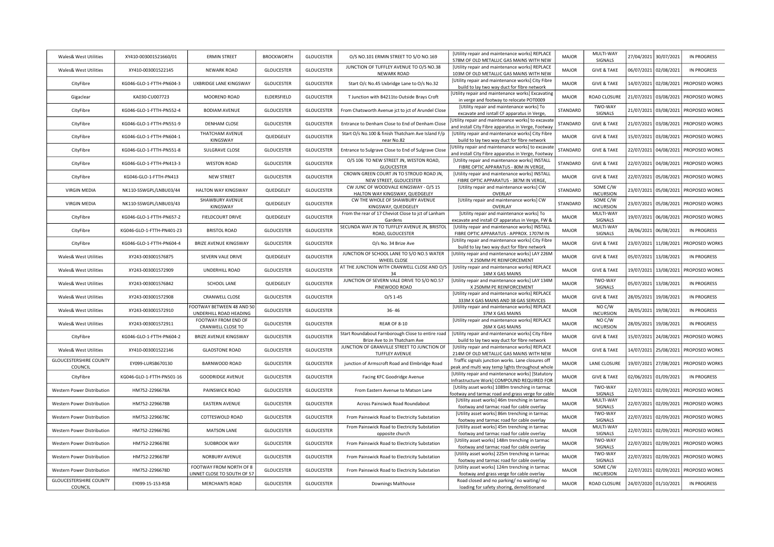| Wales& West Utilities                                       | XY410-003001521660/01     | <b>ERMIN STREET</b>                                 | <b>BROCKWORTH</b> | <b>GLOUCESTER</b> | O/S NO.101 ERMIN STREET TO S/O NO.169                                                                | [Utility repair and maintenance works] REPLACE<br>578M OF OLD METALLIC GAS MAINS WITH NEW               | <b>MAJOR</b> | MULTI-WAY<br>SIGNALS              |                       | 27/04/2021 30/07/2021 | <b>IN PROGRESS</b>    |
|-------------------------------------------------------------|---------------------------|-----------------------------------------------------|-------------------|-------------------|------------------------------------------------------------------------------------------------------|---------------------------------------------------------------------------------------------------------|--------------|-----------------------------------|-----------------------|-----------------------|-----------------------|
| <b>Wales&amp; West Utilities</b>                            | XY410-003001522145        | NEWARK ROAD                                         | <b>GLOUCESTER</b> | <b>GLOUCESTER</b> | JUNCTION OF TUFFLEY AVENUE TO O/S NO.38<br>NEWARK ROAD                                               | [Utility repair and maintenance works] REPLACE<br>103M OF OLD METALLIC GAS MAINS WITH NEW               | <b>MAJOR</b> | <b>GIVE &amp; TAKE</b>            | 06/07/2021 02/08/2021 |                       | IN PROGRESS           |
| CityFibre                                                   | KG046-GLO-1-FTTH-PN604-3  | UXBRIDGE LANE KINGSWAY                              | <b>GLOUCESTER</b> | <b>GLOUCESTER</b> | Start O/c No.45 Uxbridge Lane to O/s No.32                                                           | [Utility repair and maintenance works] City Fibre                                                       | <b>MAJOR</b> | <b>GIVE &amp; TAKE</b>            | 14/07/2021            | 02/08/2021            | PROPOSED WORKS        |
| Gigaclear                                                   | KA030-CU007723            | MOOREND ROAD                                        | ELDERSFIELD       | <b>GLOUCESTER</b> | T Junction with B4211to Outside Brays Croft                                                          | build to lay two way duct for fibre network<br>[Utility repair and maintenance works] Excavating        | <b>MAJOR</b> | ROAD CLOSURE                      | 21/07/2021            | 03/08/2021            | PROPOSED WORKS        |
| CityFibre                                                   | KG046-GLO-1-FTTH-PN552-4  | <b>BODIAM AVENUE</b>                                | <b>GLOUCESTER</b> | <b>GLOUCESTER</b> | From Chatsworth Avenue jct to jct of Arundel Close                                                   | in verge and footway to relocate POT0009<br>[Utility repair and maintenance works] To                   | STANDARD     | TWO-WAY                           | 21/07/2021            | 03/08/2021            | PROPOSED WORKS        |
|                                                             |                           |                                                     |                   |                   |                                                                                                      | excavate and isntall CF apparatus in Verge<br>Utility repair and maintenance works] to excavate         |              | SIGNALS                           |                       |                       |                       |
| CityFibre                                                   | KG046-GLO-1-FTTH-PN551-9  | DENHAM CLOSE<br>THATCHAM AVENUE                     | <b>GLOUCESTER</b> | <b>GLOUCESTER</b> | Entrance to Denham Close to End of Denham Close<br>Start O/s No.100 & finish Thatcham Ave Island F/p | and install City Fibre apparatus in Verge, Footway<br>[Utility repair and maintenance works] City Fibre | STANDARD     | <b>GIVE &amp; TAKE</b>            | 21/07/2021            | 03/08/2021            | PROPOSED WORKS        |
| CityFibre                                                   | KG046-GLO-1-FTTH-PN604-1  | KINGSWAY                                            | QUEDGELEY         | <b>GLOUCESTER</b> | near No.82                                                                                           | build to lay two way duct for fibre network                                                             | <b>MAJOR</b> | <b>GIVE &amp; TAKE</b>            | 15/07/2021            | 03/08/2021            | PROPOSED WORKS        |
| CityFibre                                                   | KG046-GLO-1-FTTH-PN551-8  | <b>SULGRAVE CLOSE</b>                               | <b>GLOUCESTER</b> | <b>GLOUCESTER</b> | Entrance to Sulgrave Close to End of Sulgrave Close                                                  | Utility repair and maintenance works] to excavate<br>and install City Fibre apparatus in Verge, Footway | STANDARD     | <b>GIVE &amp; TAKE</b>            | 22/07/2021            | 04/08/2021            | PROPOSED WORKS        |
| CityFibre                                                   | KG046-GLO-1-FTTH-PN413-3  | <b>WESTON ROAD</b>                                  | <b>GLOUCESTER</b> | <b>GLOUCESTER</b> | O/S 106 TO NEW STREET JN, WESTON ROAD,<br><b>GLOUCESTER</b>                                          | [Utility repair and maintenance works] INSTALL<br>FIBRE OPTIC APPARATUS - 80M IN VERGE,                 | STANDARD     | <b>GIVE &amp; TAKE</b>            | 22/07/2021            | 04/08/2021            | PROPOSED WORKS        |
| CityFibre                                                   | KG046-GLO-1-FTTH-PN413    | <b>NEW STREET</b>                                   | <b>GLOUCESTER</b> | <b>GLOUCESTER</b> | CROWN GREEN COURT JN TO STROUD ROAD JN,<br>NEW STREET, GLOUCESTER                                    | [Utility repair and maintenance works] INSTALL<br>FIBRE OPTIC APPARATUS - 387M IN VERGE                 | <b>MAJOR</b> | <b>GIVE &amp; TAKE</b>            | 22/07/2021            | 05/08/2021            | <b>PROPOSED WORKS</b> |
| <b>VIRGIN MEDIA</b>                                         | NK110-SSWGPL/LNBU03/44    | <b>HALTON WAY KINGSWAY</b>                          | QUEDGELEY         | <b>GLOUCESTER</b> | CW JUNC OF WOODVALE KINGSWAY - O/S 15                                                                | [Utility repair and maintenance works] CW                                                               | STANDARD     | SOME C/W                          | 23/07/2021            | 05/08/2021            | PROPOSED WORKS        |
| <b>VIRGIN MEDIA</b>                                         | NK110-SSWGPL/LNBU03/43    | SHAWBURY AVENUE                                     | QUEDGELEY         | <b>GLOUCESTER</b> | HALTON WAY KINGSWAY, QUEDGELEY<br>CW THE WHOLE OF SHAWBURY AVENUE                                    | OVERLAY<br>[Utility repair and maintenance works] CW                                                    | STANDARD     | <b>INCURSION</b><br>SOME C/W      | 23/07/2021            | 05/08/2021            | PROPOSED WORKS        |
|                                                             |                           | KINGSWAY                                            |                   |                   | KINGSWAY, QUEDGELEY<br>From the rear of 17 Cheviot Close to jct of Lanham                            | OVERLAY<br>[Utility repair and maintenance works] To                                                    |              | <b>INCURSION</b><br>MULTI-WAY     |                       |                       |                       |
| CityFibre                                                   | KG046-GLO-1-FTTH-PN657-2  | FIELDCOURT DRIVE                                    | QUEDGELEY         | <b>GLOUCESTER</b> | Gardens<br>SECUNDA WAY JN TO TUFFLEY AVENUE JN, BRISTOL                                              | excavate and install CF apparatus in Verge, FW &<br>[Utility repair and maintenance works] INSTALL      | <b>MAJOR</b> | <b>SIGNALS</b><br>MULTI-WAY       | 19/07/2021            | 06/08/2021            | PROPOSED WORKS        |
| CityFibre                                                   | KG046-GLO-1-FTTH-PN401-23 | <b>BRISTOL ROAD</b>                                 | <b>GLOUCESTER</b> | <b>GLOUCESTER</b> | ROAD, GLOUCESTER                                                                                     | FIBRE OPTIC APPARATUS - APPROX, 1707M IN                                                                | <b>MAJOR</b> | SIGNALS                           | 28/06/2021            | 06/08/2021            | IN PROGRESS           |
| CityFibre                                                   | KG046-GLO-1-FTTH-PN604-4  | <b>BRIZE AVENUE KINGSWAY</b>                        | <b>GLOUCESTER</b> | <b>GLOUCESTER</b> | O/s No. 34 Brize Ave                                                                                 | [Utility repair and maintenance works] City Fibre<br>build to lay two way duct for fibre network        | <b>MAJOR</b> | <b>GIVE &amp; TAKE</b>            | 23/07/2021            | 11/08/2021            | PROPOSED WORKS        |
| Wales& West Utilities                                       | XY243-003001576875        | SEVERN VALE DRIVE                                   | QUEDGELEY         | <b>GLOUCESTER</b> | JUNCTION OF SCHOOL LANE TO S/O NO.5 WATER<br>WHEEL CLOSE                                             | [Utility repair and maintenance works] LAY 226M<br>X 250MM PE REINFORCEMENT                             | <b>MAJOR</b> | <b>GIVE &amp; TAKE</b>            | 05/07/2021            | 13/08/2021            | IN PROGRESS           |
| Wales& West Utilities                                       | XY243-003001572909        | UNDERHILL ROAD                                      | <b>GLOUCESTER</b> | <b>GLOUCESTER</b> | AT THE JUNCTION WITH CRANWELL CLOSE AND O/S<br>34                                                    | [Utility repair and maintenance works] REPLACE<br>14M X GAS MAINS                                       | <b>MAJOR</b> | <b>GIVE &amp; TAKE</b>            | 19/07/2021            | 13/08/2021            | PROPOSED WORKS        |
| <b>Wales&amp; West Utilities</b>                            | XY243-003001576842        | SCHOOL LANE                                         | QUEDGELEY         | <b>GLOUCESTER</b> | JUNCTION OF SEVERN VALE DRIVE TO S/O NO.57<br>PINEWOOD ROAD                                          | [Utility repair and maintenance works] LAY 134M<br>X 250MM PE REINFORCEMENT                             | <b>MAJOR</b> | TWO-WAY<br>SIGNALS                | 05/07/2021            | 13/08/2021            | <b>IN PROGRESS</b>    |
| Wales& West Utilities                                       | XY243-003001572908        | <b>CRANWELL CLOSE</b>                               | <b>GLOUCESTER</b> | <b>GLOUCESTER</b> | $O/S$ 1-45                                                                                           | [Utility repair and maintenance works] REPLACE<br>333M X GAS MAINS AND 38 GAS SERVICES                  | <b>MAJOR</b> | <b>GIVE &amp; TAKE</b>            | 28/05/2021            | 19/08/2021            | IN PROGRESS           |
| Wales& West Utilities                                       | XY243-003001572910        | FOOTWAY BETWEEN 48 AND 50<br>UNDERHILL ROAD HEADING | GLOUCESTER        | <b>GLOUCESTER</b> | $36 - 46$                                                                                            | [Utility repair and maintenance works] REPLACE<br>37M X GAS MAINS                                       | <b>MAJOR</b> | NO C/W<br><b>INCURSION</b>        | 28/05/2021            | 19/08/2021            | IN PROGRESS           |
| Wales& West Utilities                                       | XY243-003001572911        | FOOTWAY FROM END OF<br>CRANWELL CLOSE TO            | GLOUCESTER        | <b>GLOUCESTER</b> | <b>REAR OF 8-10</b>                                                                                  | [Utility repair and maintenance works] REPLACE<br>26M X GAS MAINS                                       | <b>MAJOR</b> | NO C/W<br><b>INCURSION</b>        | 28/05/2021            | 19/08/2021            | IN PROGRESS           |
| CityFibre                                                   | KG046-GLO-1-FTTH-PN604-2  | <b>BRIZE AVENUE KINGSWAY</b>                        | GLOUCESTER        | <b>GLOUCESTER</b> | Start Roundabout Farnborough Close to entire road                                                    | [Utility repair and maintenance works] City Fibre                                                       | <b>MAJOR</b> | <b>GIVE &amp; TAKE</b>            | 15/07/2021            | 24/08/2021            | PROPOSED WORKS        |
| Wales& West Utilities                                       | XY410-003001522146        | <b>GLADSTONE ROAD</b>                               | <b>GLOUCESTER</b> | <b>GLOUCESTER</b> | Brize Ave to Jn Thatcham Ave<br>JUNCTION OF GRANVILLE STREET TO JUNCTION OF                          | build to lay two way duct for fibre network<br>[Utility repair and maintenance works] REPLACE           | <b>MAJOR</b> | <b>GIVE &amp; TAKE</b>            | 14/07/2021            | 25/08/2021            | PROPOSED WORKS        |
| <b>GLOUCESTERSHIRE COUNTY</b>                               | EY099-LURSB670130         | BARNWOOD ROAD                                       | <b>GLOUCESTER</b> | <b>GLOUCESTER</b> | TUFFLEY AVENUE<br>junction of Armscroft Road and Elmbridge Road                                      | 214M OF OLD METALLIC GAS MAINS WITH NEW<br>Traffic signals junction works. Lane closures off            | <b>MAJOR</b> | LANE CLOSURE                      | 19/07/2021            | 27/08/2021            | PROPOSED WORKS        |
| COUNCIL                                                     |                           |                                                     |                   |                   |                                                                                                      | peak and multi way temp lights throughout whole<br>[Utility repair and maintenance works] [Statutory    |              |                                   |                       |                       |                       |
| CityFibre                                                   | KG046-GLO-1-FTTH-PN501-16 | <b>GOODRIDGE AVENUE</b>                             | <b>GLOUCESTER</b> | <b>GLOUCESTER</b> | Facing KFC Goodridge Avenue                                                                          | Infrastructure Work] COMPOUND REQUIRED FOR<br>[Utility asset works] 1089m trenching in tarmac           | <b>MAJOR</b> | <b>GIVE &amp; TAKE</b><br>TWO-WAY | 02/06/2021            | 01/09/2021            | IN PROGRESS           |
| Western Power Distribution                                  | HM752-2296678A            | PAINSWICK ROAD                                      | <b>GLOUCESTER</b> | <b>GLOUCESTER</b> | From Eastern Avenue to Matson Lane                                                                   | footway and tarmac road and grass verge for cable                                                       | <b>MAJOR</b> | SIGNALS                           | 22/07/2021            | 02/09/2021            | PROPOSED WORKS        |
| Western Power Distribution                                  | HM752-2296678B            | <b>EASTERN AVENUE</b>                               | <b>GLOUCESTER</b> | <b>GLOUCESTER</b> | Across Painsiwck Road Roundabout                                                                     | [Utility asset works] 46m trenching in tarmac<br>footway and tarmac road for cable overlay              | <b>MAJOR</b> | MULTI-WAY<br>SIGNALS              | 22/07/2021            | 02/09/2021            | PROPOSED WORKS        |
| <b>Western Power Distribution</b>                           | HM752-2296678C            | COTTESWOLD ROAD                                     | <b>GLOUCESTER</b> | <b>GLOUCESTER</b> | From Painswick Road to Electricity Substation                                                        | [Utility asset works] 86m trenching in tarmac<br>footway and tarmac road for cable overlay              | <b>MAJOR</b> | TWO-WAY<br>SIGNALS                | 22/07/2021            | 02/09/2021            | PROPOSED WORKS        |
| Western Power Distribution                                  | HM752-2296678G            | <b>MATSON LANE</b>                                  | <b>GLOUCESTER</b> | <b>GLOUCESTER</b> | From Painswick Road to Electricity Substation                                                        | [Utility asset works] 45m trenching in tarmac<br>footway and tarmac road for cable overlay              | <b>MAJOR</b> | MULTI-WAY<br>SIGNALS              | 22/07/2021            | 02/09/2021            | PROPOSED WORKS        |
| <b>Western Power Distribution</b>                           | HM752-2296678E            | SUDBROOK WAY                                        | <b>GLOUCESTER</b> | <b>GLOUCESTER</b> | opposite church<br>From Painswick Road to Electricity Substation                                     | [Utility asset works] 148m trenching in tarmac                                                          | <b>MAJOR</b> | TWO-WAY                           | 22/07/2021            | 02/09/2021            | PROPOSED WORKS        |
| Western Power Distribution                                  | HM752-2296678F            | NORBURY AVENUE                                      | <b>GLOUCESTER</b> | <b>GLOUCESTER</b> | From Painswick Road to Electricity Substation                                                        | footway and tarmac road for cable overlay<br>[Utility asset works] 225m trenching in tarmac             | <b>MAJOR</b> | SIGNALS<br>TWO-WAY                | 22/07/2021            | 02/09/2021            | PROPOSED WORKS        |
|                                                             |                           | FOOTWAY FROM NORTH OF 8                             |                   |                   |                                                                                                      | footway and tarmac road for cable overlay<br>[Utility asset works] 124m trenching in tarmac             |              | SIGNALS<br>SOME C/W               |                       |                       |                       |
| Western Power Distribution<br><b>GLOUCESTERSHIRE COUNTY</b> | HM752-2296678D            | LINNET CLOSE TO SOUTH OF 57                         | <b>GLOUCESTER</b> | <b>GLOUCESTER</b> | From Painswick Road to Electricity Substation                                                        | footway and grass verge for cable overlay<br>Road closed and no parking/ no waiting/ no                 | <b>MAJOR</b> | <b>INCURSION</b>                  | 22/07/2021            | 02/09/2021            | PROPOSED WORKS        |
| COUNCIL                                                     | EY099-15-153-RSB          | <b>MERCHANTS ROAD</b>                               | <b>GLOUCESTER</b> | <b>GLOUCESTER</b> | <b>Downings Malthouse</b>                                                                            | loading for safety shoring, demolitionand                                                               | <b>MAJOR</b> | ROAD CLOSURE                      | 24/07/2020 01/10/2021 |                       | IN PROGRESS           |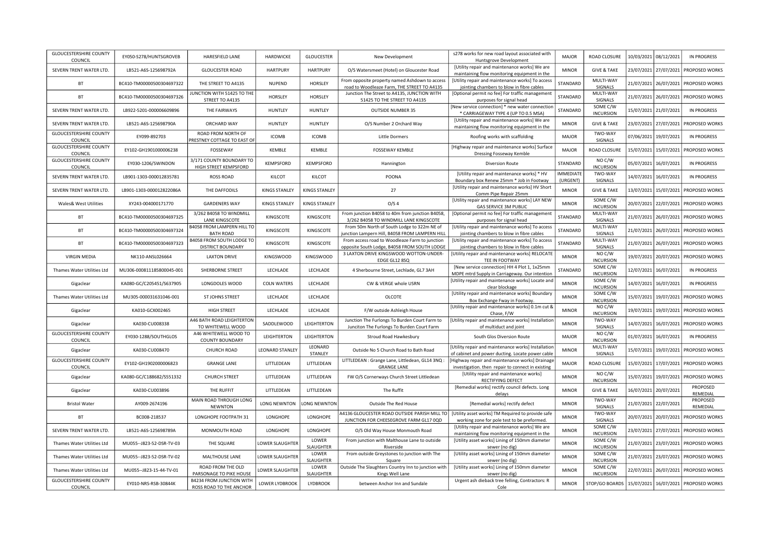| <b>GLOUCESTERSHIRE COUNTY</b><br>COUNCIL | EY050-S278/HUNTSGROVEB    | HARESFIELD LANE                                     | HARDWICKE              | <b>GLOUCESTER</b>         | New Development                                                                                | s278 works for new road layout associated with<br>Huntsgrove Development                                | <b>MAJOR</b>                 | ROAD CLOSURE                         | 10/03/2021 | 08/12/2021 | <b>IN PROGRESS</b>        |
|------------------------------------------|---------------------------|-----------------------------------------------------|------------------------|---------------------------|------------------------------------------------------------------------------------------------|---------------------------------------------------------------------------------------------------------|------------------------------|--------------------------------------|------------|------------|---------------------------|
| SEVERN TRENT WATER LTD.                  | LB521-A6S-125698792A      | <b>GLOUCESTER ROAD</b>                              | <b>HARTPURY</b>        | <b>HARTPURY</b>           | O/S Watersmeet (Hotel) on Gloucester Road                                                      | [Utility repair and maintenance works] We are<br>maintaining flow monitoring equipment in the           | <b>MINOR</b>                 | <b>GIVE &amp; TAKE</b>               | 23/07/2021 | 27/07/2021 | PROPOSED WORKS            |
| BT                                       | BC410-TM00000500304697322 | THE STREET TO A4135                                 | <b>NUPEND</b>          | <b>HORSLEY</b>            | From opposite property named Ashdown to access<br>road to Woodleaze Farm, THE STREET TO A4135  | [Utility repair and maintenance works] To access<br>jointing chambers to blow in fibre cables           | STANDARD                     | MULTI-WAY<br>SIGNALS                 | 21/07/2021 | 26/07/2021 | PROPOSED WORKS            |
| BT                                       | BC410-TM00000500304697326 | JUNCTION WITH 51425 TO THE<br>STREET TO A4135       | HORSLEY                | <b>HORSLEY</b>            | Junction The Street to A4135, JUNCTION WITH<br>51425 TO THE STREET TO A4135                    | [Optional permit no fee] For traffic management<br>purposes for signal head                             | STANDARD                     | MULTI-WAY<br>SIGNALS                 | 21/07/2021 | 26/07/2021 | PROPOSED WORKS            |
| SEVERN TRENT WATER LTD                   | LB922-5201-000006609896   | THE FAIRWAYS                                        | <b>HUNTLEY</b>         | HUNTLEY                   | <b>OUTSIDE NUMBER 35</b>                                                                       | [New service connection] * new water connection<br>* CARRIAGEWAY TYPE 4 (UP TO 0.5 MSA)                 | STANDARD                     | SOME C/W<br><b>INCURSION</b>         | 15/07/2021 | 21/07/2021 | <b>IN PROGRESS</b>        |
| SEVERN TRENT WATER LTD.                  | LB521-A6S-125698790A      | ORCHARD WAY                                         | HUNTLEY                | <b>HUNTLEY</b>            | O/S Number 2 Orchard Way                                                                       | [Utility repair and maintenance works] We are<br>maintaining flow monitoring equipment in the           | <b>MINOR</b>                 | <b>GIVE &amp; TAKE</b>               | 23/07/2021 | 27/07/2021 | PROPOSED WORKS            |
| <b>GLOUCESTERSHIRE COUNTY</b><br>COUNCIL | EY099-892703              | ROAD FROM NORTH OF<br>PRESTNEY COTTAGE TO EAST OF   | <b>ICOMB</b>           | <b>ICOMB</b>              | <b>Little Dormers</b>                                                                          | Roofing works with scaffolding                                                                          | <b>MAJOR</b>                 | TWO-WAY<br>SIGNALS                   | 07/06/2021 | 19/07/2021 | IN PROGRESS               |
| <b>GLOUCESTERSHIRE COUNTY</b><br>COUNCIL | EY102-GH1901000006238     | FOSSEWAY                                            | KEMBLE                 | KEMBLE                    | <b>FOSSEWAY KEMBLE</b>                                                                         | [Highway repair and maintenance works] Surface<br><b>Dressing Fosseway Kemble</b>                       | <b>MAJOR</b>                 | ROAD CLOSURE                         | 15/07/2021 | 15/07/2021 | PROPOSED WORKS            |
| <b>GLOUCESTERSHIRE COUNTY</b><br>COUNCIL | EY030-1206/SWINDON        | 3/171 COUNTY BOUNDARY TO<br>HIGH STREET KEMPSFORD   | KEMPSFORD              | KEMPSFORD                 | Hannington                                                                                     | <b>Diversion Route</b>                                                                                  | STANDARD                     | NO C/W<br><b>INCURSION</b>           | 05/07/2021 | 16/07/2021 | <b>IN PROGRESS</b>        |
| SEVERN TRENT WATER LTD.                  | LB901-1303-000012835781   | <b>ROSS ROAD</b>                                    | KILCOT                 | KILCOT                    | POONA                                                                                          | [Utility repair and maintenance works] * HV<br>Boundary box Renew 25mm * Job in Footway                 | <b>IMMEDIATE</b><br>(URGENT) | TWO-WAY<br>SIGNALS                   | 14/07/2021 | 16/07/2021 | <b>IN PROGRESS</b>        |
| SEVERN TRENT WATER LTD.                  | LB901-1303-000012822086A  | THE DAFFODILS                                       | <b>KINGS STANLEY</b>   | <b>KINGS STANLEY</b>      | 27                                                                                             | [Utility repair and maintenance works] HV Short<br>Comm Pipe Repair 25mm                                | <b>MINOR</b>                 | <b>GIVE &amp; TAKE</b>               | 13/07/2021 | 15/07/2021 | PROPOSED WORKS            |
| <b>Wales&amp; West Utilities</b>         | XY243-004000171770        | <b>GARDENERS WAY</b>                                | <b>KINGS STANLEY</b>   | <b>KINGS STANLEY</b>      | O/S <sub>4</sub>                                                                               | [Utility repair and maintenance works] LAY NEW<br>GAS SERVICE 3M PUBLIC                                 | <b>MINOR</b>                 | SOME C/W<br><b>INCURSION</b>         | 20/07/2021 | 22/07/2021 | PROPOSED WORKS            |
| BT                                       | BC410-TM00000500304697325 | 3/262 B4058 TO WINDMILL<br>LANE KINGSCOTE           | KINGSCOTE              | KINGSCOTE                 | From junction B4058 to 40m from junction B4058,<br>3/262 B4058 TO WINDMILL LANE KINGSCOTE      | [Optional permit no fee] For traffic management<br>purposes for signal head                             | STANDARD                     | MULTI-WAY<br>SIGNALS                 | 21/07/2021 | 26/07/2021 | PROPOSED WORKS            |
| BT                                       | BC410-TM00000500304697324 | B4058 FROM LAMPERN HILL TO<br><b>BATH ROAD</b>      | KINGSCOTE              | KINGSCOTE                 | From 50m North of South Lodge to 322m NE of<br>unction Lampern Hill, B4058 FROM LAMPERN HILL   | [Utility repair and maintenance works] To access<br>jointing chambers to blow in fibre cables           | STANDARD                     | MULTI-WAY<br>SIGNALS                 | 21/07/2021 | 26/07/2021 | PROPOSED WORKS            |
| BT                                       | BC410-TM00000500304697323 | B4058 FROM SOUTH LODGE TO<br>DISTRICT BOUNDARY      | KINGSCOTE              | KINGSCOTE                 | From access road to Woodleaze Farm to junction<br>opposite South Lodge, B4058 FROM SOUTH LODGE | [Utility repair and maintenance works] To access<br>jointing chambers to blow in fibre cables           | STANDARD                     | MULTI-WAY<br>SIGNALS                 | 21/07/2021 | 26/07/2021 | PROPOSED WORKS            |
| VIRGIN MEDIA                             | NK110-ANSL026664          | <b>LAXTON DRIVE</b>                                 | <b>KINGSWOOD</b>       | <b>KINGSWOOD</b>          | 3 LAXTON DRIVE KINGSWOOD WOTTON-UNDER-<br>EDGE GL12 8SQ                                        | [Utility repair and maintenance works] RELOCATE<br>TEE IN FOOTWAY                                       | <b>MINOR</b>                 | NOC/W<br><b>INCURSION</b>            | 19/07/2021 | 20/07/2021 | PROPOSED WORKS            |
| Thames Water Utilities Ltd               | MU306-000811185800045-001 | SHERBORNE STREET                                    | LECHLADE               | LECHLADE                  | 4 Sherbourne Street, Lechlade, GL7 3AH                                                         | [New service connection] HH 4 Plot 1, 1x25mm<br>MDPE mtrd Supply in Carriageway. Our intention          | STANDARD                     | SOME C/W<br><b>INCURSION</b>         | 12/07/2021 | 16/07/2021 | <b>IN PROGRESS</b>        |
| Gigaclear                                | KA080-GC/C205451/S637905  | LONGDOLES WOOD                                      | <b>COLN WATERS</b>     | LECHLADE                  | CW & VERGE whole USRN                                                                          | [Utility repair and maintenance works] Locate and<br>clear blockage                                     | <b>MINOR</b>                 | SOME C/W<br><b>INCURSION</b>         | 14/07/2021 | 16/07/2021 | <b>IN PROGRESS</b>        |
| Thames Water Utilities Ltd               | MU305-000031631046-001    | <b>ST JOHNS STREET</b>                              | LECHLADE               | LECHLADE                  | <b>OLCOTE</b>                                                                                  | [Utility repair and maintenance works] Boundary<br>Box Exchange Fway in Footway.                        | <b>MINOR</b>                 | SOME C/W<br><b>INCURSION</b>         | 15/07/2021 | 19/07/2021 | PROPOSED WORKS            |
| Gigaclear                                | KA010-GCX002465           | <b>HIGH STREET</b>                                  | LECHLADE               | LECHLADE                  | F/W outside Ashleigh House                                                                     | [Utility repair and maintenance works] 0.1m cut &<br>Chase, F/W                                         | <b>MINOR</b>                 | NO C/W<br><b>INCURSION</b>           | 19/07/2021 | 19/07/2021 | PROPOSED WORKS            |
| Gigaclear                                | KA030-CU008338            | A46 BATH ROAD LEIGHTERTON<br>TO WHITEWELL WOOD      | SADDLEWOOD             | LEIGHTERTON               | Junction The Furlongs To Burden Court Farm to<br>Junciton The Furlongs To Burden Court Farm    | [Utility repair and maintenance works] Installation<br>of multiduct and joint                           | <b>MINOR</b>                 | TWO-WAY<br>SIGNALS                   | 14/07/2021 | 16/07/2021 | PROPOSED WORKS            |
| <b>GLOUCESTERSHIRE COUNTY</b><br>COUNCIL | EY030-1288/SOUTHGLOS      | A46 WHITEWELL WOOD TO<br><b>COUNTY BOUNDARY</b>     | LEIGHTERTON            | LEIGHTERTON               | Stroud Road Hawkesbury                                                                         | South Glos Diversion Route                                                                              | MAJOR                        | NO <sub>CV</sub><br><b>INCURSION</b> | 01/07/2021 | 16/07/2021 | <b>IN PROGRESS</b>        |
| Gigaclear                                | KA030-CU008470            | CHURCH ROAD                                         | <b>LEONARD STANLEY</b> | LEONARD<br>STANLEY        | Outside No 5 Church Road to Bath Road                                                          | [Utility repair and maintenance works] Installation<br>of cabinet and power ducting. Locate power cable | <b>MINOR</b>                 | MULTI-WAY<br>SIGNALS                 | 15/07/2021 | 19/07/2021 | PROPOSED WORKS            |
| <b>GLOUCESTERSHIRE COUNTY</b><br>COUNCIL | EY102-GH1902000006823     | <b>GRANGE LANE</b>                                  | LITTLEDEAN             | LITTLEDEAN                | LITTLEDEAN : Grange Lane, Littledean, GL14 3NQ :<br><b>GRANGE LANE</b>                         | [Highway repair and maintenance works] Drainage<br>investigation. then repair to connect in existing    | MAJOR                        | ROAD CLOSURE                         | 15/07/2021 | 17/07/2021 | PROPOSED WORKS            |
| Gigaclear                                | KA080-GC/C188682/S551332  | <b>CHURCH STREET</b>                                | LITTLEDEAN             | LITTLEDEAN                | FW O/S Cornerways Church Street Littledean                                                     | [Utility repair and maintenance works]<br>RECTIFYING DEFECT                                             | <b>MINOR</b>                 | NOC/W<br><b>INCURSION</b>            | 15/07/2021 | 19/07/2021 | PROPOSED WORKS            |
| Gigaclear                                | KA030-CU003896            | THE RUFFIT                                          | LITTLEDEAN             | LITTLEDEAN                | The Ruffit                                                                                     | [Remedial works] rectify council defects. Long<br>delays                                                | <b>MINOR</b>                 | <b>GIVE &amp; TAKE</b>               | 16/07/2021 | 20/07/2021 | PROPOSED<br>REMEDIAL      |
| <b>Bristol Water</b>                     | AY009-2674196             | MAIN ROAD THROUGH LONG<br><b>NEWNTON</b>            | LONG NEWNTON           | LONG NEWNTON              | Outside The Red House                                                                          | [Remedial works] rectify defect                                                                         | <b>MINOR</b>                 | TWO-WAY<br>SIGNALS                   | 21/07/2021 | 22/07/2021 | PROPOSED<br>REMEDIAL      |
| <b>BT</b>                                | BC008-218537              | LONGHOPE FOOTPATH 31                                | LONGHOPE               | LONGHOPE                  | 44136 GLOUCESTER ROAD OUTSIDE PARISH MILL TO<br>JUNCTION FOR CHEESEGROVE FARM GL17 0QD         | [Utility asset works] TM Required to provide safe<br>working zone for pole test to be preformed.        | <b>MINOR</b>                 | TWO-WAY<br>SIGNALS                   | 20/07/2021 | 20/07/2021 | PROPOSED WORKS            |
| SEVERN TRENT WATER LTD                   | LB521-A6S-125698789A      | MONMOUTH ROAD                                       | LONGHOPE               | LONGHOPE                  | O/S Old Way House Monmouth Road                                                                | [Utility repair and maintenance works] We are<br>maintaining flow monitoring equipment in the           | <b>MINOR</b>                 | SOME C/W<br><b>INCURSION</b>         | 23/07/2021 | 27/07/2021 | PROPOSED WORKS            |
| Thames Water Utilities Ltd               | MU055--J823-52-DSR-TV-03  | THE SQUARE                                          | LOWER SLAUGHTEF        | LOWER<br>SLAUGHTER        | From junction with Malthouse Lane to outside<br>Riverside                                      | [Utility asset works] Lining of 150mm diameter<br>sewer (no dig)                                        | <b>MINOR</b>                 | SOME C/W<br><b>INCURSION</b>         | 21/07/2021 | 23/07/2021 | PROPOSED WORKS            |
| Thames Water Utilities Ltd               | MU055--J823-52-DSR-TV-02  | MALTHOUSE LANE                                      | LOWER SLAUGHTER        | LOWER<br><b>SLAUGHTER</b> | From outside Greystones to junction with The<br>Square                                         | [Utility asset works] Lining of 150mm diameter<br>sewer (no dig)                                        | <b>MINOR</b>                 | SOME C/W<br><b>INCURSION</b>         | 21/07/2021 | 23/07/2021 | PROPOSED WORKS            |
| Thames Water Utilities Ltd               | MU055--J823-15-44-TV-01   | ROAD FROM THE OLD<br>PARSONAGE TO PIKE HOUSE        | LOWER SLAUGHTEF        | LOWER<br>SLAUGHTER        | Outside The Slaughters Country Inn to junction with<br>Kings Well Lane                         | [Utility asset works] Lining of 150mm diameter<br>sewer (no dig)                                        | <b>MINOR</b>                 | SOME C/W<br><b>INCURSION</b>         | 22/07/2021 | 26/07/2021 | PROPOSED WORKS            |
| <b>GLOUCESTERSHIRE COUNTY</b><br>COUNCIL | EY010-NRS-RSB-30844K      | B4234 FROM JUNCTION WITH<br>ROSS ROAD TO THE ANCHOR | LOWER LYDBROOK         | LYDBROOK                  | between Anchor Inn and Sundale                                                                 | Urgent ash dieback tree felling, Contractors: R<br>Cole                                                 | <b>MINOR</b>                 | STOP/GO BOARDS                       | 15/07/2021 |            | 16/07/2021 PROPOSED WORKS |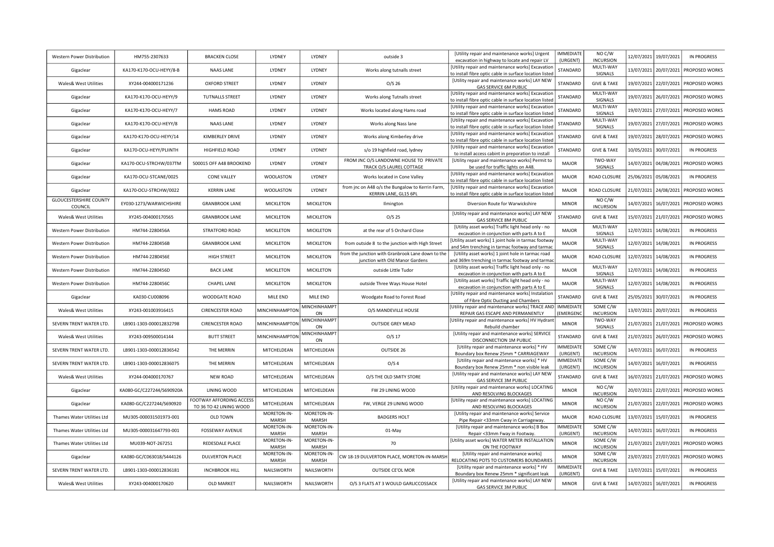| Western Power Distribution               | HM755-2307633             | <b>BRACKEN CLOSE</b>                                | LYDNEY                      | LYDNEY                    | outside 3                                                                            | [Utility repair and maintenance works] Urgent<br>excavation in highway to locate and repair LV               | <b>IMMEDIATE</b><br>(URGENT)        | NO C/W<br><b>INCURSION</b>   | 12/07/2021 | 19/07/2021 | <b>IN PROGRESS</b>    |
|------------------------------------------|---------------------------|-----------------------------------------------------|-----------------------------|---------------------------|--------------------------------------------------------------------------------------|--------------------------------------------------------------------------------------------------------------|-------------------------------------|------------------------------|------------|------------|-----------------------|
| Gigaclear                                | KA170-K170-OCU-HEYY/8-B   | <b>NAAS LANE</b>                                    | LYDNEY                      | LYDNEY                    | Works along tutnalls street                                                          | [Utility repair and maintenance works] Excavation<br>to install fibre optic cable in surface location listed | STANDARD                            | MULTI-WAY<br>SIGNALS         | 13/07/2021 | 20/07/2021 | PROPOSED WORKS        |
| <b>Wales&amp; West Utilities</b>         | XY244-004000171236        | <b>OXFORD STREET</b>                                | LYDNEY                      | LYDNEY                    | O/S <sub>26</sub>                                                                    | [Utility repair and maintenance works] LAY NEW<br><b>GAS SERVICE 6M PUBLIC</b>                               | STANDARD                            | <b>GIVE &amp; TAKE</b>       | 19/07/2021 | 22/07/2021 | <b>PROPOSED WORKS</b> |
| Gigaclear                                | KA170-K170-OCU-HEYY/9     | <b>TUTNALLS STREET</b>                              | LYDNEY                      | LYDNEY                    | Works along Tutnalls street                                                          | [Utility repair and maintenance works] Excavation<br>to install fibre optic cable in surface location listed | STANDARD                            | MULTI-WAY<br><b>SIGNALS</b>  | 19/07/2021 | 26/07/2021 | PROPOSED WORKS        |
| Gigaclear                                | KA170-K170-OCU-HEYY/7     | <b>HAMS ROAD</b>                                    | LYDNEY                      | LYDNEY                    | Works located along Hams road                                                        | [Utility repair and maintenance works] Excavation<br>to install fibre optic cable in surface location listed | STANDARD                            | MULTI-WAY<br>SIGNALS         | 19/07/2021 | 27/07/2021 | PROPOSED WORKS        |
| Gigaclear                                | KA170-K170-OCU-HEYY/8     | <b>NAAS LANE</b>                                    | LYDNEY                      | LYDNEY                    | Works along Nass lane                                                                | [Utility repair and maintenance works] Excavation<br>to install fibre optic cable in surface location listed | STANDARD                            | MULTI-WAY<br>SIGNALS         | 19/07/2021 | 27/07/2021 | <b>PROPOSED WORKS</b> |
| Gigaclear                                | KA170-K170-OCU-HEYY/14    | KIMBERLEY DRIVE                                     | LYDNEY                      | LYDNEY                    | Works along Kimberley drive                                                          | [Utility repair and maintenance works] Excavation<br>to install fibre optic cable in surface location listed | STANDARD                            | <b>GIVE &amp; TAKE</b>       | 19/07/2021 | 28/07/2021 | <b>PROPOSED WORKS</b> |
| Gigaclear                                | KA170-OCU-HEYY/PLIINTH    | HIGHFIELD ROAD                                      | LYDNEY                      | LYDNEY                    | s/o 19 highfield road, lydney                                                        | [Utility repair and maintenance works] Excavation<br>to install access cabint in preporation to install      | STANDARD                            | <b>GIVE &amp; TAKE</b>       | 10/05/2021 | 30/07/2021 | <b>IN PROGRESS</b>    |
| Gigaclear                                | KA170-OCU-STRCHW/037TM    | 500015 OFF A48 BROOKEND                             | LYDNEY                      | LYDNEY                    | FROM JNC O/S LANDOWNE HOUSE TO PRIVATE<br>TRACK O/S LAUREL COTTAGE                   | [Utility repair and maintenance works] Permit to<br>be used for traffic lights on A48.                       | MAJOR                               | TWO-WAY<br>SIGNALS           | 14/07/2021 | 04/08/2021 | PROPOSED WORKS        |
| Gigaclear                                | KA170-OCU-STCANE/0025     | <b>CONE VALLEY</b>                                  | <b>WOOLASTON</b>            | LYDNEY                    | Works located in Cone Valley                                                         | [Utility repair and maintenance works] Excavation<br>to install fibre optic cable in surface location listed | <b>MAJOR</b>                        | ROAD CLOSURE                 | 25/06/2021 | 05/08/2021 | IN PROGRESS           |
| Gigaclear                                | KA170-OCU-STRCHW/0022     | <b>KERRIN LANE</b>                                  | <b>WOOLASTON</b>            | LYDNEY                    | from jnc on A48 o/s the Bungalow to Kerrin Farm,<br>KERRIN LANE, GL15 6PL            | [Utility repair and maintenance works] Excavation<br>to install fibre optic cable in surface location listed | <b>MAJOR</b>                        | ROAD CLOSURE                 | 21/07/2021 | 24/08/2021 | PROPOSED WORKS        |
| <b>GLOUCESTERSHIRE COUNTY</b><br>COUNCIL | EY030-1273/WARWICHSHIRE   | <b>GRANBROOK LANE</b>                               | <b>MICKLETON</b>            | <b>MICKLETON</b>          | Ilmington                                                                            | Diversion Route for Warwickshire                                                                             | <b>MINOR</b>                        | NO C/W<br><b>INCURSION</b>   | 4/07/2021  | 16/07/2021 | PROPOSED WORKS        |
| <b>Wales&amp; West Utilities</b>         | XY245-004000170565        | <b>GRANBROOK LANE</b>                               | <b>MICKLETON</b>            | <b>MICKLETON</b>          | $O/S$ 25                                                                             | [Utility repair and maintenance works] LAY NEW<br><b>GAS SERVICE 8M PUBLIC</b>                               | STANDARD                            | <b>GIVE &amp; TAKE</b>       | 15/07/2021 | 21/07/2021 | PROPOSED WORKS        |
| Western Power Distribution               | HM744-2280456A            | STRATFORD ROAD                                      | MICKLETON                   | <b>MICKLETON</b>          | at the rear of 5 Orchard Close                                                       | [Utility asset works] Traffic light head only - no<br>excavation in conjunction with parts A to E            | <b>MAJOR</b>                        | MULTI-WAY<br>SIGNALS         | 12/07/2021 | 14/08/2021 | <b>IN PROGRESS</b>    |
| Western Power Distribution               | HM744-2280456B            | <b>GRANBROOK LANE</b>                               | <b>MICKLETON</b>            | MICKLETON                 | from outside 8 to the junction with High Street                                      | [Utility asset works] 1 joint hole in tarmac footway<br>and 54m trenching in tarmac footway and tarmac       | MAJOR                               | MULTI-WAY<br>SIGNALS         | 12/07/2021 | 14/08/2021 | <b>IN PROGRESS</b>    |
| Western Power Distribution               | HM744-2280456E            | <b>HIGH STREET</b>                                  | <b>MICKLETON</b>            | MICKLETON                 | from the junction with Granbrook Lane down to the<br>junction with Old Manor Gardens | [Utility asset works] 1 joint hole in tarmac road<br>and 369m trenching in tarmac footway and tarmac         | MAJOR                               | ROAD CLOSURE                 | 12/07/2021 | 14/08/2021 | <b>IN PROGRESS</b>    |
| Western Power Distribution               | HM744-2280456D            | <b>BACK LANE</b>                                    | <b>MICKLETON</b>            | <b>MICKLETON</b>          | outside Little Tudor                                                                 | [Utility asset works] Traffic light head only - no<br>excavation in conjunction with parts A to E            | MAJOR                               | MULTI-WAY<br>SIGNALS         | 12/07/2021 | 14/08/2021 | <b>IN PROGRESS</b>    |
| Western Power Distribution               | HM744-2280456C            | <b>CHAPEL LANE</b>                                  | <b>MICKLETON</b>            | MICKLETON                 | outside Three Ways House Hotel                                                       | [Utility asset works] Traffic light head only - no<br>excavation in conjunction with parts A to E            | MAJOR                               | MULTI-WAY<br>SIGNALS         | 12/07/2021 | 14/08/2021 | <b>IN PROGRESS</b>    |
| Gigaclear                                | KA030-CU008096            | WOODGATE ROAD                                       | MILE END                    | MILE END                  | Woodgate Road to Forest Road                                                         | [Utility repair and maintenance works] Instalation<br>of Fibre Optic Ducting and Chambers                    | STANDARD                            | <b>GIVE &amp; TAKE</b>       | 25/05/2021 | 30/07/2021 | <b>IN PROGRESS</b>    |
| <b>Wales&amp; West Utilities</b>         | XY243-001003916415        | <b>CIRENCESTER ROAD</b>                             | MINCHINHAMPTON              | <b>MINCHINHAMP1</b><br>ON | O/S MANDEVILLE HOUSE                                                                 | [Utility repair and maintenance works] TRACE AND<br>REPAIR GAS ESCAPE AND PERMANENTLY                        | <b>IMMEDIATE</b><br><b>EMERGENC</b> | SOME C/W<br><b>INCURSION</b> | 13/07/2021 | 20/07/2021 | <b>IN PROGRESS</b>    |
| SEVERN TRENT WATER LTD                   | LB901-1303-000012832798   | <b>CIRENCESTER ROAD</b>                             | MINCHINHAMPTON              | MINCHINHAMPT<br>ON        | <b>OUTSIDE GREY MEAD</b>                                                             | [Utility repair and maintenance works] HV Hydrant<br>Rebuild chamber                                         | <b>MINOR</b>                        | TWO-WAY<br>SIGNALS           | 21/07/2021 | 21/07/2021 | PROPOSED WORKS        |
| <b>Wales&amp; West Utilities</b>         | XY243-009500014144        | <b>BUTT STREET</b>                                  | MINCHINHAMPTON              | <b>MINCHINHAMPT</b><br>ON | $O/S$ 17                                                                             | [Utility repair and maintenance works] SERVICE<br>DISCONNECTION 1M PUBLIC                                    | STANDARD                            | <b>GIVE &amp; TAKE</b>       | 21/07/2021 | 26/07/2021 | PROPOSED WORKS        |
| SEVERN TRENT WATER LTD                   | LB901-1303-000012836542   | THE MERRIN                                          | MITCHELDEAN                 | MITCHELDEAN               | OUTSIDE 26                                                                           | [Utility repair and maintenance works] * HV<br>Boundary box Renew 25mm * CARRIAGEWAY                         | <b>IMMEDIATE</b><br>(URGENT)        | SOME C/W<br><b>INCURSION</b> | 4/07/2021  | 16/07/2021 | <b>IN PROGRESS</b>    |
| <b>SEVERN TRENT WATER LTD</b>            | LB901-1303-000012836075   | THE MERRIN                                          | MITCHELDEAN                 | MITCHELDEAN               | O/S <sub>4</sub>                                                                     | [Utility repair and maintenance works] * HV<br>Boundary box Renew 25mm * non visible leak                    | <b>IMMEDIATE</b><br>(URGENT)        | SOME C/W<br><b>INCURSION</b> | 14/07/2021 | 16/07/2021 | <b>IN PROGRESS</b>    |
| <b>Wales&amp; West Utilities</b>         | XY244-004000170767        | <b>NEW ROAD</b>                                     | MITCHELDEAN                 | MITCHELDEAN               | O/S THE OLD SMITY STORE                                                              | [Utility repair and maintenance works] LAY NEW<br>GAS SERVICE 3M PUBLIC                                      | STANDARD                            | <b>GIVE &amp; TAKE</b>       | 16/07/2021 | 21/07/2021 | <b>PROPOSED WORKS</b> |
| Gigaclear                                | KA080-GC/C227244/S690920A | LINING WOOD                                         | MITCHELDEAN                 | MITCHELDEAN               | FW 29 LINING WOOD                                                                    | [Utility repair and maintenance works] LOCATING<br>AND RESOLVING BLOCKAGES                                   | <b>MINOR</b>                        | NO C/W<br><b>INCURSION</b>   | 20/07/2021 | 22/07/2021 | PROPOSED WORKS        |
| Gigaclear                                | KA080-GC/C227244/S690920  | FOOTWAY AFFORDING ACCESS<br>TO 36 TO 42 LINING WOOD | MITCHELDEAN                 | MITCHELDEAN               | FW, VERGE 29 LINING WOOD                                                             | [Utility repair and maintenance works] LOCATING<br>AND RESOLVING BLOCKAGES                                   | <b>MINOR</b>                        | NO C/W<br><b>INCURSION</b>   | 21/07/2021 | 22/07/2021 | PROPOSED WORKS        |
| Thames Water Utilities Ltd               | MU305-000031501973-001    | OLD TOWN                                            | MORETON-IN-<br>MARSH        | MORETON-IN-<br>MARSH      | <b>BADGERS HOLT</b>                                                                  | [Utility repair and maintenance works] Service<br>Pipe Repair <33mm Cway in Carriageway.                     | MAJOR                               | ROAD CLOSURE                 | 13/07/2021 | 15/07/2021 | <b>IN PROGRESS</b>    |
| Thames Water Utilities Ltd               | MU305-000031647793-001    | <b>FOSSEWAY AVENUE</b>                              | MORETON-IN-<br><b>MARSH</b> | MORETON-IN-<br>MARSH      | 01-May                                                                               | [Utility repair and maintenance works] B Box<br>Repair <33mm Fway in Footway.                                | <b>IMMEDIATE</b><br>(URGENT)        | SOME C/W<br><b>INCURSION</b> | 14/07/2021 | 16/07/2021 | IN PROGRESS           |
| Thames Water Utilities Ltd               | MU039-NOT-267251          | REDESDALE PLACE                                     | MORETON-IN-<br>MARSH        | MORETON-IN-<br>MARSH      | 70                                                                                   | [Utility asset works] WATER METER INSTALLATION<br>ON THE FOOTWAY                                             | <b>MINOR</b>                        | SOME C/W<br><b>INCURSION</b> | 21/07/2021 | 23/07/2021 | PROPOSED WORKS        |
| Gigaclear                                | KA080-GC/C063018/S444126  | <b>DULVERTON PLACE</b>                              | MORETON-IN-<br>MARSH        | MORETON-IN-<br>MARSH      | CW 18-19 DULVERTON PLACE, MORETON-IN-MARSH                                           | [Utility repair and maintenance works]<br>RELOCATING POTS TO CUSTOMERS BOUNDARIES                            | <b>MINOR</b>                        | SOME C/W<br><b>INCURSION</b> | 23/07/2021 | 27/07/2021 | <b>PROPOSED WORKS</b> |
| SEVERN TRENT WATER LTD.                  | LB901-1303-000012836181   | <b>INCHBROOK HILL</b>                               | NAILSWORTH                  | NAILSWORTH                | OUTSIDE CE'OL MOR                                                                    | [Utility repair and maintenance works] * HV<br>Boundary box Renew 25mm * significant leak                    | <b>IMMEDIATE</b><br>(URGENT)        | <b>GIVE &amp; TAKE</b>       | 13/07/2021 | 15/07/2021 | <b>IN PROGRESS</b>    |
| <b>Wales&amp; West Utilities</b>         | XY243-004000170620        | OLD MARKET                                          | NAILSWORTH                  | NAILSWORTH                | O/S 3 FLATS AT 3 WOULD GARLICCOSSACK                                                 | [Utility repair and maintenance works] LAY NEW<br>GAS SERVICE 3M PUBLIC                                      | <b>MINOR</b>                        | <b>GIVE &amp; TAKE</b>       | 14/07/2021 | 16/07/2021 | <b>IN PROGRESS</b>    |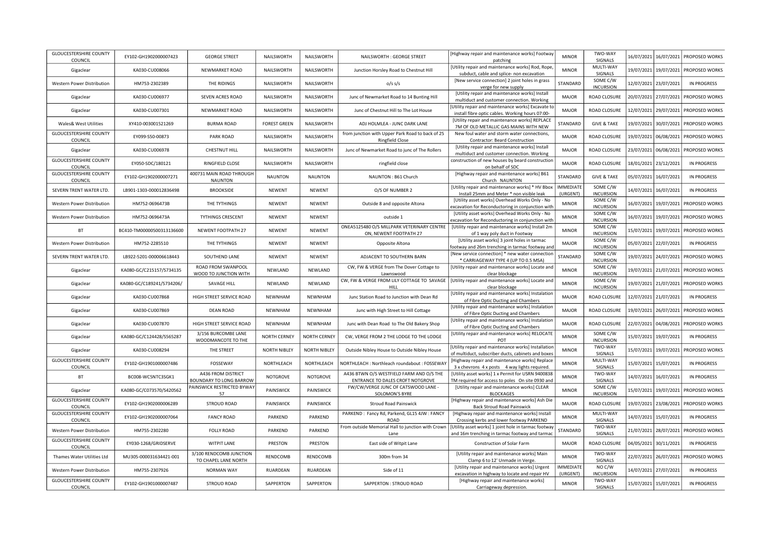| <b>GLOUCESTERSHIRE COUNTY</b><br>COUNCIL | EY102-GH1902000007423     | <b>GEORGE STREET</b>                            | NAILSWORTH          | NAILSWORTH          | NAILSWORTH: GEORGE STREET                                                    | [Highway repair and maintenance works] Footway<br>patching                                                | <b>MINOR</b>                 | TWO-WAY<br><b>SIGNALS</b>    |            | 16/07/2021 16/07/2021 | PROPOSED WORKS                       |
|------------------------------------------|---------------------------|-------------------------------------------------|---------------------|---------------------|------------------------------------------------------------------------------|-----------------------------------------------------------------------------------------------------------|------------------------------|------------------------------|------------|-----------------------|--------------------------------------|
| Gigaclear                                | KA030-CU008066            | NEWMARKET ROAD                                  | NAILSWORTH          | NAILSWORTH          | Junction Horsley Road to Chestnut Hill                                       | [Utility repair and maintenance works] Rod, Rope<br>subduct, cable and splice- non excavation             | <b>MINOR</b>                 | MULTI-WAY<br>SIGNALS         |            | 19/07/2021 19/07/2021 | PROPOSED WORKS                       |
| Western Power Distribution               | HM753-2302389             | THE RIDINGS                                     | NAILSWORTH          | NAILSWORTH          | $0/s$ s/s                                                                    | [New service connection] 2 joint holes in grass<br>verge for new supply                                   | STANDARD                     | SOME C/W<br><b>INCURSION</b> |            | 12/07/2021 23/07/2021 | IN PROGRESS                          |
| Gigaclear                                | KA030-CU006977            | SEVEN ACRES ROAD                                | NAILSWORTH          | NAILSWORTH          | Junc of Newmarket Road to 14 Bunting Hill                                    | [Utility repair and maintenance works] Install<br>multiduct and customer connection. Working              | <b>MAJOR</b>                 | ROAD CLOSURE                 |            | 20/07/2021 27/07/2021 | PROPOSED WORKS                       |
| Gigaclear                                | KA030-CU007301            | NEWMARKET ROAD                                  | NAILSWORTH          | NAILSWORTH          | Junc of Chestnut Hill to The Lot House                                       | [Utility repair and maintenance works] Excavate to<br>install fibre optic cables. Working hours 07:00-    | <b>MAJOR</b>                 | ROAD CLOSURE                 |            |                       | 12/07/2021 29/07/2021 PROPOSED WORKS |
| Wales& West Utilities                    | XY410-003001521269        | <b>BURMA ROAD</b>                               | <b>FOREST GREEN</b> | NAILSWORTH          | ADJ HOLMLEA - JUNC DARK LANE                                                 | [Utility repair and maintenance works] REPLACE<br>7M OF OLD METALLIC GAS MAINS WITH NEW                   | STANDARD                     | <b>GIVE &amp; TAKE</b>       |            | 19/07/2021 30/07/2021 | PROPOSED WORKS                       |
| <b>GLOUCESTERSHIRE COUNTY</b><br>COUNCIL | EY099-S50-00873           | PARK ROAD                                       | NAILSWORTH          | NAILSWORTH          | from junction with Upper Park Road to back of 25<br>Ringfield Close          | New foul water and storm water connections,<br>Contractor: Beard Construction                             | <b>MAJOR</b>                 | ROAD CLOSURE                 |            | 19/07/2021 06/08/2021 | PROPOSED WORKS                       |
| Gigaclear                                | KA030-CU006978            | CHESTNUT HILL                                   | NAILSWORTH          | NAILSWORTH          | Junc of Newmarket Road to junc of The Rollers                                | [Utility repair and maintenance works] Install<br>multiduct and customer connection. Working              | <b>MAJOR</b>                 | ROAD CLOSURE                 | 23/07/2021 | 06/08/2021            | PROPOSED WORKS                       |
| <b>GLOUCESTERSHIRE COUNTY</b><br>COUNCIL | EY050-SDC/180121          | RINGFIELD CLOSE                                 | NAILSWORTH          | NAILSWORTH          | ringfield close                                                              | construction of new houses by beard constructior<br>on behalf of SDC                                      | <b>MAJOR</b>                 | ROAD CLOSURE                 |            | 18/01/2021 23/12/2021 | <b>IN PROGRESS</b>                   |
| <b>GLOUCESTERSHIRE COUNTY</b><br>COUNCIL | EY102-GH1902000007271     | 400731 MAIN ROAD THROUGH<br><b>NAUNTON</b>      | <b>NAUNTON</b>      | <b>NAUNTON</b>      | NAUNTON: B61 Church                                                          | [Highway repair and maintenance works] B61<br>Church NAUNTON                                              | STANDARD                     | <b>GIVE &amp; TAKE</b>       |            | 05/07/2021 16/07/2021 | IN PROGRESS                          |
| SEVERN TRENT WATER LTD.                  | LB901-1303-000012836498   | <b>BROOKSIDE</b>                                | <b>NEWENT</b>       | <b>NEWENT</b>       | O/S OF NUMBER 2                                                              | [Utility repair and maintenance works] * HV Bbox<br>Install 25mm and Meter * non visible leak             | <b>IMMEDIATE</b><br>(URGENT) | SOME C/W<br><b>INCURSION</b> | 14/07/2021 | 16/07/2021            | IN PROGRESS                          |
| Western Power Distribution               | HM752-0696473B            | THE TYTHINGS                                    | <b>NEWENT</b>       | <b>NEWENT</b>       | Outside 8 and opposite Altona                                                | [Utility asset works] Overhead Works Only - No<br>excavation for Reconductoring in conjunction with       | <b>MINOR</b>                 | SOME C/W<br><b>INCURSION</b> | 16/07/2021 | 19/07/2021            | PROPOSED WORKS                       |
| Western Power Distribution               | HM752-0696473A            | TYTHINGS CRESCENT                               | <b>NEWENT</b>       | <b>NEWENT</b>       | outside 1                                                                    | [Utility asset works] Overhead Works Only - No<br>excavation for Reconductoring in conjunction with       | <b>MINOR</b>                 | SOME C/W<br><b>INCURSION</b> |            |                       | 16/07/2021 19/07/2021 PROPOSED WORKS |
| <b>BT</b>                                | BC410-TM00000500313136600 | NEWENT FOOTPATH 27                              | <b>NEWENT</b>       | <b>NEWENT</b>       | ONEA5125480 O/S MILLPARK VETERINARY CENTRE<br>ON, NEWENT FOOTPATH 27         | [Utility repair and maintenance works] Install 2m<br>of 1 way poly duct in Footway                        | <b>MINOR</b>                 | SOME C/W<br><b>INCURSION</b> |            | 15/07/2021 19/07/2021 | PROPOSED WORKS                       |
| Western Power Distribution               | HM752-2285510             | THE TYTHINGS                                    | <b>NEWENT</b>       | <b>NEWENT</b>       | Opposite Altona                                                              | [Utility asset works] 3 joint holes in tarmac<br>footway and 26m trenching in tarmac footway and          | <b>MAJOR</b>                 | SOME C/W<br><b>INCURSION</b> |            | 05/07/2021 22/07/2021 | <b>IN PROGRESS</b>                   |
| SEVERN TRENT WATER LTD.                  | LB922-5201-000006618443   | SOUTHEND LANE                                   | <b>NEWENT</b>       | <b>NEWENT</b>       | ADJACENT TO SOUTHERN BARN                                                    | [New service connection] * new water connection<br>* CARRIAGEWAY TYPE 4 (UP TO 0.5 MSA)                   | STANDARD                     | SOME C/W<br><b>INCURSION</b> | 19/07/2021 | 24/07/2021            | PROPOSED WORKS                       |
| Gigaclear                                | KA080-GC/C215157/S734135  | ROAD FROM SWANPOOL<br>WOOD TO JUNCTION WITH     | NEWLAND             | NEWLAND             | CW, FW & VERGE from The Dover Cottage to<br>Lawnswood                        | [Utility repair and maintenance works] Locate and<br>clear blockage                                       | <b>MINOR</b>                 | SOME C/W<br><b>INCURSION</b> |            | 19/07/2021 21/07/2021 | PROPOSED WORKS                       |
| Gigaclear                                | KA080-GC/C189241/S734206/ | SAVAGE HILL                                     | NEWLAND             | NEWLAND             | CW, FW & VERGE FROM LILY COTTAGE TO SAVAGE<br>HILL                           | [Utility repair and maintenance works] Locate and<br>clear blockage                                       | <b>MINOR</b>                 | SOME C/W<br><b>INCURSION</b> |            | 19/07/2021 21/07/2021 | PROPOSED WORKS                       |
| Gigaclear                                | KA030-CU007868            | HIGH STREET SERVICE ROAD                        | <b>NEWNHAM</b>      | <b>NEWNHAM</b>      | Junc Station Road to Junction with Dean Rd                                   | [Utility repair and maintenance works] Instalatior<br>of Fibre Optic Ducting and Chambers                 | <b>MAJOR</b>                 | ROAD CLOSURE                 |            | 12/07/2021 21/07/2021 | <b>IN PROGRESS</b>                   |
| Gigaclear                                | KA030-CU007869            | <b>DEAN ROAD</b>                                | <b>NEWNHAM</b>      | <b>NEWNHAM</b>      | Junc with High Street to Hill Cottage                                        | [Utility repair and maintenance works] Instalation<br>of Fibre Optic Ducting and Chambers                 | <b>MAJOR</b>                 | ROAD CLOSURE                 | 19/07/2021 | 26/07/2021            | PROPOSED WORKS                       |
| Gigaclear                                | KA030-CU007870            | HIGH STREET SERVICE ROAD                        | <b>NEWNHAM</b>      | <b>NEWNHAM</b>      | Junc with Dean Road to The Old Bakery Shop                                   | [Utility repair and maintenance works] Instalation<br>of Fibre Optic Ducting and Chambers                 | <b>MAJOR</b>                 | ROAD CLOSURE                 |            |                       | 22/07/2021 04/08/2021 PROPOSED WORKS |
| Gigaclear                                | KA080-GC/C124428/S565287  | 3/156 BURCOMBE LANE<br>WOODMANCOTE TO THE       | <b>NORTH CERNEY</b> | NORTH CERNEY        | CW, VERGE FROM 2 THE LODGE TO THE LODGE                                      | [Utility repair and maintenance works] RELOCATE<br>POT                                                    | <b>MINOR</b>                 | SOME C/W<br><b>INCURSION</b> |            | 15/07/2021 19/07/2021 | <b>IN PROGRESS</b>                   |
| Gigaclear                                | KA030-CU008294            | THE STREET                                      | <b>NORTH NIBLEY</b> | <b>NORTH NIBLEY</b> | Outside Nibley House to Outside Nibley House                                 | [Utility repair and maintenance works] Installation<br>of multiduct, subscriber ducts, cabinets and boxes | <b>MINOR</b>                 | TWO-WAY<br>SIGNALS           | 15/07/2021 | 19/07/2021            | PROPOSED WORKS                       |
| <b>GLOUCESTERSHIRE COUNTY</b><br>COUNCIL | EY102-GH1901000007486     | FOSSEWAY                                        | NORTHLEACH          | NORTHLEACH          | NORTHLEACH: Northleach roundabout: FOSSEWA                                   | [Highway repair and maintenance works] Replace<br>3 x chevrons 4 x posts 4 way lights required.           | <b>MINOR</b>                 | MULTI-WAY<br>SIGNALS         | 15/07/2021 | 15/07/2021            | <b>IN PROGRESS</b>                   |
| BT                                       | BC008-WC5NTC3SGK1         | A436 FROM DISTRICT<br>BOUNDARY TO LONG BARROW   | <b>NOTGROVE</b>     | <b>NOTGROVE</b>     | A436 BTWN O/S WESTFIELD FARM AND O/S THE<br>ENTRANCE TO DALES CROFT NOTGROVE | [Utility asset works] 1 x Permit for USRN 9400838<br>TM required for access to poles On site 0930 and     | <b>MINOR</b>                 | TWO-WAY<br>SIGNALS           |            | 14/07/2021 16/07/2021 | <b>IN PROGRESS</b>                   |
| Gigaclear                                | KA080-GC/C073570/S420562  | PAINSWICK RESTRICTED BYWAY<br>57                | PAINSWICK           | <b>PAINSWICK</b>    | FW/CW/VERGE JUNC OF CATSWOOD LANE -<br><b>SOLOMON'S BYRE</b>                 | [Utility repair and maintenance works] CLEAR<br><b>BLOCKAGES</b>                                          | <b>MINOR</b>                 | SOME C/W<br><b>INCURSION</b> |            | 15/07/2021 19/07/2021 | PROPOSED WORKS                       |
| <b>GLOUCESTERSHIRE COUNTY</b><br>COUNCIL | EY102-GH1902000006289     | <b>STROUD ROAD</b>                              | PAINSWICK           | PAINSWICK           | <b>Stroud Road Painswick</b>                                                 | [Highway repair and maintenance works] Ash Die<br><b>Back Stroud Road Painswick</b>                       | <b>MAJOR</b>                 | ROAD CLOSURE                 |            | 19/07/2021 23/08/2021 | PROPOSED WORKS                       |
| <b>GLOUCESTERSHIRE COUNTY</b><br>COUNCIL | EY102-GH1902000007064     | <b>FANCY ROAD</b>                               | PARKEND             | PARKEND             | PARKEND: Fancy Rd, Parkend, GL15 4JW: FANCY<br><b>ROAD</b>                   | [Highway repair and maintenance works] Install<br>Crossing kerbs and lower footway PARKEND                | <b>MINOR</b>                 | MULTI-WAY<br>SIGNALS         | 14/07/2021 | 15/07/2021            | IN PROGRESS                          |
| Western Power Distribution               | HM755-2302280             | <b>FOLLY ROAD</b>                               | PARKEND             | PARKEND             | From outside Memorial Hall to junction with Crown<br>Lane                    | [Utility asset works] 1 joint hole in tarmac footway<br>and 16m trenching in tarmac footway and tarmac    | STANDARD                     | TWO-WAY<br>SIGNALS           |            | 21/07/2021 28/07/2021 | PROPOSED WORKS                       |
| <b>GLOUCESTERSHIRE COUNTY</b><br>COUNCIL | EY030-1268/GRIDSERVE      | <b>WITPIT LANE</b>                              | PRESTON             | PRESTON             | East side of Witpit Lane                                                     | Construction of Solar Farm                                                                                | <b>MAJOR</b>                 | ROAD CLOSURE                 |            | 04/05/2021 30/11/2021 | <b>IN PROGRESS</b>                   |
| Thames Water Utilities Ltd               | MU305-000031634421-001    | 3/100 RENDCOMB JUNCTION<br>TO CHAPEL LANE NORTH | RENDCOMB            | RENDCOMB            | 300m from 34                                                                 | [Utility repair and maintenance works] Main<br>Clamp 6 to 12' Unmade in Verge.                            | <b>MINOR</b>                 | TWO-WAY<br>SIGNALS           |            | 22/07/2021 26/07/2021 | PROPOSED WORKS                       |
| Western Power Distribution               | HM755-2307926             | NORMAN WAY                                      | RUARDEAN            | <b>RUARDEAN</b>     | Side of 11                                                                   | [Utility repair and maintenance works] Urgent<br>excavation in highway to locate and repair HV            | <b>IMMEDIATE</b><br>(URGENT) | NO C/W<br><b>INCURSION</b>   |            | 14/07/2021 27/07/2021 | <b>IN PROGRESS</b>                   |
| <b>GLOUCESTERSHIRE COUNTY</b><br>COUNCIL | EY102-GH1901000007487     | STROUD ROAD                                     | SAPPERTON           | SAPPERTON           | SAPPERTON : STROUD ROAD                                                      | [Highway repair and maintenance works]<br>Carriageway depression.                                         | <b>MINOR</b>                 | TWO-WAY<br><b>SIGNALS</b>    |            | 15/07/2021 15/07/2021 | <b>IN PROGRESS</b>                   |
|                                          |                           |                                                 |                     |                     |                                                                              |                                                                                                           |                              |                              |            |                       |                                      |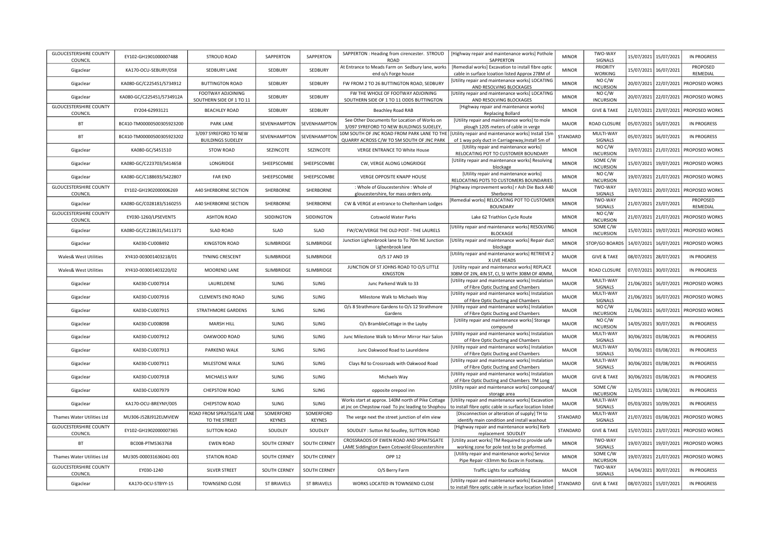| <b>GLOUCESTERSHIRE COUNTY</b><br>COUNCIL | EY102-GH1901000007488     | <b>STROUD ROAD</b>                                | SAPPERTON                  | SAPPERTON                  | SAPPERTON : Heading from cirencester. STROUD<br><b>ROAD</b>                                            | [Highway repair and maintenance works] Pothole<br>SAPPERTON                                                  | <b>MINOR</b> | TWO-WAY<br>SIGNALS           |            | 15/07/2021 15/07/2021 | <b>IN PROGRESS</b>                       |
|------------------------------------------|---------------------------|---------------------------------------------------|----------------------------|----------------------------|--------------------------------------------------------------------------------------------------------|--------------------------------------------------------------------------------------------------------------|--------------|------------------------------|------------|-----------------------|------------------------------------------|
| Gigaclear                                | KA170-OCU-SEBURY/058      | SEDBURY LANE                                      | SEDBURY                    | SEDBURY                    | At Entrance to Meads Farm on Sedbury lane, works<br>end o/s Forge house                                | [Remedial works] Excavation to install fibre optic<br>cable in surface Icoation listed Approx 278M of        | <b>MINOR</b> | PRIORITY<br><b>WORKING</b>   |            | 15/07/2021 16/07/2021 | PROPOSED<br>REMEDIAL                     |
| Gigaclear                                | KA080-GC/C225451/S734912  | <b>BUTTINGTON ROAD</b>                            | SEDBURY                    | SEDBURY                    | FW FROM 2 TO 26 BUTTINGTON ROAD, SEDBURY                                                               | [Utility repair and maintenance works] LOCATING<br>AND RESOLVING BLOCKAGES                                   | <b>MINOR</b> | NO C/W<br><b>INCURSION</b>   |            |                       | 20/07/2021 22/07/2021 PROPOSED WORKS     |
| Gigaclear                                | KA080-GC/C225451/S734912A | FOOTWAY ADJOINING<br>SOUTHERN SIDE OF 1 TO 11     | SEDBURY                    | SEDBURY                    | FW THE WHOLE OF FOOTWAY ADJOINING<br>SOUTHERN SIDE OF 1 TO 11 ODDS BUTTINGTON                          | [Utility repair and maintenance works] LOCATING<br>AND RESOLVING BLOCKAGES                                   | <b>MINOR</b> | NO C/W<br><b>INCURSION</b>   | 20/07/2021 |                       | 22/07/2021 PROPOSED WORKS                |
| <b>GLOUCESTERSHIRE COUNTY</b><br>COUNCIL | EY204-62993121            | <b>BEACHLEY ROAD</b>                              | SEDBURY                    | SEDBURY                    | Beachley Road RAB                                                                                      | [Highway repair and maintenance works]<br>Replacing Bollard                                                  | <b>MINOR</b> | <b>GIVE &amp; TAKE</b>       |            |                       | 21/07/2021 23/07/2021 PROPOSED WORKS     |
| <b>BT</b>                                | BC410-TM00000500305923200 | PARK LANE                                         | SEVENHAMPTON               | SEVENHAMPTON               | See Other Documents for Location of Works on<br>3/097 SYREFORD TO NEW BUILDINGS SUDELEY,               | [Utility repair and maintenance works] to mole<br>plough 1205 meters of cable in verge                       | MAJOR        | ROAD CLOSURE                 |            | 05/07/2021 16/07/2021 | <b>IN PROGRESS</b>                       |
| <b>BT</b>                                | BC410-TM00000500305923202 | 3/097 SYREFORD TO NEW<br><b>BUILDINGS SUDELEY</b> | SEVENHAMPTON               | SEVENHAMPTON               | 10M SOUTH OF JNC ROAD FROM PARK LANE TO THE                                                            | [Utility repair and maintenance works] Install 15m                                                           | STANDARD     | MULTI-WAY<br>SIGNALS         |            | 05/07/2021 16/07/2021 | IN PROGRESS                              |
| Gigaclear                                | KA080-GC/S451510          | STOW ROAD                                         | SEZINCOTE                  | SEZINCOTE                  | QUARRY ACROSS C/W TO 5M SOUTH OF JNC PARK<br><b>VERGE ENTRANCE TO White House</b>                      | of 1 way poly duct in Carriageway, Install 5m of<br>[Utility repair and maintenance works]                   | <b>MINOR</b> | NO C/W                       | 19/07/2021 | 21/07/2021            | PROPOSED WORKS                           |
| Gigaclear                                | KA080-GC/C223703/S414658  | LONGRIDGE                                         | SHEEPSCOMBE                | SHEEPSCOMBE                | CW, VERGE ALONG LONGRIDGE                                                                              | RELOCATING POT TO CUSTOMER BOUNDARY<br>[Utility repair and maintenance works] Resolving                      | <b>MINOR</b> | <b>INCURSION</b><br>SOME C/W |            |                       | 15/07/2021   19/07/2021   PROPOSED WORKS |
| Gigaclear                                | KA080-GC/C188693/S422807  | <b>FAR END</b>                                    | SHEEPSCOMBE                | SHEEPSCOMBE                | VERGE OPPOSITE KNAPP HOUSE                                                                             | blockage<br>[Utility repair and maintenance works]                                                           | <b>MINOR</b> | <b>INCURSION</b><br>NO C/W   |            |                       | 19/07/2021 21/07/2021 PROPOSED WORKS     |
|                                          |                           |                                                   |                            |                            |                                                                                                        | RELOCATING POTS TO CUSTOMERS BOUNDARIES                                                                      |              | <b>INCURSION</b>             |            |                       |                                          |
| <b>GLOUCESTERSHIRE COUNTY</b><br>COUNCIL | EY102-GH1902000006269     | A40 SHERBORNE SECTION                             | SHERBORNE                  | SHERBORNE                  | : Whole of Gloucestershire : Whole of<br>gloucestershire, for mass orders only.                        | [Highway improvement works] r Ash Die Back A40<br>Sherborne                                                  | MAJOR        | TWO-WAY<br>SIGNALS           | 19/07/2021 | 20/07/2021            | PROPOSED WORKS                           |
|                                          |                           |                                                   |                            |                            |                                                                                                        | [Remedial works] RELOCATING POT TO CUSTOMER                                                                  |              | TWO-WAY                      |            |                       | PROPOSED                                 |
| Gigaclear                                | KA080-GC/C028183/S160255  | A40 SHERBORNE SECTION                             | SHERBORNE                  | SHERBORNE                  | CW & VERGE at entrance to Cheltenham Lodges                                                            | <b>BOUNDARY</b>                                                                                              | <b>MINOR</b> | SIGNALS                      | 21/07/2021 | 23/07/2021            | REMEDIAL                                 |
| <b>GLOUCESTERSHIRE COUNTY</b>            | EY030-1260/LPSEVENTS      | <b>ASHTON ROAD</b>                                | SIDDINGTON                 | SIDDINGTON                 | <b>Cotswold Water Parks</b>                                                                            | Lake 62 Triathlon Cycle Route                                                                                | <b>MINOR</b> | NO C/W                       | 21/07/2021 | 21/07/2021            | PROPOSED WORKS                           |
| COUNCIL                                  |                           |                                                   |                            |                            |                                                                                                        |                                                                                                              |              | <b>INCURSION</b>             |            |                       |                                          |
| Gigaclear                                | KA080-GC/C218631/S411371  | <b>SLAD ROAD</b>                                  | SLAD                       | SLAD                       | FW/CW/VERGE THE OLD POST - THE LAURELS                                                                 | [Utility repair and maintenance works] RESOLVING<br><b>BLOCKAGE</b>                                          | <b>MINOR</b> | SOME C/W<br><b>INCURSION</b> | 15/07/2021 |                       | 19/07/2021   PROPOSED WORKS              |
| Gigaclear                                | KA030-CU008492            | KINGSTON ROAD                                     | SLIMBRIDGE                 | <b>SLIMBRIDGE</b>          | Junction Lighenbrook lane to To 70m NE Junction<br>Lighenbrook lane                                    | Utility repair and maintenance works] Repair duct<br>blockage                                                | <b>MINOR</b> | STOP/GO BOARDS               | 14/07/2021 |                       | 16/07/2021   PROPOSED WORKS              |
| Wales& West Utilities                    | XY410-003001403218/01     | TYNING CRESCENT                                   | SLIMBRIDGE                 | SLIMBRIDGE                 | O/S 17 AND 19                                                                                          | [Utility repair and maintenance works] RETRIEVE 2<br>X LIVE HEADS                                            | MAJOR        | <b>GIVE &amp; TAKE</b>       |            | 08/07/2021 28/07/2021 | IN PROGRESS                              |
| Wales& West Utilities                    | XY410-003001403220/02     | MOOREND LANE                                      | SLIMBRIDGE                 | SLIMBRIDGE                 | JUNCTION OF ST JOHNS ROAD TO O/S LITTLE<br>KINGSTON                                                    | [Utility repair and maintenance works] REPLACE<br>308M OF 2IN, 4IN ST, CI, SI WITH 308M OF 40MM              | MAJOR        | ROAD CLOSURE                 |            | 07/07/2021 30/07/2021 | IN PROGRESS                              |
| Gigaclear                                | KA030-CU007914            | LAURELDENE                                        | <b>SLING</b>               | <b>SLING</b>               | Junc Parkend Walk to 33                                                                                | [Utility repair and maintenance works] Instalation<br>of Fibre Optic Ducting and Chambers                    | MAJOR        | MULTI-WAY<br>SIGNALS         |            |                       | 21/06/2021 16/07/2021 PROPOSED WORKS     |
| Gigaclear                                | KA030-CU007916            | <b>CLEMENTS END ROAD</b>                          | <b>SLING</b>               | <b>SLING</b>               | Milestone Walk to Michaels Way                                                                         | [Utility repair and maintenance works] Instalation<br>of Fibre Optic Ducting and Chambers                    | MAJOR        | MULTI-WAY<br>SIGNALS         |            |                       | 21/06/2021 16/07/2021 PROPOSED WORKS     |
| Gigaclear                                | KA030-CU007915            | STRATHMORE GARDENS                                | SLING                      | SLING                      | O/s 8 Strathmore Gardens to O/s 12 Strathmore<br>Gardens                                               | [Utility repair and maintenance works] Instalation<br>of Fibre Optic Ducting and Chambers                    | MAJOR        | NO C/W<br><b>INCURSION</b>   | 21/06/2021 |                       | 16/07/2021 PROPOSED WORKS                |
| Gigaclear                                | KA030-CU008098            | MARSH HILL                                        | <b>SLING</b>               | SLING                      | O/s BrambleCottage in the Layby                                                                        | [Utility repair and maintenance works] Storage                                                               | MAJOR        | NO C/W<br><b>INCURSION</b>   |            | 14/05/2021 30/07/2021 | IN PROGRESS                              |
| Gigaclear                                | KA030-CU007912            | OAKWOOD ROAD                                      | <b>SLING</b>               | SLING                      | Junc Milestone Walk to Mirror Mirror Hair Salon                                                        | compound<br>[Utility repair and maintenance works] Instalation                                               | MAJOR        | MULTI-WAY                    |            | 30/06/2021 03/08/2021 | IN PROGRESS                              |
| Gigaclear                                | KA030-CU007913            | PARKEND WALK                                      | <b>SLING</b>               | SLING                      | Junc Oakwood Road to Laureldene                                                                        | of Fibre Optic Ducting and Chambers<br>[Utility repair and maintenance works] Instalation                    | <b>MAJOR</b> | SIGNALS<br>MULTI-WAY         | 30/06/2021 | 03/08/2021            | IN PROGRESS                              |
| Gigaclear                                | KA030-CU007911            | MILESTONE WALK                                    | SLING                      | SLING                      | Clays Rd to Crossroads with Oakwood Road                                                               | of Fibre Optic Ducting and Chambers<br>[Utility repair and maintenance works] Instalation                    | MAJOR        | SIGNALS<br>MULTI-WAY         |            | 30/06/2021 03/08/2021 | IN PROGRESS                              |
|                                          |                           |                                                   |                            |                            |                                                                                                        | of Fibre Optic Ducting and Chambers                                                                          |              | SIGNALS                      |            |                       |                                          |
| Gigaclear                                | KA030-CU007918            | MICHAELS WAY                                      | SLING                      | SLING                      | Michaels Way                                                                                           | [Utility repair and maintenance works] Instalation<br>of Fibre Optic Ducting and Chambers TM Long            | MAJOR        | <b>GIVE &amp; TAKE</b>       |            | 30/06/2021 03/08/2021 | IN PROGRESS                              |
| Gigaclear                                | KA030-CU007979            | CHEPSTOW ROAD                                     | SLING                      | SLING                      | opposite orepool inn                                                                                   | [Utility repair and maintenance works] compound/<br>storage area                                             | MAJOR        | SOME C/W<br><b>INCURSION</b> |            | 12/05/2021 13/08/2021 | <b>IN PROGRESS</b>                       |
| Gigaclear                                | KA170-OCU-BREYNY/005      | CHEPSTOW ROAD                                     | SLING                      | <b>SLING</b>               | Works start at approx. 140M north of Pike Cottage<br>at jnc on Chepstow road To jnc leading to Shophou | [Utility repair and maintenance works] Excavation<br>to install fibre optic cable in surface location listed | MAJOR        | MULTI-WAY<br>SIGNALS         | 05/03/2021 | 10/09/2021            | <b>IN PROGRESS</b>                       |
| Thames Water Utilities Ltd               | MU306-J528J912ELMVIEW     | ROAD FROM SPRATSGATE LANE<br>TO THE STREET        | SOMERFORD<br><b>KEYNES</b> | SOMERFORD<br><b>KEYNES</b> | The verge next the street junction of elm view                                                         | [Disconnection or alteration of supply] TH to<br>identify main condition and install washout                 | STANDARD     | MULTI-WAY<br>SIGNALS         |            |                       | 21/07/2021 03/08/2021 PROPOSED WORKS     |
| <b>GLOUCESTERSHIRE COUNTY</b><br>COUNCIL | EY102-GH1902000007365     | <b>SUTTON ROAD</b>                                | SOUDLEY                    | SOUDLEY                    | SOUDLEY : Sutton Rd Soudley, SUTTON ROAD                                                               | [Highway repair and maintenance works] Kerb<br>replacement SOUDLEY                                           | STANDARD     | <b>GIVE &amp; TAKE</b>       |            |                       | 15/07/2021 23/07/2021 PROPOSED WORKS     |
| <b>BT</b>                                | BC008-PTMS363768          | <b>EWEN ROAD</b>                                  | SOUTH CERNEY               | SOUTH CERNEY               | CROSSRAODS OF EWEN ROAD AND SPRATSGATE<br>LAME Siddington Ewen Cotswold Gloucestershire                | [Utility asset works] TM Required to provide safe<br>working zone for pole test to be preformed.             | <b>MINOR</b> | TWO-WAY<br>SIGNALS           |            |                       | 19/07/2021 19/07/2021 PROPOSED WORKS     |
| Thames Water Utilities Ltd               | MU305-000031636041-001    | <b>STATION ROAD</b>                               | SOUTH CERNEY               | SOUTH CERNEY               | <b>OPP 12</b>                                                                                          | [Utility repair and maintenance works] Service<br>Pipe Repair <33mm No Excav in Footway.                     | <b>MINOR</b> | SOME C/W<br><b>INCURSION</b> |            |                       | 19/07/2021 21/07/2021 PROPOSED WORKS     |
| <b>GLOUCESTERSHIRE COUNTY</b><br>COUNCIL | EY030-1240                | SILVER STREET                                     | SOUTH CERNEY               | <b>SOUTH CERNEY</b>        | O/S Berry Farm                                                                                         | Traffic Lights for scaffolding                                                                               | <b>MAJOR</b> | TWO-WAY<br>SIGNALS           |            | 14/04/2021 30/07/2021 | <b>IN PROGRESS</b>                       |
| Gigaclear                                | KA170-OCU-STBYY-15        | <b>TOWNSEND CLOSE</b>                             | <b>ST BRIAVELS</b>         | <b>ST BRIAVELS</b>         | WORKS LOCATED IN TOWNSEND CLOSE                                                                        | [Utility repair and maintenance works] Excavation<br>to install fibre optic cable in surface location listed | STANDARD     | <b>GIVE &amp; TAKE</b>       |            | 08/07/2021 15/07/2021 | IN PROGRESS                              |
|                                          |                           |                                                   |                            |                            |                                                                                                        |                                                                                                              |              |                              |            |                       |                                          |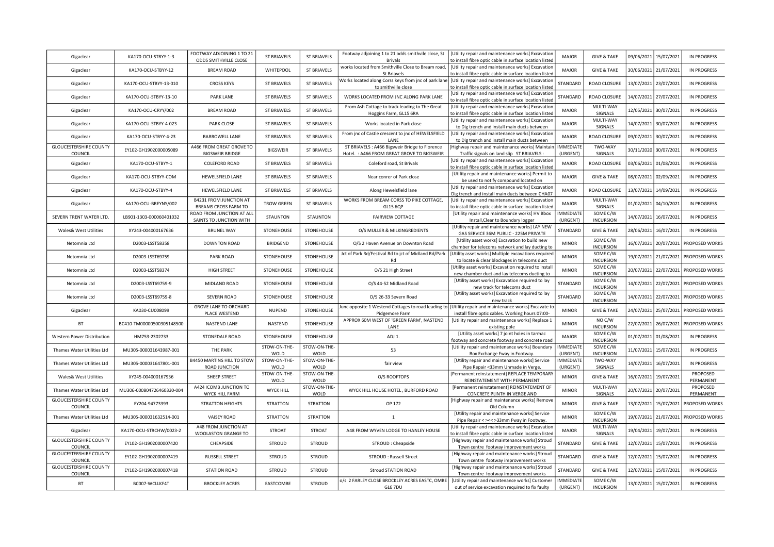| Gigaclear                                                   | KA170-OCU-STBYY-1-3       | FOOTWAY ADJOINING 1 TO 21<br>ODDS SMITHVILLE CLOSE    | <b>ST BRIAVELS</b>   | <b>ST BRIAVELS</b>   | Footway adjoining 1 to 21 odds smithvile close, St<br><b>Brivals</b>                                     | [Utility repair and maintenance works] Excavation<br>to install fibre optic cable in surface location listed | <b>MAJOR</b>                     | <b>GIVE &amp; TAKE</b>                     | 09/06/2021 15/07/2021 | <b>IN PROGRESS</b>                  |
|-------------------------------------------------------------|---------------------------|-------------------------------------------------------|----------------------|----------------------|----------------------------------------------------------------------------------------------------------|--------------------------------------------------------------------------------------------------------------|----------------------------------|--------------------------------------------|-----------------------|-------------------------------------|
| Gigaclear                                                   | KA170-OCU-STBYY-12        | <b>BREAM ROAD</b>                                     | WHITEPOOL            | <b>ST BRIAVELS</b>   | works located from Smithville Close to Bream road,<br><b>St Briavels</b>                                 | [Utility repair and maintenance works] Excavation<br>to install fibre optic cable in surface location listed | <b>MAJOR</b>                     | <b>GIVE &amp; TAKE</b>                     | 30/06/2021 21/07/2021 | <b>IN PROGRESS</b>                  |
| Gigaclear                                                   | KA170-OCU-STBYY-13-010    | <b>CROSS KEYS</b>                                     | <b>ST BRIAVELS</b>   | <b>ST BRIAVELS</b>   | Works located along Corss keys from jnc of park lane   [Utility repair and maintenance works] Excavation |                                                                                                              | STANDARD                         | ROAD CLOSURE                               | 13/07/2021 23/07/2021 | IN PROGRESS                         |
| Gigaclear                                                   | KA170-OCU-STBYY-13-10     | PARK LANE                                             | <b>ST BRIAVELS</b>   | <b>ST BRIAVELS</b>   | to smithville close<br>WORKS LOCATED FROM JNC ALONG PARK LANE                                            | to install fibre optic cable in surface location listed<br>[Utility repair and maintenance works] Excavation | STANDARD                         | ROAD CLOSURE                               | 14/07/2021 27/07/2021 | IN PROGRESS                         |
| Gigaclear                                                   | KA170-OCU-CRYY/002        | <b>BREAM ROAD</b>                                     | <b>ST BRIAVELS</b>   | <b>ST BRIAVELS</b>   | From Ash Cottage to track leading to The Great                                                           | to install fibre optic cable in surface location listed<br>[Utility repair and maintenance works] Excavation | MAJOR                            | MULTI-WAY                                  | 12/05/2021 30/07/2021 | IN PROGRESS                         |
|                                                             | KA170-OCU-STBYY-4-023     | PARK CLOSE                                            | <b>ST BRIAVELS</b>   | <b>ST BRIAVELS</b>   | Hoggins Farm, GL15 6RA<br>Works located in Park close                                                    | to install fibre optic cable in surface location listed<br>[Utility repair and maintenance works] Excavation | MAJOR                            | SIGNALS<br>MULTI-WAY                       | 14/07/2021 30/07/2021 | <b>IN PROGRESS</b>                  |
| Gigaclear                                                   |                           |                                                       |                      |                      | From jnc of Castle crescent to jnc of HEWELSFIELD                                                        | to Dig trench and install main ducts between<br>[Utility repair and maintenance works] Excavation            |                                  | SIGNALS                                    |                       |                                     |
| Gigaclear<br><b>GLOUCESTERSHIRE COUNTY</b>                  | KA170-OCU-STBYY-4-23      | BARROWELL LANE<br>A466 FROM GREAT GROVE TO            | <b>ST BRIAVELS</b>   | <b>ST BRIAVELS</b>   | <b>LANF</b><br>ST BRIAVELS : A466 Bigsweir Bridge to Florence                                            | to Dig trench and install main ducts between<br>Highway repair and maintenance works] Maintair               | <b>MAJOR</b><br><b>IMMEDIATE</b> | ROAD CLOSURE<br>TWO-WAY                    | 09/07/2021 30/07/2021 | IN PROGRESS                         |
| COUNCIL                                                     | EY102-GH1902000005089     | <b>BIGSWEIR BRIDGE</b>                                | <b>BIGSWEIR</b>      | <b>ST BRIAVELS</b>   | Hotel. : A466 FROM GREAT GROVE TO BIGSWEIR                                                               | Traffic signals on land slip ST BRIAVELS :                                                                   | (URGENT)                         | SIGNALS                                    | 30/11/2020            | 30/07/2021<br>IN PROGRESS           |
| Gigaclear                                                   | KA170-OCU-STBYY-1         | COLEFORD ROAD                                         | <b>ST BRIAVELS</b>   | <b>ST BRIAVELS</b>   | Coleford road, St Brivals                                                                                | [Utility repair and maintenance works] Excavation<br>to install fibre optic cable in surface location listed | MAJOR                            | <b>ROAD CLOSURE</b>                        | 03/06/2021 01/08/2021 | <b>IN PROGRESS</b>                  |
| Gigaclear                                                   | KA170-OCU-STBYY-COM       | HEWELSFIELD LANE                                      | <b>ST BRIAVELS</b>   | <b>ST BRIAVELS</b>   | Near conrer of Park close                                                                                | [Utility repair and maintenance works] Permit to<br>be used to notify compound located on                    | MAJOR                            | <b>GIVE &amp; TAKE</b>                     | 08/07/2021 02/09/2021 | <b>IN PROGRESS</b>                  |
| Gigaclear                                                   | KA170-OCU-STBYY-4         | HEWELSFIELD LANE                                      | <b>ST BRIAVELS</b>   | <b>ST BRIAVELS</b>   | Along Hewelsfield lane                                                                                   | [Utility repair and maintenance works] Excavation<br>Dig trench and install main ducts between CHA07         | <b>MAJOR</b>                     | ROAD CLOSURE                               | 13/07/2021            | 14/09/2021<br>IN PROGRESS           |
| Gigaclear                                                   | KA170-OCU-BREYNY/002      | <b>B4231 FROM JUNCTION AT</b><br>BREAMS CROSS FARM TO | <b>TROW GREEN</b>    | <b>ST BRIAVELS</b>   | WORKS FROM BREAM CORSS TO PIKE COTTAGE,<br>GL15 6QP                                                      | [Utility repair and maintenance works] Excavation<br>to install fibre optic cable in surface location listed | MAJOR                            | MULTI-WAY<br>SIGNALS                       | 01/02/2021            | 04/10/2021<br>IN PROGRESS           |
| SEVERN TRENT WATER LTD.                                     | LB901-1303-000060401032   | ROAD FROM JUNCTION AT ALL                             | <b>STAUNTON</b>      | STAUNTON             | FAIRVIEW COTTAGE                                                                                         | [Utility repair and maintenance works] HV Bbox                                                               | <b>IMMEDIATE</b>                 | SOME C/W                                   | 14/07/2021            | 16/07/2021<br>IN PROGRESS           |
| Wales& West Utilities                                       | XY243-004000167636        | SAINTS TO JUNCTION WITH<br><b>BRUNEL WAY</b>          | STONEHOUSE           | STONEHOUSE           | O/S MULLER & MILKINGREDIENTS                                                                             | Install, Clear to Boundary logger<br>[Utility repair and maintenance works] LAY NEW                          | (URGENT)<br>STANDARD             | <b>INCURSION</b><br><b>GIVE &amp; TAKE</b> | 28/06/2021            | 16/07/2021<br>IN PROGRESS           |
|                                                             |                           |                                                       |                      |                      |                                                                                                          | GAS SERVICE 36M PUBLIC - 225M PRIVATE<br>[Utility asset works] Excavation to build new                       | <b>MINOR</b>                     | SOME C/W                                   |                       |                                     |
| Netomnia Ltd                                                | D2003-LSST58358           | DOWNTON ROAD                                          | <b>BRIDGEND</b>      | STONEHOUSE           | O/S 2 Haven Avenue on Downton Road<br>Jct of Park Rd/Festival Rd to jct of Midland Rd/Park               | chamber for telecoms network and lay ducting to<br>[Utility asset works] Multiple excavations required       |                                  | <b>INCURSION</b><br>SOME C/W               | 16/07/2021 20/07/2021 | PROPOSED WORKS                      |
| Netomnia Ltd                                                | D2003-LSST69759           | PARK ROAD                                             | STONEHOUSE           | STONEHOUSE           | Rd                                                                                                       | to locate & clear blockages in telecoms duct<br>[Utility asset works] Excavation required to install         | <b>MINOR</b>                     | <b>INCURSION</b><br>SOME C/W               | 19/07/2021            | 21/07/2021<br>PROPOSED WORKS        |
| Netomnia Ltd                                                | D2003-LSST58374           | HIGH STREET                                           | STONEHOUSE           | STONEHOUSE           | O/S 21 High Street                                                                                       | new chamber duct and lay telecoms ducting to                                                                 | <b>MINOR</b>                     | <b>INCURSION</b>                           | 20/07/2021            | 22/07/2021<br>PROPOSED WORKS        |
| Netomnia Ltd                                                | D2003-LSST69759-9         | MIDLAND ROAD                                          | STONEHOUSE           | STONEHOUSE           | O/S 44-52 Midland Road                                                                                   | [Utility asset works] Excavation required to lay<br>new track for telecoms duct                              | STANDARD                         | SOME C/W<br><b>INCURSION</b>               | 14/07/2021 22/07/2021 | PROPOSED WORKS                      |
| Netomnia Ltd                                                | D2003-LSST69759-8         | SEVERN ROAD                                           | STONEHOUSE           | STONEHOUSE           | O/S 26-33 Severn Road                                                                                    | [Utility asset works] Excavation required to lay<br>new track                                                | STANDARD                         | SOME C/W<br><b>INCURSION</b>               | 14/07/2021 22/07/2021 | PROPOSED WORKS                      |
| Gigaclear                                                   | KA030-CU008099            | <b>GROVE LANE TO ORCHARD</b><br>PLACE WESTEND         | <b>NUPEND</b>        | STONEHOUSE           | lunc opposite 1 Westend Cottages to road leading t<br>Pidgemore Farm                                     | [Utility repair and maintenance works] Excavate to<br>install fibre optic cables. Working hours 07:00-       | <b>MINOR</b>                     | <b>GIVE &amp; TAKE</b>                     | 24/07/2021 25/07/2021 | PROPOSED WORKS                      |
| BT                                                          | BC410-TM00000500305148500 | NASTEND LANE                                          | NASTEND              | STONEHOUSE           | APPROX 60M WEST OF 'GREEN FARM', NASTEND<br>LANE                                                         | [Utility repair and maintenance works] Replace 1<br>existing pole                                            | <b>MINOR</b>                     | NO C/W<br><b>INCURSION</b>                 | 22/07/2021            | PROPOSED WORKS<br>26/07/2021        |
| Western Power Distribution                                  | HM753-2302733             | STONEDALE ROAD                                        | STONEHOUSE           | STONEHOUSE           | ADJ 1.                                                                                                   | [Utility asset works] 7 joint holes in tarmac                                                                | <b>MAJOR</b>                     | SOME C/W<br><b>INCURSION</b>               | 01/07/2021 01/08/2021 | IN PROGRESS                         |
| Thames Water Utilities Ltd                                  | MU305-000031643987-001    | <b>THE PARK</b>                                       | STOW-ON-THE-         | STOW-ON-THE-         | 53                                                                                                       | footway and concrete footway and concrete road<br>[Utility repair and maintenance works] Boundary            | <b>IMMEDIATE</b>                 | SOME C/W                                   | 11/07/2021 15/07/2021 | IN PROGRESS                         |
| Thames Water Utilities Ltd                                  | MU305-000031647801-001    | B4450 MARTINS HILL TO STOW                            | WOLD<br>STOW-ON-THE- | WOLD<br>STOW-ON-THE- | fair view                                                                                                | Box Exchange Fway in Footway.<br>[Utility repair and maintenance works] Service                              | (URGENT)<br><b>IMMEDIATE</b>     | <b>INCURSION</b><br>TWO-WAY                | 14/07/2021 16/07/2021 | <b>IN PROGRESS</b>                  |
|                                                             |                           | ROAD JUNCTION<br>SHEEP STREET                         | WOLD<br>STOW-ON-THE- | WOLD<br>STOW-ON-THE- | O/S ROOFTOPS                                                                                             | Pipe Repair <33mm Unmade in Verge.<br>[Permanent reinstatement] REPLACE TEMPORARY                            | (URGENT)<br><b>MINOR</b>         | SIGNALS<br><b>GIVE &amp; TAKE</b>          | 16/07/2021            | PROPOSED                            |
| Wales& West Utilities                                       | XY245-004000167936        | A424 ICOMB JUNCTION TO                                | WOLD                 | WOLD<br>STOW-ON-THE- |                                                                                                          | REINSTATEMENT WITH PERMANENT<br>[Permanent reinstatement] REINSTATEMENT OF                                   |                                  | MULTI-WAY                                  |                       | 19/07/2021<br>PERMANENT<br>PROPOSED |
| Thames Water Utilities Ltd<br><b>GLOUCESTERSHIRE COUNTY</b> | MU306-000804726460330-004 | WYCK HILL FARM                                        | <b>WYCK HILL</b>     | WOLD                 | WYCK HILL HOUSE HOTEL, BURFORD ROAD                                                                      | CONCRETE PLINTH IN VERGE AND<br>[Highway repair and maintenance works] Remove                                | <b>MINOR</b>                     | SIGNALS                                    | 20/07/2021 20/07/2021 | PERMANENT                           |
| COUNCIL                                                     | EY204-94773393            | STRATTON HEIGHTS                                      | <b>STRATTON</b>      | <b>STRATTON</b>      | OP 172                                                                                                   | Old Column                                                                                                   | <b>MINOR</b>                     | <b>GIVE &amp; TAKE</b>                     | 13/07/2021 15/07/2021 | PROPOSED WORKS                      |
| Thames Water Utilities Ltd                                  | MU305-000031632514-001    | <b>VAISEY ROAD</b>                                    | STRATTON             | <b>STRATTON</b>      | 1                                                                                                        | [Utility repair and maintenance works] Service<br>Pipe Repair < ><< > ><< > 33mm Fway in Footway.            | <b>MINOR</b>                     | SOME C/W<br><b>INCURSION</b>               | 19/07/2021 21/07/2021 | PROPOSED WORKS                      |
| Gigaclear                                                   | KA170-OCU-STRCHW/0023-2   | A48 FROM JUNCTION AT<br>WOOLASTON GRANGE TO           | STROAT               | <b>STROAT</b>        | A48 FROM WYVEN LODGE TO HANLEY HOUSE                                                                     | [Utility repair and maintenance works] Excavation<br>to install fibre optic cable in surface location listed | MAJOR                            | MULTI-WAY<br>SIGNALS                       | 19/04/2021            | 19/07/2021<br>IN PROGRESS           |
| <b>GLOUCESTERSHIRE COUNTY</b><br>COUNCIL                    | EY102-GH1902000007420     | CHEAPSIDE                                             | <b>STROUD</b>        | STROUD               | STROUD: Cheapside                                                                                        | [Highway repair and maintenance works] Stroud<br>Town centre footway improvement works                       | STANDARD                         | <b>GIVE &amp; TAKE</b>                     | 12/07/2021 15/07/2021 | IN PROGRESS                         |
| <b>GLOUCESTERSHIRE COUNTY</b><br>COUNCIL                    | EY102-GH1902000007419     | <b>RUSSELL STREET</b>                                 | <b>STROUD</b>        | <b>STROUD</b>        | STROUD: Russell Street                                                                                   | [Highway repair and maintenance works] Stroud<br>Town centre footway improvement works                       | STANDARD                         | <b>GIVE &amp; TAKE</b>                     | 12/07/2021 15/07/2021 | IN PROGRESS                         |
| <b>GLOUCESTERSHIRE COUNTY</b>                               | EY102-GH1902000007418     | <b>STATION ROAD</b>                                   | <b>STROUD</b>        | <b>STROUD</b>        | <b>Stroud STATION ROAD</b>                                                                               | [Highway repair and maintenance works] Stroud                                                                | STANDARD                         | <b>GIVE &amp; TAKE</b>                     | 12/07/2021 15/07/2021 | IN PROGRESS                         |
| COUNCIL<br><b>BT</b>                                        | BC007-WCLLKF4T            | <b>BROCKLEY ACRES</b>                                 | EASTCOMBE            | <b>STROUD</b>        | o/s 2 FARLEY CLOSE BROCKLEY ACRES EASTC, OMBE                                                            | Town centre footway improvement works<br>[Utility repair and maintenance works] Customer                     | <b>IMMEDIATE</b>                 | SOME C/W                                   | 13/07/2021 15/07/2021 | IN PROGRESS                         |
|                                                             |                           |                                                       |                      |                      | GL6 7DU                                                                                                  | out of service excavation required to fix faulty                                                             | (URGENT)                         | <b>INCURSION</b>                           |                       |                                     |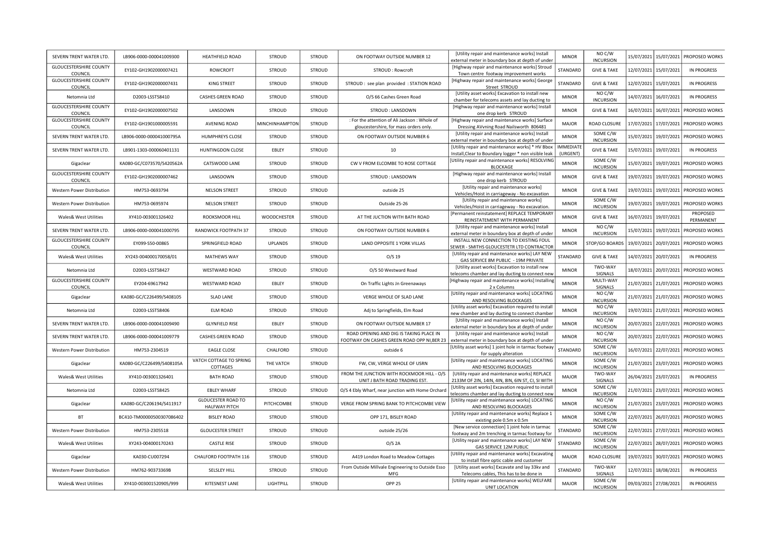| SEVERN TRENT WATER LTD.                  | LB906-0000-000041009300   | <b>HEATHFIELD ROAD</b>                            | <b>STROUD</b>      | <b>STROUD</b> | ON FOOTWAY OUTSIDE NUMBER 12                                                                                                            | [Utility repair and maintenance works] Install<br>external meter in boundary box at depth of under         | <b>MINOR</b>                 | NO C/W<br><b>INCURSION</b>   |            |                         | 15/07/2021 15/07/2021 PROPOSED WORKS     |
|------------------------------------------|---------------------------|---------------------------------------------------|--------------------|---------------|-----------------------------------------------------------------------------------------------------------------------------------------|------------------------------------------------------------------------------------------------------------|------------------------------|------------------------------|------------|-------------------------|------------------------------------------|
| <b>GLOUCESTERSHIRE COUNTY</b><br>COUNCIL | EY102-GH1902000007421     | <b>ROWCROFT</b>                                   | <b>STROUD</b>      | STROUD        | STROUD: Rowcroft                                                                                                                        | [Highway repair and maintenance works] Stroud<br>Town centre footway improvement works                     | STANDARD                     | <b>GIVE &amp; TAKE</b>       |            | 12/07/2021 15/07/2021   | <b>IN PROGRESS</b>                       |
| <b>GLOUCESTERSHIRE COUNTY</b><br>COUNCIL | EY102-GH1902000007431     | <b>KING STREET</b>                                | <b>STROUD</b>      | <b>STROUD</b> | STROUD : see plan provided : STATION ROAD                                                                                               | [Highway repair and maintenance works] George<br>Street STROUD                                             | STANDARD                     | <b>GIVE &amp; TAKE</b>       | 12/07/2021 | 15/07/2021              | <b>IN PROGRESS</b>                       |
| Netomnia Ltd                             | D2003-LSST58410           | CASHES GREEN ROAD                                 | STROUD             | STROUD        | O/S 66 Cashes Green Road                                                                                                                | [Utility asset works] Excavation to install new<br>chamber for telecoms assets and lay ducting to          | <b>MINOR</b>                 | NO C/W<br><b>INCURSION</b>   |            | 14/07/2021   16/07/2021 | IN PROGRESS                              |
| <b>GLOUCESTERSHIRE COUNTY</b><br>COUNCIL | EY102-GH1902000007502     | LANSDOWN                                          | <b>STROUD</b>      | <b>STROUD</b> | STROUD: LANSDOWN                                                                                                                        | [Highway repair and maintenance works] Install<br>one drop kerb STROUD                                     | <b>MINOR</b>                 | <b>GIVE &amp; TAKE</b>       |            |                         | 16/07/2021   16/07/2021   PROPOSED WORKS |
| <b>GLOUCESTERSHIRE COUNTY</b><br>COUNCIL | EY102-GH1901000005591     | <b>AVENING ROAD</b>                               | MINCHINHAMPTON     | STROUD        | : For the attention of Ali Jackson : Whole of<br>gloucestershire, for mass orders only                                                  | [Highway repair and maintenance works] Surface<br>Dressing AVvning Road Nailsworth 806481                  | <b>MAJOR</b>                 | ROAD CLOSURE                 | 17/07/2021 | 17/07/2021              | PROPOSED WORKS                           |
| SEVERN TRENT WATER LTD.                  | LB906-0000-000041000795A  | HUMPHREYS CLOSE                                   | <b>STROUD</b>      | STROUD        | ON FOOTWAY OUTSIDE NUMBER 6                                                                                                             | [Utility repair and maintenance works] Install<br>external meter in boundary box at depth of under         | <b>MINOR</b>                 | SOME C/W<br><b>INCURSION</b> | 15/07/2021 | 19/07/2021              | PROPOSED WORKS                           |
| SEVERN TRENT WATER LTD.                  | LB901-1303-000060401131   | HUNTINGDON CLOSE                                  | EBLEY              | STROUD        | 10                                                                                                                                      | [Utility repair and maintenance works] * HV Bbox<br>Install, Clear to Boundary logger * non visible leak   | <b>IMMEDIATI</b><br>(URGENT) | <b>GIVE &amp; TAKE</b>       | 15/07/2021 | 19/07/2021              | IN PROGRESS                              |
| Gigaclear                                | KA080-GC/C073570/S420562A | CATSWOOD LANE                                     | <b>STROUD</b>      | <b>STROUD</b> | CW V FROM ELCOMBE TO ROSE COTTAGE                                                                                                       | [Utility repair and maintenance works] RESOLVING<br><b>BLOCKAGE</b>                                        | <b>MINOR</b>                 | SOME C/W<br><b>INCURSION</b> | 15/07/2021 | 19/07/2021              | PROPOSED WORKS                           |
| <b>GLOUCESTERSHIRE COUNTY</b><br>COUNCIL | EY102-GH1902000007462     | LANSDOWN                                          | <b>STROUD</b>      | STROUD        | STROUD: LANSDOWN                                                                                                                        | [Highway repair and maintenance works] Install<br>one drop kerb STROUD                                     | <b>MINOR</b>                 | <b>GIVE &amp; TAKE</b>       | 19/07/2021 | 19/07/2021              | PROPOSED WORKS                           |
| Western Power Distribution               | HM753-0693794             | <b>NELSON STREET</b>                              | <b>STROUD</b>      | <b>STROUD</b> | outside 25                                                                                                                              | [Utility repair and maintenance works]<br>Vehicles/Hoist in carriageway - No excavation                    | <b>MINOR</b>                 | <b>GIVE &amp; TAKE</b>       | 19/07/2021 | 19/07/2021              | PROPOSED WORKS                           |
| Western Power Distribution               | HM753-0695974             | <b>NELSON STREET</b>                              | STROUD             | STROUD        | Outside 25-26                                                                                                                           | [Utility repair and maintenance works]<br>Vehicles/Hoist in carriageway - No excavation                    | <b>MINOR</b>                 | SOME C/W<br><b>INCURSION</b> | 19/07/2021 | 19/07/2021              | PROPOSED WORKS                           |
| Wales& West Utilities                    | XY410-003001326402        | ROOKSMOOR HILL                                    | <b>WOODCHESTER</b> | STROUD        | AT THE JUCTION WITH BATH ROAD                                                                                                           | [Permanent reinstatement] REPLACE TEMPORARY<br>REINSTATEMENT WITH PERMANENT                                | <b>MINOR</b>                 | <b>GIVE &amp; TAKE</b>       |            | 16/07/2021 19/07/2021   | PROPOSED<br>PERMANENT                    |
| SEVERN TRENT WATER LTD.                  | LB906-0000-000041000795   | RANDWICK FOOTPATH 37                              | <b>STROUD</b>      | STROUD        | ON FOOTWAY OUTSIDE NUMBER 6                                                                                                             | [Utility repair and maintenance works] Install<br>external meter in boundary box at depth of under         | <b>MINOR</b>                 | NO C/W<br><b>INCURSION</b>   | 15/07/2021 | 19/07/2021              | PROPOSED WORKS                           |
| <b>GLOUCESTERSHIRE COUNTY</b><br>COUNCIL | EY099-S50-00865           | SPRINGFIELD ROAD                                  | <b>UPLANDS</b>     | STROUD        | LAND OPPOSITE 1 YORK VILLAS                                                                                                             | INSTALL NEW CONNECTION TO EXISTING FOUL<br>SEWER - SMITHS GLOUCESTETR LTD CONTRACTOR                       | <b>MINOR</b>                 | STOP/GO BOARDS               | 19/07/2021 | 20/07/2021              | PROPOSED WORKS                           |
| Wales& West Utilities                    | XY243-004000170058/01     | <b>MATHEWS WAY</b>                                | <b>STROUD</b>      | STROUD        | $O/S$ 19                                                                                                                                | [Utility repair and maintenance works] LAY NEW<br>GAS SERVICE 8M PUBLIC - 19M PRIVATE                      | STANDARD                     | <b>GIVE &amp; TAKE</b>       |            | 14/07/2021 20/07/2021   | IN PROGRESS                              |
| Netomnia Ltd                             | D2003-LSST58427           | <b>WESTWARD ROAD</b>                              | <b>STROUD</b>      | STROUD        | O/S 50 Westward Road                                                                                                                    | [Utility asset works] Excavation to install new<br>elecoms chamber and lay ducting to connect new          | <b>MINOR</b>                 | TWO-WAY<br>SIGNALS           |            | 18/07/2021 20/07/2021   | PROPOSED WORKS                           |
| <b>GLOUCESTERSHIRE COUNTY</b><br>COUNCIL | EY204-69617942            | <b>WESTWARD ROAD</b>                              | EBLEY              | <b>STROUD</b> | On Traffic Lights Jn Greenaways                                                                                                         | [Highway repair and maintenance works] Installing<br>2 x Columns                                           | <b>MINOR</b>                 | MULTI-WAY<br>SIGNALS         | 21/07/2021 | 21/07/2021              | PROPOSED WORKS                           |
| Gigaclear                                | KA080-GC/C226499/S408105  | <b>SLAD LANE</b>                                  | <b>STROUD</b>      | <b>STROUD</b> | VERGE WHOLE OF SLAD LANE                                                                                                                | [Utility repair and maintenance works] LOCATING<br>AND RESOLVING BLOCKAGES                                 | <b>MINOR</b>                 | NO C/W<br><b>INCURSION</b>   |            |                         | 21/07/2021 21/07/2021 PROPOSED WORKS     |
| Netomnia Ltd                             | D2003-LSST58406           | <b>ELM ROAD</b>                                   | STROUD             | STROUD        | Adj to Springfields, Elm Road                                                                                                           | [Utility asset works] Excavation required to install<br>new chamber and lay ducting to connect chamber     | <b>MINOR</b>                 | NO C/W<br><b>INCURSION</b>   | 19/07/2021 |                         | 21/07/2021   PROPOSED WORKS              |
| SEVERN TRENT WATER LTD.                  | LB906-0000-000041009490   | <b>GLYNFIELD RISE</b>                             | EBLEY              | STROUD        | ON FOOTWAY OUTSIDE NUMBER 17                                                                                                            | [Utility repair and maintenance works] Install<br>external meter in boundary box at depth of under         | <b>MINOR</b>                 | NO C/W<br><b>INCURSION</b>   |            |                         | 20/07/2021 22/07/2021 PROPOSED WORKS     |
| SEVERN TRENT WATER LTD.                  | LB906-0000-000041009779   | <b>CASHES GREEN ROAD</b>                          | <b>STROUD</b>      | <b>STROUD</b> | ROAD OPENING AND DIG IS TAKING PLACE IN<br>FOOTWAY ON CASHES GREEN ROAD OPP NI, BER 23 external meter in boundary box at depth of under | [Utility repair and maintenance works] Install                                                             | <b>MINOR</b>                 | NO C/W<br><b>INCURSION</b>   |            |                         | 20/07/2021 22/07/2021 PROPOSED WORKS     |
| Western Power Distribution               | HM753-2304519             | EAGLE CLOSE                                       | CHALFORD           | <b>STROUD</b> | outside 6                                                                                                                               | [Utility asset works] 1 joint hole in tarmac footway<br>for supply alteration                              | STANDARD                     | SOME C/W<br><b>INCURSION</b> |            |                         | 16/07/2021 22/07/2021 PROPOSED WORKS     |
| Gigaclear                                | KA080-GC/C226499/S408105A | VATCH COTTAGE TO SPRING<br>COTTAGES               | THE VATCH          | <b>STROUD</b> | FW, CW, VERGE WHOLE OF USRN                                                                                                             | [Utility repair and maintenance works] LOCATING<br>AND RESOLVING BLOCKAGES                                 | <b>MINOR</b>                 | SOME C/W<br><b>INCURSION</b> | 21/07/2021 | 23/07/2021              | PROPOSED WORKS                           |
| <b>Wales&amp; West Utilities</b>         | XY410-003001326401        | <b>BATH ROAD</b>                                  | STROUD             | STROUD        | FROM THE JUNCTION WITH ROCKMOOR HILL - O/S<br>UNIT J BATH ROAD TRADING EST                                                              | [Utility repair and maintenance works] REPLACE<br>2133M OF 2IN, 14IN, 4IN, 8IN, 6IN ST, CI, SI WITH        | <b>MAJOR</b>                 | TWO-WAY<br>SIGNALS           |            | 26/04/2021 23/07/2021   | IN PROGRESS                              |
| Netomnia Ltd                             | D2003-LSST58425           | <b>EBLEY WHARF</b>                                | <b>STROUD</b>      | <b>STROUD</b> | O/S 4 Ebly Wharf, near junction with Home Orchard                                                                                       | [Utility asset works] Excavation required to install<br>telecoms chamber and lay ducting to connect new    | <b>MINOR</b>                 | SOME C/W<br><b>INCURSION</b> |            | 21/07/2021 23/07/2021   | PROPOSED WORKS                           |
| Gigaclear                                | KA080-GC/C206194/S411917  | <b>GLOUCESTER ROAD TO</b><br><b>HALFWAY PITCH</b> | PITCHCOMBE         | STROUD        | VERGE FROM SPRING BANK TO PITCHCOMBE VIEW                                                                                               | [Utility repair and maintenance works] LOCATING<br>AND RESOLVING BLOCKAGES                                 | <b>MINOR</b>                 | NO C/W<br><b>INCURSION</b>   | 21/07/2021 |                         | 23/07/2021 PROPOSED WORKS                |
| BT                                       | BC410-TM00000500307086402 | <b>BISLEY ROAD</b>                                | <b>STROUD</b>      | <b>STROUD</b> | OPP 171, BISLEY ROAD                                                                                                                    | [Utility repair and maintenance works] Replace 1<br>existing pole 0.5m x 0.5m                              | <b>MINOR</b>                 | SOME C/W<br><b>INCURSION</b> | 22/07/2021 |                         | 26/07/2021   PROPOSED WORKS              |
| Western Power Distribution               | HM753-2305518             | <b>GLOUCESTER STREET</b>                          | <b>STROUD</b>      | STROUD        | outside 25/26                                                                                                                           | [New service connection] 1 joint hole in tarmac<br>footway and 2m trenching in tarmac footway for          | STANDARD                     | SOME C/W<br><b>INCURSION</b> |            |                         | 22/07/2021 27/07/2021 PROPOSED WORKS     |
| <b>Wales&amp; West Utilities</b>         | XY243-004000170243        | <b>CASTLE RISE</b>                                | <b>STROUD</b>      | STROUD        | $O/S$ 2A                                                                                                                                | [Utility repair and maintenance works] LAY NEW<br>GAS SERVICE 12M PUBLIC                                   | STANDARD                     | SOME C/W<br><b>INCURSION</b> | 22/07/2021 | 28/07/2021              | PROPOSED WORKS                           |
| Gigaclear                                | KA030-CU007294            | CHALFORD FOOTPATH 116                             | <b>STROUD</b>      | <b>STROUD</b> | A419 London Road to Meadow Cottages                                                                                                     | [Utility repair and maintenance works] Excavating<br>to install fibre optic cable and customer             | <b>MAJOR</b>                 | ROAD CLOSURE                 |            |                         | 19/07/2021 30/07/2021 PROPOSED WORKS     |
| Western Power Distribution               | HM762-90373369B           | SELSLEY HILL                                      | <b>STROUD</b>      | <b>STROUD</b> | From Outside Millvale Engineering to Outside Esso<br>MFG                                                                                | [Utility asset works] Excavate and lay 33kv and                                                            | STANDARD                     | TWO-WAY<br>SIGNALS           | 12/07/2021 | 18/08/2021              | <b>IN PROGRESS</b>                       |
| <b>Wales&amp; West Utilities</b>         | XY410-003001520905/999    | KITESNEST LANE                                    | LIGHTPILL          | <b>STROUD</b> | OPP <sub>25</sub>                                                                                                                       | Telecoms cables, This has to be done in<br>[Utility repair and maintenance works] WELFARE<br>UNIT LOCATION | MAJOR                        | SOME C/W<br><b>INCURSION</b> |            | 09/03/2021 27/08/2021   | <b>IN PROGRESS</b>                       |
|                                          |                           |                                                   |                    |               |                                                                                                                                         |                                                                                                            |                              |                              |            |                         |                                          |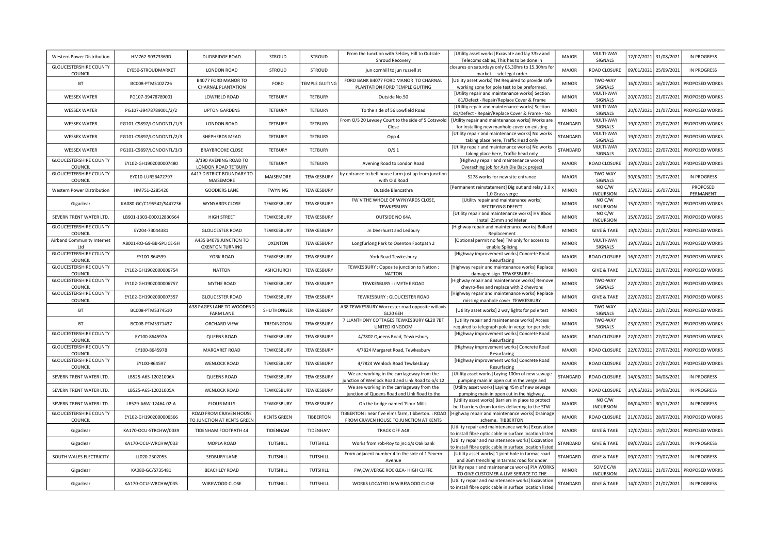| Western Power Distribution               | HM762-90373369D          | DUDBRIDGE ROAD                                       | <b>STROUD</b>      | <b>STROUD</b>        | From the Junction with Selsley Hill to Outside                                                 | [Utility asset works] Excavate and lay 33kv and                                                              | <b>MAJOR</b> | MULTI-WAY                    | 12/07/2021 | 31/08/2021 | IN PROGRESS                 |
|------------------------------------------|--------------------------|------------------------------------------------------|--------------------|----------------------|------------------------------------------------------------------------------------------------|--------------------------------------------------------------------------------------------------------------|--------------|------------------------------|------------|------------|-----------------------------|
| <b>GLOUCESTERSHIRE COUNTY</b>            | EY050-STROUDMARKET       | <b>LONDON ROAD</b>                                   | <b>STROUD</b>      | <b>STROUD</b>        | Shroud Recovery<br>jun cornhill to jun russell st                                              | Telecoms cables, This has to be done in<br>closures on saturdays only 05.30hrs to 15.30hrs for               | <b>MAJOR</b> | SIGNALS<br>ROAD CLOSURE      | 09/01/2021 | 25/09/2021 | <b>IN PROGRESS</b>          |
| COUNCIL                                  |                          | B4077 FORD MANOR TO                                  |                    |                      | FORD BANK B4077 FORD MANOR TO CHARNAL                                                          | market----sdc legal order<br>[Utility asset works] TM Required to provide safe                               |              | TWO-WAY                      |            |            |                             |
| <b>BT</b>                                | BC008-PTMS102726         | CHARNAL PLANTATION                                   | FORD               | <b>EMPLE GUITING</b> | PLANTATION FORD TEMPLE GUITING                                                                 | working zone for pole test to be preformed.                                                                  | <b>MINOR</b> | SIGNALS                      | 16/07/2021 | 16/07/2021 | PROPOSED WORKS              |
| <b>WESSEX WATER</b>                      | PG107-39478789001        | LOWFIELD ROAD                                        | <b>TETBURY</b>     | <b>TETBURY</b>       | Outside No.50                                                                                  | [Utility repair and maintenance works] Section<br>81/Defect - Repair/Replace Cover & Frame                   | <b>MINOR</b> | MULTI-WAY<br>SIGNALS         | 20/07/2021 | 21/07/2021 | PROPOSED WORKS              |
| <b>WESSEX WATER</b>                      | PG107-39478789001/2/2    | <b>UPTON GARDENS</b>                                 | TETBURY            | <b>TETBURY</b>       | To the side of 56 Lowfield Road                                                                | [Utility repair and maintenance works] Section<br>81/Defect - Repair/Replace Cover & Frame - No              | <b>MINOR</b> | MULTI-WAY<br>SIGNALS         | 20/07/2021 | 21/07/2021 | PROPOSED WORKS              |
| <b>WESSEX WATER</b>                      | PG101-C9897/LONDONTL/1/3 | <b>LONDON ROAD</b>                                   | <b>TETBURY</b>     | <b>TETBURY</b>       | From O/S 20 Lewsey Court to the side of 5 Cotswold<br>Close                                    | [Utility repair and maintenance works] Works are<br>for installing new manhole cover on existing             | STANDARD     | MULTI-WAY<br>SIGNALS         | 19/07/2021 |            | 22/07/2021 PROPOSED WORKS   |
| <b>WESSEX WATER</b>                      | PG101-C9897/LONDONTL/2/3 | SHEPHERDS MEAD                                       | <b>TETBURY</b>     | <b>TETBURY</b>       | Opp 4                                                                                          | [Utility repair and maintenance works] No works<br>taking place here, Traffic Head only                      | STANDARD     | MULTI-WAY<br>SIGNALS         | 19/07/2021 |            | 22/07/2021   PROPOSED WORKS |
| <b>WESSEX WATER</b>                      | PG101-C9897/LONDONTL/3/3 | <b>BRAYBROOKE CLOSE</b>                              | <b>TETBURY</b>     | <b>TETBURY</b>       | O/S <sub>1</sub>                                                                               | [Utility repair and maintenance works] No works<br>taking place here, Traffic head only                      | STANDARD     | MULTI-WAY<br>SIGNALS         | 19/07/2021 | 22/07/2021 | <b>PROPOSED WORKS</b>       |
| <b>GLOUCESTERSHIRE COUNTY</b><br>COUNCIL | EY102-GH1902000007480    | 3/190 AVENING ROAD TO<br>LONDON ROAD TETBURY         | <b>TETBURY</b>     | TETBURY              | Avening Road to London Road                                                                    | [Highway repair and maintenance works]<br>Overaching job for Ash Die Back project                            | <b>MAJOR</b> | ROAD CLOSURE                 | 19/07/2021 | 23/07/2021 | PROPOSED WORKS              |
| <b>GLOUCESTERSHIRE COUNTY</b><br>COUNCIL | EY010-LURSB472797        | A417 DISTRICT BOUNDARY TO<br>MAISEMORE               | MAISEMORE          | TEWKESBURY           | by entrance to bell house farm just up from junction<br>with Old Road                          | S278 works for new site entrance                                                                             | MAJOR        | TWO-WAY<br>SIGNALS           | 30/06/2021 | 15/07/2021 | <b>IN PROGRESS</b>          |
| Western Power Distribution               | HM751-2285420            | <b>GOODIERS LANE</b>                                 | <b>TWYNING</b>     | TEWKESBURY           | Outside Blencathra                                                                             | [Permanent reinstatement] Dig out and relay 3.0 ><br>1.0 Grass verge                                         | <b>MINOR</b> | NO C/W<br><b>INCURSION</b>   | 15/07/2021 | 16/07/2021 | PROPOSED<br>PERMANENT       |
| Gigaclear                                | KA080-GC/C195542/S447236 | <b>WYNYARDS CLOSE</b>                                | TEWKESBURY         | TEWKESBURY           | FW V THE WHOLE OF WYNYARDS CLOSE,<br>TEWKESBURY                                                | [Utility repair and maintenance works]<br>RECTIFYING DEFECT                                                  | <b>MINOR</b> | NO C/W<br><b>INCURSION</b>   | 15/07/2021 | 19/07/2021 | PROPOSED WORKS              |
| SEVERN TRENT WATER LTD.                  | LB901-1303-000012830564  | <b>HIGH STREET</b>                                   | TEWKESBURY         | TEWKESBURY           | <b>OUTSIDE NO 64A</b>                                                                          | [Utility repair and maintenance works] HV Bbox<br>Install 25mm and Meter                                     | <b>MINOR</b> | NO C/W<br><b>INCURSION</b>   | 15/07/2021 |            | 19/07/2021   PROPOSED WORKS |
| <b>GLOUCESTERSHIRE COUNTY</b><br>COUNCIL | EY204-73044381           | <b>GLOUCESTER ROAD</b>                               | TEWKESBURY         | TEWKESBURY           | Jn Deerhurst and Ledbury                                                                       | [Highway repair and maintenance works] Bollard<br>Replacement                                                | <b>MINOR</b> | <b>GIVE &amp; TAKE</b>       | 19/07/2021 |            | 21/07/2021   PROPOSED WORKS |
| Airband Community Internet<br>Ltd        | A8001-RO-G9-BB-SPLICE-SH | A435 B4079 JUNCTION TO<br><b>OXENTON TURNING</b>     | <b>OXENTON</b>     | TEWKESBURY           | Longfurlong Park to Oxenton Footpath 2                                                         | [Optional permit no fee] TM only for access to<br>enable Splicing                                            | <b>MINOR</b> | MULTI-WAY<br>SIGNALS         | 19/07/2021 | 21/07/2021 | <b>PROPOSED WORKS</b>       |
| <b>GLOUCESTERSHIRE COUNTY</b><br>COUNCIL | EY100-864599             | YORK ROAD                                            | TEWKESBURY         | TEWKESBURY           | York Road Tewkesbury                                                                           | [Highway improvement works] Concrete Road<br>Resurfacing                                                     | MAJOR        | ROAD CLOSURE                 | 16/07/2021 | 21/07/2021 | <b>PROPOSED WORKS</b>       |
| <b>GLOUCESTERSHIRE COUNTY</b><br>COUNCIL | EY102-GH1902000006754    | <b>NATTON</b>                                        | ASHCHURCH          | TEWKESBURY           | TEWKESBURY : Opposite junction to Natton :<br><b>NATTON</b>                                    | [Highway repair and maintenance works] Replace<br>damaged sign TEWKESBURY :                                  | <b>MINOR</b> | <b>GIVE &amp; TAKE</b>       | 21/07/2021 |            | 21/07/2021 PROPOSED WORKS   |
| <b>GLOUCESTERSHIRE COUNTY</b><br>COUNCIL | EY102-GH1902000006757    | MYTHE ROAD                                           | TEWKESBURY         | TEWKESBURY           | TEWKESBURY:: MYTHE ROAD                                                                        | [Highway repair and maintenance works] Remove<br>chevro-flex and replace with 2 chevrons                     | <b>MINOR</b> | TWO-WAY<br>SIGNALS           | 22/07/2021 |            | 22/07/2021 PROPOSED WORKS   |
| <b>GLOUCESTERSHIRE COUNTY</b><br>COUNCIL | EY102-GH1902000007357    | <b>GLOUCESTER ROAD</b>                               | TEWKESBURY         | TEWKESBURY           | TEWKESBURY : GLOUCESTER ROAD                                                                   | [Highway repair and maintenance works] Replace<br>missing manhole cover TEWKESBURY                           | <b>MINOR</b> | <b>GIVE &amp; TAKE</b>       | 22/07/2021 |            | 22/07/2021   PROPOSED WORKS |
| <b>BT</b>                                | BC008-PTMS374510         | A38 PAGES LANE TO WOODEND<br><b>FARM LANE</b>        | SHUTHONGER         | TEWKESBURY           | A38 TEWKESBURY Worcester road opposite willavis<br>GL20 6EH                                    | [Utility asset works] 2 way lights for pole test                                                             | <b>MINOR</b> | TWO-WAY<br>SIGNALS           | 23/07/2021 | 23/07/2021 | <b>PROPOSED WORKS</b>       |
| <b>BT</b>                                | BC008-PTMS371437         | ORCHARD VIEW                                         | <b>TREDINGTON</b>  | TEWKESBURY           | 7 LLANTHONY COTTAGES TEWKESBURY GL20 7BT<br>UNITED KINGDOM                                     | [Utility repair and maintenance works] Access<br>required to telegraph pole in verge for periodic            | <b>MINOR</b> | TWO-WAY<br>SIGNALS           | 23/07/2021 |            | 23/07/2021 PROPOSED WORKS   |
| <b>GLOUCESTERSHIRE COUNTY</b><br>COUNCIL | EY100-864597A            | <b>QUEENS ROAD</b>                                   | TEWKESBURY         | TEWKESBURY           | 4/7802 Queens Road, Tewkesbury                                                                 | [Highway improvement works] Concrete Road<br>Resurfacing                                                     | <b>MAJOR</b> | ROAD CLOSURE                 | 22/07/2021 |            | 27/07/2021 PROPOSED WORKS   |
| <b>GLOUCESTERSHIRE COUNTY</b><br>COUNCIL | EY100-864597B            | MARGARET ROAD                                        | TEWKESBURY         | TEWKESBURY           | 4/7824 Margaret Road, Tewkesbury                                                               | [Highway improvement works] Concrete Road<br>Resurfacing                                                     | <b>MAJOR</b> | ROAD CLOSURE                 | 22/07/2021 |            | 27/07/2021 PROPOSED WORKS   |
| <b>GLOUCESTERSHIRE COUNTY</b><br>COUNCIL | EY100-864597             | <b>WENLOCK ROAD</b>                                  | TEWKESBURY         | TEWKESBURY           | 4/7824 Wenlock Road Tewkesbury                                                                 | [Highway improvement works] Concrete Road<br>Resurfacing                                                     | MAJOR        | ROAD CLOSURE                 | 22/07/2021 | 27/07/2021 | PROPOSED WORKS              |
| SEVERN TRENT WATER LTD.                  | LB525-A6S-12021006A      | <b>QUEENS ROAD</b>                                   | TEWKESBURY         | TEWKESBURY           | We are working in the carriageway from the<br>junction of Wenlock Road and Link Road to o/s 12 | [Utility asset works] Laying 100m of new sewage<br>pumping main in open cut in the verge and                 | STANDARD     | ROAD CLOSURE                 | 14/06/2021 | 04/08/2021 | IN PROGRESS                 |
| SEVERN TRENT WATER LTD.                  | LB525-A6S-12021005A      | <b>WENLOCK ROAD</b>                                  | TEWKESBURY         | TEWKESBURY           | We are working in the carriageway from the<br>junction of Queens Road and Link Road to the     | [Utility asset works] Laying 45m of new sewage<br>pumping main in open cut in the highway.                   | <b>MAJOR</b> | ROAD CLOSURE                 | 14/06/2021 | 04/08/2021 | <b>IN PROGRESS</b>          |
| SEVERN TRENT WATER LTD.                  | LB529-A6W-12464-02-A     | <b>FLOUR MILLS</b>                                   | TEWKESBURY         | TEWKESBURY           | On the bridge named 'Flour Mills'                                                              | [Utility asset works] Barriers in place to protect<br>bell barriers (from lorries delivering to the STW      | <b>MAJOR</b> | NO C/W<br><b>INCURSION</b>   | 06/04/2021 | 30/11/2021 | IN PROGRESS                 |
| <b>GLOUCESTERSHIRE COUNTY</b><br>COUNCIL | EY102-GH1902000006566    | ROAD FROM CRAVEN HOUSE<br>TO JUNCTION AT KENTS GREEN | <b>KENTS GREEN</b> | <b>TIBBERTON</b>     | TIBBERTON : near five elms farm, tibberton. : ROAD<br>FROM CRAVEN HOUSE TO JUNCTION AT KENTS   | [Highway repair and maintenance works] Drainage<br>scheme. TIBBERTON                                         | MAJOR        | ROAD CLOSURE                 | 21/07/2021 | 28/07/2021 | PROPOSED WORKS              |
| Gigaclear                                | KA170-OCU-STRCHW/0039    | TIDENHAM FOOTPATH 44                                 | TIDENHAM           | TIDENHAM             | <b>TRACK OFF A48</b>                                                                           | [Utility repair and maintenance works] Excavation<br>to install fibre optic cable in surface location listed | MAJOR        | <b>GIVE &amp; TAKE</b>       | 12/07/2021 | 19/07/2021 | <b>PROPOSED WORKS</b>       |
| Gigaclear                                | KA170-OCU-WRCHW/033      | MOPLA ROAD                                           | TUTSHILL           | TUTSHILL             | Works from rob-Roy to jnc o/s Oak bank                                                         | [Utility repair and maintenance works] Excavation<br>to install fibre optic cable in surface location listed | STANDARD     | <b>GIVE &amp; TAKE</b>       | 09/07/2021 | 15/07/2021 | IN PROGRESS                 |
| SOUTH WALES ELECTRICITY                  | LL020-2302055            | SEDBURY LANE                                         | <b>TUTSHILL</b>    | TUTSHILL             | From adjacent number 4 to the side of 1 Severn<br>Avenue                                       | [Utility asset works] 1 joint hole in tarmac road<br>and 36m trenching in tarmac road for under              | STANDARD     | <b>GIVE &amp; TAKE</b>       | 09/07/2021 | 19/07/2021 | <b>IN PROGRESS</b>          |
| Gigaclear                                | KA080-GC/S735481         | <b>BEACHLEY ROAD</b>                                 | <b>TUTSHILL</b>    | TUTSHILL             | FW,CW,VERGE ROCKLEA- HIGH CLIFFE                                                               | Utility repair and maintenance works] PIA WORKS<br>TO GIVE CUSTOMER A LIVE SERVICE TO THE                    | <b>MINOR</b> | SOME C/W<br><b>INCURSION</b> | 19/07/2021 | 21/07/2021 | PROPOSED WORKS              |
| Gigaclear                                | KA170-OCU-WRCHW/035      | WIREWOOD CLOSE                                       | <b>TUTSHILL</b>    | TUTSHILL             | WORKS LOCATED IN WIREWOOD CLOSE                                                                | [Utility repair and maintenance works] Excavation<br>to install fibre optic cable in surface location listed | STANDARD     | <b>GIVE &amp; TAKE</b>       | 14/07/2021 | 21/07/2021 | <b>IN PROGRESS</b>          |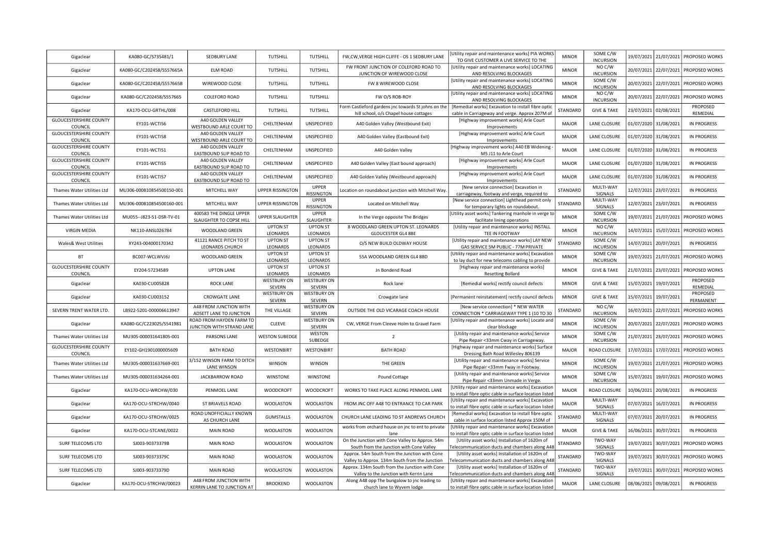| Gigaclear                                           | KA080-GC/S735481/1        | SEDBURY LANE                                                            | TUTSHILL                     | TUTSHILL                            | FW, CW, VERGE HIGH CLIFFE - OS 1 SEDBURY LANE                                                   | [Utility repair and maintenance works] PIA WORKS<br>TO GIVE CUSTOMER A LIVE SERVICE TO THE                   | <b>MINOR</b>    | SOME C/W<br><b>INCURSION</b> | 19/07/2021 | 21/07/2021            | <b>PROPOSED WORKS</b>                |
|-----------------------------------------------------|---------------------------|-------------------------------------------------------------------------|------------------------------|-------------------------------------|-------------------------------------------------------------------------------------------------|--------------------------------------------------------------------------------------------------------------|-----------------|------------------------------|------------|-----------------------|--------------------------------------|
| Gigaclear                                           | KA080-GC/C202458/S557665A | <b>ELM ROAD</b>                                                         | TUTSHILL                     | TUTSHILL                            | FW FRONT JUNCTION OF COLEFORD ROAD TO<br>JUNCTION OF WIREWOOD CLOSE                             | [Utility repair and maintenance works] LOCATING<br>AND RESOLVING BLOCKAGES                                   | <b>MINOR</b>    | NO C/W<br><b>INCURSION</b>   |            | 20/07/2021 22/07/2021 | <b>PROPOSED WORKS</b>                |
| Gigaclear                                           | KA080-GC/C202458/S557665B | WIREWOOD CLOSE                                                          | TUTSHILL                     | <b>TUTSHILL</b>                     | FW 8 WIREWOOD CLOSE                                                                             | [Utility repair and maintenance works] LOCATING<br>AND RESOLVING BLOCKAGES                                   | <b>MINOR</b>    | SOME C/W<br><b>INCURSION</b> | 20/07/2021 | 22/07/2021            | PROPOSED WORKS                       |
| Gigaclear                                           | KA080-GC/C202458/S557665  | COLEFORD ROAD                                                           | TUTSHILL                     | TUTSHILL                            | FW O/S ROB-ROY                                                                                  | [Utility repair and maintenance works] LOCATING<br>AND RESOLVING BLOCKAGES                                   | <b>MINOR</b>    | NO C/W<br><b>INCURSION</b>   | 20/07/2021 | 22/07/2021            | PROPOSED WORKS                       |
| Gigaclear                                           | KA170-OCU-GRTHL/008       | CASTLEFORD HILL                                                         | TUTSHILL                     | TUTSHILL                            | Form Castleford gardens jnc towards St johns on the<br>hill school, o/s Chapel house cottages   | [Remedial works] Excavation to install fibre optic<br>cable in Carriageway and verge. Approx 207M of         | STANDARD        | <b>GIVE &amp; TAKE</b>       |            | 23/07/2021 02/08/2021 | PROPOSED<br>REMEDIAL                 |
| <b>GLOUCESTERSHIRE COUNTY</b>                       | EY101-WCTIS6              | A40 GOLDEN VALLEY                                                       | CHELTENHAM                   | UNSPECIFIED                         | A40 Golden Valley (Westbound Exit)                                                              | [Highway improvement works] Arle Court                                                                       | <b>MAJOR</b>    | LANE CLOSURE                 |            | 01/07/2020 31/08/2021 | <b>IN PROGRESS</b>                   |
| COUNCIL<br><b>GLOUCESTERSHIRE COUNTY</b><br>COUNCIL | EY101-WCTIS8              | WESTBOUND ARLE COURT TO<br>A40 GOLDEN VALLEY<br>WESTBOUND ARLE COURT TO | CHELTENHAM                   | UNSPECIFIED                         | A40 Golden Valley (Eastbound Exit)                                                              | Improvements<br>[Highway improvement works] Arle Court<br>Improvements                                       | <b>MAJOR</b>    | LANE CLOSURE                 |            | 01/07/2020 31/08/2021 | <b>IN PROGRESS</b>                   |
| <b>GLOUCESTERSHIRE COUNTY</b><br>COUNCIL            | EY101-WCTIS1              | A40 GOLDEN VALLEY<br>EASTBOUND SLIP ROAD TO                             | CHELTENHAM                   | UNSPECIFIED                         | A40 Golden Valley                                                                               | [Highway improvement works] A40 EB Widening<br>M5 J11 to Arle Court                                          | <b>MAJOR</b>    | <b>LANE CLOSURE</b>          |            | 01/07/2020 31/08/2021 | <b>IN PROGRESS</b>                   |
| <b>GLOUCESTERSHIRE COUNTY</b><br>COUNCIL            | EY101-WCTIS5              | A40 GOLDEN VALLEY<br>EASTBOUND SLIP ROAD TO                             | CHELTENHAM                   | UNSPECIFIED                         | A40 Golden Valley (East bound approach)                                                         | [Highway improvement works] Arle Court<br>Improvements                                                       | <b>MAJOR</b>    | LANE CLOSURE                 |            | 01/07/2020 31/08/2021 | <b>IN PROGRESS</b>                   |
| <b>GLOUCESTERSHIRE COUNTY</b><br>COUNCIL            | EY101-WCTIS7              | A40 GOLDEN VALLEY<br>EASTBOUND SLIP ROAD TO                             | CHELTENHAM                   | UNSPECIFIED                         | A40 Golden Valley (Westbound approach)                                                          | [Highway improvement works] Arle Court<br>Improvements                                                       | <b>MAJOR</b>    | LANE CLOSURE                 |            | 01/07/2020 31/08/2021 | <b>IN PROGRESS</b>                   |
| Thames Water Utilities Ltd                          | MU306-000810854500150-001 | MITCHELL WAY                                                            | UPPER RISSINGTON             | <b>UPPER</b><br><b>RISSINGTON</b>   | Location on roundabout junction with Mitchell Way.                                              | [New service connection] Excavation in<br>carriageway, footway and verge, required to                        | STANDARD        | MULTI-WAY<br>SIGNALS         |            | 12/07/2021 23/07/2021 | <b>IN PROGRESS</b>                   |
| Thames Water Utilities Ltd                          | MU306-000810854500160-001 | MITCHELL WAY                                                            | UPPER RISSINGTON             | <b>UPPER</b><br><b>RISSINGTON</b>   | Located on Mitchell Way                                                                         | [New service connection] Lighthead permit only<br>for temporary lights on roundabout.                        | STANDARD        | MULTI-WAY<br>SIGNALS         |            | 12/07/2021 23/07/2021 | <b>IN PROGRESS</b>                   |
| Thames Water Utilities Ltd                          | MU055--J823-51-DSR-TV-01  | 400583 THE DINGLE UPPER<br>SLAUGHTER TO COPSE HILL                      | UPPER SLAUGHTER              | <b>UPPER</b><br><b>SLAUGHTER</b>    | In the Verge opposite The Bridges                                                               | Utility asset works] Tankering manhole in verge to<br>facilitate lining operations                           | <b>MINOR</b>    | SOME C/W<br><b>INCURSION</b> |            | 19/07/2021 21/07/2021 | PROPOSED WORKS                       |
| <b>VIRGIN MEDIA</b>                                 | NK110-ANSL026784          | WOODLAND GREEN                                                          | <b>UPTON ST</b><br>LEONARDS  | <b>UPTON ST</b><br>LEONARDS         | 8 WOODLAND GREEN UPTON ST. LEONARDS<br><b>GLOUCESTER GL4 8BE</b>                                | [Utility repair and maintenance works] INSTALL<br>TEE IN FOOTWAY                                             | <b>MINOR</b>    | NO C/W<br><b>INCURSION</b>   |            | 14/07/2021 15/07/2021 | <b>PROPOSED WORKS</b>                |
| <b>Wales&amp; West Utilities</b>                    | XY243-004000170342        | 41121 RANCE PITCH TO ST<br>LEONARDS CHURCH                              | <b>UPTON ST</b><br>LEONARDS  | <b>UPTON ST</b><br>LEONARDS         | O/S NEW BUILD OLDWAY HOUSE                                                                      | [Utility repair and maintenance works] LAY NEW<br>GAS SERVICE 5M PUBLIC - 77M PRIVATE                        | STANDARD        | SOME C/W<br><b>INCURSION</b> |            | 14/07/2021 20/07/2021 | <b>IN PROGRESS</b>                   |
| BT                                                  | BC007-WCLWVJ6J            | WOODLAND GREEN                                                          | <b>UPTON ST</b><br>LEONARDS  | <b>UPTON ST</b><br>LEONARDS         | 55A WOODLAND GREEN GL4 8BD                                                                      | [Utility repair and maintenance works] Excavation<br>to lay duct for new telecoms cabling to provide         | <b>MINOR</b>    | SOME C/W<br><b>INCURSION</b> | 19/07/2021 | 21/07/2021            | PROPOSED WORKS                       |
| <b>GLOUCESTERSHIRE COUNTY</b><br>COUNCIL            | EY204-57234589            | <b>UPTON LANE</b>                                                       | <b>UPTON ST</b><br>LEONARDS  | <b>UPTON ST</b><br>LEONARDS         | Jn Bondend Road                                                                                 | [Highway repair and maintenance works]<br><b>Resetting Bollard</b>                                           | <b>MINOR</b>    | <b>GIVE &amp; TAKE</b>       |            | 21/07/2021 23/07/2021 | <b>PROPOSED WORKS</b>                |
| Gigaclear                                           | KA030-CU005828            | <b>ROCK LANE</b>                                                        | <b>WESTBURY ON</b><br>SEVERN | <b>WESTBURY ON</b><br>SEVERN        | Rock lane                                                                                       | [Remedial works] rectify council defects                                                                     | <b>MINOR</b>    | <b>GIVE &amp; TAKE</b>       |            | 15/07/2021 19/07/2021 | PROPOSED<br>REMEDIAL                 |
| Gigaclear                                           | KA030-CU003152            | <b>CROWGATE LANE</b>                                                    | <b>WESTBURY ON</b><br>SEVERN | <b>WESTBURY ON</b><br>SEVERN        | Crowgate lane                                                                                   | [Permanent reinstatement] rectify council defects                                                            | <b>MINOR</b>    | <b>GIVE &amp; TAKE</b>       |            | 15/07/2021 19/07/2021 | PROPOSED<br>PERMANENT                |
| SEVERN TRENT WATER LTD.                             | LB922-5201-000006613947   | A48 FROM JUNCTION WITH<br>ADSETT LANE TO JUNCTION                       | THE VILLAGE                  | <b>WESTBURY ON</b><br><b>SEVERN</b> | OUTSIDE THE OLD VICARAGE COACH HOUSE                                                            | [New service connection] * NEW WATER<br>CONNECTION * CARRIAGEWAY TYPE 1 (10 TO 30                            | STANDARD        | NO C/W<br><b>INCURSION</b>   | 16/07/2021 | 22/07/2021            | PROPOSED WORKS                       |
| Gigaclear                                           | KA080-GC/C223025/S541981  | ROAD FROM HAYDEN FARM TO<br>JUNCTION WITH STRAND LANE                   | CLEEVE                       | <b>WESTBURY ON</b><br><b>SEVERN</b> | CW, VERGE From Cleeve Holm to Gravel Farm                                                       | [Utility repair and maintenance works] Locate and<br>clear blockage                                          | <b>MINOR</b>    | SOME C/W<br><b>INCURSION</b> |            |                       | 20/07/2021 22/07/2021 PROPOSED WORKS |
| Thames Water Utilities Ltd                          | MU305-000031641805-001    | PARSONS LANE                                                            | <b>WESTON SUBEDGE</b>        | WESTON<br>SUBEDGE                   | $\overline{2}$                                                                                  | [Utility repair and maintenance works] Service<br>Pipe Repair <33mm Cway in Carriageway.                     | <b>MINOR</b>    | SOME C/W<br><b>INCURSION</b> |            | 21/07/2021 23/07/2021 | <b>PROPOSED WORKS</b>                |
| <b>GLOUCESTERSHIRE COUNTY</b><br>COUNCIL            | EY102-GH1901000005609     | <b>BATH ROAD</b>                                                        | WESTONBIRT                   | WESTONBIRT                          | <b>BATH ROAD</b>                                                                                | [Highway repair and maintenance works] Surface<br>Dressing Bath Road Willesley 806139                        | <b>MAJOR</b>    | ROAD CLOSURE                 |            | 17/07/2021 17/07/2021 | <b>PROPOSED WORKS</b>                |
| Thames Water Utilities Ltd                          | MU305-000031637669-001    | 3/152 WINSON FARM TO DITCH<br>LANE WINSON                               | <b>WINSON</b>                | WINSON                              | THE GREEN                                                                                       | [Utility repair and maintenance works] Service<br>Pipe Repair <33mm Fway in Footway.                         | <b>MINOR</b>    | SOME C/W<br><b>INCURSION</b> | 19/07/2021 | 21/07/2021            | PROPOSED WORKS                       |
| Thames Water Utilities Ltd                          | MU305-000031634264-001    | <b>JACKBARROW ROAD</b>                                                  | <b>WINSTONE</b>              | <b>WINSTONE</b>                     | Pound Cottage                                                                                   | [Utility repair and maintenance works] Service<br>Pipe Repair <33mm Unmade in Verge.                         | <b>MINOR</b>    | SOME C/W<br><b>INCURSION</b> |            | 15/07/2021 19/07/2021 | <b>PROPOSED WORKS</b>                |
| Gigaclear                                           | KA170-OCU-WRCHW/030       | PENMOEL LANE                                                            | <b>WOODCROFT</b>             | <b>WOODCROFT</b>                    | WORKS TO TAKE PLACE ALONG PENMOEL LANE                                                          | [Utility repair and maintenance works] Excavation<br>to install fibre optic cable in surface location listed | <b>MAJOR</b>    | ROAD CLOSURE                 |            | 10/06/2021 20/08/2021 | <b>IN PROGRESS</b>                   |
| Gigaclear                                           | KA170-OCU-STRCHW/0040     | ST BRIAVELS ROAD                                                        | <b>WOOLASTON</b>             | <b>WOOLASTON</b>                    | FROM JNC OFF A48 TO ENTRANCE TO CAR PARK                                                        | [Utility repair and maintenance works] Excavation<br>to install fibre optic cable in surface location listed | MAJOR           | MULTI-WAY<br>SIGNALS         |            | 07/07/2021 16/07/2021 | <b>IN PROGRESS</b>                   |
| Gigaclear                                           | KA170-OCU-STRCHW/0025     | ROAD UNOFFICIALLY KNOWN<br>AS CHURCH LANE                               | <b>GUMSTALLS</b>             | <b>WOOLASTON</b>                    | CHURCH LANE LEADING TO ST ANDREWS CHURCH                                                        | [Remedial works] Excavation to install fibre optic<br>cable in surface location listed Approx 150M of        | <b>STANDARD</b> | MULTI-WAY<br>SIGNALS         |            | 07/07/2021 20/07/2021 | <b>IN PROGRESS</b>                   |
| Gigaclear                                           | KA170-OCU-STCANE/0022     | MAIN ROAD                                                               | <b>WOOLASTON</b>             | WOOLASTON                           | works from orchard house on jnc to ent to private                                               | [Utility repair and maintenance works] Excavation<br>o install fibre optic cable in surface location listed  | <b>MAJOR</b>    | <b>GIVE &amp; TAKE</b>       |            | 16/06/2021 30/07/2021 | <b>IN PROGRESS</b>                   |
| SURF TELECOMS LTD                                   | SJ003-90373379B           | MAIN ROAD                                                               | <b>WOOLASTON</b>             | WOOLASTON                           | On the Junction with Cone Valley to Approx. 54m<br>South from the Junction with Cone Valley     | [Utility asset works] Installation of 1620m of<br>elecommunication ducts and chambers along A48              | STANDARD        | TWO-WAY<br>SIGNALS           |            | 19/07/2021 30/07/2021 | PROPOSED WORKS                       |
| SURF TELECOMS LTD                                   | SJ003-90373379C           | MAIN ROAD                                                               | <b>WOOLASTON</b>             | <b>WOOLASTON</b>                    | Approx. 54m South from the Junction with Cone<br>Valley to Approx. 134m South from the Junction | [Utility asset works] Installation of 1620m of<br>elecommunication ducts and chambers along A48              | STANDARD        | TWO-WAY<br>SIGNALS           |            | 19/07/2021 30/07/2021 | PROPOSED WORKS                       |
| SURF TELECOMS LTD                                   | SJ003-90373379D           | MAIN ROAD                                                               | <b>WOOLASTON</b>             | WOOLASTON                           | Approx. 134m South from the Junction with Cone<br>Valley to the Junction with Kerrin Lane       | [Utility asset works] Installation of 1620m of<br>elecommunication ducts and chambers along A48              | STANDARD        | TWO-WAY<br>SIGNALS           | 19/07/2021 | 30/07/2021            | PROPOSED WORKS                       |
| Gigaclear                                           | KA170-OCU-STRCHW/00023    | A48 FROM JUNCTION WITH<br>KERRIN LANE TO JUNCTION AT                    | <b>BROOKEND</b>              | WOOLASTON                           | Along A48 opp The bungalow to jnc leading to<br>church lane to Wyvem lodge                      | [Utility repair and maintenance works] Excavatior<br>to install fibre optic cable in surface location listed | <b>MAJOR</b>    | LANE CLOSURE                 |            | 08/06/2021 09/08/2021 | <b>IN PROGRESS</b>                   |